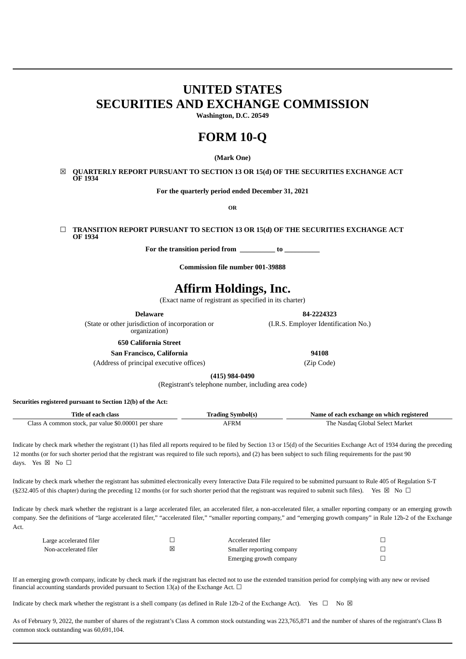# <span id="page-0-0"></span>**UNITED STATES SECURITIES AND EXCHANGE COMMISSION**

**Washington, D.C. 20549**

# **FORM 10-Q**

**(Mark One)**

☒ **QUARTERLY REPORT PURSUANT TO SECTION 13 OR 15(d) OF THE SECURITIES EXCHANGE ACT OF 1934**

**For the quarterly period ended December 31, 2021**

**OR**

☐ **TRANSITION REPORT PURSUANT TO SECTION 13 OR 15(d) OF THE SECURITIES EXCHANGE ACT OF 1934**

**For the transition period from \_\_\_\_\_\_\_\_\_\_ to \_\_\_\_\_\_\_\_\_\_**

**Commission file number 001-39888**

# **Affirm Holdings, Inc.**

(Exact name of registrant as specified in its charter)

**Delaware 84-2224323**

(State or other jurisdiction of incorporation or

organization)

**650 California Street**

**San Francisco, California 94108**

(Address of principal executive offices) (Zip Code)

(I.R.S. Employer Identification No.)

**(415) 984-0490**

(Registrant's telephone number, including area code)

# **Securities registered pursuant to Section 12(b) of the Act:**

| ïtle<br>-clas;<br>eact                                        | `radine<br>Symbolts | Name of<br>ı exchange on which-<br>`each-<br>registered |  |  |  |  |  |
|---------------------------------------------------------------|---------------------|---------------------------------------------------------|--|--|--|--|--|
| .0000<br>. Jass<br>. par value-<br>per share<br>common stock. | R M                 | Marke<br>. he<br><b>Seler</b><br>Gilobal<br>Nasdad      |  |  |  |  |  |

Indicate by check mark whether the registrant (1) has filed all reports required to be filed by Section 13 or 15(d) of the Securities Exchange Act of 1934 during the preceding 12 months (or for such shorter period that the registrant was required to file such reports), and (2) has been subject to such filing requirements for the past 90 days. Yes  $\boxtimes$  No  $\square$ 

Indicate by check mark whether the registrant has submitted electronically every Interactive Data File required to be submitted pursuant to Rule 405 of Regulation S-T (§232.405 of this chapter) during the preceding 12 months (or for such shorter period that the registrant was required to submit such files). Yes  $\boxtimes$  No  $\Box$ 

Indicate by check mark whether the registrant is a large accelerated filer, an accelerated filer, a non-accelerated filer, a smaller reporting company or an emerging growth company. See the definitions of "large accelerated filer," "accelerated filer," "smaller reporting company," and "emerging growth company" in Rule 12b-2 of the Exchange Act.

| Large accelerated filer |   | Accelerated filer         |  |
|-------------------------|---|---------------------------|--|
| Non-accelerated filer   | ⊠ | Smaller reporting company |  |
|                         |   | Emerging growth company   |  |

If an emerging growth company, indicate by check mark if the registrant has elected not to use the extended transition period for complying with any new or revised financial accounting standards provided pursuant to Section 13(a) of the Exchange Act.  $\Box$ 

Indicate by check mark whether the registrant is a shell company (as defined in Rule 12b-2 of the Exchange Act). Yes  $\Box$  No  $\boxtimes$ 

As of February 9, 2022, the number of shares of the registrant's Class A common stock outstanding was 223,765,871 and the number of shares of the registrant's Class B common stock outstanding was 60,691,104.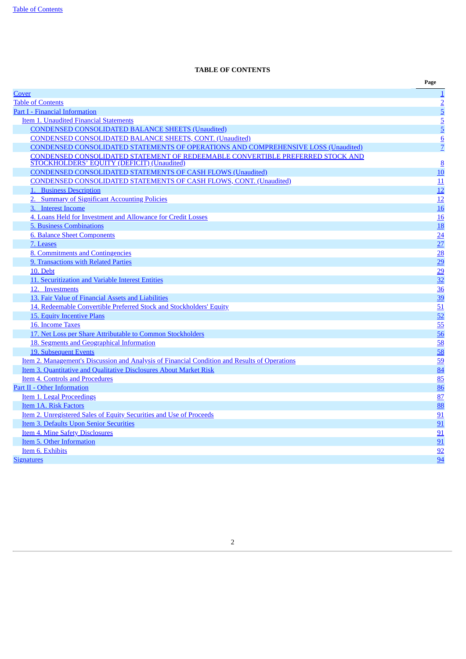# **TABLE OF CONTENTS**

|                                                                                                                              | Page                     |
|------------------------------------------------------------------------------------------------------------------------------|--------------------------|
| <b>Cover</b>                                                                                                                 | $\underline{\mathbf{1}}$ |
| <b>Table of Contents</b>                                                                                                     | $\overline{2}$           |
| <b>Part I - Financial Information</b>                                                                                        |                          |
| <b>Item 1. Unaudited Financial Statements</b>                                                                                | $rac{5}{5}$              |
| <b>CONDENSED CONSOLIDATED BALANCE SHEETS (Unaudited)</b>                                                                     | $\overline{5}$           |
| <b>CONDENSED CONSOLIDATED BALANCE SHEETS, CONT. (Unaudited)</b>                                                              | $\overline{6}$           |
| <b>CONDENSED CONSOLIDATED STATEMENTS OF OPERATIONS AND COMPREHENSIVE LOSS (Unaudited)</b>                                    | $\overline{Z}$           |
| CONDENSED CONSOLIDATED STATEMENT OF REDEEMABLE CONVERTIBLE PREFERRED STOCK AND<br>STOCKHOLDERS' EQUITY (DEFICIT) (Unaudited) | $\underline{8}$          |
| <b>CONDENSED CONSOLIDATED STATEMENTS OF CASH FLOWS (Unaudited)</b>                                                           | 10                       |
| <b>CONDENSED CONSOLIDATED STATEMENTS OF CASH FLOWS, CONT. (Unaudited)</b>                                                    | 11                       |
| <b>Business Description</b>                                                                                                  | 12                       |
| 2. Summary of Significant Accounting Policies                                                                                | 12                       |
| 3. Interest Income                                                                                                           | 16                       |
| 4. Loans Held for Investment and Allowance for Credit Losses                                                                 | 16                       |
| <b>5. Business Combinations</b>                                                                                              | 18                       |
| <b>6. Balance Sheet Components</b>                                                                                           | $\overline{24}$          |
| 7. Leases                                                                                                                    | 27                       |
| 8. Commitments and Contingencies                                                                                             | 28                       |
| 9. Transactions with Related Parties                                                                                         | 29                       |
| 10. Debt                                                                                                                     | $\overline{29}$          |
| 11. Securitization and Variable Interest Entities                                                                            | 32                       |
| 12. Investments                                                                                                              | 36                       |
| 13. Fair Value of Financial Assets and Liabilities                                                                           | 39                       |
| 14. Redeemable Convertible Preferred Stock and Stockholders' Equity                                                          | 51                       |
| 15. Equity Incentive Plans                                                                                                   | 52                       |
| 16. Income Taxes                                                                                                             | 55                       |
| 17. Net Loss per Share Attributable to Common Stockholders                                                                   | 56                       |
| 18. Segments and Geographical Information                                                                                    | 58                       |
| 19. Subsequent Events                                                                                                        | 58                       |
| <u>Item 2. Management's Discussion and Analysis of Financial Condition and Results of Operations</u>                         | 59                       |
| Item 3. Quantitative and Qualitative Disclosures About Market Risk                                                           | 84                       |
| Item 4. Controls and Procedures                                                                                              | 85                       |
| <b>Part II - Other Information</b>                                                                                           | 86                       |
| Item 1. Legal Proceedings                                                                                                    | 87                       |
| Item 1A. Risk Factors                                                                                                        | 88                       |
| Item 2. Unregistered Sales of Equity Securities and Use of Proceeds                                                          | 91                       |
| <b>Item 3. Defaults Upon Senior Securities</b>                                                                               | 91                       |
| <b>Item 4. Mine Safety Disclosures</b>                                                                                       | 91                       |
| Item 5. Other Information                                                                                                    | 91                       |
| Item 6. Exhibits                                                                                                             | 92                       |
| <b>Signatures</b>                                                                                                            | 94                       |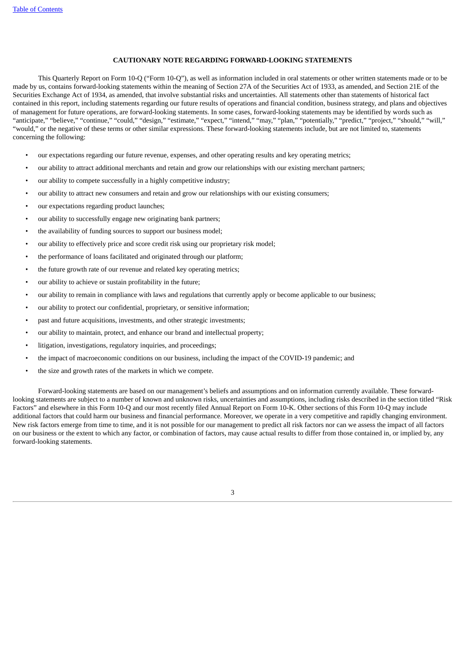# **CAUTIONARY NOTE REGARDING FORWARD-LOOKING STATEMENTS**

This Quarterly Report on Form 10-Q ("Form 10-Q"), as well as information included in oral statements or other written statements made or to be made by us, contains forward-looking statements within the meaning of Section 27A of the Securities Act of 1933, as amended, and Section 21E of the Securities Exchange Act of 1934, as amended, that involve substantial risks and uncertainties. All statements other than statements of historical fact contained in this report, including statements regarding our future results of operations and financial condition, business strategy, and plans and objectives of management for future operations, are forward-looking statements. In some cases, forward-looking statements may be identified by words such as "anticipate," "believe," "continue," "could," "design," "estimate," "expect," "intend," "may," "plan," "potentially," "predict," "project," "should," "will," "would," or the negative of these terms or other similar expressions. These forward-looking statements include, but are not limited to, statements concerning the following:

- our expectations regarding our future revenue, expenses, and other operating results and key operating metrics;
- our ability to attract additional merchants and retain and grow our relationships with our existing merchant partners;
- our ability to compete successfully in a highly competitive industry;
- our ability to attract new consumers and retain and grow our relationships with our existing consumers;
- our expectations regarding product launches;
- our ability to successfully engage new originating bank partners;
- the availability of funding sources to support our business model;
- our ability to effectively price and score credit risk using our proprietary risk model;
- the performance of loans facilitated and originated through our platform;
- the future growth rate of our revenue and related key operating metrics;
- our ability to achieve or sustain profitability in the future;
- our ability to remain in compliance with laws and regulations that currently apply or become applicable to our business;
- our ability to protect our confidential, proprietary, or sensitive information;
- past and future acquisitions, investments, and other strategic investments;
- our ability to maintain, protect, and enhance our brand and intellectual property;
- litigation, investigations, regulatory inquiries, and proceedings;
- the impact of macroeconomic conditions on our business, including the impact of the COVID-19 pandemic; and
- the size and growth rates of the markets in which we compete.

Forward-looking statements are based on our management's beliefs and assumptions and on information currently available. These forwardlooking statements are subject to a number of known and unknown risks, uncertainties and assumptions, including risks described in the section titled "Risk Factors" and elsewhere in this Form 10-Q and our most recently filed Annual Report on Form 10-K. Other sections of this Form 10-Q may include additional factors that could harm our business and financial performance. Moreover, we operate in a very competitive and rapidly changing environment. New risk factors emerge from time to time, and it is not possible for our management to predict all risk factors nor can we assess the impact of all factors on our business or the extent to which any factor, or combination of factors, may cause actual results to differ from those contained in, or implied by, any forward-looking statements.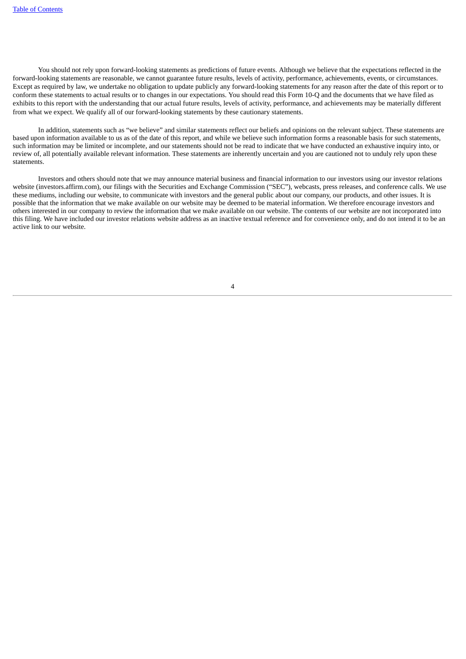You should not rely upon forward-looking statements as predictions of future events. Although we believe that the expectations reflected in the forward-looking statements are reasonable, we cannot guarantee future results, levels of activity, performance, achievements, events, or circumstances. Except as required by law, we undertake no obligation to update publicly any forward-looking statements for any reason after the date of this report or to conform these statements to actual results or to changes in our expectations. You should read this Form 10-Q and the documents that we have filed as exhibits to this report with the understanding that our actual future results, levels of activity, performance, and achievements may be materially different from what we expect. We qualify all of our forward-looking statements by these cautionary statements.

In addition, statements such as "we believe" and similar statements reflect our beliefs and opinions on the relevant subject. These statements are based upon information available to us as of the date of this report, and while we believe such information forms a reasonable basis for such statements, such information may be limited or incomplete, and our statements should not be read to indicate that we have conducted an exhaustive inquiry into, or review of, all potentially available relevant information. These statements are inherently uncertain and you are cautioned not to unduly rely upon these statements.

<span id="page-4-0"></span>Investors and others should note that we may announce material business and financial information to our investors using our investor relations website (investors.affirm.com), our filings with the Securities and Exchange Commission ("SEC"), webcasts, press releases, and conference calls. We use these mediums, including our website, to communicate with investors and the general public about our company, our products, and other issues. It is possible that the information that we make available on our website may be deemed to be material information. We therefore encourage investors and others interested in our company to review the information that we make available on our website. The contents of our website are not incorporated into this filing. We have included our investor relations website address as an inactive textual reference and for convenience only, and do not intend it to be an active link to our website.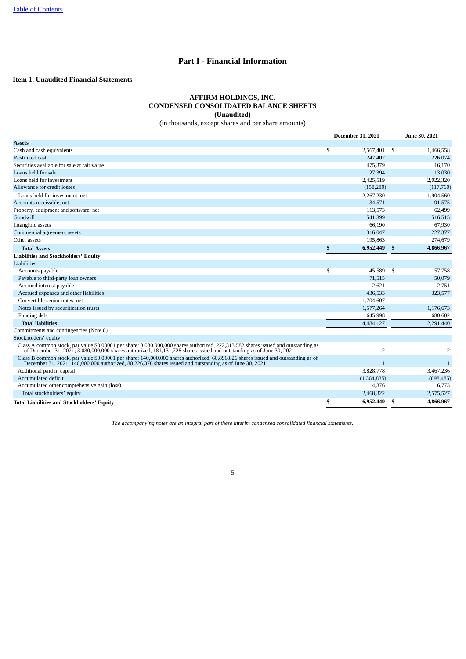# **Part I - Financial Information**

# <span id="page-5-1"></span><span id="page-5-0"></span>**Item 1. Unaudited Financial Statements**

# **AFFIRM HOLDINGS, INC. CONDENSED CONSOLIDATED BALANCE SHEETS (Unaudited)**

(in thousands, except shares and per share amounts)

|                                                                                                                                                                                                                                                            | <b>December 31, 2021</b> |              | June 30, 2021 |
|------------------------------------------------------------------------------------------------------------------------------------------------------------------------------------------------------------------------------------------------------------|--------------------------|--------------|---------------|
| <b>Assets</b>                                                                                                                                                                                                                                              |                          |              |               |
| Cash and cash equivalents                                                                                                                                                                                                                                  | \$<br>2,567,401          | - \$         | 1,466,558     |
| Restricted cash                                                                                                                                                                                                                                            | 247,402                  |              | 226,074       |
| Securities available for sale at fair value                                                                                                                                                                                                                | 475,379                  |              | 16,170        |
| Loans held for sale                                                                                                                                                                                                                                        | 27,394                   |              | 13,030        |
| Loans held for investment                                                                                                                                                                                                                                  | 2,425,519                |              | 2,022,320     |
| Allowance for credit losses                                                                                                                                                                                                                                | (158, 289)               |              | (117,760)     |
| Loans held for investment, net                                                                                                                                                                                                                             | 2,267,230                |              | 1,904,560     |
| Accounts receivable, net                                                                                                                                                                                                                                   | 134,571                  |              | 91,575        |
| Property, equipment and software, net                                                                                                                                                                                                                      | 113,573                  |              | 62,499        |
| Goodwill                                                                                                                                                                                                                                                   | 541,399                  |              | 516,515       |
| Intangible assets                                                                                                                                                                                                                                          | 66,190                   |              | 67,930        |
| Commercial agreement assets                                                                                                                                                                                                                                | 316,047                  |              | 227,377       |
| Other assets                                                                                                                                                                                                                                               | 195,863                  |              | 274,679       |
| <b>Total Assets</b>                                                                                                                                                                                                                                        | \$<br>6,952,449          | $\mathbf{s}$ | 4,866,967     |
| <b>Liabilities and Stockholders' Equity</b>                                                                                                                                                                                                                |                          |              |               |
| Liabilities:                                                                                                                                                                                                                                               |                          |              |               |
| Accounts payable                                                                                                                                                                                                                                           | \$<br>45,589             | - \$         | 57,758        |
| Payable to third-party loan owners                                                                                                                                                                                                                         | 71,515                   |              | 50,079        |
| Accrued interest payable                                                                                                                                                                                                                                   | 2,621                    |              | 2,751         |
| Accrued expenses and other liabilities                                                                                                                                                                                                                     | 436,533                  |              | 323,577       |
| Convertible senior notes, net                                                                                                                                                                                                                              | 1,704,607                |              |               |
| Notes issued by securitization trusts                                                                                                                                                                                                                      | 1,577,264                |              | 1,176,673     |
| Funding debt                                                                                                                                                                                                                                               | 645,998                  |              | 680,602       |
| <b>Total liabilities</b>                                                                                                                                                                                                                                   | 4,484,127                |              | 2,291,440     |
| Commitments and contingencies (Note 8)                                                                                                                                                                                                                     |                          |              |               |
| Stockholders' equity:                                                                                                                                                                                                                                      |                          |              |               |
| Class A common stock, par value \$0.00001 per share: 3,030,000,000 shares authorized, 222,313,582 shares issued and outstanding as<br>of December 31, 2021; 3,030,000,000 shares authorized, 181,131,728 shares issued and outstanding as of June 30, 2021 | $\overline{2}$           |              | 2             |
| Class B common stock, par value \$0.00001 per share: 140,000,000 shares authorized, 60,896,826 shares issued and outstanding as of<br>December 31, 2021; 140,000,000 authorized, 88,226,376 shares issued and outstanding as of June 30, 2021              | $\mathbf{1}$             |              | 1             |
| Additional paid in capital                                                                                                                                                                                                                                 | 3,828,778                |              | 3,467,236     |
| <b>Accumulated deficit</b>                                                                                                                                                                                                                                 | (1,364,835)              |              | (898, 485)    |
| Accumulated other comprehensive gain (loss)                                                                                                                                                                                                                | 4,376                    |              | 6,773         |
| Total stockholders' equity                                                                                                                                                                                                                                 | 2,468,322                |              | 2,575,527     |
| <b>Total Liabilities and Stockholders' Equity</b>                                                                                                                                                                                                          | \$<br>6,952,449          | - \$         | 4,866,967     |

<span id="page-5-2"></span>*The accompanying notes are an integral part of these interim condensed consolidated financial statements.*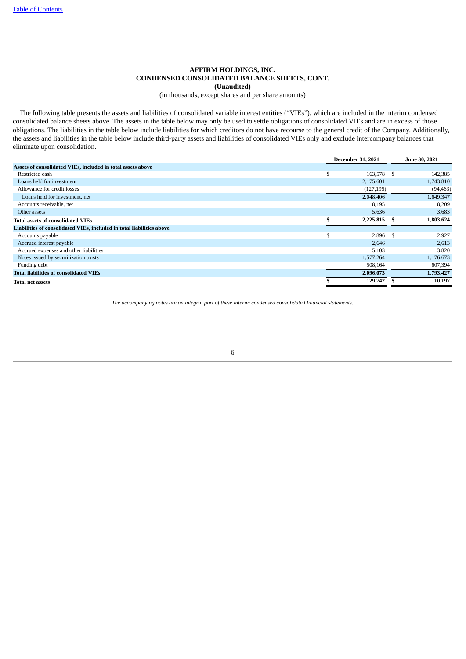# **AFFIRM HOLDINGS, INC. CONDENSED CONSOLIDATED BALANCE SHEETS, CONT. (Unaudited)**

(in thousands, except shares and per share amounts)

The following table presents the assets and liabilities of consolidated variable interest entities ("VIEs"), which are included in the interim condensed consolidated balance sheets above. The assets in the table below may only be used to settle obligations of consolidated VIEs and are in excess of those obligations. The liabilities in the table below include liabilities for which creditors do not have recourse to the general credit of the Company. Additionally, the assets and liabilities in the table below include third-party assets and liabilities of consolidated VIEs only and exclude intercompany balances that eliminate upon consolidation.

|                                                                       | <b>December 31, 2021</b> |    | June 30, 2021 |
|-----------------------------------------------------------------------|--------------------------|----|---------------|
| Assets of consolidated VIEs, included in total assets above           |                          |    |               |
| Restricted cash                                                       | 163,578 \$<br>\$         |    | 142,385       |
| Loans held for investment                                             | 2,175,601                |    | 1,743,810     |
| Allowance for credit losses                                           | (127, 195)               |    | (94, 463)     |
| Loans held for investment, net                                        | 2,048,406                |    | 1,649,347     |
| Accounts receivable, net                                              | 8,195                    |    | 8,209         |
| Other assets                                                          | 5,636                    |    | 3,683         |
| <b>Total assets of consolidated VIEs</b>                              | 2,225,815                |    | 1,803,624     |
| Liabilities of consolidated VIEs, included in total liabilities above |                          |    |               |
| Accounts payable                                                      | \$<br>2,896              | -S | 2,927         |
| Accrued interest payable                                              | 2,646                    |    | 2,613         |
| Accrued expenses and other liabilities                                | 5,103                    |    | 3,820         |
| Notes issued by securitization trusts                                 | 1,577,264                |    | 1,176,673     |
| Funding debt                                                          | 508,164                  |    | 607,394       |
| <b>Total liabilities of consolidated VIEs</b>                         | 2,096,073                |    | 1,793,427     |
| Total net assets                                                      | 129,742                  |    | 10,197        |
|                                                                       |                          |    |               |

<span id="page-6-0"></span>*The accompanying notes are an integral part of these interim condensed consolidated financial statements.*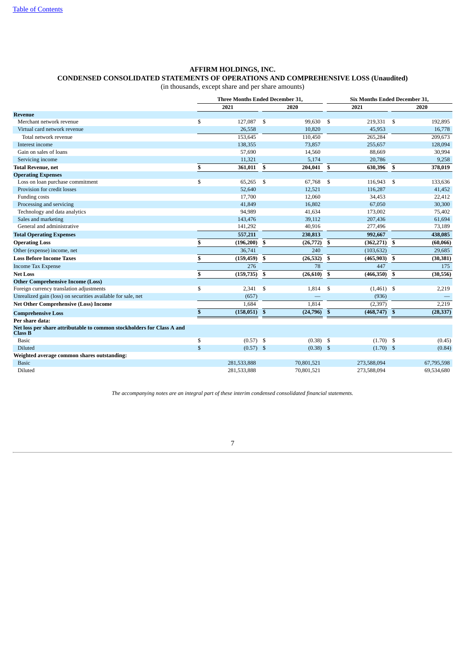# **AFFIRM HOLDINGS, INC. CONDENSED CONSOLIDATED STATEMENTS OF OPERATIONS AND COMPREHENSIVE LOSS (Unaudited)**

(in thousands, except share and per share amounts)

|                                                                                          |              | Three Months Ended December 31, |              |               |    | <b>Six Months Ended December 31,</b> |     |            |  |  |
|------------------------------------------------------------------------------------------|--------------|---------------------------------|--------------|---------------|----|--------------------------------------|-----|------------|--|--|
|                                                                                          |              | 2021                            |              | 2020          |    | 2021                                 |     | 2020       |  |  |
| <b>Revenue</b>                                                                           |              |                                 |              |               |    |                                      |     |            |  |  |
| Merchant network revenue                                                                 | \$           | 127,087 \$                      |              | 99,630 \$     |    | 219,331 \$                           |     | 192,895    |  |  |
| Virtual card network revenue                                                             |              | 26,558                          |              | 10,820        |    | 45,953                               |     | 16,778     |  |  |
| Total network revenue                                                                    |              | 153,645                         |              | 110,450       |    | 265,284                              |     | 209,673    |  |  |
| Interest income                                                                          |              | 138,355                         |              | 73,857        |    | 255,657                              |     | 128,094    |  |  |
| Gain on sales of loans                                                                   |              | 57,690                          |              | 14,560        |    | 88,669                               |     | 30,994     |  |  |
| Servicing income                                                                         |              | 11,321                          |              | 5,174         |    | 20,786                               |     | 9,258      |  |  |
| <b>Total Revenue, net</b>                                                                | \$           | 361,011 \$                      |              | 204,041 \$    |    | 630,396                              | \$  | 378,019    |  |  |
| <b>Operating Expenses</b>                                                                |              |                                 |              |               |    |                                      |     |            |  |  |
| Loss on loan purchase commitment                                                         | \$           | 65,265 \$                       |              | 67,768        | -S | 116,943                              | -S  | 133,636    |  |  |
| Provision for credit losses                                                              |              | 52,640                          |              | 12,521        |    | 116,287                              |     | 41,452     |  |  |
| Funding costs                                                                            |              | 17,700                          |              | 12,060        |    | 34,453                               |     | 22,412     |  |  |
| Processing and servicing                                                                 |              | 41,849                          |              | 16,802        |    | 67,050                               |     | 30,300     |  |  |
| Technology and data analytics                                                            |              | 94,989                          |              | 41,634        |    | 173,002                              |     | 75,402     |  |  |
| Sales and marketing                                                                      |              | 143,476                         |              | 39,112        |    | 207,436                              |     | 61,694     |  |  |
| General and administrative                                                               |              | 141,292                         |              | 40,916        |    | 277,496                              |     | 73,189     |  |  |
| <b>Total Operating Expenses</b>                                                          |              | 557,211                         |              | 230,813       |    | 992,667                              |     | 438,085    |  |  |
| <b>Operating Loss</b>                                                                    | \$           | (196, 200)                      | $\mathbf{s}$ | (26, 772)     | \$ | (362, 271)                           | \$  | (60, 066)  |  |  |
| Other (expense) income, net                                                              |              | 36,741                          |              | 240           |    | (103, 632)                           |     | 29,685     |  |  |
| <b>Loss Before Income Taxes</b>                                                          | \$           | (159, 459)                      | $\mathbf{s}$ | (26, 532)     | S. | (465, 903)                           | \$  | (30, 381)  |  |  |
| <b>Income Tax Expense</b>                                                                |              | 276                             |              | 78            |    | 447                                  |     | 175        |  |  |
| <b>Net Loss</b>                                                                          | \$           | (159, 735)                      | -\$          | (26, 610)     | \$ | (466, 350)                           | \$  | (30, 556)  |  |  |
| <b>Other Comprehensive Income (Loss)</b>                                                 |              |                                 |              |               |    |                                      |     |            |  |  |
| Foreign currency translation adjustments                                                 | \$           | 2,341                           | - \$         | 1,814         | -S | $(1,461)$ \$                         |     | 2,219      |  |  |
| Unrealized gain (loss) on securities available for sale, net                             |              | (657)                           |              |               |    | (936)                                |     |            |  |  |
| <b>Net Other Comprehensive (Loss) Income</b>                                             |              | 1,684                           |              | 1,814         |    | (2, 397)                             |     | 2,219      |  |  |
| <b>Comprehensive Loss</b>                                                                | S            | $(158,051)$ \$                  |              | $(24,796)$ \$ |    | (468, 747)                           | -\$ | (28, 337)  |  |  |
| Per share data:                                                                          |              |                                 |              |               |    |                                      |     |            |  |  |
| Net loss per share attributable to common stockholders for Class A and<br><b>Class B</b> |              |                                 |              |               |    |                                      |     |            |  |  |
| <b>Basic</b>                                                                             | \$           | $(0.57)$ \$                     |              | $(0.38)$ \$   |    | $(1.70)$ \$                          |     | (0.45)     |  |  |
| <b>Diluted</b>                                                                           | $\mathbb{S}$ | $(0.57)$ \$                     |              | $(0.38)$ \$   |    | $(1.70)$ \$                          |     | (0.84)     |  |  |
| Weighted average common shares outstanding:                                              |              |                                 |              |               |    |                                      |     |            |  |  |
| <b>Basic</b>                                                                             |              | 281,533,888                     |              | 70,801,521    |    | 273,588,094                          |     | 67,795,598 |  |  |
| Diluted                                                                                  |              | 281,533,888                     |              | 70,801,521    |    | 273,588,094                          |     | 69,534,680 |  |  |

<span id="page-7-0"></span>*The accompanying notes are an integral part of these interim condensed consolidated financial statements.*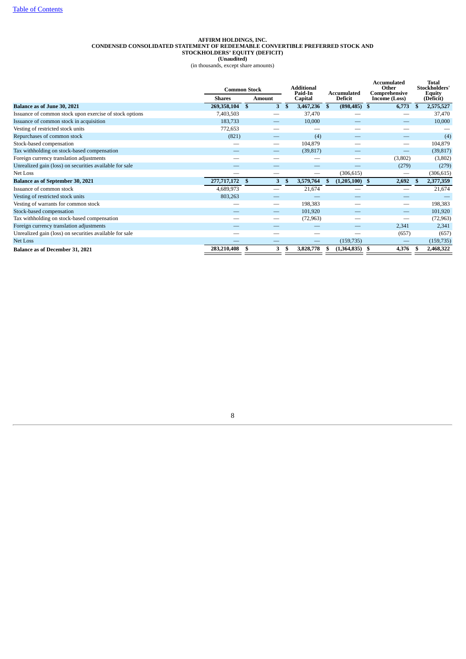#### **AFFIRM HOLDINGS, INC. CONDENSED CONSOLIDATED STATEMENT OF REDEEMABLE CONVERTIBLE PREFERRED STOCK AND STOCKHOLDERS' EQUITY (DEFICIT) (Unaudited)**

(in thousands, except share amounts)

|                                                         | <b>Common Stock</b> |      |        | Additional<br>Paid-In |                               |              | Accumulated      | Accumulated<br>Other<br>Comprehensive |      | <b>Total</b><br>Stockholders'<br>Equity |
|---------------------------------------------------------|---------------------|------|--------|-----------------------|-------------------------------|--------------|------------------|---------------------------------------|------|-----------------------------------------|
|                                                         | <b>Shares</b>       |      | Amount | Capital               |                               |              | <b>Deficit</b>   | <b>Income (Loss)</b>                  |      | (Deficit)                               |
| <b>Balance as of June 30, 2021</b>                      | 269,358,104 \$      |      | 3      | $\mathbf{s}$          | 3,467,236                     | $\mathbf{s}$ | $(898, 485)$ \$  | 6,773                                 | - \$ | 2,575,527                               |
| Issuance of common stock upon exercise of stock options | 7,403,503           |      |        |                       | 37,470                        |              |                  |                                       |      | 37,470                                  |
| Issuance of common stock in acquisition                 | 183,733             |      |        |                       | 10,000                        |              |                  |                                       |      | 10,000                                  |
| Vesting of restricted stock units                       | 772,653             |      |        |                       |                               |              |                  |                                       |      |                                         |
| Repurchases of common stock                             | (821)               |      |        |                       | (4)                           |              |                  |                                       |      | (4)                                     |
| Stock-based compensation                                |                     |      |        |                       | 104,879                       |              |                  |                                       |      | 104,879                                 |
| Tax withholding on stock-based compensation             |                     |      |        |                       | (39, 817)                     |              |                  |                                       |      | (39, 817)                               |
| Foreign currency translation adjustments                |                     |      |        |                       |                               |              |                  | (3,802)                               |      | (3,802)                                 |
| Unrealized gain (loss) on securities available for sale |                     |      |        |                       |                               |              |                  | (279)                                 |      | (279)                                   |
| Net Loss                                                |                     |      |        |                       | $\overbrace{\phantom{aaaaa}}$ |              | (306, 615)       |                                       |      | (306, 615)                              |
| <b>Balance as of September 30, 2021</b>                 | 277,717,172         | - \$ | 3      | S                     | 3,579,764                     | -86          | $(1,205,100)$ \$ | 2,692                                 | - 35 | 2,377,359                               |
| Issuance of common stock                                | 4,689,973           |      |        |                       | 21,674                        |              |                  |                                       |      | 21,674                                  |
| Vesting of restricted stock units                       | 803,263             |      |        |                       |                               |              |                  |                                       |      |                                         |
| Vesting of warrants for common stock                    |                     |      |        |                       | 198,383                       |              |                  |                                       |      | 198,383                                 |
| Stock-based compensation                                |                     |      |        |                       | 101,920                       |              |                  |                                       |      | 101,920                                 |
| Tax withholding on stock-based compensation             |                     |      |        |                       | (72, 963)                     |              |                  |                                       |      | (72, 963)                               |
| Foreign currency translation adjustments                |                     |      |        |                       |                               |              |                  | 2,341                                 |      | 2,341                                   |
| Unrealized gain (loss) on securities available for sale |                     |      |        |                       |                               |              |                  | (657)                                 |      | (657)                                   |
| Net Loss                                                |                     |      |        |                       |                               |              | (159, 735)       |                                       |      | (159, 735)                              |
| Balance as of December 31, 2021                         | 283,210,408         | S    | 3      | S                     | 3,828,778                     | -S           | $(1,364,835)$ \$ | 4,376                                 | - 5  | 2,468,322                               |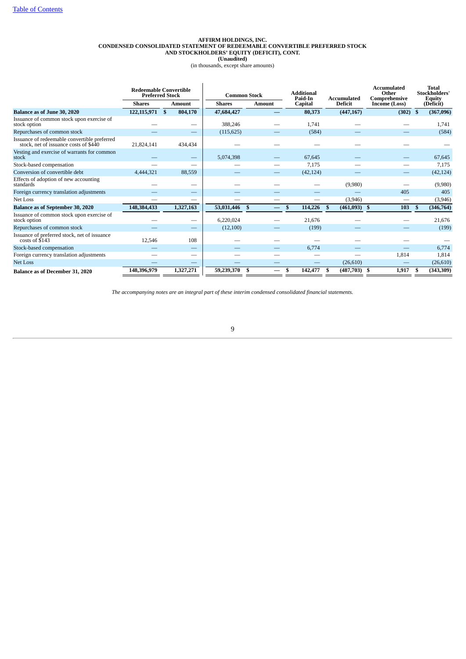#### **AFFIRM HOLDINGS, INC. CONDENSED CONSOLIDATED STATEMENT OF REDEEMABLE CONVERTIBLE PREFERRED STOCK AND STOCKHOLDERS' EQUITY (DEFICIT), CONT. (Unaudited)**

(in thousands, except share amounts)

|                                                                                       | <b>Redeemable Convertible</b><br><b>Preferred Stock</b> |                   | <b>Common Stock</b> |                          | <b>Additional</b><br>Paid-In | <b>Accumulated</b> | <b>Accumulated</b><br>Other<br>Comprehensive | Total<br>Stockholders'<br>Equity |
|---------------------------------------------------------------------------------------|---------------------------------------------------------|-------------------|---------------------|--------------------------|------------------------------|--------------------|----------------------------------------------|----------------------------------|
|                                                                                       | Shares                                                  | Amount            | <b>Shares</b>       | <b>Amount</b>            | Capital                      | <b>Deficit</b>     | <b>Income</b> (Loss)                         | (Deficit)                        |
| Balance as of June 30, 2020                                                           | 122,115,971 \$                                          | 804,170           | 47,684,427          |                          | 80,373                       | (447, 167)         | $(302)$ \$                                   | (367,096)                        |
| Issuance of common stock upon exercise of<br>stock option                             |                                                         |                   | 388,246             |                          | 1,741                        |                    |                                              | 1,741                            |
| Repurchases of common stock                                                           |                                                         | —                 | (115, 625)          |                          | (584)                        |                    |                                              | (584)                            |
| Issuance of redeemable convertible preferred<br>stock, net of issuance costs of \$440 | 21,824,141                                              | 434,434           |                     |                          |                              |                    |                                              |                                  |
| Vesting and exercise of warrants for common<br>stock                                  |                                                         | $\qquad \qquad -$ | 5,074,398           |                          | 67,645                       |                    |                                              | 67,645                           |
| Stock-based compensation                                                              |                                                         |                   |                     |                          | 7,175                        |                    |                                              | 7,175                            |
| Conversion of convertible debt                                                        | 4,444,321                                               | 88,559            |                     |                          | (42, 124)                    |                    |                                              | (42, 124)                        |
| Effects of adoption of new accounting<br>standards                                    |                                                         | –                 |                     |                          |                              | (9,980)            |                                              | (9,980)                          |
| Foreign currency translation adjustments                                              |                                                         |                   |                     |                          |                              |                    | 405                                          | 405                              |
| Net Loss                                                                              |                                                         |                   |                     |                          |                              | (3,946)            |                                              | (3,946)                          |
| <b>Balance as of September 30, 2020</b>                                               | 148,384,433                                             | 1,327,163         | 53,031,446<br>\$.   | $\overline{\phantom{0}}$ | 114,226<br>\$.               | (461,093)<br>- \$  | 103<br>-S                                    | (346, 764)<br>-\$                |
| Issuance of common stock upon exercise of<br>stock option                             |                                                         |                   | 6,220,024           |                          | 21,676                       |                    |                                              | 21,676                           |
| Repurchases of common stock                                                           |                                                         |                   | (12,100)            |                          | (199)                        |                    |                                              | (199)                            |
| Issuance of preferred stock, net of issuance<br>costs of $$143$                       | 12,546                                                  | 108               |                     |                          |                              |                    |                                              |                                  |
| Stock-based compensation                                                              |                                                         | –                 |                     |                          | 6,774                        |                    |                                              | 6,774                            |
| Foreign currency translation adjustments                                              |                                                         | —                 |                     |                          |                              |                    | 1,814                                        | 1,814                            |
| Net Loss                                                                              |                                                         | _                 |                     |                          |                              | (26, 610)          |                                              | (26, 610)                        |
| <b>Balance as of December 31, 2020</b>                                                | 148,396,979                                             | 1,327,271         | 59,239,370<br>S     |                          | 142,477<br>S                 | (487,703)          | 1,917<br>-S                                  | (343, 309)                       |

<span id="page-9-0"></span>*The accompanying notes are an integral part of these interim condensed consolidated financial statements.*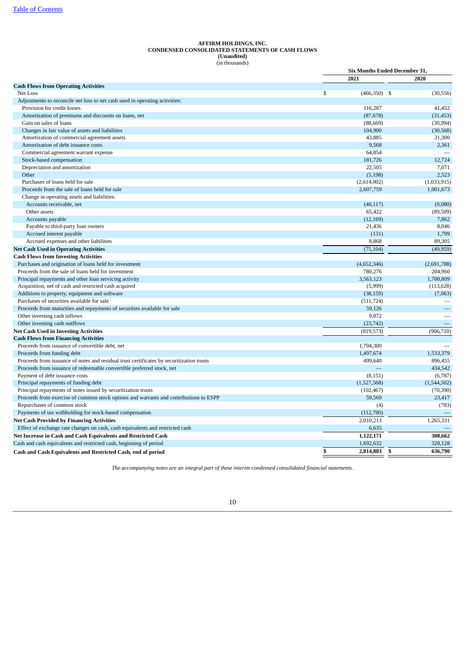#### **AFFIRM HOLDINGS, INC. CONDENSED CONSOLIDATED STATEMENTS OF CASH FLOWS (Unaudited)**

(in thousands)

|                                                                                          | <b>Six Months Ended December 31,</b> |             |  |
|------------------------------------------------------------------------------------------|--------------------------------------|-------------|--|
|                                                                                          | 2021                                 | 2020        |  |
| <b>Cash Flows from Operating Activities</b>                                              |                                      |             |  |
| Net Loss                                                                                 | \$<br>$(466,350)$ \$                 | (30, 556)   |  |
| Adjustments to reconcile net loss to net cash used in operating activities:              |                                      |             |  |
| Provision for credit losses                                                              | 116,287                              | 41,452      |  |
| Amortization of premiums and discounts on loans, net                                     | (87, 678)                            | (31, 453)   |  |
| Gain on sales of loans                                                                   | (88, 669)                            | (30, 994)   |  |
| Changes in fair value of assets and liabilities                                          | 104,900                              | (30, 568)   |  |
| Amortization of commercial agreement assets                                              | 43,885                               | 31,300      |  |
| Amortization of debt issuance costs                                                      | 9,568                                | 2,361       |  |
| Commercial agreement warrant expense                                                     | 64,854                               |             |  |
| Stock-based compensation                                                                 | 181,726                              | 12,724      |  |
| Depreciation and amortization                                                            | 22,505                               | 7,071       |  |
| Other                                                                                    | (5, 198)                             | 2,523       |  |
| Purchases of loans held for sale                                                         | (2,614,002)                          | (1,033,915) |  |
| Proceeds from the sale of loans held for sale                                            | 2,607,759                            | 1,001,673   |  |
| Change in operating assets and liabilities:                                              |                                      |             |  |
| Accounts receivable, net                                                                 | (48, 117)                            | (9,080)     |  |
| Other assets                                                                             | 65,422                               | (89, 509)   |  |
| Accounts payable                                                                         | (12, 169)                            | 7,862       |  |
| Payable to third-party loan owners                                                       | 21,436                               | 8,046       |  |
| Accrued interest payable                                                                 | (131)                                | 1,799       |  |
| Accrued expenses and other liabilities                                                   | 8,868                                | 89,305      |  |
| <b>Net Cash Used in Operating Activities</b>                                             | (75, 104)                            | (49, 959)   |  |
| <b>Cash Flows from Investing Activities</b>                                              |                                      |             |  |
| Purchases and origination of loans held for investment                                   | (4,652,346)                          | (2,691,788) |  |
| Proceeds from the sale of loans held for investment                                      | 780,276                              | 204,960     |  |
| Principal repayments and other loan servicing activity                                   | 3,563,123                            | 1,700,809   |  |
| Acquisition, net of cash and restricted cash acquired                                    | (5,999)                              | (113, 628)  |  |
| Additions to property, equipment and software                                            | (38, 159)                            | (7,063)     |  |
| Purchases of securities available for sale                                               | (511, 724)                           |             |  |
| Proceeds from maturities and repayments of securities available for sale                 | 59,126                               |             |  |
| Other investing cash inflows                                                             | 9,872                                |             |  |
| Other investing cash outflows                                                            | (23, 742)                            |             |  |
| <b>Net Cash Used in Investing Activities</b>                                             | (819, 573)                           | (906, 710)  |  |
| <b>Cash Flows from Financing Activities</b>                                              |                                      |             |  |
| Proceeds from issuance of convertible debt, net                                          | 1,704,300                            |             |  |
| Proceeds from funding debt                                                               | 1,497,674                            | 1.533.379   |  |
| Proceeds from issuance of notes and residual trust certificates by securitization trusts | 499,640                              | 896,455     |  |
| Proceeds from issuance of redeemable convertible preferred stock, net                    |                                      | 434,542     |  |
| Payment of debt issuance costs                                                           | (8, 151)                             | (6,787)     |  |
| Principal repayments of funding debt                                                     | (1,527,568)                          | (1,544,502) |  |
| Principal repayments of notes issued by securitization trusts                            | (102, 467)                           | (70, 390)   |  |
| Proceeds from exercise of common stock options and warrants and contributions to ESPP    | 59,569                               | 23,417      |  |
| Repurchases of common stock                                                              | (4)                                  | (783)       |  |
| Payments of tax withholding for stock-based compensation                                 | (112,780)                            |             |  |
| <b>Net Cash Provided by Financing Activities</b>                                         | 2,010,213                            | 1,265,331   |  |
| Effect of exchange rate changes on cash, cash equivalents and restricted cash            | 6,635                                |             |  |
| Net Increase in Cash and Cash Equivalents and Restricted Cash                            | 1,122,171                            | 308,662     |  |
| Cash and cash equivalents and restricted cash, beginning of period                       | 1,692,632                            | 328,128     |  |
| Cash and Cash Equivalents and Restricted Cash, end of period                             | \$<br>2,814,803<br>- \$              | 636,790     |  |
|                                                                                          |                                      |             |  |

<span id="page-10-0"></span>*The accompanying notes are an integral part of these interim condensed consolidated financial statements.*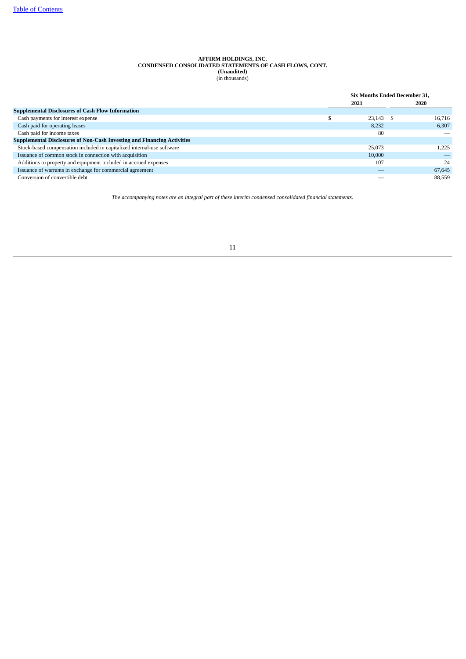#### **AFFIRM HOLDINGS, INC. CONDENSED CONSOLIDATED STATEMENTS OF CASH FLOWS, CONT. (Unaudited)** (in thousands)

|                                                                                | <b>Six Months Ended December 31,</b> |        |      |        |
|--------------------------------------------------------------------------------|--------------------------------------|--------|------|--------|
|                                                                                |                                      | 2021   |      | 2020   |
| <b>Supplemental Disclosures of Cash Flow Information</b>                       |                                      |        |      |        |
| Cash payments for interest expense                                             |                                      | 23.143 | - \$ | 16,716 |
| Cash paid for operating leases                                                 |                                      | 8.232  |      | 6,307  |
| Cash paid for income taxes                                                     |                                      | 80     |      |        |
| <b>Supplemental Disclosures of Non-Cash Investing and Financing Activities</b> |                                      |        |      |        |
| Stock-based compensation included in capitalized internal-use software         |                                      | 25.073 |      | 1.225  |
| Issuance of common stock in connection with acquisition                        |                                      | 10,000 |      |        |
| Additions to property and equipment included in accrued expenses               |                                      | 107    |      | 24     |
| Issuance of warrants in exchange for commercial agreement                      |                                      |        |      | 67,645 |
| Conversion of convertible debt                                                 |                                      |        |      | 88,559 |

<span id="page-11-0"></span>*The accompanying notes are an integral part of these interim condensed consolidated financial statements.*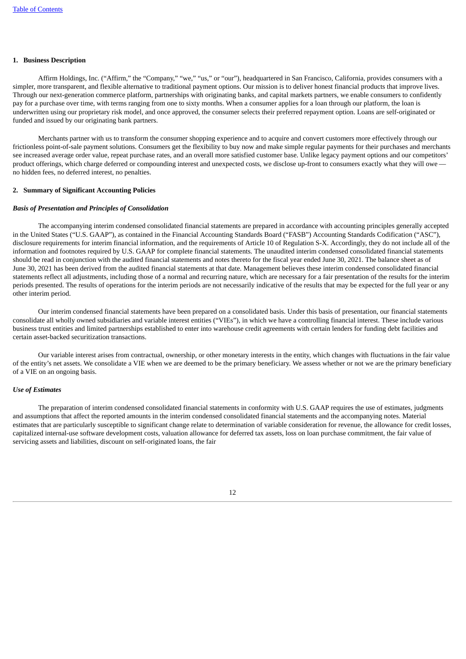#### **1. Business Description**

Affirm Holdings, Inc. ("Affirm," the "Company," "we," "us," or "our"), headquartered in San Francisco, California, provides consumers with a simpler, more transparent, and flexible alternative to traditional payment options. Our mission is to deliver honest financial products that improve lives. Through our next-generation commerce platform, partnerships with originating banks, and capital markets partners, we enable consumers to confidently pay for a purchase over time, with terms ranging from one to sixty months. When a consumer applies for a loan through our platform, the loan is underwritten using our proprietary risk model, and once approved, the consumer selects their preferred repayment option. Loans are self-originated or funded and issued by our originating bank partners.

Merchants partner with us to transform the consumer shopping experience and to acquire and convert customers more effectively through our frictionless point-of-sale payment solutions. Consumers get the flexibility to buy now and make simple regular payments for their purchases and merchants see increased average order value, repeat purchase rates, and an overall more satisfied customer base. Unlike legacy payment options and our competitors' product offerings, which charge deferred or compounding interest and unexpected costs, we disclose up-front to consumers exactly what they will owe no hidden fees, no deferred interest, no penalties.

# <span id="page-12-0"></span>**2. Summary of Significant Accounting Policies**

#### *Basis of Presentation and Principles of Consolidation*

The accompanying interim condensed consolidated financial statements are prepared in accordance with accounting principles generally accepted in the United States ("U.S. GAAP"), as contained in the Financial Accounting Standards Board ("FASB") Accounting Standards Codification ("ASC"), disclosure requirements for interim financial information, and the requirements of Article 10 of Regulation S-X. Accordingly, they do not include all of the information and footnotes required by U.S. GAAP for complete financial statements. The unaudited interim condensed consolidated financial statements should be read in conjunction with the audited financial statements and notes thereto for the fiscal year ended June 30, 2021. The balance sheet as of June 30, 2021 has been derived from the audited financial statements at that date. Management believes these interim condensed consolidated financial statements reflect all adjustments, including those of a normal and recurring nature, which are necessary for a fair presentation of the results for the interim periods presented. The results of operations for the interim periods are not necessarily indicative of the results that may be expected for the full year or any other interim period.

Our interim condensed financial statements have been prepared on a consolidated basis. Under this basis of presentation, our financial statements consolidate all wholly owned subsidiaries and variable interest entities ("VIEs"), in which we have a controlling financial interest. These include various business trust entities and limited partnerships established to enter into warehouse credit agreements with certain lenders for funding debt facilities and certain asset-backed securitization transactions.

Our variable interest arises from contractual, ownership, or other monetary interests in the entity, which changes with fluctuations in the fair value of the entity's net assets. We consolidate a VIE when we are deemed to be the primary beneficiary. We assess whether or not we are the primary beneficiary of a VIE on an ongoing basis.

# *Use of Estimates*

The preparation of interim condensed consolidated financial statements in conformity with U.S. GAAP requires the use of estimates, judgments and assumptions that affect the reported amounts in the interim condensed consolidated financial statements and the accompanying notes. Material estimates that are particularly susceptible to significant change relate to determination of variable consideration for revenue, the allowance for credit losses, capitalized internal-use software development costs, valuation allowance for deferred tax assets, loss on loan purchase commitment, the fair value of servicing assets and liabilities, discount on self-originated loans, the fair

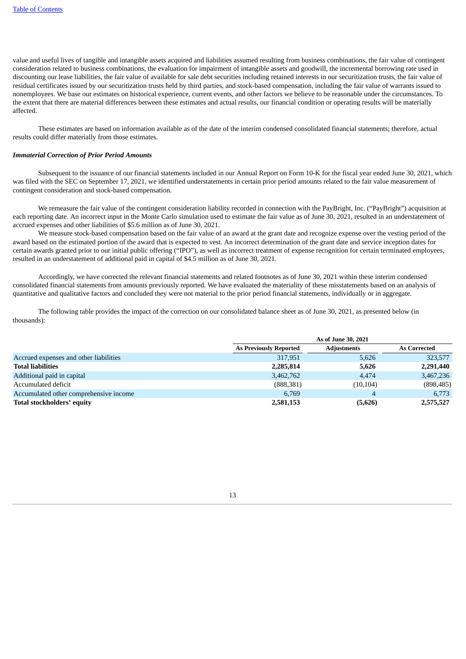value and useful lives of tangible and intangible assets acquired and liabilities assumed resulting from business combinations, the fair value of contingent consideration related to business combinations, the evaluation for impairment of intangible assets and goodwill, the incremental borrowing rate used in discounting our lease liabilities, the fair value of available for sale debt securities including retained interests in our securitization trusts, the fair value of residual certificates issued by our securitization trusts held by third parties, and stock-based compensation, including the fair value of warrants issued to nonemployees. We base our estimates on historical experience, current events, and other factors we believe to be reasonable under the circumstances. To the extent that there are material differences between these estimates and actual results, our financial condition or operating results will be materially affected.

These estimates are based on information available as of the date of the interim condensed consolidated financial statements; therefore, actual results could differ materially from those estimates.

#### *Immaterial Correction of Prior Period Amounts*

Subsequent to the issuance of our financial statements included in our Annual Report on Form 10-K for the fiscal year ended June 30, 2021, which was filed with the SEC on September 17, 2021, we identified understatements in certain prior period amounts related to the fair value measurement of contingent consideration and stock-based compensation.

We remeasure the fair value of the contingent consideration liability recorded in connection with the PayBright, Inc. ("PayBright") acquisition at each reporting date. An incorrect input in the Monte Carlo simulation used to estimate the fair value as of June 30, 2021, resulted in an understatement of accrued expenses and other liabilities of \$5.6 million as of June 30, 2021.

We measure stock-based compensation based on the fair value of an award at the grant date and recognize expense over the vesting period of the award based on the estimated portion of the award that is expected to vest. An incorrect determination of the grant date and service inception dates for certain awards granted prior to our initial public offering ("IPO"), as well as incorrect treatment of expense recognition for certain terminated employees, resulted in an understatement of additional paid in capital of \$4.5 million as of June 30, 2021.

Accordingly, we have corrected the relevant financial statements and related footnotes as of June 30, 2021 within these interim condensed consolidated financial statements from amounts previously reported. We have evaluated the materiality of these misstatements based on an analysis of quantitative and qualitative factors and concluded they were not material to the prior period financial statements, individually or in aggregate.

The following table provides the impact of the correction on our consolidated balance sheet as of June 30, 2021, as presented below (in thousands):

|                                        | As of June 30, 2021           |                    |                     |  |  |  |  |
|----------------------------------------|-------------------------------|--------------------|---------------------|--|--|--|--|
|                                        | <b>As Previously Reported</b> | <b>Adjustments</b> | <b>As Corrected</b> |  |  |  |  |
| Accrued expenses and other liabilities | 317,951                       | 5,626              | 323,577             |  |  |  |  |
| <b>Total liabilities</b>               | 2,285,814                     | 5,626              | 2,291,440           |  |  |  |  |
| Additional paid in capital             | 3,462,762                     | 4,474              | 3,467,236           |  |  |  |  |
| Accumulated deficit                    | (888, 381)                    | (10, 104)          | (898, 485)          |  |  |  |  |
| Accumulated other comprehensive income | 6,769                         | 4                  | 6,773               |  |  |  |  |
| Total stockholders' equity             | 2,581,153                     | (5,626)            | 2,575,527           |  |  |  |  |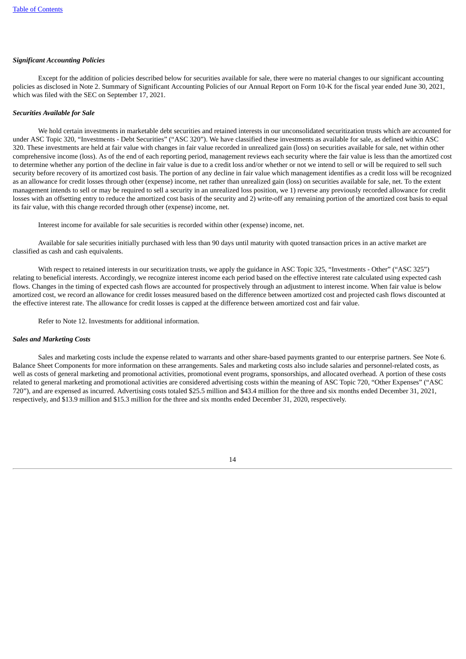# *Significant Accounting Policies*

Except for the addition of policies described below for securities available for sale, there were no material changes to our significant accounting policies as disclosed in Note 2. Summary of Significant Accounting Policies of our Annual Report on Form 10-K for the fiscal year ended June 30, 2021, which was filed with the SEC on September 17, 2021.

#### *Securities Available for Sale*

We hold certain investments in marketable debt securities and retained interests in our unconsolidated securitization trusts which are accounted for under ASC Topic 320, "Investments - Debt Securities" ("ASC 320"). We have classified these investments as available for sale, as defined within ASC 320. These investments are held at fair value with changes in fair value recorded in unrealized gain (loss) on securities available for sale, net within other comprehensive income (loss). As of the end of each reporting period, management reviews each security where the fair value is less than the amortized cost to determine whether any portion of the decline in fair value is due to a credit loss and/or whether or not we intend to sell or will be required to sell such security before recovery of its amortized cost basis. The portion of any decline in fair value which management identifies as a credit loss will be recognized as an allowance for credit losses through other (expense) income, net rather than unrealized gain (loss) on securities available for sale, net. To the extent management intends to sell or may be required to sell a security in an unrealized loss position, we 1) reverse any previously recorded allowance for credit losses with an offsetting entry to reduce the amortized cost basis of the security and 2) write-off any remaining portion of the amortized cost basis to equal its fair value, with this change recorded through other (expense) income, net.

Interest income for available for sale securities is recorded within other (expense) income, net.

Available for sale securities initially purchased with less than 90 days until maturity with quoted transaction prices in an active market are classified as cash and cash equivalents.

With respect to retained interests in our securitization trusts, we apply the guidance in ASC Topic 325, "Investments - Other" ("ASC 325") relating to beneficial interests. Accordingly, we recognize interest income each period based on the effective interest rate calculated using expected cash flows. Changes in the timing of expected cash flows are accounted for prospectively through an adjustment to interest income. When fair value is below amortized cost, we record an allowance for credit losses measured based on the difference between amortized cost and projected cash flows discounted at the effective interest rate. The allowance for credit losses is capped at the difference between amortized cost and fair value.

Refer to Note 12. Investments for additional information.

# *Sales and Marketing Costs*

Sales and marketing costs include the expense related to warrants and other share-based payments granted to our enterprise partners. See Note 6. Balance Sheet Components for more information on these arrangements. Sales and marketing costs also include salaries and personnel-related costs, as well as costs of general marketing and promotional activities, promotional event programs, sponsorships, and allocated overhead. A portion of these costs related to general marketing and promotional activities are considered advertising costs within the meaning of ASC Topic 720, "Other Expenses" ("ASC 720"), and are expensed as incurred. Advertising costs totaled \$25.5 million and \$43.4 million for the three and six months ended December 31, 2021, respectively, and \$13.9 million and \$15.3 million for the three and six months ended December 31, 2020, respectively.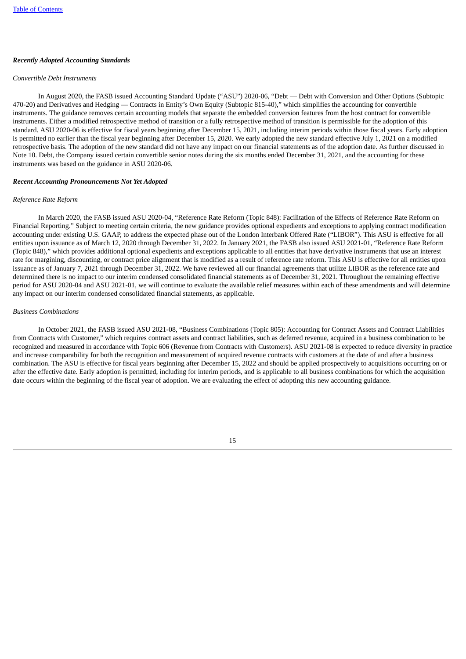# *Recently Adopted Accounting Standards*

# *Convertible Debt Instruments*

In August 2020, the FASB issued Accounting Standard Update ("ASU") 2020-06, "Debt — Debt with Conversion and Other Options (Subtopic 470-20) and Derivatives and Hedging — Contracts in Entity's Own Equity (Subtopic 815-40)," which simplifies the accounting for convertible instruments. The guidance removes certain accounting models that separate the embedded conversion features from the host contract for convertible instruments. Either a modified retrospective method of transition or a fully retrospective method of transition is permissible for the adoption of this standard. ASU 2020-06 is effective for fiscal years beginning after December 15, 2021, including interim periods within those fiscal years. Early adoption is permitted no earlier than the fiscal year beginning after December 15, 2020. We early adopted the new standard effective July 1, 2021 on a modified retrospective basis. The adoption of the new standard did not have any impact on our financial statements as of the adoption date. As further discussed in Note 10. Debt, the Company issued certain convertible senior notes during the six months ended December 31, 2021, and the accounting for these instruments was based on the guidance in ASU 2020-06.

#### *Recent Accounting Pronouncements Not Yet Adopted*

#### *Reference Rate Reform*

In March 2020, the FASB issued ASU 2020-04, "Reference Rate Reform (Topic 848): Facilitation of the Effects of Reference Rate Reform on Financial Reporting." Subject to meeting certain criteria, the new guidance provides optional expedients and exceptions to applying contract modification accounting under existing U.S. GAAP, to address the expected phase out of the London Interbank Offered Rate ("LIBOR"). This ASU is effective for all entities upon issuance as of March 12, 2020 through December 31, 2022. In January 2021, the FASB also issued ASU 2021-01, "Reference Rate Reform (Topic 848)," which provides additional optional expedients and exceptions applicable to all entities that have derivative instruments that use an interest rate for margining, discounting, or contract price alignment that is modified as a result of reference rate reform. This ASU is effective for all entities upon issuance as of January 7, 2021 through December 31, 2022. We have reviewed all our financial agreements that utilize LIBOR as the reference rate and determined there is no impact to our interim condensed consolidated financial statements as of December 31, 2021. Throughout the remaining effective period for ASU 2020-04 and ASU 2021-01, we will continue to evaluate the available relief measures within each of these amendments and will determine any impact on our interim condensed consolidated financial statements, as applicable.

# *Business Combinations*

<span id="page-15-0"></span>In October 2021, the FASB issued ASU 2021-08, "Business Combinations (Topic 805): Accounting for Contract Assets and Contract Liabilities from Contracts with Customer," which requires contract assets and contract liabilities, such as deferred revenue, acquired in a business combination to be recognized and measured in accordance with Topic 606 (Revenue from Contracts with Customers). ASU 2021-08 is expected to reduce diversity in practice and increase comparability for both the recognition and measurement of acquired revenue contracts with customers at the date of and after a business combination. The ASU is effective for fiscal years beginning after December 15, 2022 and should be applied prospectively to acquisitions occurring on or after the effective date. Early adoption is permitted, including for interim periods, and is applicable to all business combinations for which the acquisition date occurs within the beginning of the fiscal year of adoption. We are evaluating the effect of adopting this new accounting guidance.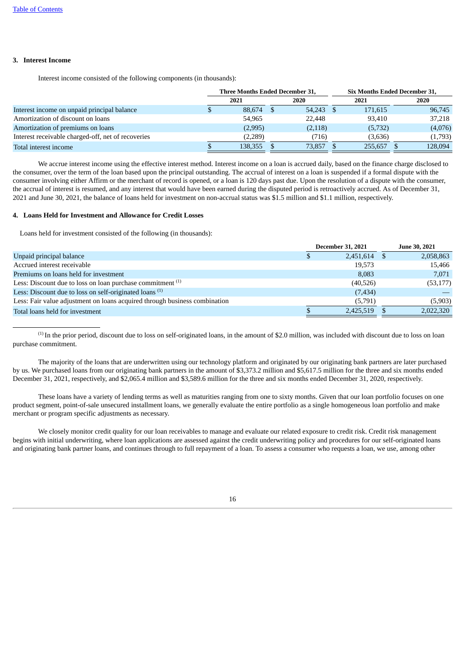# **3. Interest Income**

Interest income consisted of the following components (in thousands):

|                                                    | Three Months Ended December 31, |         |  | <b>Six Months Ended December 31,</b> |         |  |         |
|----------------------------------------------------|---------------------------------|---------|--|--------------------------------------|---------|--|---------|
|                                                    |                                 | 2021    |  | 2020                                 | 2021    |  | 2020    |
| Interest income on unpaid principal balance        |                                 | 88.674  |  | $54,243$ \$                          | 171,615 |  | 96,745  |
| Amortization of discount on loans                  |                                 | 54.965  |  | 22,448                               | 93,410  |  | 37,218  |
| Amortization of premiums on loans                  |                                 | (2,995) |  | (2, 118)                             | (5,732) |  | (4,076) |
| Interest receivable charged-off, net of recoveries |                                 | (2,289) |  | (716)                                | (3,636) |  | (1,793) |
| Total interest income                              |                                 | 138.355 |  | 73,857                               | 255,657 |  | 128,094 |

We accrue interest income using the effective interest method. Interest income on a loan is accrued daily, based on the finance charge disclosed to the consumer, over the term of the loan based upon the principal outstanding. The accrual of interest on a loan is suspended if a formal dispute with the consumer involving either Affirm or the merchant of record is opened, or a loan is 120 days past due. Upon the resolution of a dispute with the consumer, the accrual of interest is resumed, and any interest that would have been earned during the disputed period is retroactively accrued. As of December 31, 2021 and June 30, 2021, the balance of loans held for investment on non-accrual status was \$1.5 million and \$1.1 million, respectively.

# <span id="page-16-0"></span>**4. Loans Held for Investment and Allowance for Credit Losses**

Loans held for investment consisted of the following (in thousands):

|                                                                            | <b>December 31, 2021</b> | <b>June 30, 2021</b> |
|----------------------------------------------------------------------------|--------------------------|----------------------|
| Unpaid principal balance                                                   | 2,451,614                | 2,058,863            |
| Accrued interest receivable                                                | 19,573                   | 15,466               |
| Premiums on loans held for investment                                      | 8,083                    | 7,071                |
| Less: Discount due to loss on loan purchase commitment <sup>(1)</sup>      | (40,526)                 | (53, 177)            |
| Less: Discount due to loss on self-originated loans <sup>(1)</sup>         | (7, 434)                 |                      |
| Less: Fair value adjustment on loans acquired through business combination | (5,791)                  | (5,903)              |
| Total loans held for investment                                            | 2,425,519                | 2,022,320            |

 $\frac{(1)}{1}$  In the prior period, discount due to loss on self-originated loans, in the amount of \$2.0 million, was included with discount due to loss on loan purchase commitment.

The majority of the loans that are underwritten using our technology platform and originated by our originating bank partners are later purchased by us. We purchased loans from our originating bank partners in the amount of \$3,373.2 million and \$5,617.5 million for the three and six months ended December 31, 2021, respectively, and \$2,065.4 million and \$3,589.6 million for the three and six months ended December 31, 2020, respectively.

These loans have a variety of lending terms as well as maturities ranging from one to sixty months. Given that our loan portfolio focuses on one product segment, point-of-sale unsecured installment loans, we generally evaluate the entire portfolio as a single homogeneous loan portfolio and make merchant or program specific adjustments as necessary.

We closely monitor credit quality for our loan receivables to manage and evaluate our related exposure to credit risk. Credit risk management begins with initial underwriting, where loan applications are assessed against the credit underwriting policy and procedures for our self-originated loans and originating bank partner loans, and continues through to full repayment of a loan. To assess a consumer who requests a loan, we use, among other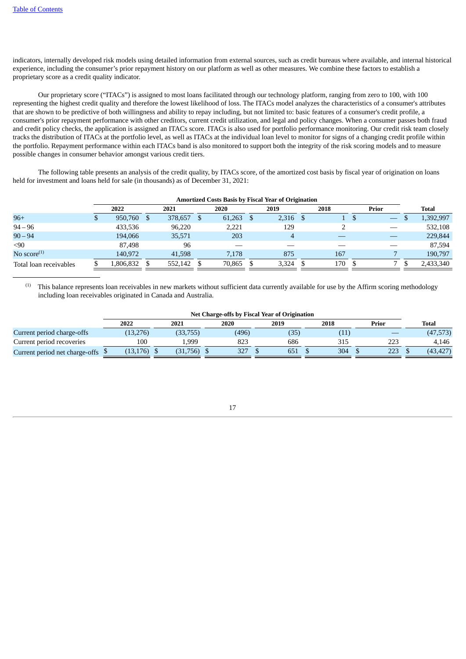indicators, internally developed risk models using detailed information from external sources, such as credit bureaus where available, and internal historical experience, including the consumer's prior repayment history on our platform as well as other measures. We combine these factors to establish a proprietary score as a credit quality indicator.

Our proprietary score ("ITACs") is assigned to most loans facilitated through our technology platform, ranging from zero to 100, with 100 representing the highest credit quality and therefore the lowest likelihood of loss. The ITACs model analyzes the characteristics of a consumer's attributes that are shown to be predictive of both willingness and ability to repay including, but not limited to: basic features of a consumer's credit profile, a consumer's prior repayment performance with other creditors, current credit utilization, and legal and policy changes. When a consumer passes both fraud and credit policy checks, the application is assigned an ITACs score. ITACs is also used for portfolio performance monitoring. Our credit risk team closely tracks the distribution of ITACs at the portfolio level, as well as ITACs at the individual loan level to monitor for signs of a changing credit profile within the portfolio. Repayment performance within each ITACs band is also monitored to support both the integrity of the risk scoring models and to measure possible changes in consumer behavior amongst various credit tiers.

The following table presents an analysis of the credit quality, by ITACs score, of the amortized cost basis by fiscal year of origination on loans held for investment and loans held for sale (in thousands) as of December 31, 2021:

| <b>Amortized Costs Basis by Fiscal Year of Origination</b> |  |           |  |         |  |             |  |       |     |      |       |              |
|------------------------------------------------------------|--|-----------|--|---------|--|-------------|--|-------|-----|------|-------|--------------|
|                                                            |  | 2022      |  | 2021    |  | 2020        |  | 2019  |     | 2018 | Prior | <b>Total</b> |
| $96+$                                                      |  | 950,760   |  | 378,657 |  | $61,263$ \$ |  | 2,316 | - S |      | $-$   | 1,392,997    |
| $94 - 96$                                                  |  | 433,536   |  | 96,220  |  | 2,221       |  | 129   |     |      |       | 532,108      |
| $90 - 94$                                                  |  | 194,066   |  | 35,571  |  | 203         |  | 4     |     |      |       | 229,844      |
| $90$                                                       |  | 87,498    |  | 96      |  |             |  |       |     |      |       | 87,594       |
| No score $^{(1)}$                                          |  | 140.972   |  | 41,598  |  | 7,178       |  | 875   |     | 167  |       | 190.797      |
| Total loan receivables                                     |  | L.806.832 |  | 552,142 |  | 70,865 \$   |  | 3,324 |     | 170  |       | 2,433,340    |

This balance represents loan receivables in new markets without sufficient data currently available for use by the Affirm scoring methodology including loan receivables originated in Canada and Australia. (1)

| Net Charge-offs by Fiscal Year of Origination |           |           |       |      |      |       |              |
|-----------------------------------------------|-----------|-----------|-------|------|------|-------|--------------|
|                                               | 2022      | 2021      | 2020  | 2019 | 2018 | Prior | <b>Total</b> |
| Current period charge-offs                    | (13, 276) | (33, 755) | (496) | (35) | (11  |       | (47,573)     |
| Current period recoveries                     | 100       | .999.     | 823   | 686  | 315  | 223   | 4.146        |
| Current period net charge-offs \$             | (13, 176) | (31,756)  | 327   | 651  | 304  | 223   | (43, 427)    |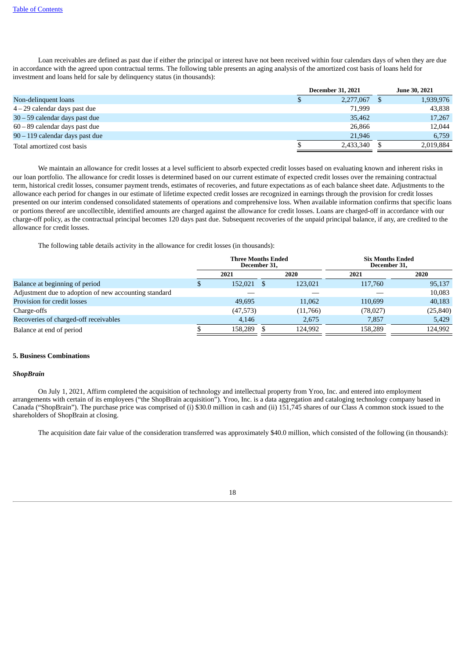Loan receivables are defined as past due if either the principal or interest have not been received within four calendars days of when they are due in accordance with the agreed upon contractual terms. The following table presents an aging analysis of the amortized cost basis of loans held for investment and loans held for sale by delinquency status (in thousands):

| <b>December 31, 2021</b> | <b>June 30, 2021</b> |
|--------------------------|----------------------|
| 2,277,067                | 1,939,976            |
| 71.999                   | 43,838               |
| 35,462                   | 17,267               |
| 26,866                   | 12,044               |
| 21,946                   | 6.759                |
| 2,433,340                | 2,019,884            |
|                          |                      |

We maintain an allowance for credit losses at a level sufficient to absorb expected credit losses based on evaluating known and inherent risks in our loan portfolio. The allowance for credit losses is determined based on our current estimate of expected credit losses over the remaining contractual term, historical credit losses, consumer payment trends, estimates of recoveries, and future expectations as of each balance sheet date. Adjustments to the allowance each period for changes in our estimate of lifetime expected credit losses are recognized in earnings through the provision for credit losses presented on our interim condensed consolidated statements of operations and comprehensive loss. When available information confirms that specific loans or portions thereof are uncollectible, identified amounts are charged against the allowance for credit losses. Loans are charged-off in accordance with our charge-off policy, as the contractual principal becomes 120 days past due. Subsequent recoveries of the unpaid principal balance, if any, are credited to the allowance for credit losses.

The following table details activity in the allowance for credit losses (in thousands):

|                                                       | <b>Three Months Ended</b><br>December 31, |          | <b>Six Months Ended</b><br>December 31, |           |  |  |
|-------------------------------------------------------|-------------------------------------------|----------|-----------------------------------------|-----------|--|--|
|                                                       | 2021                                      | 2020     | 2021                                    | 2020      |  |  |
| Balance at beginning of period                        | 152,021 \$                                | 123,021  | 117,760                                 | 95,137    |  |  |
| Adjustment due to adoption of new accounting standard |                                           |          |                                         | 10,083    |  |  |
| Provision for credit losses                           | 49,695                                    | 11,062   | 110.699                                 | 40,183    |  |  |
| Charge-offs                                           | (47,573)                                  | (11,766) | (78,027)                                | (25, 840) |  |  |
| Recoveries of charged-off receivables                 | 4,146                                     | 2,675    | 7,857                                   | 5,429     |  |  |
| Balance at end of period                              | 158,289                                   | 124,992  | 158,289                                 | 124,992   |  |  |

#### <span id="page-18-0"></span>**5. Business Combinations**

# *ShopBrain*

On July 1, 2021, Affirm completed the acquisition of technology and intellectual property from Yroo, Inc. and entered into employment arrangements with certain of its employees ("the ShopBrain acquisition"). Yroo, Inc. is a data aggregation and cataloging technology company based in Canada ("ShopBrain"). The purchase price was comprised of (i) \$30.0 million in cash and (ii) 151,745 shares of our Class A common stock issued to the shareholders of ShopBrain at closing.

The acquisition date fair value of the consideration transferred was approximately \$40.0 million, which consisted of the following (in thousands):

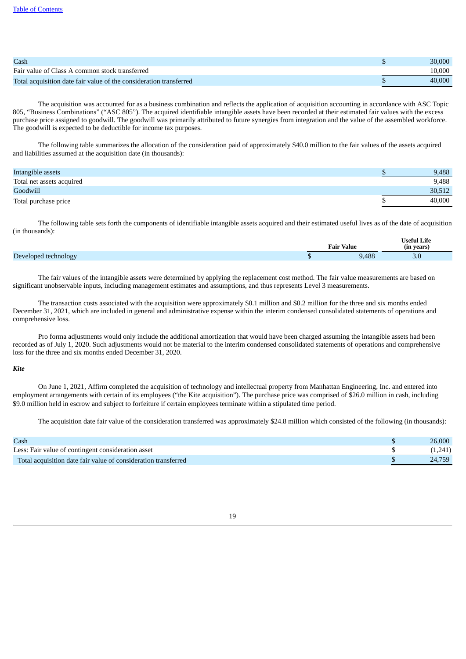| Cash                                                               | 30,000 |
|--------------------------------------------------------------------|--------|
| Fair value of Class A common stock transferred                     | 10.000 |
| Total acquisition date fair value of the consideration transferred | 40,000 |

The acquisition was accounted for as a business combination and reflects the application of acquisition accounting in accordance with ASC Topic 805, "Business Combinations" ("ASC 805"). The acquired identifiable intangible assets have been recorded at their estimated fair values with the excess purchase price assigned to goodwill. The goodwill was primarily attributed to future synergies from integration and the value of the assembled workforce. The goodwill is expected to be deductible for income tax purposes.

The following table summarizes the allocation of the consideration paid of approximately \$40.0 million to the fair values of the assets acquired and liabilities assumed at the acquisition date (in thousands):

| Intangible assets         | 9.488  |
|---------------------------|--------|
| Total net assets acquired | 9,488  |
| Goodwill                  | 30,512 |
| Total purchase price      | 40,000 |

The following table sets forth the components of identifiable intangible assets acquired and their estimated useful lives as of the date of acquisition (in thousands):

|                      |   | <b>Fair Value</b> | Useful Life<br>in vears<br>,,,, |
|----------------------|---|-------------------|---------------------------------|
| Developed technology | ∼ | 9,488             | J.U                             |

The fair values of the intangible assets were determined by applying the replacement cost method. The fair value measurements are based on significant unobservable inputs, including management estimates and assumptions, and thus represents Level 3 measurements.

The transaction costs associated with the acquisition were approximately \$0.1 million and \$0.2 million for the three and six months ended December 31, 2021, which are included in general and administrative expense within the interim condensed consolidated statements of operations and comprehensive loss.

Pro forma adjustments would only include the additional amortization that would have been charged assuming the intangible assets had been recorded as of July 1, 2020. Such adjustments would not be material to the interim condensed consolidated statements of operations and comprehensive loss for the three and six months ended December 31, 2020.

# *Kite*

On June 1, 2021, Affirm completed the acquisition of technology and intellectual property from Manhattan Engineering, Inc. and entered into employment arrangements with certain of its employees ("the Kite acquisition"). The purchase price was comprised of \$26.0 million in cash, including \$9.0 million held in escrow and subject to forfeiture if certain employees terminate within a stipulated time period.

The acquisition date fair value of the consideration transferred was approximately \$24.8 million which consisted of the following (in thousands):

| Cash                                                           | 26,000  |
|----------------------------------------------------------------|---------|
| Less: Fair value of contingent consideration asset             | (1,241) |
| Total acquisition date fair value of consideration transferred | 24.759  |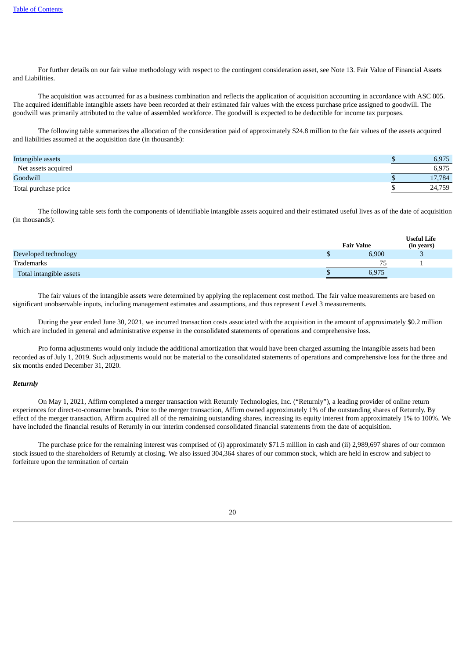For further details on our fair value methodology with respect to the contingent consideration asset, see Note 13. Fair Value of Financial Assets and Liabilities.

The acquisition was accounted for as a business combination and reflects the application of acquisition accounting in accordance with ASC 805. The acquired identifiable intangible assets have been recorded at their estimated fair values with the excess purchase price assigned to goodwill. The goodwill was primarily attributed to the value of assembled workforce. The goodwill is expected to be deductible for income tax purposes.

The following table summarizes the allocation of the consideration paid of approximately \$24.8 million to the fair values of the assets acquired and liabilities assumed at the acquisition date (in thousands):

| Intangible assets    | 6,975  |
|----------------------|--------|
| Net assets acquired  | 6,975  |
| Goodwill             | 17,784 |
| Total purchase price | 24,759 |

The following table sets forth the components of identifiable intangible assets acquired and their estimated useful lives as of the date of acquisition (in thousands):

|                         | <b>Fair Value</b> | <b>Useful Life</b><br>(in years) |
|-------------------------|-------------------|----------------------------------|
| Developed technology    | 6,900             | ر                                |
| Trademarks              | 75                | ∸                                |
| Total intangible assets | 6,975             |                                  |

The fair values of the intangible assets were determined by applying the replacement cost method. The fair value measurements are based on significant unobservable inputs, including management estimates and assumptions, and thus represent Level 3 measurements.

During the year ended June 30, 2021, we incurred transaction costs associated with the acquisition in the amount of approximately \$0.2 million which are included in general and administrative expense in the consolidated statements of operations and comprehensive loss.

Pro forma adjustments would only include the additional amortization that would have been charged assuming the intangible assets had been recorded as of July 1, 2019. Such adjustments would not be material to the consolidated statements of operations and comprehensive loss for the three and six months ended December 31, 2020.

# *Returnly*

On May 1, 2021, Affirm completed a merger transaction with Returnly Technologies, Inc. ("Returnly"), a leading provider of online return experiences for direct-to-consumer brands. Prior to the merger transaction, Affirm owned approximately 1% of the outstanding shares of Returnly. By effect of the merger transaction, Affirm acquired all of the remaining outstanding shares, increasing its equity interest from approximately 1% to 100%. We have included the financial results of Returnly in our interim condensed consolidated financial statements from the date of acquisition.

The purchase price for the remaining interest was comprised of (i) approximately \$71.5 million in cash and (ii) 2,989,697 shares of our common stock issued to the shareholders of Returnly at closing. We also issued 304,364 shares of our common stock, which are held in escrow and subject to forfeiture upon the termination of certain

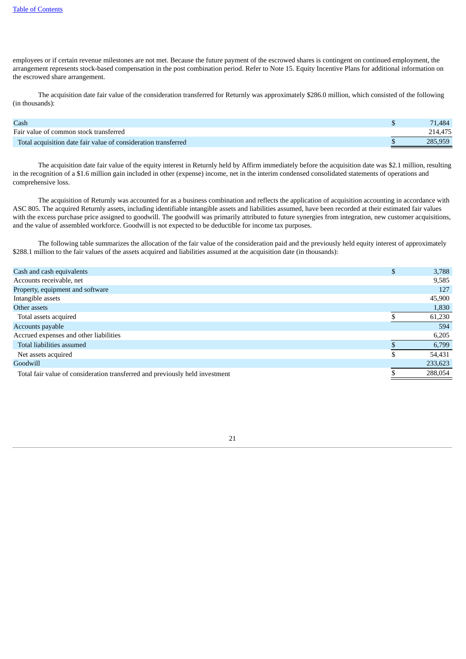employees or if certain revenue milestones are not met. Because the future payment of the escrowed shares is contingent on continued employment, the arrangement represents stock-based compensation in the post combination period. Refer to Note 15. Equity Incentive Plans for additional information on the escrowed share arrangement.

The acquisition date fair value of the consideration transferred for Returnly was approximately \$286.0 million, which consisted of the following (in thousands):

| Cash                                                           | 71.484  |
|----------------------------------------------------------------|---------|
| Fair value of common stock transferred                         | 214.475 |
| Total acquisition date fair value of consideration transferred | 285,959 |

The acquisition date fair value of the equity interest in Returnly held by Affirm immediately before the acquisition date was \$2.1 million, resulting in the recognition of a \$1.6 million gain included in other (expense) income, net in the interim condensed consolidated statements of operations and comprehensive loss.

The acquisition of Returnly was accounted for as a business combination and reflects the application of acquisition accounting in accordance with ASC 805. The acquired Returnly assets, including identifiable intangible assets and liabilities assumed, have been recorded at their estimated fair values with the excess purchase price assigned to goodwill. The goodwill was primarily attributed to future synergies from integration, new customer acquisitions, and the value of assembled workforce. Goodwill is not expected to be deductible for income tax purposes.

The following table summarizes the allocation of the fair value of the consideration paid and the previously held equity interest of approximately \$288.1 million to the fair values of the assets acquired and liabilities assumed at the acquisition date (in thousands):

| Cash and cash equivalents                                                    | \$<br>3,788 |
|------------------------------------------------------------------------------|-------------|
| Accounts receivable, net                                                     | 9,585       |
| Property, equipment and software                                             | 127         |
| Intangible assets                                                            | 45,900      |
| Other assets                                                                 | 1,830       |
| Total assets acquired                                                        | 61,230      |
| Accounts payable                                                             | 594         |
| Accrued expenses and other liabilities                                       | 6,205       |
| Total liabilities assumed                                                    | 6,799       |
| Net assets acquired                                                          | 54,431      |
| Goodwill                                                                     | 233,623     |
| Total fair value of consideration transferred and previously held investment | 288,054     |
|                                                                              |             |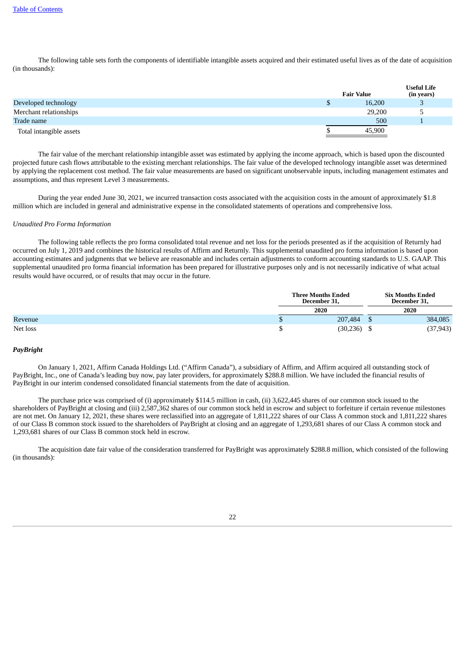The following table sets forth the components of identifiable intangible assets acquired and their estimated useful lives as of the date of acquisition (in thousands):

|                         | <b>Fair Value</b> | <b>Useful Life</b><br>(in years) |
|-------------------------|-------------------|----------------------------------|
| Developed technology    | 16,200            | 3                                |
| Merchant relationships  | 29,200            | -                                |
| Trade name              | 500               |                                  |
| Total intangible assets | 45,900            |                                  |

The fair value of the merchant relationship intangible asset was estimated by applying the income approach, which is based upon the discounted projected future cash flows attributable to the existing merchant relationships. The fair value of the developed technology intangible asset was determined by applying the replacement cost method. The fair value measurements are based on significant unobservable inputs, including management estimates and assumptions, and thus represent Level 3 measurements.

During the year ended June 30, 2021, we incurred transaction costs associated with the acquisition costs in the amount of approximately \$1.8 million which are included in general and administrative expense in the consolidated statements of operations and comprehensive loss.

# *Unaudited Pro Forma Information*

The following table reflects the pro forma consolidated total revenue and net loss for the periods presented as if the acquisition of Returnly had occurred on July 1, 2019 and combines the historical results of Affirm and Returnly. This supplemental unaudited pro forma information is based upon accounting estimates and judgments that we believe are reasonable and includes certain adjustments to conform accounting standards to U.S. GAAP. This supplemental unaudited pro forma financial information has been prepared for illustrative purposes only and is not necessarily indicative of what actual results would have occurred, or of results that may occur in the future.

|          |  | <b>Three Months Ended</b><br>December 31,<br>2020 |  | <b>Six Months Ended</b><br>December 31,<br>2020 |  |
|----------|--|---------------------------------------------------|--|-------------------------------------------------|--|
|          |  |                                                   |  |                                                 |  |
| Revenue  |  | 207,484                                           |  | 384,085                                         |  |
| Net loss |  | (30, 236)                                         |  | (37, 943)                                       |  |

# *PayBright*

On January 1, 2021, Affirm Canada Holdings Ltd. ("Affirm Canada"), a subsidiary of Affirm, and Affirm acquired all outstanding stock of PayBright, Inc., one of Canada's leading buy now, pay later providers, for approximately \$288.8 million. We have included the financial results of PayBright in our interim condensed consolidated financial statements from the date of acquisition.

The purchase price was comprised of (i) approximately \$114.5 million in cash, (ii) 3,622,445 shares of our common stock issued to the shareholders of PayBright at closing and (iii) 2,587,362 shares of our common stock held in escrow and subject to forfeiture if certain revenue milestones are not met. On January 12, 2021, these shares were reclassified into an aggregate of 1,811,222 shares of our Class A common stock and 1,811,222 shares of our Class B common stock issued to the shareholders of PayBright at closing and an aggregate of 1,293,681 shares of our Class A common stock and 1,293,681 shares of our Class B common stock held in escrow.

The acquisition date fair value of the consideration transferred for PayBright was approximately \$288.8 million, which consisted of the following (in thousands):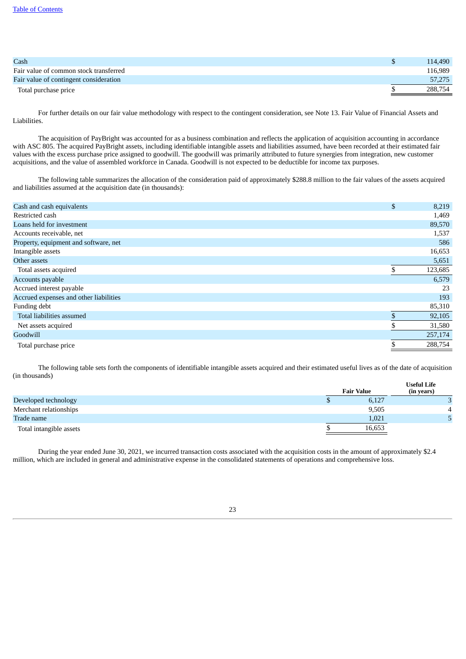| Cash                                   | 114.490 |
|----------------------------------------|---------|
| Fair value of common stock transferred | 116.989 |
| Fair value of contingent consideration | 57,275  |
| Total purchase price                   | 288.754 |

For further details on our fair value methodology with respect to the contingent consideration, see Note 13. Fair Value of Financial Assets and Liabilities.

The acquisition of PayBright was accounted for as a business combination and reflects the application of acquisition accounting in accordance with ASC 805. The acquired PayBright assets, including identifiable intangible assets and liabilities assumed, have been recorded at their estimated fair values with the excess purchase price assigned to goodwill. The goodwill was primarily attributed to future synergies from integration, new customer acquisitions, and the value of assembled workforce in Canada. Goodwill is not expected to be deductible for income tax purposes.

The following table summarizes the allocation of the consideration paid of approximately \$288.8 million to the fair values of the assets acquired and liabilities assumed at the acquisition date (in thousands):

| Cash and cash equivalents              | \$<br>8,219 |
|----------------------------------------|-------------|
| Restricted cash                        | 1,469       |
| Loans held for investment              | 89,570      |
| Accounts receivable, net               | 1,537       |
| Property, equipment and software, net  | 586         |
| Intangible assets                      | 16,653      |
| Other assets                           | 5,651       |
| Total assets acquired                  | 123,685     |
| Accounts payable                       | 6,579       |
| Accrued interest payable               | 23          |
| Accrued expenses and other liabilities | 193         |
| Funding debt                           | 85,310      |
| Total liabilities assumed              | 92,105      |
| Net assets acquired                    | 31,580      |
| Goodwill                               | 257,174     |
| Total purchase price                   | 288,754     |
|                                        |             |

The following table sets forth the components of identifiable intangible assets acquired and their estimated useful lives as of the date of acquisition (in thousands) **Useful Life** 

|                         | <b>Fair Value</b> | Useful Life<br>(in years) |
|-------------------------|-------------------|---------------------------|
| Developed technology    | 6,127             |                           |
| Merchant relationships  | 9,505             | 4                         |
| Trade name              | 1,021             |                           |
| Total intangible assets | 16,653            |                           |

During the year ended June 30, 2021, we incurred transaction costs associated with the acquisition costs in the amount of approximately \$2.4 million, which are included in general and administrative expense in the consolidated statements of operations and comprehensive loss.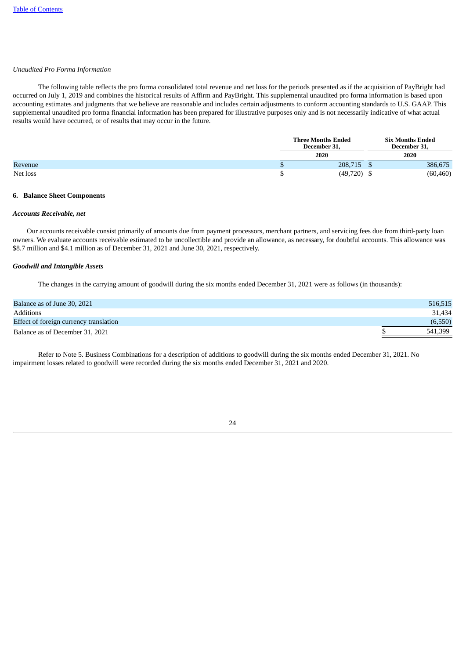# *Unaudited Pro Forma Information*

The following table reflects the pro forma consolidated total revenue and net loss for the periods presented as if the acquisition of PayBright had occurred on July 1, 2019 and combines the historical results of Affirm and PayBright. This supplemental unaudited pro forma information is based upon accounting estimates and judgments that we believe are reasonable and includes certain adjustments to conform accounting standards to U.S. GAAP. This supplemental unaudited pro forma financial information has been prepared for illustrative purposes only and is not necessarily indicative of what actual results would have occurred, or of results that may occur in the future.

|          | <b>Three Months Ended</b><br>December 31, | <b>Six Months Ended</b><br>December 31,<br>2020 |  |
|----------|-------------------------------------------|-------------------------------------------------|--|
|          | 2020                                      |                                                 |  |
| Revenue  | 208,715                                   | 386,675                                         |  |
| Net loss | (49, 720)                                 | (60, 460)                                       |  |

# <span id="page-24-0"></span>**6. Balance Sheet Components**

# *Accounts Receivable, net*

Our accounts receivable consist primarily of amounts due from payment processors, merchant partners, and servicing fees due from third-party loan owners. We evaluate accounts receivable estimated to be uncollectible and provide an allowance, as necessary, for doubtful accounts. This allowance was \$8.7 million and \$4.1 million as of December 31, 2021 and June 30, 2021, respectively.

# *Goodwill and Intangible Assets*

The changes in the carrying amount of goodwill during the six months ended December 31, 2021 were as follows (in thousands):

| Balance as of June 30, 2021            | 516.515 |
|----------------------------------------|---------|
| <b>Additions</b>                       | 31,434  |
| Effect of foreign currency translation | (6,550) |
| Balance as of December 31, 2021        | 541.399 |
|                                        |         |

Refer to Note 5. Business Combinations for a description of additions to goodwill during the six months ended December 31, 2021. No impairment losses related to goodwill were recorded during the six months ended December 31, 2021 and 2020.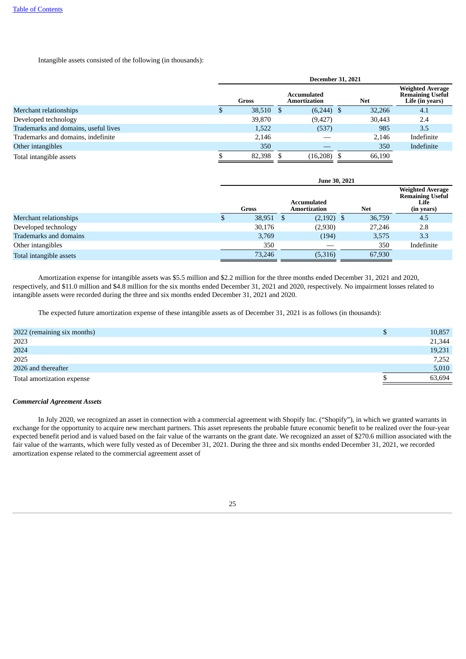# Intangible assets consisted of the following (in thousands):

|                                      | <b>December 31, 2021</b> |                             |              |                |                                                                       |  |  |
|--------------------------------------|--------------------------|-----------------------------|--------------|----------------|-----------------------------------------------------------------------|--|--|
|                                      | Gross                    | Accumulated<br>Amortization |              |                | <b>Weighted Average</b><br><b>Remaining Useful</b><br>Life (in years) |  |  |
| Merchant relationships               | 38,510                   | -S                          | $(6,244)$ \$ | 32,266         | 4.1                                                                   |  |  |
| Developed technology                 | 39,870                   |                             | (9, 427)     | 30,443         | 2.4                                                                   |  |  |
| Trademarks and domains, useful lives | 1,522                    |                             | (537)        | 985            | 3.5                                                                   |  |  |
| Trademarks and domains, indefinite   | 2,146                    |                             |              | 2.146          | Indefinite                                                            |  |  |
| Other intangibles                    |                          | 350                         |              | 350            | Indefinite                                                            |  |  |
| Total intangible assets              | 82,398                   |                             | (16,208)     | 66,190<br>- \$ |                                                                       |  |  |

|                         | June 30, 2021 |                                             |  |              |            |                                                                          |            |
|-------------------------|---------------|---------------------------------------------|--|--------------|------------|--------------------------------------------------------------------------|------------|
|                         |               | Accumulated<br><b>Gross</b><br>Amortization |  |              | <b>Net</b> | <b>Weighted Average</b><br><b>Remaining Useful</b><br>Life<br>(in years) |            |
| Merchant relationships  | D             | $38,951$ \$                                 |  | $(2,192)$ \$ |            | 36,759                                                                   | 4.5        |
| Developed technology    |               | 30,176                                      |  | (2,930)      |            | 27,246                                                                   | 2.8        |
| Trademarks and domains  |               | 3,769                                       |  | (194)        |            | 3,575                                                                    | 3.3        |
| Other intangibles       |               | 350                                         |  |              |            | 350                                                                      | Indefinite |
| Total intangible assets |               | 73,246                                      |  | (5,316)      |            | 67,930                                                                   |            |

Amortization expense for intangible assets was \$5.5 million and \$2.2 million for the three months ended December 31, 2021 and 2020, respectively, and \$11.0 million and \$4.8 million for the six months ended December 31, 2021 and 2020, respectively. No impairment losses related to intangible assets were recorded during the three and six months ended December 31, 2021 and 2020.

The expected future amortization expense of these intangible assets as of December 31, 2021 is as follows (in thousands):

| 2022 (remaining six months) | 10,857 |
|-----------------------------|--------|
| 2023                        | 21,344 |
| 2024                        | 19,231 |
| 2025                        | 7,252  |
| 2026 and thereafter         | 5,010  |
| Total amortization expense  | 63,694 |
|                             |        |

# *Commercial Agreement Assets*

In July 2020, we recognized an asset in connection with a commercial agreement with Shopify Inc. ("Shopify"), in which we granted warrants in exchange for the opportunity to acquire new merchant partners. This asset represents the probable future economic benefit to be realized over the four-year expected benefit period and is valued based on the fair value of the warrants on the grant date. We recognized an asset of \$270.6 million associated with the fair value of the warrants, which were fully vested as of December 31, 2021. During the three and six months ended December 31, 2021, we recorded amortization expense related to the commercial agreement asset of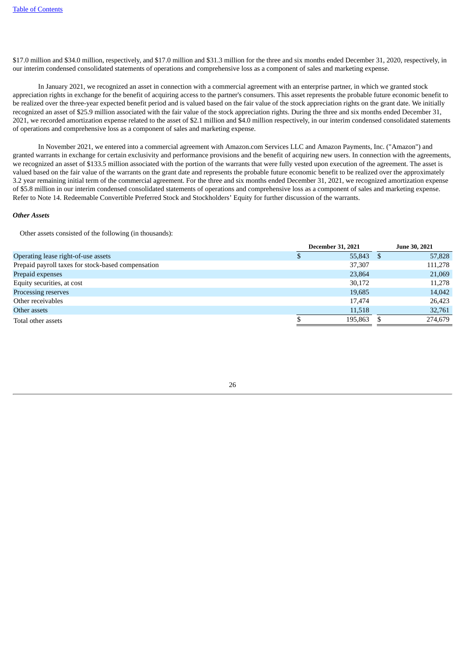\$17.0 million and \$34.0 million, respectively, and \$17.0 million and \$31.3 million for the three and six months ended December 31, 2020, respectively, in our interim condensed consolidated statements of operations and comprehensive loss as a component of sales and marketing expense.

In January 2021, we recognized an asset in connection with a commercial agreement with an enterprise partner, in which we granted stock appreciation rights in exchange for the benefit of acquiring access to the partner's consumers. This asset represents the probable future economic benefit to be realized over the three-year expected benefit period and is valued based on the fair value of the stock appreciation rights on the grant date. We initially recognized an asset of \$25.9 million associated with the fair value of the stock appreciation rights. During the three and six months ended December 31, 2021, we recorded amortization expense related to the asset of \$2.1 million and \$4.0 million respectively, in our interim condensed consolidated statements of operations and comprehensive loss as a component of sales and marketing expense.

In November 2021, we entered into a commercial agreement with Amazon.com Services LLC and Amazon Payments, Inc. ("Amazon") and granted warrants in exchange for certain exclusivity and performance provisions and the benefit of acquiring new users. In connection with the agreements, we recognized an asset of \$133.5 million associated with the portion of the warrants that were fully vested upon execution of the agreement. The asset is valued based on the fair value of the warrants on the grant date and represents the probable future economic benefit to be realized over the approximately 3.2 year remaining initial term of the commercial agreement. For the three and six months ended December 31, 2021, we recognized amortization expense of \$5.8 million in our interim condensed consolidated statements of operations and comprehensive loss as a component of sales and marketing expense. Refer to Note 14. Redeemable Convertible Preferred Stock and Stockholders' Equity for further discussion of the warrants.

# *Other Assets*

Other assets consisted of the following (in thousands):

|                                                    | <b>December 31, 2021</b> |         | <b>June 30, 2021</b> |  |
|----------------------------------------------------|--------------------------|---------|----------------------|--|
| Operating lease right-of-use assets                |                          | 55,843  | 57,828               |  |
| Prepaid payroll taxes for stock-based compensation |                          | 37,307  | 111,278              |  |
| Prepaid expenses                                   |                          | 23,864  | 21,069               |  |
| Equity securities, at cost                         |                          | 30,172  | 11,278               |  |
| Processing reserves                                |                          | 19,685  | 14,042               |  |
| Other receivables                                  |                          | 17.474  | 26,423               |  |
| Other assets                                       |                          | 11,518  | 32,761               |  |
| Total other assets                                 |                          | 195,863 | 274,679              |  |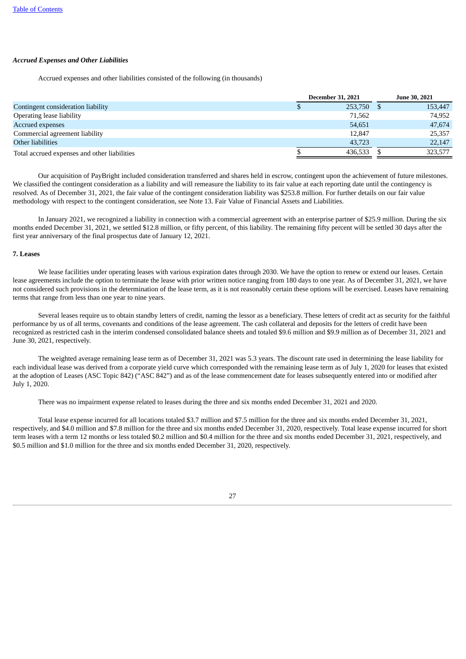# *Accrued Expenses and Other Liabilities*

Accrued expenses and other liabilities consisted of the following (in thousands)

|                                              | <b>December 31, 2021</b> | June 30, 2021 |  |
|----------------------------------------------|--------------------------|---------------|--|
| Contingent consideration liability           | 253,750                  | 153,447       |  |
| Operating lease liability                    | 71.562                   | 74,952        |  |
| <b>Accrued expenses</b>                      | 54,651                   | 47,674        |  |
| Commercial agreement liability               | 12,847                   | 25,357        |  |
| Other liabilities                            | 43.723                   | 22,147        |  |
| Total accrued expenses and other liabilities | 436,533                  | 323,577       |  |

Our acquisition of PayBright included consideration transferred and shares held in escrow, contingent upon the achievement of future milestones. We classified the contingent consideration as a liability and will remeasure the liability to its fair value at each reporting date until the contingency is resolved. As of December 31, 2021, the fair value of the contingent consideration liability was \$253.8 million. For further details on our fair value methodology with respect to the contingent consideration, see Note 13. Fair Value of Financial Assets and Liabilities.

In January 2021, we recognized a liability in connection with a commercial agreement with an enterprise partner of \$25.9 million. During the six months ended December 31, 2021, we settled \$12.8 million, or fifty percent, of this liability. The remaining fifty percent will be settled 30 days after the first year anniversary of the final prospectus date of January 12, 2021.

# <span id="page-27-0"></span>**7. Leases**

We lease facilities under operating leases with various expiration dates through 2030. We have the option to renew or extend our leases. Certain lease agreements include the option to terminate the lease with prior written notice ranging from 180 days to one year. As of December 31, 2021, we have not considered such provisions in the determination of the lease term, as it is not reasonably certain these options will be exercised. Leases have remaining terms that range from less than one year to nine years.

Several leases require us to obtain standby letters of credit, naming the lessor as a beneficiary. These letters of credit act as security for the faithful performance by us of all terms, covenants and conditions of the lease agreement. The cash collateral and deposits for the letters of credit have been recognized as restricted cash in the interim condensed consolidated balance sheets and totaled \$9.6 million and \$9.9 million as of December 31, 2021 and June 30, 2021, respectively.

The weighted average remaining lease term as of December 31, 2021 was 5.3 years. The discount rate used in determining the lease liability for each individual lease was derived from a corporate yield curve which corresponded with the remaining lease term as of July 1, 2020 for leases that existed at the adoption of Leases (ASC Topic 842) ("ASC 842") and as of the lease commencement date for leases subsequently entered into or modified after July 1, 2020.

There was no impairment expense related to leases during the three and six months ended December 31, 2021 and 2020.

Total lease expense incurred for all locations totaled \$3.7 million and \$7.5 million for the three and six months ended December 31, 2021, respectively, and \$4.0 million and \$7.8 million for the three and six months ended December 31, 2020, respectively. Total lease expense incurred for short term leases with a term 12 months or less totaled \$0.2 million and \$0.4 million for the three and six months ended December 31, 2021, respectively, and \$0.5 million and \$1.0 million for the three and six months ended December 31, 2020, respectively.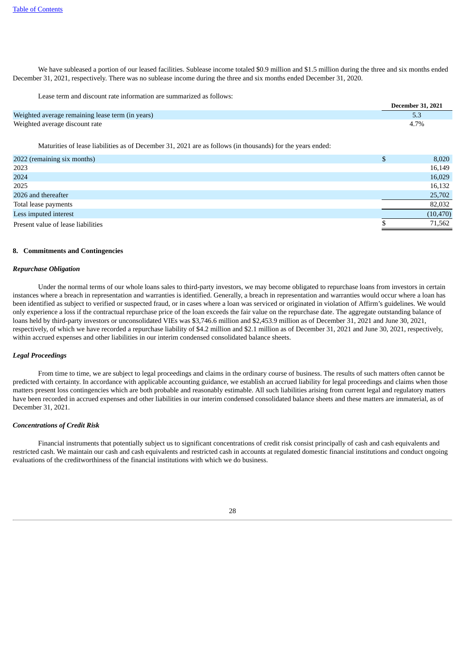We have subleased a portion of our leased facilities. Sublease income totaled \$0.9 million and \$1.5 million during the three and six months ended December 31, 2021, respectively. There was no sublease income during the three and six months ended December 31, 2020.

Lease term and discount rate information are summarized as follows:

|                                                  | <b>December 31, 2021</b> |
|--------------------------------------------------|--------------------------|
| Weighted average remaining lease term (in years) |                          |
| Weighted average discount rate                   | 4.7%                     |

# Maturities of lease liabilities as of December 31, 2021 are as follows (in thousands) for the years ended:

| 2022 (remaining six months)        | 8,020     |
|------------------------------------|-----------|
| 2023                               | 16,149    |
| 2024                               | 16,029    |
| 2025                               | 16,132    |
| 2026 and thereafter                | 25,702    |
| Total lease payments               | 82,032    |
| Less imputed interest              | (10, 470) |
| Present value of lease liabilities | 71,562    |

# <span id="page-28-0"></span>**8. Commitments and Contingencies**

# *Repurchase Obligation*

Under the normal terms of our whole loans sales to third-party investors, we may become obligated to repurchase loans from investors in certain instances where a breach in representation and warranties is identified. Generally, a breach in representation and warranties would occur where a loan has been identified as subject to verified or suspected fraud, or in cases where a loan was serviced or originated in violation of Affirm's guidelines. We would only experience a loss if the contractual repurchase price of the loan exceeds the fair value on the repurchase date. The aggregate outstanding balance of loans held by third-party investors or unconsolidated VIEs was \$3,746.6 million and \$2,453.9 million as of December 31, 2021 and June 30, 2021, respectively, of which we have recorded a repurchase liability of \$4.2 million and \$2.1 million as of December 31, 2021 and June 30, 2021, respectively, within accrued expenses and other liabilities in our interim condensed consolidated balance sheets.

# *Legal Proceedings*

From time to time, we are subject to legal proceedings and claims in the ordinary course of business. The results of such matters often cannot be predicted with certainty. In accordance with applicable accounting guidance, we establish an accrued liability for legal proceedings and claims when those matters present loss contingencies which are both probable and reasonably estimable. All such liabilities arising from current legal and regulatory matters have been recorded in accrued expenses and other liabilities in our interim condensed consolidated balance sheets and these matters are immaterial, as of December 31, 2021.

# *Concentrations of Credit Risk*

Financial instruments that potentially subject us to significant concentrations of credit risk consist principally of cash and cash equivalents and restricted cash. We maintain our cash and cash equivalents and restricted cash in accounts at regulated domestic financial institutions and conduct ongoing evaluations of the creditworthiness of the financial institutions with which we do business.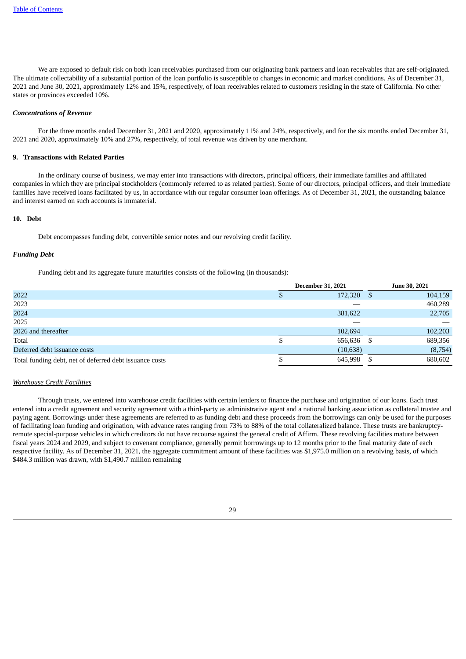We are exposed to default risk on both loan receivables purchased from our originating bank partners and loan receivables that are self-originated. The ultimate collectability of a substantial portion of the loan portfolio is susceptible to changes in economic and market conditions. As of December 31, 2021 and June 30, 2021, approximately 12% and 15%, respectively, of loan receivables related to customers residing in the state of California. No other states or provinces exceeded 10%.

#### *Concentrations of Revenue*

For the three months ended December 31, 2021 and 2020, approximately 11% and 24%, respectively, and for the six months ended December 31, 2021 and 2020, approximately 10% and 27%, respectively, of total revenue was driven by one merchant.

# <span id="page-29-0"></span>**9. Transactions with Related Parties**

In the ordinary course of business, we may enter into transactions with directors, principal officers, their immediate families and affiliated companies in which they are principal stockholders (commonly referred to as related parties). Some of our directors, principal officers, and their immediate families have received loans facilitated by us, in accordance with our regular consumer loan offerings. As of December 31, 2021, the outstanding balance and interest earned on such accounts is immaterial.

# <span id="page-29-1"></span>**10. Debt**

Debt encompasses funding debt, convertible senior notes and our revolving credit facility.

# *Funding Debt*

Funding debt and its aggregate future maturities consists of the following (in thousands):

|                                                         | <b>December 31, 2021</b> | <b>June 30, 2021</b> |         |  |  |
|---------------------------------------------------------|--------------------------|----------------------|---------|--|--|
| 2022                                                    | 172,320                  |                      | 104,159 |  |  |
| 2023                                                    |                          |                      | 460,289 |  |  |
| 2024                                                    | 381,622                  |                      | 22,705  |  |  |
| 2025                                                    |                          |                      |         |  |  |
| 2026 and thereafter                                     | 102,694                  |                      | 102,203 |  |  |
| Total                                                   | 656,636                  |                      | 689,356 |  |  |
| Deferred debt issuance costs                            | (10, 638)                |                      | (8,754) |  |  |
| Total funding debt, net of deferred debt issuance costs | 645,998                  |                      | 680,602 |  |  |

# *Warehouse Credit Facilities*

Through trusts, we entered into warehouse credit facilities with certain lenders to finance the purchase and origination of our loans. Each trust entered into a credit agreement and security agreement with a third-party as administrative agent and a national banking association as collateral trustee and paying agent. Borrowings under these agreements are referred to as funding debt and these proceeds from the borrowings can only be used for the purposes of facilitating loan funding and origination, with advance rates ranging from 73% to 88% of the total collateralized balance. These trusts are bankruptcyremote special-purpose vehicles in which creditors do not have recourse against the general credit of Affirm. These revolving facilities mature between fiscal years 2024 and 2029, and subject to covenant compliance, generally permit borrowings up to 12 months prior to the final maturity date of each respective facility. As of December 31, 2021, the aggregate commitment amount of these facilities was \$1,975.0 million on a revolving basis, of which \$484.3 million was drawn, with \$1,490.7 million remaining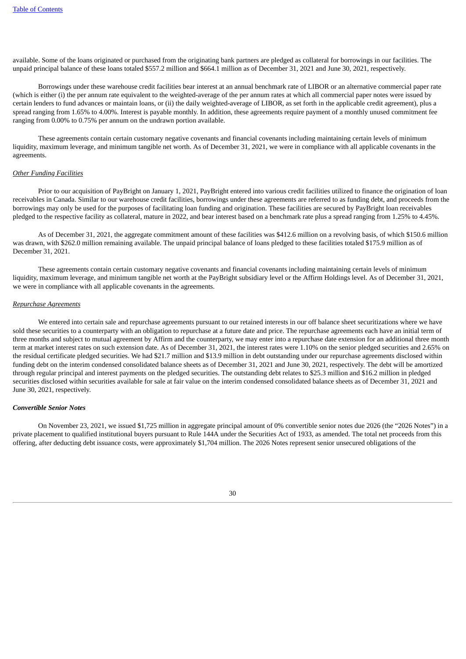available. Some of the loans originated or purchased from the originating bank partners are pledged as collateral for borrowings in our facilities. The unpaid principal balance of these loans totaled \$557.2 million and \$664.1 million as of December 31, 2021 and June 30, 2021, respectively.

Borrowings under these warehouse credit facilities bear interest at an annual benchmark rate of LIBOR or an alternative commercial paper rate (which is either (i) the per annum rate equivalent to the weighted-average of the per annum rates at which all commercial paper notes were issued by certain lenders to fund advances or maintain loans, or (ii) the daily weighted-average of LIBOR, as set forth in the applicable credit agreement), plus a spread ranging from 1.65% to 4.00%. Interest is payable monthly. In addition, these agreements require payment of a monthly unused commitment fee ranging from 0.00% to 0.75% per annum on the undrawn portion available.

These agreements contain certain customary negative covenants and financial covenants including maintaining certain levels of minimum liquidity, maximum leverage, and minimum tangible net worth. As of December 31, 2021, we were in compliance with all applicable covenants in the agreements.

#### *Other Funding Facilities*

Prior to our acquisition of PayBright on January 1, 2021, PayBright entered into various credit facilities utilized to finance the origination of loan receivables in Canada. Similar to our warehouse credit facilities, borrowings under these agreements are referred to as funding debt, and proceeds from the borrowings may only be used for the purposes of facilitating loan funding and origination. These facilities are secured by PayBright loan receivables pledged to the respective facility as collateral, mature in 2022, and bear interest based on a benchmark rate plus a spread ranging from 1.25% to 4.45%.

As of December 31, 2021, the aggregate commitment amount of these facilities was \$412.6 million on a revolving basis, of which \$150.6 million was drawn, with \$262.0 million remaining available. The unpaid principal balance of loans pledged to these facilities totaled \$175.9 million as of December 31, 2021.

These agreements contain certain customary negative covenants and financial covenants including maintaining certain levels of minimum liquidity, maximum leverage, and minimum tangible net worth at the PayBright subsidiary level or the Affirm Holdings level. As of December 31, 2021, we were in compliance with all applicable covenants in the agreements.

# *Repurchase Agreements*

We entered into certain sale and repurchase agreements pursuant to our retained interests in our off balance sheet securitizations where we have sold these securities to a counterparty with an obligation to repurchase at a future date and price. The repurchase agreements each have an initial term of three months and subject to mutual agreement by Affirm and the counterparty, we may enter into a repurchase date extension for an additional three month term at market interest rates on such extension date. As of December 31, 2021, the interest rates were 1.10% on the senior pledged securities and 2.65% on the residual certificate pledged securities. We had \$21.7 million and \$13.9 million in debt outstanding under our repurchase agreements disclosed within funding debt on the interim condensed consolidated balance sheets as of December 31, 2021 and June 30, 2021, respectively. The debt will be amortized through regular principal and interest payments on the pledged securities. The outstanding debt relates to \$25.3 million and \$16.2 million in pledged securities disclosed within securities available for sale at fair value on the interim condensed consolidated balance sheets as of December 31, 2021 and June 30, 2021, respectively.

# *Convertible Senior Notes*

On November 23, 2021, we issued \$1,725 million in aggregate principal amount of 0% convertible senior notes due 2026 (the "2026 Notes") in a private placement to qualified institutional buyers pursuant to Rule 144A under the Securities Act of 1933, as amended. The total net proceeds from this offering, after deducting debt issuance costs, were approximately \$1,704 million. The 2026 Notes represent senior unsecured obligations of the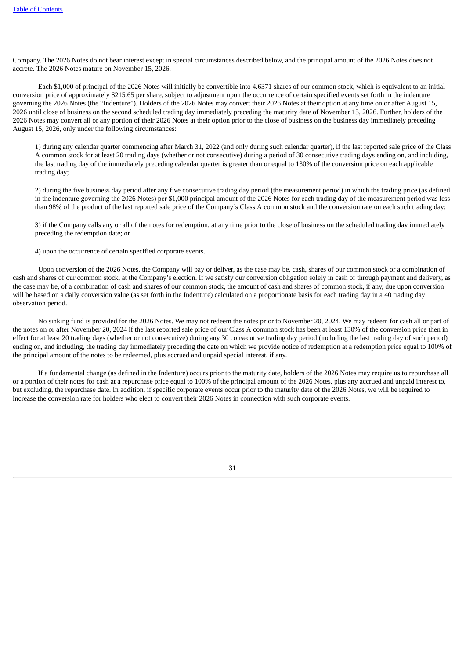Company. The 2026 Notes do not bear interest except in special circumstances described below, and the principal amount of the 2026 Notes does not accrete. The 2026 Notes mature on November 15, 2026.

Each \$1,000 of principal of the 2026 Notes will initially be convertible into 4.6371 shares of our common stock, which is equivalent to an initial conversion price of approximately \$215.65 per share, subject to adjustment upon the occurrence of certain specified events set forth in the indenture governing the 2026 Notes (the "Indenture"). Holders of the 2026 Notes may convert their 2026 Notes at their option at any time on or after August 15, 2026 until close of business on the second scheduled trading day immediately preceding the maturity date of November 15, 2026. Further, holders of the 2026 Notes may convert all or any portion of their 2026 Notes at their option prior to the close of business on the business day immediately preceding August 15, 2026, only under the following circumstances:

1) during any calendar quarter commencing after March 31, 2022 (and only during such calendar quarter), if the last reported sale price of the Class A common stock for at least 20 trading days (whether or not consecutive) during a period of 30 consecutive trading days ending on, and including, the last trading day of the immediately preceding calendar quarter is greater than or equal to 130% of the conversion price on each applicable trading day;

2) during the five business day period after any five consecutive trading day period (the measurement period) in which the trading price (as defined in the indenture governing the 2026 Notes) per \$1,000 principal amount of the 2026 Notes for each trading day of the measurement period was less than 98% of the product of the last reported sale price of the Company's Class A common stock and the conversion rate on each such trading day;

3) if the Company calls any or all of the notes for redemption, at any time prior to the close of business on the scheduled trading day immediately preceding the redemption date; or

4) upon the occurrence of certain specified corporate events.

Upon conversion of the 2026 Notes, the Company will pay or deliver, as the case may be, cash, shares of our common stock or a combination of cash and shares of our common stock, at the Company's election. If we satisfy our conversion obligation solely in cash or through payment and delivery, as the case may be, of a combination of cash and shares of our common stock, the amount of cash and shares of common stock, if any, due upon conversion will be based on a daily conversion value (as set forth in the Indenture) calculated on a proportionate basis for each trading day in a 40 trading day observation period.

No sinking fund is provided for the 2026 Notes. We may not redeem the notes prior to November 20, 2024. We may redeem for cash all or part of the notes on or after November 20, 2024 if the last reported sale price of our Class A common stock has been at least 130% of the conversion price then in effect for at least 20 trading days (whether or not consecutive) during any 30 consecutive trading day period (including the last trading day of such period) ending on, and including, the trading day immediately preceding the date on which we provide notice of redemption at a redemption price equal to 100% of the principal amount of the notes to be redeemed, plus accrued and unpaid special interest, if any.

If a fundamental change (as defined in the Indenture) occurs prior to the maturity date, holders of the 2026 Notes may require us to repurchase all or a portion of their notes for cash at a repurchase price equal to 100% of the principal amount of the 2026 Notes, plus any accrued and unpaid interest to, but excluding, the repurchase date. In addition, if specific corporate events occur prior to the maturity date of the 2026 Notes, we will be required to increase the conversion rate for holders who elect to convert their 2026 Notes in connection with such corporate events.

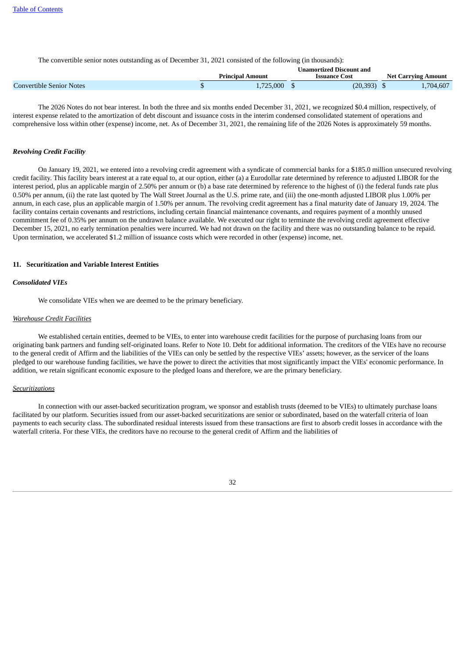The convertible senior notes outstanding as of December 31, 2021 consisted of the following (in thousands):

|                                 | Unamortized Discount and |  |               |                            |          |  |  |  |
|---------------------------------|--------------------------|--|---------------|----------------------------|----------|--|--|--|
|                                 | <b>Principal Amount</b>  |  | Issuance Cost | <b>Net Carrying Amount</b> |          |  |  |  |
| <b>Convertible Senior Notes</b> | 1.725.000                |  | (20.393)      |                            | .704.607 |  |  |  |

The 2026 Notes do not bear interest. In both the three and six months ended December 31, 2021, we recognized \$0.4 million, respectively, of interest expense related to the amortization of debt discount and issuance costs in the interim condensed consolidated statement of operations and comprehensive loss within other (expense) income, net. As of December 31, 2021, the remaining life of the 2026 Notes is approximately 59 months.

# *Revolving Credit Facility*

On January 19, 2021, we entered into a revolving credit agreement with a syndicate of commercial banks for a \$185.0 million unsecured revolving credit facility. This facility bears interest at a rate equal to, at our option, either (a) a Eurodollar rate determined by reference to adjusted LIBOR for the interest period, plus an applicable margin of 2.50% per annum or (b) a base rate determined by reference to the highest of (i) the federal funds rate plus 0.50% per annum, (ii) the rate last quoted by The Wall Street Journal as the U.S. prime rate, and (iii) the one-month adjusted LIBOR plus 1.00% per annum, in each case, plus an applicable margin of 1.50% per annum. The revolving credit agreement has a final maturity date of January 19, 2024. The facility contains certain covenants and restrictions, including certain financial maintenance covenants, and requires payment of a monthly unused commitment fee of 0.35% per annum on the undrawn balance available. We executed our right to terminate the revolving credit agreement effective December 15, 2021, no early termination penalties were incurred. We had not drawn on the facility and there was no outstanding balance to be repaid. Upon termination, we accelerated \$1.2 million of issuance costs which were recorded in other (expense) income, net.

# <span id="page-32-0"></span>**11. Securitization and Variable Interest Entities**

#### *Consolidated VIEs*

We consolidate VIEs when we are deemed to be the primary beneficiary.

# *Warehouse Credit Facilities*

We established certain entities, deemed to be VIEs, to enter into warehouse credit facilities for the purpose of purchasing loans from our originating bank partners and funding self-originated loans. Refer to Note 10. Debt for additional information. The creditors of the VIEs have no recourse to the general credit of Affirm and the liabilities of the VIEs can only be settled by the respective VIEs' assets; however, as the servicer of the loans pledged to our warehouse funding facilities, we have the power to direct the activities that most significantly impact the VIEs' economic performance. In addition, we retain significant economic exposure to the pledged loans and therefore, we are the primary beneficiary.

# *Securitizations*

In connection with our asset-backed securitization program, we sponsor and establish trusts (deemed to be VIEs) to ultimately purchase loans facilitated by our platform. Securities issued from our asset-backed securitizations are senior or subordinated, based on the waterfall criteria of loan payments to each security class. The subordinated residual interests issued from these transactions are first to absorb credit losses in accordance with the waterfall criteria. For these VIEs, the creditors have no recourse to the general credit of Affirm and the liabilities of

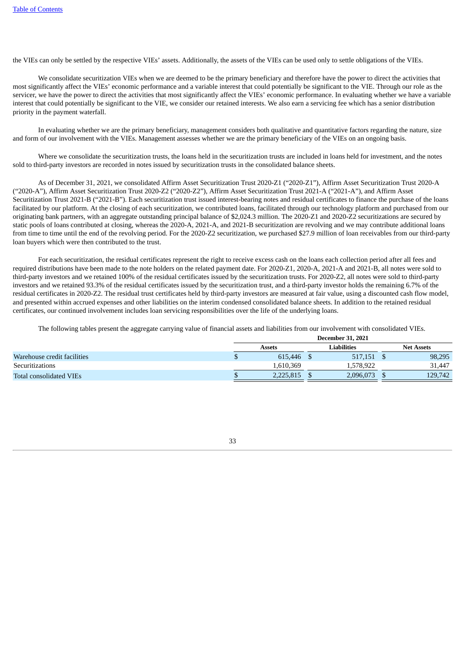the VIEs can only be settled by the respective VIEs' assets. Additionally, the assets of the VIEs can be used only to settle obligations of the VIEs.

We consolidate securitization VIEs when we are deemed to be the primary beneficiary and therefore have the power to direct the activities that most significantly affect the VIEs' economic performance and a variable interest that could potentially be significant to the VIE. Through our role as the servicer, we have the power to direct the activities that most significantly affect the VIEs' economic performance. In evaluating whether we have a variable interest that could potentially be significant to the VIE, we consider our retained interests. We also earn a servicing fee which has a senior distribution priority in the payment waterfall.

In evaluating whether we are the primary beneficiary, management considers both qualitative and quantitative factors regarding the nature, size and form of our involvement with the VIEs. Management assesses whether we are the primary beneficiary of the VIEs on an ongoing basis.

Where we consolidate the securitization trusts, the loans held in the securitization trusts are included in loans held for investment, and the notes sold to third-party investors are recorded in notes issued by securitization trusts in the consolidated balance sheets.

As of December 31, 2021, we consolidated Affirm Asset Securitization Trust 2020-Z1 ("2020-Z1"), Affirm Asset Securitization Trust 2020-A ("2020-A"), Affirm Asset Securitization Trust 2020-Z2 ("2020-Z2"), Affirm Asset Securitization Trust 2021-A ("2021-A"), and Affirm Asset Securitization Trust 2021-B ("2021-B"). Each securitization trust issued interest-bearing notes and residual certificates to finance the purchase of the loans facilitated by our platform. At the closing of each securitization, we contributed loans, facilitated through our technology platform and purchased from our originating bank partners, with an aggregate outstanding principal balance of \$2,024.3 million. The 2020-Z1 and 2020-Z2 securitizations are secured by static pools of loans contributed at closing, whereas the 2020-A, 2021-A, and 2021-B securitization are revolving and we may contribute additional loans from time to time until the end of the revolving period. For the 2020-Z2 securitization, we purchased \$27.9 million of loan receivables from our third-party loan buyers which were then contributed to the trust.

For each securitization, the residual certificates represent the right to receive excess cash on the loans each collection period after all fees and required distributions have been made to the note holders on the related payment date. For 2020-Z1, 2020-A, 2021-A and 2021-B, all notes were sold to third-party investors and we retained 100% of the residual certificates issued by the securitization trusts. For 2020-Z2, all notes were sold to third-party investors and we retained 93.3% of the residual certificates issued by the securitization trust, and a third-party investor holds the remaining 6.7% of the residual certificates in 2020-Z2. The residual trust certificates held by third-party investors are measured at fair value, using a discounted cash flow model, and presented within accrued expenses and other liabilities on the interim condensed consolidated balance sheets. In addition to the retained residual certificates, our continued involvement includes loan servicing responsibilities over the life of the underlying loans.

The following tables present the aggregate carrying value of financial assets and liabilities from our involvement with consolidated VIEs.

| <b>December 31, 2021</b> |               |                    |           |  |                   |  |  |
|--------------------------|---------------|--------------------|-----------|--|-------------------|--|--|
|                          | <b>Assets</b> | <b>Liabilities</b> |           |  | <b>Net Assets</b> |  |  |
|                          | 615,446       |                    | 517,151   |  | 98,295            |  |  |
|                          | 1,610,369     |                    | 1,578,922 |  | 31,447            |  |  |
|                          | 2,225,815     |                    | 2,096,073 |  | 129,742           |  |  |
|                          |               |                    |           |  |                   |  |  |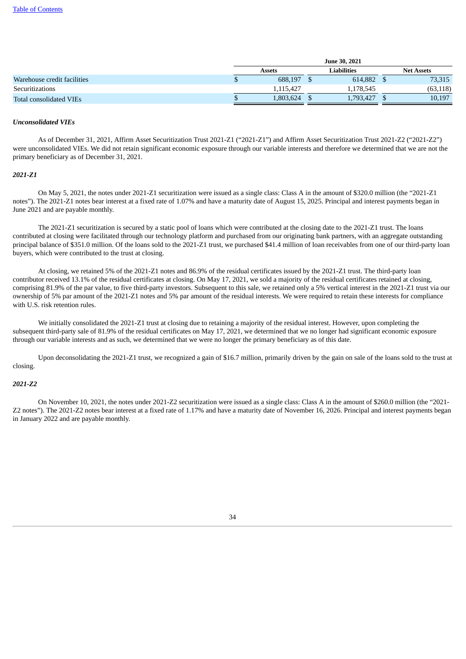|                             | <b>June 30, 2021</b> |               |  |                    |                   |           |  |
|-----------------------------|----------------------|---------------|--|--------------------|-------------------|-----------|--|
|                             |                      | <b>Assets</b> |  | <b>Liabilities</b> | <b>Net Assets</b> |           |  |
| Warehouse credit facilities |                      | 688,197       |  | 614.882            |                   | 73,315    |  |
| Securitizations             |                      | 1.115.427     |  | 1,178,545          |                   | (63, 118) |  |
| Total consolidated VIEs     |                      | 1,803,624     |  | 1,793,427          |                   | 10,197    |  |
|                             |                      |               |  |                    |                   |           |  |

# *Unconsolidated VIEs*

As of December 31, 2021, Affirm Asset Securitization Trust 2021-Z1 ("2021-Z1") and Affirm Asset Securitization Trust 2021-Z2 ("2021-Z2") were unconsolidated VIEs. We did not retain significant economic exposure through our variable interests and therefore we determined that we are not the primary beneficiary as of December 31, 2021.

# *2021-Z1*

On May 5, 2021, the notes under 2021-Z1 securitization were issued as a single class: Class A in the amount of \$320.0 million (the "2021-Z1 notes"). The 2021-Z1 notes bear interest at a fixed rate of 1.07% and have a maturity date of August 15, 2025. Principal and interest payments began in June 2021 and are payable monthly.

The 2021-Z1 securitization is secured by a static pool of loans which were contributed at the closing date to the 2021-Z1 trust. The loans contributed at closing were facilitated through our technology platform and purchased from our originating bank partners, with an aggregate outstanding principal balance of \$351.0 million. Of the loans sold to the 2021-Z1 trust, we purchased \$41.4 million of loan receivables from one of our third-party loan buyers, which were contributed to the trust at closing.

At closing, we retained 5% of the 2021-Z1 notes and 86.9% of the residual certificates issued by the 2021-Z1 trust. The third-party loan contributor received 13.1% of the residual certificates at closing. On May 17, 2021, we sold a majority of the residual certificates retained at closing, comprising 81.9% of the par value, to five third-party investors. Subsequent to this sale, we retained only a 5% vertical interest in the 2021-Z1 trust via our ownership of 5% par amount of the 2021-Z1 notes and 5% par amount of the residual interests. We were required to retain these interests for compliance with U.S. risk retention rules.

We initially consolidated the 2021-Z1 trust at closing due to retaining a majority of the residual interest. However, upon completing the subsequent third-party sale of 81.9% of the residual certificates on May 17, 2021, we determined that we no longer had significant economic exposure through our variable interests and as such, we determined that we were no longer the primary beneficiary as of this date.

Upon deconsolidating the 2021-Z1 trust, we recognized a gain of \$16.7 million, primarily driven by the gain on sale of the loans sold to the trust at closing.

# *2021-Z2*

On November 10, 2021, the notes under 2021-Z2 securitization were issued as a single class: Class A in the amount of \$260.0 million (the "2021- Z2 notes"). The 2021-Z2 notes bear interest at a fixed rate of 1.17% and have a maturity date of November 16, 2026. Principal and interest payments began in January 2022 and are payable monthly.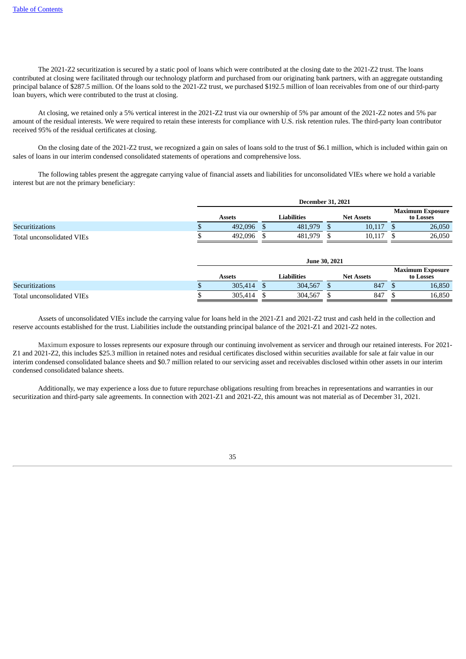The 2021-Z2 securitization is secured by a static pool of loans which were contributed at the closing date to the 2021-Z2 trust. The loans contributed at closing were facilitated through our technology platform and purchased from our originating bank partners, with an aggregate outstanding principal balance of \$287.5 million. Of the loans sold to the 2021-Z2 trust, we purchased \$192.5 million of loan receivables from one of our third-party loan buyers, which were contributed to the trust at closing.

At closing, we retained only a 5% vertical interest in the 2021-Z2 trust via our ownership of 5% par amount of the 2021-Z2 notes and 5% par amount of the residual interests. We were required to retain these interests for compliance with U.S. risk retention rules. The third-party loan contributor received 95% of the residual certificates at closing.

On the closing date of the 2021-Z2 trust, we recognized a gain on sales of loans sold to the trust of \$6.1 million, which is included within gain on sales of loans in our interim condensed consolidated statements of operations and comprehensive loss.

The following tables present the aggregate carrying value of financial assets and liabilities for unconsolidated VIEs where we hold a variable interest but are not the primary beneficiary:

|                           | <b>December 31, 2021</b> |         |             |         |                   |        |  |                                      |  |
|---------------------------|--------------------------|---------|-------------|---------|-------------------|--------|--|--------------------------------------|--|
|                           |                          | Assets  | Liabilities |         | <b>Net Assets</b> |        |  | <b>Maximum Exposure</b><br>to Losses |  |
| <b>Securitizations</b>    |                          | 492,096 |             | 481,979 |                   | 10.117 |  | 26,050                               |  |
| Total unconsolidated VIEs |                          | 492,096 |             | 481.979 |                   | 10.117 |  | 26,050                               |  |

|                           | <b>June 30, 2021</b> |         |             |         |  |                   |                                      |        |
|---------------------------|----------------------|---------|-------------|---------|--|-------------------|--------------------------------------|--------|
|                           |                      | Assets  | Liabilities |         |  | <b>Net Assets</b> | <b>Maximum Exposure</b><br>to Losses |        |
| Securitizations           |                      | 305,414 |             | 304.567 |  | 847               |                                      | 16,850 |
| Total unconsolidated VIEs |                      | 305,414 |             | 304,567 |  | 847               |                                      | 16,850 |

Assets of unconsolidated VIEs include the carrying value for loans held in the 2021-Z1 and 2021-Z2 trust and cash held in the collection and reserve accounts established for the trust. Liabilities include the outstanding principal balance of the 2021-Z1 and 2021-Z2 notes.

Maximum exposure to losses represents our exposure through our continuing involvement as servicer and through our retained interests. For 2021- Z1 and 2021-Z2, this includes \$25.3 million in retained notes and residual certificates disclosed within securities available for sale at fair value in our interim condensed consolidated balance sheets and \$0.7 million related to our servicing asset and receivables disclosed within other assets in our interim condensed consolidated balance sheets.

Additionally, we may experience a loss due to future repurchase obligations resulting from breaches in representations and warranties in our securitization and third-party sale agreements. In connection with 2021-Z1 and 2021-Z2, this amount was not material as of December 31, 2021.

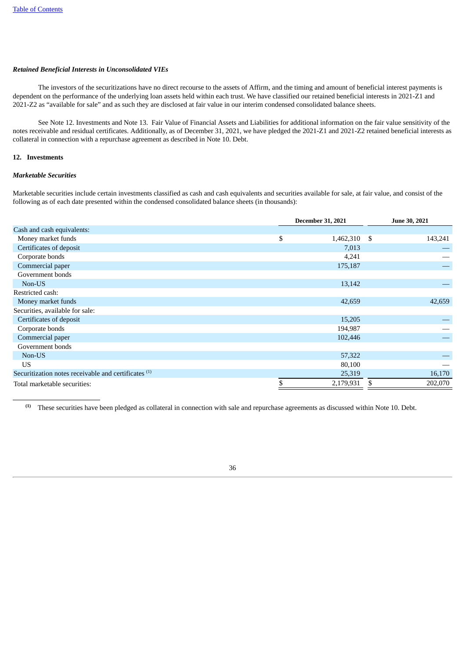#### *Retained Beneficial Interests in Unconsolidated VIEs*

The investors of the securitizations have no direct recourse to the assets of Affirm, and the timing and amount of beneficial interest payments is dependent on the performance of the underlying loan assets held within each trust. We have classified our retained beneficial interests in 2021-Z1 and 2021-Z2 as "available for sale" and as such they are disclosed at fair value in our interim condensed consolidated balance sheets.

See Note 12. Investments and Note 13. Fair Value of Financial Assets and Liabilities for additional information on the fair value sensitivity of the notes receivable and residual certificates. Additionally, as of December 31, 2021, we have pledged the 2021-Z1 and 2021-Z2 retained beneficial interests as collateral in connection with a repurchase agreement as described in Note 10. Debt.

## **12. Investments**

#### *Marketable Securities*

Marketable securities include certain investments classified as cash and cash equivalents and securities available for sale, at fair value, and consist of the following as of each date presented within the condensed consolidated balance sheets (in thousands):

|                                                                 | <b>December 31, 2021</b> | June 30, 2021 |
|-----------------------------------------------------------------|--------------------------|---------------|
| Cash and cash equivalents:                                      |                          |               |
| Money market funds                                              | \$<br>1,462,310 \$       | 143,241       |
| Certificates of deposit                                         | 7,013                    |               |
| Corporate bonds                                                 | 4,241                    |               |
| Commercial paper                                                | 175,187                  |               |
| Government bonds                                                |                          |               |
| Non-US                                                          | 13,142                   |               |
| Restricted cash:                                                |                          |               |
| Money market funds                                              | 42,659                   | 42,659        |
| Securities, available for sale:                                 |                          |               |
| Certificates of deposit                                         | 15,205                   |               |
| Corporate bonds                                                 | 194,987                  |               |
| Commercial paper                                                | 102,446                  |               |
| Government bonds                                                |                          |               |
| Non-US                                                          | 57,322                   |               |
| US                                                              | 80,100                   |               |
| Securitization notes receivable and certificates <sup>(1)</sup> | 25,319                   | 16,170        |
| Total marketable securities:                                    | 2,179,931                | 202,070       |

These securities have been pledged as collateral in connection with sale and repurchase agreements as discussed within Note 10. Debt. **(1)**

36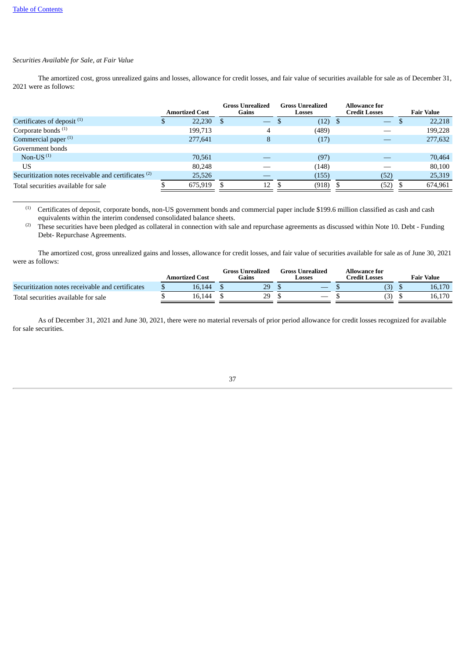## *Securities Available for Sale, at Fair Value*

The amortized cost, gross unrealized gains and losses, allowance for credit losses, and fair value of securities available for sale as of December 31, 2021 were as follows:

|                                                      | <b>Amortized Cost</b> |         | <b>Gross Unrealized</b><br>Gains |          | <b>Gross Unrealized</b><br>Losses |       | <b>Allowance for</b><br><b>Credit Losses</b> |      | <b>Fair Value</b> |
|------------------------------------------------------|-----------------------|---------|----------------------------------|----------|-----------------------------------|-------|----------------------------------------------|------|-------------------|
| Certificates of deposit $(1)$                        |                       | 22,230  | - S                              | $\equiv$ |                                   | (12)  | - 5                                          |      | 22,218            |
| Corporate bonds <sup>(1)</sup>                       |                       | 199.713 |                                  | 4        |                                   | (489) |                                              |      | 199,228           |
| Commercial paper <sup>(1)</sup>                      |                       | 277,641 |                                  | 8        |                                   | (17)  |                                              |      | 277,632           |
| Government bonds                                     |                       |         |                                  |          |                                   |       |                                              |      |                   |
| Non-US $(1)$                                         |                       | 70,561  |                                  |          |                                   | (97)  |                                              |      | 70,464            |
| US                                                   |                       | 80.248  |                                  |          |                                   | (148) |                                              |      | 80,100            |
| Securitization notes receivable and certificates (2) |                       | 25,526  |                                  |          |                                   | (155) |                                              | (52) | 25,319            |
| Total securities available for sale                  |                       | 675,919 |                                  | 12       |                                   | (918) |                                              | (52) | 674.961           |

Certificates of deposit, corporate bonds, non-US government bonds and commercial paper include \$199.6 million classified as cash and cash equivalents within the interim condensed consolidated balance sheets. (1)

The amortized cost, gross unrealized gains and losses, allowance for credit losses, and fair value of securities available for sale as of June 30, 2021 were as follows:

|                                                  | Amortized Cost | <b>Gross Unrealized</b><br>Gains | <b>Gross Unrealized</b><br>$\mathbf{\color{blue}\omega}$ osses | <b>Allowance for</b><br>Credit Losses | <b>Fair Value</b> |
|--------------------------------------------------|----------------|----------------------------------|----------------------------------------------------------------|---------------------------------------|-------------------|
| Securitization notes receivable and certificates | 16.144         | 29                               |                                                                | (3)                                   | 16,170            |
| Total securities available for sale              | 16.144         | CΩ                               | $\hspace{0.1mm}-\hspace{0.1mm}$                                | 3                                     | 16.170            |

As of December 31, 2021 and June 30, 2021, there were no material reversals of prior period allowance for credit losses recognized for available for sale securities.

37

These securities have been pledged as collateral in connection with sale and repurchase agreements as discussed within Note 10. Debt - Funding Debt- Repurchase Agreements. (2)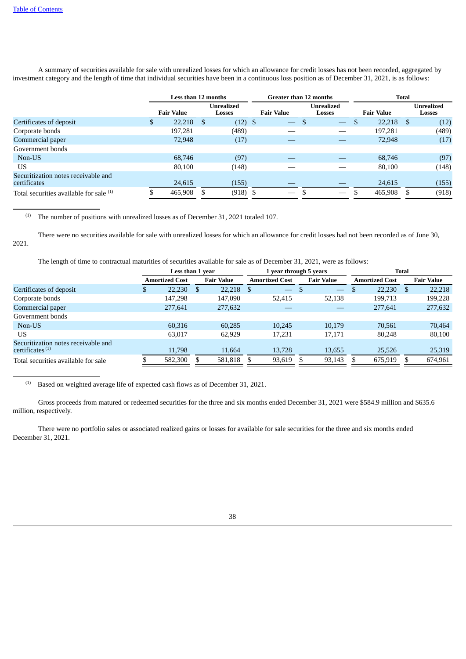A summary of securities available for sale with unrealized losses for which an allowance for credit losses has not been recorded, aggregated by investment category and the length of time that individual securities have been in a continuous loss position as of December 31, 2021, is as follows:

|                                                     | Less than 12 months |                   |               |                             | <b>Greater than 12 months</b> |                               |  |                      | <b>Total</b> |                   |   |                      |
|-----------------------------------------------------|---------------------|-------------------|---------------|-----------------------------|-------------------------------|-------------------------------|--|----------------------|--------------|-------------------|---|----------------------|
|                                                     |                     | <b>Fair Value</b> |               | <b>Unrealized</b><br>Losses |                               | <b>Fair Value</b>             |  | Unrealized<br>Losses |              | <b>Fair Value</b> |   | Unrealized<br>Losses |
| Certificates of deposit                             |                     | 22,218            | <sup>\$</sup> | (12)                        | - S                           | $\overbrace{\phantom{12333}}$ |  |                      |              | 22,218            | S | (12)                 |
| Corporate bonds                                     |                     | 197,281           |               | (489)                       |                               |                               |  |                      |              | 197,281           |   | (489)                |
| Commercial paper                                    |                     | 72,948            |               | (17)                        |                               |                               |  |                      |              | 72,948            |   | (17)                 |
| Government bonds                                    |                     |                   |               |                             |                               |                               |  |                      |              |                   |   |                      |
| Non-US                                              |                     | 68,746            |               | (97)                        |                               |                               |  |                      |              | 68,746            |   | (97)                 |
| US                                                  |                     | 80,100            |               | (148)                       |                               |                               |  |                      |              | 80,100            |   | (148)                |
| Securitization notes receivable and<br>certificates |                     | 24,615            |               | (155)                       |                               |                               |  |                      |              | 24,615            |   | (155)                |
| Total securities available for sale <sup>(1)</sup>  |                     | 465,908           |               | $(918)$ \$                  |                               |                               |  |                      |              | 465,908           |   | (918)                |

The number of positions with unrealized losses as of December 31, 2021 totaled 107. (1)

There were no securities available for sale with unrealized losses for which an allowance for credit losses had not been recorded as of June 30, 2021.

The length of time to contractual maturities of securities available for sale as of December 31, 2021, were as follows:

|                                                                    |   | Less than 1 year      |   |                   | 1 year through 5 years |                          |   |                                 | <b>Total</b> |                |   |                   |
|--------------------------------------------------------------------|---|-----------------------|---|-------------------|------------------------|--------------------------|---|---------------------------------|--------------|----------------|---|-------------------|
|                                                                    |   | <b>Amortized Cost</b> |   | <b>Fair Value</b> |                        | <b>Amortized Cost</b>    |   | <b>Fair Value</b>               |              | Amortized Cost |   | <b>Fair Value</b> |
| Certificates of deposit                                            | Φ | 22,230                | S | 22,218            | -S                     | $\overline{\phantom{m}}$ | D | $\hspace{0.1mm}-\hspace{0.1mm}$ | D            | 22,230         | S | 22,218            |
| Corporate bonds                                                    |   | 147,298               |   | 147,090           |                        | 52,415                   |   | 52,138                          |              | 199,713        |   | 199,228           |
| Commercial paper                                                   |   | 277,641               |   | 277,632           |                        |                          |   |                                 |              | 277,641        |   | 277,632           |
| Government bonds                                                   |   |                       |   |                   |                        |                          |   |                                 |              |                |   |                   |
| Non-US                                                             |   | 60,316                |   | 60,285            |                        | 10,245                   |   | 10,179                          |              | 70,561         |   | 70,464            |
| US.                                                                |   | 63.017                |   | 62,929            |                        | 17,231                   |   | 17,171                          |              | 80.248         |   | 80,100            |
| Securitization notes receivable and<br>certificates <sup>(1)</sup> |   | 11,798                |   | 11,664            |                        | 13,728                   |   | 13,655                          |              | 25,526         |   | 25,319            |
| Total securities available for sale                                |   | 582,300               |   | 581,818           |                        | 93,619                   |   | 93,143                          |              | 675,919        |   | 674,961           |

Based on weighted average life of expected cash flows as of December 31, 2021. (1)

Gross proceeds from matured or redeemed securities for the three and six months ended December 31, 2021 were \$584.9 million and \$635.6 million, respectively.

There were no portfolio sales or associated realized gains or losses for available for sale securities for the three and six months ended December 31, 2021.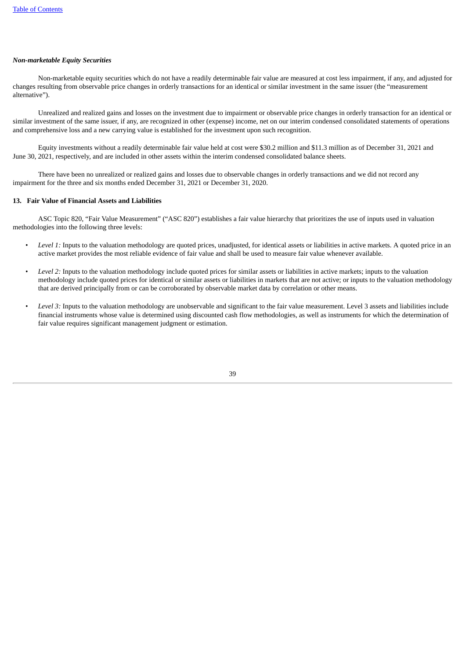## *Non-marketable Equity Securities*

Non-marketable equity securities which do not have a readily determinable fair value are measured at cost less impairment, if any, and adjusted for changes resulting from observable price changes in orderly transactions for an identical or similar investment in the same issuer (the "measurement alternative").

Unrealized and realized gains and losses on the investment due to impairment or observable price changes in orderly transaction for an identical or similar investment of the same issuer, if any, are recognized in other (expense) income, net on our interim condensed consolidated statements of operations and comprehensive loss and a new carrying value is established for the investment upon such recognition.

Equity investments without a readily determinable fair value held at cost were \$30.2 million and \$11.3 million as of December 31, 2021 and June 30, 2021, respectively, and are included in other assets within the interim condensed consolidated balance sheets.

There have been no unrealized or realized gains and losses due to observable changes in orderly transactions and we did not record any impairment for the three and six months ended December 31, 2021 or December 31, 2020.

## **13. Fair Value of Financial Assets and Liabilities**

ASC Topic 820, "Fair Value Measurement" ("ASC 820") establishes a fair value hierarchy that prioritizes the use of inputs used in valuation methodologies into the following three levels:

- Level 1: Inputs to the valuation methodology are quoted prices, unadjusted, for identical assets or liabilities in active markets. A quoted price in an active market provides the most reliable evidence of fair value and shall be used to measure fair value whenever available.
- *Level 2:* Inputs to the valuation methodology include quoted prices for similar assets or liabilities in active markets; inputs to the valuation methodology include quoted prices for identical or similar assets or liabilities in markets that are not active; or inputs to the valuation methodology that are derived principally from or can be corroborated by observable market data by correlation or other means.
- *Level 3:* Inputs to the valuation methodology are unobservable and significant to the fair value measurement. Level 3 assets and liabilities include financial instruments whose value is determined using discounted cash flow methodologies, as well as instruments for which the determination of fair value requires significant management judgment or estimation.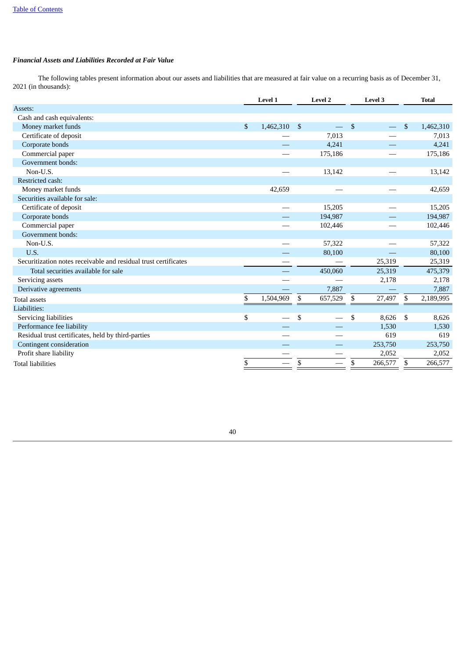# *Financial Assets and Liabilities Recorded at Fair Value*

The following tables present information about our assets and liabilities that are measured at fair value on a recurring basis as of December 31, 2021 (in thousands):

|                                                                 |              | Level 1   |                | Level 2 | Level 3       | <b>Total</b>    |
|-----------------------------------------------------------------|--------------|-----------|----------------|---------|---------------|-----------------|
| Assets:                                                         |              |           |                |         |               |                 |
| Cash and cash equivalents:                                      |              |           |                |         |               |                 |
| Money market funds                                              | $\mathbb{S}$ | 1,462,310 | $\mathfrak{s}$ |         | \$            | \$<br>1,462,310 |
| Certificate of deposit                                          |              |           |                | 7,013   |               | 7,013           |
| Corporate bonds                                                 |              |           |                | 4,241   |               | 4,241           |
| Commercial paper                                                |              |           |                | 175,186 |               | 175,186         |
| Government bonds:                                               |              |           |                |         |               |                 |
| Non-U.S.                                                        |              |           |                | 13,142  |               | 13,142          |
| Restricted cash:                                                |              |           |                |         |               |                 |
| Money market funds                                              |              | 42,659    |                |         |               | 42,659          |
| Securities available for sale:                                  |              |           |                |         |               |                 |
| Certificate of deposit                                          |              |           |                | 15,205  |               | 15,205          |
| Corporate bonds                                                 |              |           |                | 194,987 |               | 194,987         |
| Commercial paper                                                |              |           |                | 102,446 |               | 102,446         |
| Government bonds:                                               |              |           |                |         |               |                 |
| Non-U.S.                                                        |              |           |                | 57,322  |               | 57,322          |
| U.S.                                                            |              |           |                | 80,100  |               | 80,100          |
| Securitization notes receivable and residual trust certificates |              |           |                |         | 25,319        | 25,319          |
| Total securities available for sale                             |              |           |                | 450,060 | 25,319        | 475,379         |
| Servicing assets                                                |              |           |                |         | 2,178         | 2,178           |
| Derivative agreements                                           |              |           |                | 7,887   |               | 7,887           |
| <b>Total assets</b>                                             | \$           | 1,504,969 | \$             | 657,529 | \$<br>27,497  | \$<br>2,189,995 |
| Liabilities:                                                    |              |           |                |         |               |                 |
| Servicing liabilities                                           | \$           |           | \$             |         | \$<br>8,626   | \$<br>8,626     |
| Performance fee liability                                       |              |           |                |         | 1,530         | 1,530           |
| Residual trust certificates, held by third-parties              |              |           |                |         | 619           | 619             |
| Contingent consideration                                        |              |           |                |         | 253,750       | 253,750         |
| Profit share liability                                          |              |           |                |         | 2,052         | 2,052           |
| <b>Total liabilities</b>                                        | \$           |           | \$             |         | \$<br>266,577 | \$<br>266,577   |

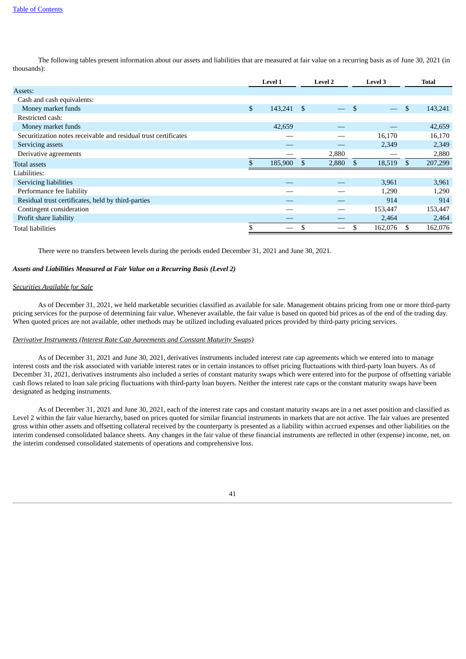The following tables present information about our assets and liabilities that are measured at fair value on a recurring basis as of June 30, 2021 (in thousands):

|                                                                 | <b>Level 1</b> |    | <b>Level 2</b> | <b>Level 3</b> |               | <b>Total</b> |
|-----------------------------------------------------------------|----------------|----|----------------|----------------|---------------|--------------|
| Assets:                                                         |                |    |                |                |               |              |
| Cash and cash equivalents:                                      |                |    |                |                |               |              |
| Money market funds                                              | \$<br>143,241  | -S |                | \$             | \$            | 143,241      |
| Restricted cash:                                                |                |    |                |                |               |              |
| Money market funds                                              | 42,659         |    |                |                |               | 42,659       |
| Securitization notes receivable and residual trust certificates |                |    |                | 16,170         |               | 16,170       |
| Servicing assets                                                |                |    |                | 2,349          |               | 2,349        |
| Derivative agreements                                           |                |    | 2,880          |                |               | 2,880        |
| <b>Total assets</b>                                             | 185,900        | -S | 2,880          | \$<br>18,519   | <sup>\$</sup> | 207,299      |
| Liabilities:                                                    |                |    |                |                |               |              |
| Servicing liabilities                                           |                |    |                | 3,961          |               | 3,961        |
| Performance fee liability                                       |                |    |                | 1,290          |               | 1,290        |
| Residual trust certificates, held by third-parties              |                |    |                | 914            |               | 914          |
| Contingent consideration                                        |                |    |                | 153,447        |               | 153,447      |
| Profit share liability                                          |                |    |                | 2,464          |               | 2,464        |
| <b>Total liabilities</b>                                        |                |    |                | \$<br>162,076  | \$            | 162,076      |

There were no transfers between levels during the periods ended December 31, 2021 and June 30, 2021.

## *Assets and Liabilities Measured at Fair Value on a Recurring Basis (Level 2)*

## *Securities Available for Sale*

As of December 31, 2021, we held marketable securities classified as available for sale. Management obtains pricing from one or more third-party pricing services for the purpose of determining fair value. Whenever available, the fair value is based on quoted bid prices as of the end of the trading day. When quoted prices are not available, other methods may be utilized including evaluated prices provided by third-party pricing services.

## *Derivative Instruments (Interest Rate Cap Agreements and Constant Maturity Swaps)*

As of December 31, 2021 and June 30, 2021, derivatives instruments included interest rate cap agreements which we entered into to manage interest costs and the risk associated with variable interest rates or in certain instances to offset pricing fluctuations with third-party loan buyers. As of December 31, 2021, derivatives instruments also included a series of constant maturity swaps which were entered into for the purpose of offsetting variable cash flows related to loan sale pricing fluctuations with third-party loan buyers. Neither the interest rate caps or the constant maturity swaps have been designated as hedging instruments.

As of December 31, 2021 and June 30, 2021, each of the interest rate caps and constant maturity swaps are in a net asset position and classified as Level 2 within the fair value hierarchy, based on prices quoted for similar financial instruments in markets that are not active. The fair values are presented gross within other assets and offsetting collateral received by the counterparty is presented as a liability within accrued expenses and other liabilities on the interim condensed consolidated balance sheets. Any changes in the fair value of these financial instruments are reflected in other (expense) income, net, on the interim condensed consolidated statements of operations and comprehensive loss.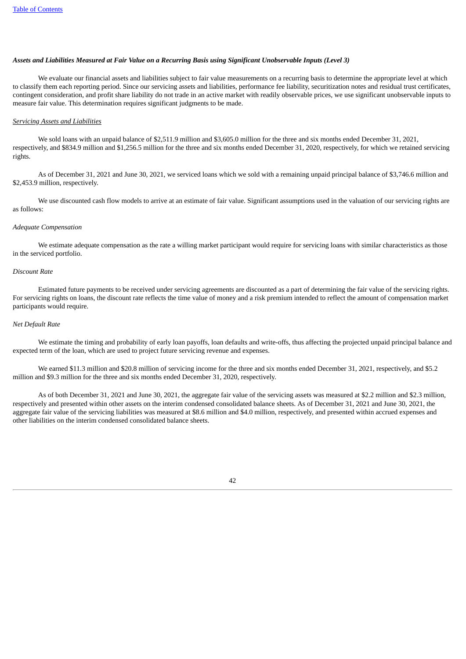#### Assets and Liabilities Measured at Fair Value on a Recurring Basis using Significant Unobservable Inputs (Level 3)

We evaluate our financial assets and liabilities subject to fair value measurements on a recurring basis to determine the appropriate level at which to classify them each reporting period. Since our servicing assets and liabilities, performance fee liability, securitization notes and residual trust certificates, contingent consideration, and profit share liability do not trade in an active market with readily observable prices, we use significant unobservable inputs to measure fair value. This determination requires significant judgments to be made.

#### *Servicing Assets and Liabilities*

We sold loans with an unpaid balance of \$2,511.9 million and \$3,605.0 million for the three and six months ended December 31, 2021, respectively, and \$834.9 million and \$1,256.5 million for the three and six months ended December 31, 2020, respectively, for which we retained servicing rights.

As of December 31, 2021 and June 30, 2021, we serviced loans which we sold with a remaining unpaid principal balance of \$3,746.6 million and \$2,453.9 million, respectively.

We use discounted cash flow models to arrive at an estimate of fair value. Significant assumptions used in the valuation of our servicing rights are as follows:

### *Adequate Compensation*

We estimate adequate compensation as the rate a willing market participant would require for servicing loans with similar characteristics as those in the serviced portfolio.

#### *Discount Rate*

Estimated future payments to be received under servicing agreements are discounted as a part of determining the fair value of the servicing rights. For servicing rights on loans, the discount rate reflects the time value of money and a risk premium intended to reflect the amount of compensation market participants would require.

#### *Net Default Rate*

We estimate the timing and probability of early loan payoffs, loan defaults and write-offs, thus affecting the projected unpaid principal balance and expected term of the loan, which are used to project future servicing revenue and expenses.

We earned \$11.3 million and \$20.8 million of servicing income for the three and six months ended December 31, 2021, respectively, and \$5.2 million and \$9.3 million for the three and six months ended December 31, 2020, respectively.

As of both December 31, 2021 and June 30, 2021, the aggregate fair value of the servicing assets was measured at \$2.2 million and \$2.3 million, respectively and presented within other assets on the interim condensed consolidated balance sheets. As of December 31, 2021 and June 30, 2021, the aggregate fair value of the servicing liabilities was measured at \$8.6 million and \$4.0 million, respectively, and presented within accrued expenses and other liabilities on the interim condensed consolidated balance sheets.

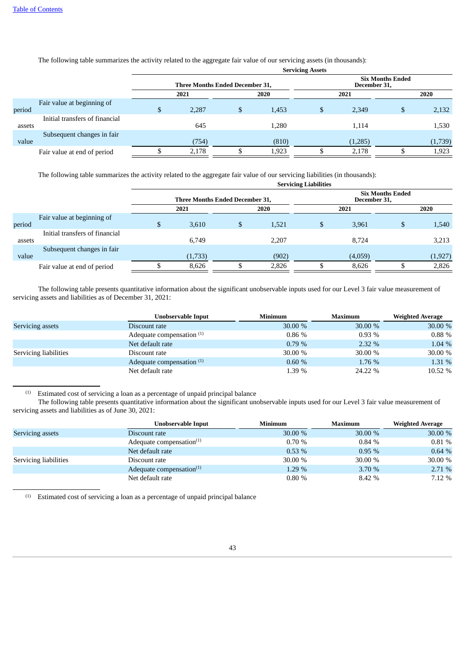|        |                                | <b>Servicing Assets</b> |                                        |       |    |         |                                         |         |  |  |  |  |
|--------|--------------------------------|-------------------------|----------------------------------------|-------|----|---------|-----------------------------------------|---------|--|--|--|--|
|        |                                |                         | <b>Three Months Ended December 31,</b> |       |    |         | <b>Six Months Ended</b><br>December 31, |         |  |  |  |  |
|        |                                | 2021                    |                                        | 2020  |    | 2021    | 2020                                    |         |  |  |  |  |
| period | Fair value at beginning of     | \$<br>2,287             | \$                                     | 1,453 | \$ | 2,349   | S                                       | 2,132   |  |  |  |  |
| assets | Initial transfers of financial | 645                     |                                        | 1,280 |    | 1,114   |                                         | 1,530   |  |  |  |  |
| value  | Subsequent changes in fair     | (754)                   |                                        | (810) |    | (1,285) |                                         | (1,739) |  |  |  |  |
|        | Fair value at end of period    | 2,178                   |                                        | 1,923 |    | 2,178   |                                         | 1,923   |  |  |  |  |
|        |                                |                         |                                        |       |    |         |                                         |         |  |  |  |  |

The following table summarizes the activity related to the aggregate fair value of our servicing assets (in thousands):

The following table summarizes the activity related to the aggregate fair value of our servicing liabilities (in thousands):

|        |                                | <b>Servicing Liabilities</b>           |    |       |    |         |                                         |          |  |  |  |
|--------|--------------------------------|----------------------------------------|----|-------|----|---------|-----------------------------------------|----------|--|--|--|
|        |                                | <b>Three Months Ended December 31,</b> |    |       |    |         | <b>Six Months Ended</b><br>December 31. |          |  |  |  |
|        |                                | 2021                                   |    | 2020  |    | 2021    |                                         | 2020     |  |  |  |
| period | Fair value at beginning of     | 3,610                                  | \$ | 1,521 | \$ | 3,961   | \$                                      | 1,540    |  |  |  |
| assets | Initial transfers of financial | 6.749                                  |    | 2,207 |    | 8.724   |                                         | 3,213    |  |  |  |
| value  | Subsequent changes in fair     | (1,733)                                |    | (902) |    | (4,059) |                                         | (1, 927) |  |  |  |
|        | Fair value at end of period    | 8,626                                  |    | 2,826 |    | 8,626   |                                         | 2,826    |  |  |  |

The following table presents quantitative information about the significant unobservable inputs used for our Level 3 fair value measurement of servicing assets and liabilities as of December 31, 2021:

|                       | Unobservable Input                   | <b>Minimum</b> | Maximum    | <b>Weighted Average</b> |
|-----------------------|--------------------------------------|----------------|------------|-------------------------|
| Servicing assets      | Discount rate                        | $30.00 \%$     | $30.00 \%$ | 30.00 %                 |
|                       | Adequate compensation <sup>(1)</sup> | 0.86%          | 0.93%      | 0.88%                   |
|                       | Net default rate                     | 0.79%          | 2.32%      | 1.04 %                  |
| Servicing liabilities | Discount rate                        | $30.00 \%$     | $30.00 \%$ | 30.00 %                 |
|                       | Adequate compensation (1)            | 0.60%          | 1.76 %     | 1.31 %                  |
|                       | Net default rate                     | 1.39 %         | 24.22 %    | 10.52 %                 |

Estimated cost of servicing a loan as a percentage of unpaid principal balance (1)

The following table presents quantitative information about the significant unobservable inputs used for our Level 3 fair value measurement of servicing assets and liabilities as of June 30, 2021:

|                       | Unobservable Input                   | <b>Minimum</b> | Maximum    | <b>Weighted Average</b> |
|-----------------------|--------------------------------------|----------------|------------|-------------------------|
| Servicing assets      | Discount rate                        | $30.00 \%$     | $30.00 \%$ | 30.00 %                 |
|                       | Adequate compensation <sup>(1)</sup> | 0.70%          | 0.84%      | 0.81%                   |
|                       | Net default rate                     | 0.53%          | 0.95%      | 0.64%                   |
| Servicing liabilities | Discount rate                        | 30.00 %        | 30.00 %    | 30.00 %                 |
|                       | Adequate compensation $(1)$          | 1.29 %         | 3.70%      | 2.71 %                  |
|                       | Net default rate                     | 0.80%          | 8.42 %     | 7.12%                   |

 $(1)$  Estimated cost of servicing a loan as a percentage of unpaid principal balance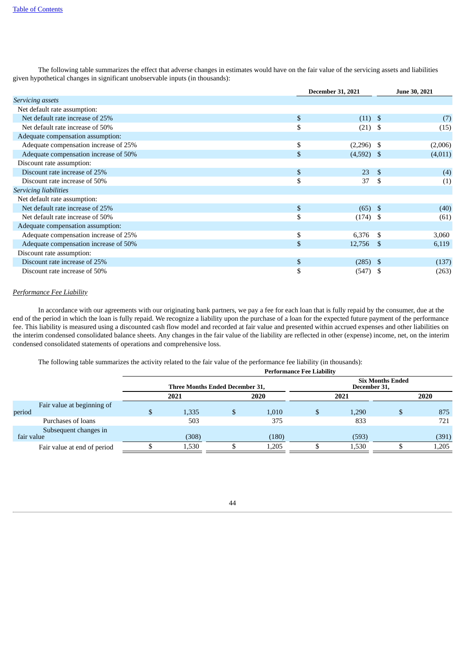The following table summarizes the effect that adverse changes in estimates would have on the fair value of the servicing assets and liabilities given hypothetical changes in significant unobservable inputs (in thousands):

|                                       |                | <b>December 31, 2021</b> |     | June 30, 2021 |
|---------------------------------------|----------------|--------------------------|-----|---------------|
| Servicing assets                      |                |                          |     |               |
| Net default rate assumption:          |                |                          |     |               |
| Net default rate increase of 25%      | \$             | $(11)$ \$                |     | (7)           |
| Net default rate increase of 50%      | \$             | $(21)$ \$                |     | (15)          |
| Adequate compensation assumption:     |                |                          |     |               |
| Adequate compensation increase of 25% | \$             | $(2,296)$ \$             |     | (2,006)       |
| Adequate compensation increase of 50% | $\mathcal{S}$  | $(4,592)$ \$             |     | (4,011)       |
| Discount rate assumption:             |                |                          |     |               |
| Discount rate increase of 25%         | \$             | 23                       | \$  | (4)           |
| Discount rate increase of 50%         | \$             | 37                       | S   | (1)           |
| Servicing liabilities                 |                |                          |     |               |
| Net default rate assumption:          |                |                          |     |               |
| Net default rate increase of 25%      | \$             | $(65)$ \$                |     | (40)          |
| Net default rate increase of 50%      | \$             | $(174)$ \$               |     | (61)          |
| Adequate compensation assumption:     |                |                          |     |               |
| Adequate compensation increase of 25% | \$             | 6,376                    | -\$ | 3,060         |
| Adequate compensation increase of 50% | $\mathbf{s}$   | 12,756                   | -S  | 6,119         |
| Discount rate assumption:             |                |                          |     |               |
| Discount rate increase of 25%         | $\mathfrak{L}$ | $(285)$ \$               |     | (137)         |
| Discount rate increase of 50%         | \$             | (547)                    | -5  | (263)         |

## *Performance Fee Liability*

In accordance with our agreements with our originating bank partners, we pay a fee for each loan that is fully repaid by the consumer, due at the end of the period in which the loan is fully repaid. We recognize a liability upon the purchase of a loan for the expected future payment of the performance fee. This liability is measured using a discounted cash flow model and recorded at fair value and presented within accrued expenses and other liabilities on the interim condensed consolidated balance sheets. Any changes in the fair value of the liability are reflected in other (expense) income, net, on the interim condensed consolidated statements of operations and comprehensive loss.

The following table summarizes the activity related to the fair value of the performance fee liability (in thousands):

|                                      | <b>Performance Fee Liability</b> |                                        |   |       |  |       |                                         |       |
|--------------------------------------|----------------------------------|----------------------------------------|---|-------|--|-------|-----------------------------------------|-------|
|                                      |                                  | <b>Three Months Ended December 31,</b> |   |       |  |       | <b>Six Months Ended</b><br>December 31, |       |
|                                      |                                  | 2021                                   |   | 2020  |  | 2021  |                                         | 2020  |
| Fair value at beginning of<br>period |                                  | 1,335                                  | D | 1,010 |  | 1,290 |                                         | 875   |
| Purchases of loans                   |                                  | 503                                    |   | 375   |  | 833   |                                         | 721   |
| Subsequent changes in<br>fair value  |                                  | (308)                                  |   | (180) |  | (593) |                                         | (391) |
| Fair value at end of period          |                                  | 1,530                                  |   | 1.205 |  | 1,530 |                                         | 1,205 |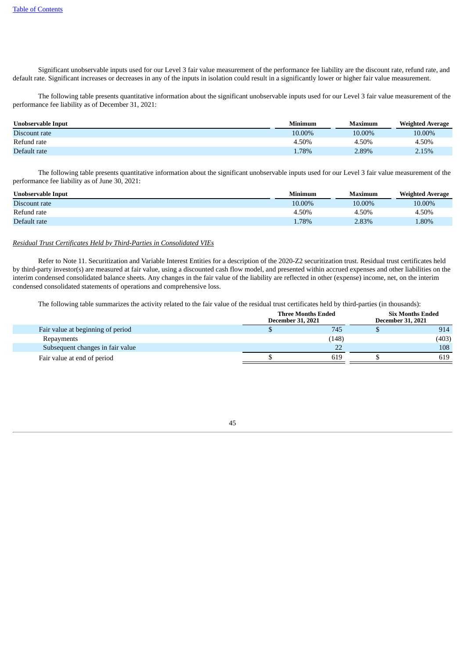Significant unobservable inputs used for our Level 3 fair value measurement of the performance fee liability are the discount rate, refund rate, and default rate. Significant increases or decreases in any of the inputs in isolation could result in a significantly lower or higher fair value measurement.

The following table presents quantitative information about the significant unobservable inputs used for our Level 3 fair value measurement of the performance fee liability as of December 31, 2021:

| Unobservable Input | <b>Minimum</b> | <b>Maximum</b> | <b>Weighted Average</b> |
|--------------------|----------------|----------------|-------------------------|
| Discount rate      | 10.00%         | 10.00%         | 10.00%                  |
| Refund rate        | 4.50%          | 4.50%          | 4.50%                   |
| Default rate       | .78%           | 2.89%          | 2.15%                   |

The following table presents quantitative information about the significant unobservable inputs used for our Level 3 fair value measurement of the performance fee liability as of June 30, 2021:

| Unobservable Input | <b>Minimum</b> | <b>Maximum</b> | <b>Weighted Average</b> |
|--------------------|----------------|----------------|-------------------------|
| Discount rate      | 10.00%         | 10.00%         | 10.00%                  |
| Refund rate        | 4.50%          | 4.50%          | 4.50%                   |
| Default rate       | 1.78%          | 2.83%          | .80%                    |

## *Residual Trust Certificates Held by Third-Parties in Consolidated VIEs*

Refer to Note 11. Securitization and Variable Interest Entities for a description of the 2020-Z2 securitization trust. Residual trust certificates held by third-party investor(s) are measured at fair value, using a discounted cash flow model, and presented within accrued expenses and other liabilities on the interim condensed consolidated balance sheets. Any changes in the fair value of the liability are reflected in other (expense) income, net, on the interim condensed consolidated statements of operations and comprehensive loss.

The following table summarizes the activity related to the fair value of the residual trust certificates held by third-parties (in thousands):

|                                   | <b>Three Months Ended</b><br><b>December 31, 2021</b> |       | <b>December 31, 2021</b> | <b>Six Months Ended</b> |
|-----------------------------------|-------------------------------------------------------|-------|--------------------------|-------------------------|
| Fair value at beginning of period |                                                       | 745   |                          | 914                     |
| Repayments                        |                                                       | (148) |                          | (403)                   |
| Subsequent changes in fair value  |                                                       | つつ    |                          | 108                     |
| Fair value at end of period       |                                                       | 619   |                          | 619                     |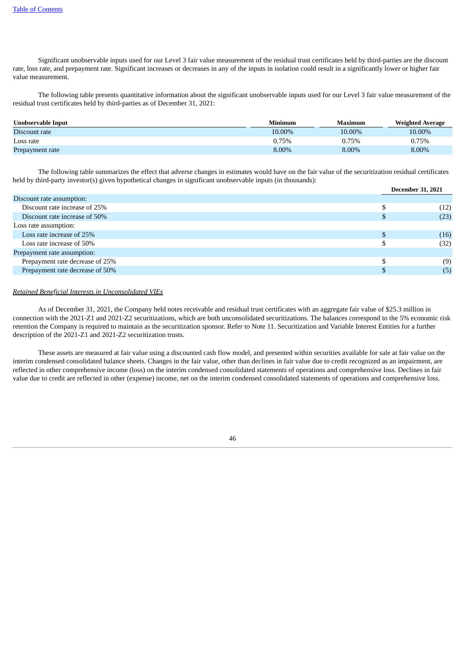Significant unobservable inputs used for our Level 3 fair value measurement of the residual trust certificates held by third-parties are the discount rate, loss rate, and prepayment rate. Significant increases or decreases in any of the inputs in isolation could result in a significantly lower or higher fair value measurement.

The following table presents quantitative information about the significant unobservable inputs used for our Level 3 fair value measurement of the residual trust certificates held by third-parties as of December 31, 2021:

| Unobservable Input | <b>Minimum</b> | Maximum | <b>Weighted Average</b> |
|--------------------|----------------|---------|-------------------------|
| Discount rate      | 10.00%         | 10.00%  | 10.00%                  |
| Loss rate          | 0.75%          | 0.75%   | 0.75%                   |
| Prepayment rate    | 8.00%          | 8.00%   | 8.00%                   |

The following table summarizes the effect that adverse changes in estimates would have on the fair value of the securitization residual certificates held by third-party investor(s) given hypothetical changes in significant unobservable inputs (in thousands):

|                                 | <b>December 31, 2021</b> |
|---------------------------------|--------------------------|
| Discount rate assumption:       |                          |
| Discount rate increase of 25%   | (12)                     |
| Discount rate increase of 50%   | (23)                     |
| Loss rate assumption:           |                          |
| Loss rate increase of 25%       | (16)                     |
| Loss rate increase of 50%       | (32)                     |
| Prepayment rate assumption:     |                          |
| Prepayment rate decrease of 25% | (9)                      |
| Prepayment rate decrease of 50% | (5)                      |
|                                 |                          |

#### *Retained Beneficial Interests in Unconsolidated VIEs*

As of December 31, 2021, the Company held notes receivable and residual trust certificates with an aggregate fair value of \$25.3 million in connection with the 2021-Z1 and 2021-Z2 securitizations, which are both unconsolidated securitizations. The balances correspond to the 5% economic risk retention the Company is required to maintain as the securitization sponsor. Refer to Note 11. Securitization and Variable Interest Entities for a further description of the 2021-Z1 and 2021-Z2 securitization trusts.

These assets are measured at fair value using a discounted cash flow model, and presented within securities available for sale at fair value on the interim condensed consolidated balance sheets. Changes in the fair value, other than declines in fair value due to credit recognized as an impairment, are reflected in other comprehensive income (loss) on the interim condensed consolidated statements of operations and comprehensive loss. Declines in fair value due to credit are reflected in other (expense) income, net on the interim condensed consolidated statements of operations and comprehensive loss.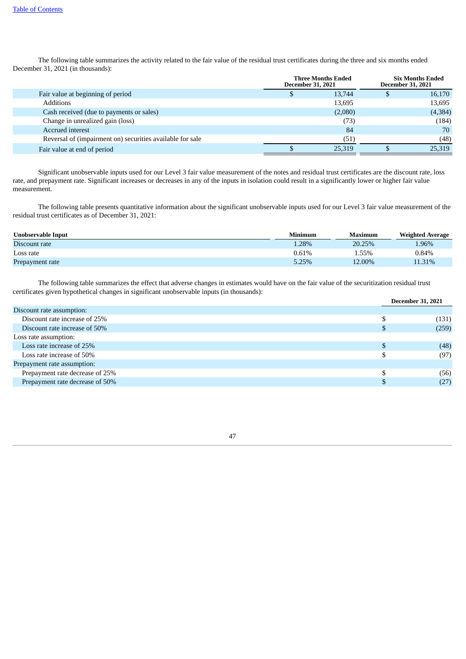The following table summarizes the activity related to the fair value of the residual trust certificates during the three and six months ended December 31, 2021 (in thousands):

|                                                           | <b>Three Months Ended</b><br><b>December 31, 2021</b> |         | <b>December 31, 2021</b> | <b>Six Months Ended</b> |
|-----------------------------------------------------------|-------------------------------------------------------|---------|--------------------------|-------------------------|
| Fair value at beginning of period                         |                                                       | 13.744  |                          | 16,170                  |
| <b>Additions</b>                                          |                                                       | 13.695  |                          | 13,695                  |
| Cash received (due to payments or sales)                  |                                                       | (2,080) |                          | (4, 384)                |
| Change in unrealized gain (loss)                          |                                                       | (73)    |                          | (184)                   |
| <b>Accrued</b> interest                                   |                                                       | 84      |                          | 70                      |
| Reversal of (impairment on) securities available for sale |                                                       | (51)    |                          | (48)                    |
| Fair value at end of period                               |                                                       | 25,319  |                          | 25,319                  |

Significant unobservable inputs used for our Level 3 fair value measurement of the notes and residual trust certificates are the discount rate, loss rate, and prepayment rate. Significant increases or decreases in any of the inputs in isolation could result in a significantly lower or higher fair value measurement.

The following table presents quantitative information about the significant unobservable inputs used for our Level 3 fair value measurement of the residual trust certificates as of December 31, 2021:

| Unobservable Input | <b>Minimum</b> | Maximum | <b>Weighted Average</b> |
|--------------------|----------------|---------|-------------------------|
| Discount rate      | .28%           | 20.25%  | .96%                    |
| Loss rate          | 0.61%          | .55%    | 0.84%                   |
| Prepayment rate    | 5.25%          | 12.00%  | 11.31%                  |

The following table summarizes the effect that adverse changes in estimates would have on the fair value of the securitization residual trust certificates given hypothetical changes in significant unobservable inputs (in thousands):

|                                 | <b>December 31, 2021</b> |
|---------------------------------|--------------------------|
| Discount rate assumption:       |                          |
| Discount rate increase of 25%   | (131)                    |
| Discount rate increase of 50%   | (259)                    |
| Loss rate assumption:           |                          |
| Loss rate increase of 25%       | (48)                     |
| Loss rate increase of 50%       | (97)                     |
| Prepayment rate assumption:     |                          |
| Prepayment rate decrease of 25% | (56)                     |
| Prepayment rate decrease of 50% | (27)                     |
|                                 |                          |

47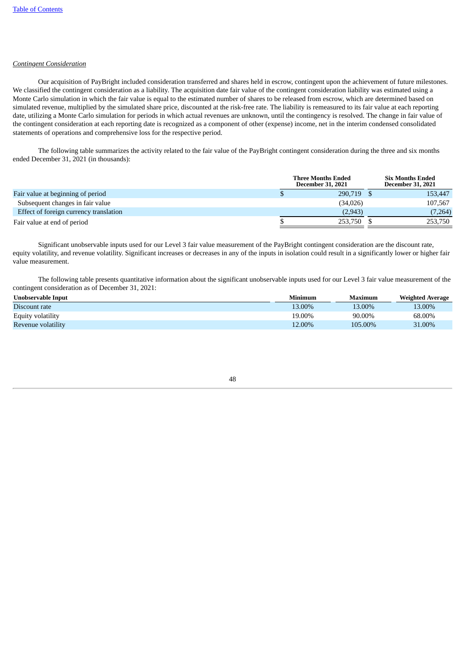## *Contingent Consideration*

Our acquisition of PayBright included consideration transferred and shares held in escrow, contingent upon the achievement of future milestones. We classified the contingent consideration as a liability. The acquisition date fair value of the contingent consideration liability was estimated using a Monte Carlo simulation in which the fair value is equal to the estimated number of shares to be released from escrow, which are determined based on simulated revenue, multiplied by the simulated share price, discounted at the risk-free rate. The liability is remeasured to its fair value at each reporting date, utilizing a Monte Carlo simulation for periods in which actual revenues are unknown, until the contingency is resolved. The change in fair value of the contingent consideration at each reporting date is recognized as a component of other (expense) income, net in the interim condensed consolidated statements of operations and comprehensive loss for the respective period.

The following table summarizes the activity related to the fair value of the PayBright contingent consideration during the three and six months ended December 31, 2021 (in thousands):

| <b>Three Months Ended</b><br><b>December 31, 2021</b> |          |  | <b>Six Months Ended</b><br><b>December 31, 2021</b> |  |  |
|-------------------------------------------------------|----------|--|-----------------------------------------------------|--|--|
|                                                       |          |  | 153,447                                             |  |  |
|                                                       | (34,026) |  | 107.567                                             |  |  |
|                                                       | (2,943)  |  | (7,264)                                             |  |  |
|                                                       | 253,750  |  | 253,750                                             |  |  |
|                                                       |          |  | 290,719 \$                                          |  |  |

Significant unobservable inputs used for our Level 3 fair value measurement of the PayBright contingent consideration are the discount rate, equity volatility, and revenue volatility. Significant increases or decreases in any of the inputs in isolation could result in a significantly lower or higher fair value measurement.

The following table presents quantitative information about the significant unobservable inputs used for our Level 3 fair value measurement of the contingent consideration as of December 31, 2021:

| Unobservable Input | <b>Minimum</b> | <b>Maximum</b> | <b>Weighted Average</b> |
|--------------------|----------------|----------------|-------------------------|
| Discount rate      | 13.00%         | 13.00%         | 13.00%                  |
| Equity volatility  | 19.00%         | 90.00%         | 68.00%                  |
| Revenue volatility | 12.00%         | 105.00%        | 31.00%                  |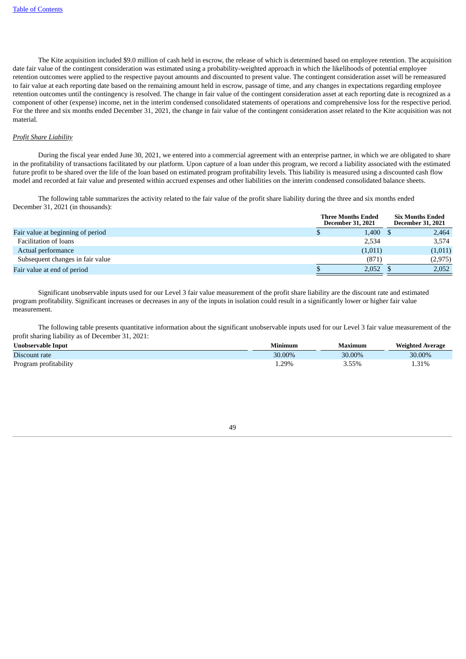The Kite acquisition included \$9.0 million of cash held in escrow, the release of which is determined based on employee retention. The acquisition date fair value of the contingent consideration was estimated using a probability-weighted approach in which the likelihoods of potential employee retention outcomes were applied to the respective payout amounts and discounted to present value. The contingent consideration asset will be remeasured to fair value at each reporting date based on the remaining amount held in escrow, passage of time, and any changes in expectations regarding employee retention outcomes until the contingency is resolved. The change in fair value of the contingent consideration asset at each reporting date is recognized as a component of other (expense) income, net in the interim condensed consolidated statements of operations and comprehensive loss for the respective period. For the three and six months ended December 31, 2021, the change in fair value of the contingent consideration asset related to the Kite acquisition was not material.

### *Profit Share Liability*

During the fiscal year ended June 30, 2021, we entered into a commercial agreement with an enterprise partner, in which we are obligated to share in the profitability of transactions facilitated by our platform. Upon capture of a loan under this program, we record a liability associated with the estimated future profit to be shared over the life of the loan based on estimated program profitability levels. This liability is measured using a discounted cash flow model and recorded at fair value and presented within accrued expenses and other liabilities on the interim condensed consolidated balance sheets.

The following table summarizes the activity related to the fair value of the profit share liability during the three and six months ended December 31, 2021 (in thousands):

|                                   | <b>Three Months Ended</b><br><b>December 31, 2021</b> |         |  | <b>Six Months Ended</b><br><b>December 31, 2021</b> |  |
|-----------------------------------|-------------------------------------------------------|---------|--|-----------------------------------------------------|--|
| Fair value at beginning of period |                                                       | 1,400   |  | 2,464                                               |  |
| Facilitation of loans             |                                                       | 2,534   |  | 3,574                                               |  |
| Actual performance                |                                                       | (1,011) |  | (1,011)                                             |  |
| Subsequent changes in fair value  |                                                       | (871)   |  | (2, 975)                                            |  |
| Fair value at end of period       |                                                       | 2.052   |  | 2,052                                               |  |

Significant unobservable inputs used for our Level 3 fair value measurement of the profit share liability are the discount rate and estimated program profitability. Significant increases or decreases in any of the inputs in isolation could result in a significantly lower or higher fair value measurement.

The following table presents quantitative information about the significant unobservable inputs used for our Level 3 fair value measurement of the profit sharing liability as of December 31, 2021:

| Unobservable Input       | Minimum                    | Maximum        | <b>Weighted Average</b> |
|--------------------------|----------------------------|----------------|-------------------------|
| Discount rate            | 30.00%                     | 30.00%         | 30.00%                  |
| profitability<br>Program | 700 <sub>6</sub><br>1.ZY70 | 5504<br>J.JJ/U | 1.31%                   |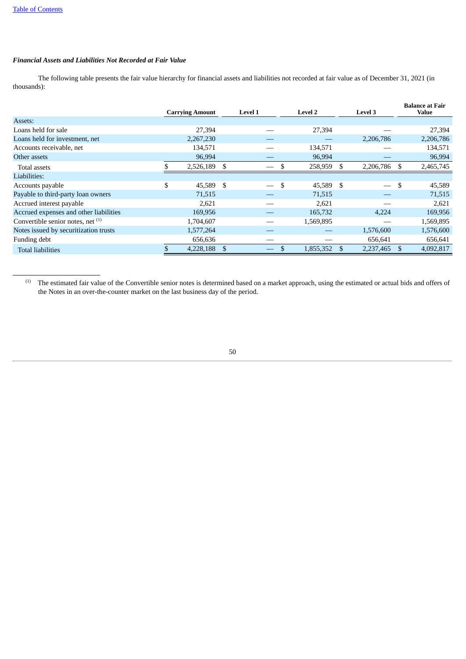# *Financial Assets and Liabilities Not Recorded at Fair Value*

The following table presents the fair value hierarchy for financial assets and liabilities not recorded at fair value as of December 31, 2021 (in thousands):

|                                        | <b>Carrying Amount</b> |           |    | <b>Level 2</b><br><b>Level 1</b> |  |     | <b>Level 3</b> |     | <b>Balance at Fair</b><br>Value |    |           |
|----------------------------------------|------------------------|-----------|----|----------------------------------|--|-----|----------------|-----|---------------------------------|----|-----------|
| Assets:                                |                        |           |    |                                  |  |     |                |     |                                 |    |           |
| Loans held for sale                    |                        | 27,394    |    |                                  |  |     | 27,394         |     |                                 |    | 27,394    |
| Loans held for investment, net         |                        | 2,267,230 |    |                                  |  |     |                |     | 2,206,786                       |    | 2,206,786 |
| Accounts receivable, net               |                        | 134,571   |    |                                  |  |     | 134,571        |     |                                 |    | 134,571   |
| Other assets                           |                        | 96,994    |    |                                  |  |     | 96,994         |     |                                 |    | 96,994    |
| Total assets                           |                        | 2,526,189 | S  |                                  |  | \$  | 258,959        | \$. | 2,206,786                       | \$ | 2,465,745 |
| Liabilities:                           |                        |           |    |                                  |  |     |                |     |                                 |    |           |
| Accounts payable                       | \$                     | 45,589 \$ |    |                                  |  | -\$ | 45,589 \$      |     |                                 | \$ | 45,589    |
| Payable to third-party loan owners     |                        | 71,515    |    |                                  |  |     | 71,515         |     |                                 |    | 71,515    |
| Accrued interest payable               |                        | 2,621     |    |                                  |  |     | 2,621          |     |                                 |    | 2,621     |
| Accrued expenses and other liabilities |                        | 169,956   |    |                                  |  |     | 165,732        |     | 4,224                           |    | 169,956   |
| Convertible senior notes, net (1)      |                        | 1,704,607 |    |                                  |  |     | 1,569,895      |     |                                 |    | 1,569,895 |
| Notes issued by securitization trusts  |                        | 1,577,264 |    |                                  |  |     |                |     | 1,576,600                       |    | 1,576,600 |
| Funding debt                           |                        | 656,636   |    |                                  |  |     |                |     | 656,641                         |    | 656,641   |
| <b>Total liabilities</b>               |                        | 4,228,188 | \$ |                                  |  |     | 1,855,352      |     | 2,237,465                       |    | 4,092,817 |

The estimated fair value of the Convertible senior notes is determined based on a market approach, using the estimated or actual bids and offers of the Notes in an over-the-counter market on the last business day of the period. (1)

<sup>50</sup>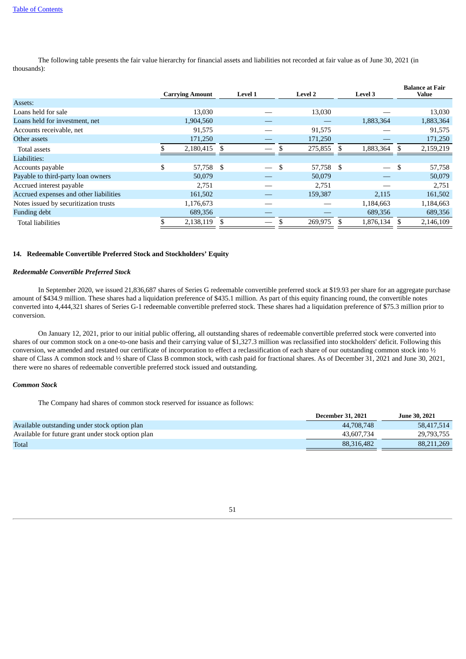The following table presents the fair value hierarchy for financial assets and liabilities not recorded at fair value as of June 30, 2021 (in thousands):

|                                        | <b>Carrying Amount</b> | <b>Level 1</b> |  | <b>Level 2</b> |           | <b>Level 3</b> |           | <b>Balance at Fair</b><br>Value |           |
|----------------------------------------|------------------------|----------------|--|----------------|-----------|----------------|-----------|---------------------------------|-----------|
| Assets:                                |                        |                |  |                |           |                |           |                                 |           |
| Loans held for sale                    | 13,030                 |                |  |                | 13,030    |                |           |                                 | 13,030    |
| Loans held for investment, net         | 1,904,560              |                |  |                |           |                | 1,883,364 |                                 | 1,883,364 |
| Accounts receivable, net               | 91,575                 |                |  |                | 91,575    |                |           |                                 | 91,575    |
| Other assets                           | 171,250                |                |  |                | 171,250   |                |           |                                 | 171,250   |
| Total assets                           | 2,180,415 \$           |                |  |                | 275,855   | \$.            | 1,883,364 | \$                              | 2,159,219 |
| Liabilities:                           |                        |                |  |                |           |                |           |                                 |           |
| Accounts payable                       | \$<br>57,758 \$        |                |  | -\$            | 57,758 \$ |                |           | $\mathbf{s}$                    | 57,758    |
| Payable to third-party loan owners     | 50,079                 |                |  |                | 50,079    |                |           |                                 | 50,079    |
| Accrued interest payable               | 2,751                  |                |  |                | 2,751     |                |           |                                 | 2,751     |
| Accrued expenses and other liabilities | 161,502                |                |  |                | 159,387   |                | 2,115     |                                 | 161,502   |
| Notes issued by securitization trusts  | 1,176,673              |                |  |                |           |                | 1,184,663 |                                 | 1,184,663 |
| Funding debt                           | 689,356                |                |  |                |           |                | 689,356   |                                 | 689,356   |
| <b>Total liabilities</b>               | 2,138,119              | - \$           |  |                | 269,975   |                | 1,876,134 |                                 | 2,146,109 |

### **14. Redeemable Convertible Preferred Stock and Stockholders' Equity**

#### *Redeemable Convertible Preferred Stock*

In September 2020, we issued 21,836,687 shares of Series G redeemable convertible preferred stock at \$19.93 per share for an aggregate purchase amount of \$434.9 million. These shares had a liquidation preference of \$435.1 million. As part of this equity financing round, the convertible notes converted into 4,444,321 shares of Series G-1 redeemable convertible preferred stock. These shares had a liquidation preference of \$75.3 million prior to conversion.

On January 12, 2021, prior to our initial public offering, all outstanding shares of redeemable convertible preferred stock were converted into shares of our common stock on a one-to-one basis and their carrying value of \$1,327.3 million was reclassified into stockholders' deficit. Following this conversion, we amended and restated our certificate of incorporation to effect a reclassification of each share of our outstanding common stock into ½ share of Class A common stock and ½ share of Class B common stock, with cash paid for fractional shares. As of December 31, 2021 and June 30, 2021, there were no shares of redeemable convertible preferred stock issued and outstanding.

#### *Common Stock*

The Company had shares of common stock reserved for issuance as follows:

|                                                    | <b>December 31, 2021</b> | <b>June 30, 2021</b> |
|----------------------------------------------------|--------------------------|----------------------|
| Available outstanding under stock option plan      | 44,708,748               | 58,417,514           |
| Available for future grant under stock option plan | 43,607,734               | 29,793,755           |
| <b>Total</b>                                       | 88.316.482               | 88.211.269           |

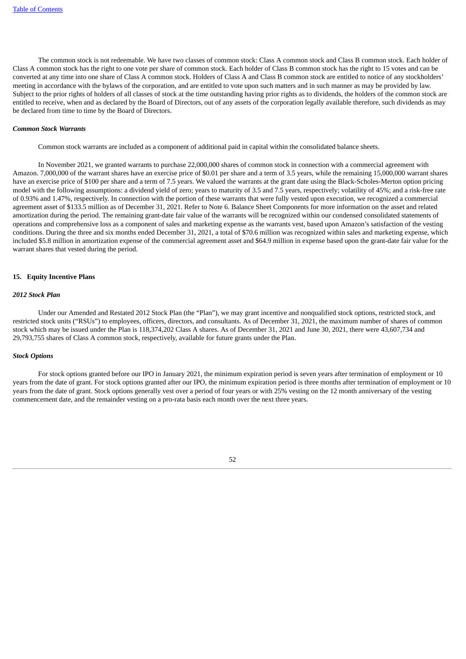The common stock is not redeemable. We have two classes of common stock: Class A common stock and Class B common stock. Each holder of Class A common stock has the right to one vote per share of common stock. Each holder of Class B common stock has the right to 15 votes and can be converted at any time into one share of Class A common stock. Holders of Class A and Class B common stock are entitled to notice of any stockholders' meeting in accordance with the bylaws of the corporation, and are entitled to vote upon such matters and in such manner as may be provided by law. Subject to the prior rights of holders of all classes of stock at the time outstanding having prior rights as to dividends, the holders of the common stock are entitled to receive, when and as declared by the Board of Directors, out of any assets of the corporation legally available therefore, such dividends as may be declared from time to time by the Board of Directors.

#### *Common Stock Warrants*

Common stock warrants are included as a component of additional paid in capital within the consolidated balance sheets.

In November 2021, we granted warrants to purchase 22,000,000 shares of common stock in connection with a commercial agreement with Amazon. 7,000,000 of the warrant shares have an exercise price of \$0.01 per share and a term of 3.5 years, while the remaining 15,000,000 warrant shares have an exercise price of \$100 per share and a term of 7.5 years. We valued the warrants at the grant date using the Black-Scholes-Merton option pricing model with the following assumptions: a dividend yield of zero; years to maturity of 3.5 and 7.5 years, respectively; volatility of 45%; and a risk-free rate of 0.93% and 1.47%, respectively. In connection with the portion of these warrants that were fully vested upon execution, we recognized a commercial agreement asset of \$133.5 million as of December 31, 2021. Refer to Note 6. Balance Sheet Components for more information on the asset and related amortization during the period. The remaining grant-date fair value of the warrants will be recognized within our condensed consolidated statements of operations and comprehensive loss as a component of sales and marketing expense as the warrants vest, based upon Amazon's satisfaction of the vesting conditions. During the three and six months ended December 31, 2021, a total of \$70.6 million was recognized within sales and marketing expense, which included \$5.8 million in amortization expense of the commercial agreement asset and \$64.9 million in expense based upon the grant-date fair value for the warrant shares that vested during the period.

#### **15. Equity Incentive Plans**

#### *2012 Stock Plan*

Under our Amended and Restated 2012 Stock Plan (the "Plan"), we may grant incentive and nonqualified stock options, restricted stock, and restricted stock units ("RSUs") to employees, officers, directors, and consultants. As of December 31, 2021, the maximum number of shares of common stock which may be issued under the Plan is 118,374,202 Class A shares. As of December 31, 2021 and June 30, 2021, there were 43,607,734 and 29,793,755 shares of Class A common stock, respectively, available for future grants under the Plan.

### *Stock Options*

For stock options granted before our IPO in January 2021, the minimum expiration period is seven years after termination of employment or 10 years from the date of grant. For stock options granted after our IPO, the minimum expiration period is three months after termination of employment or 10 years from the date of grant. Stock options generally vest over a period of four years or with 25% vesting on the 12 month anniversary of the vesting commencement date, and the remainder vesting on a pro-rata basis each month over the next three years.

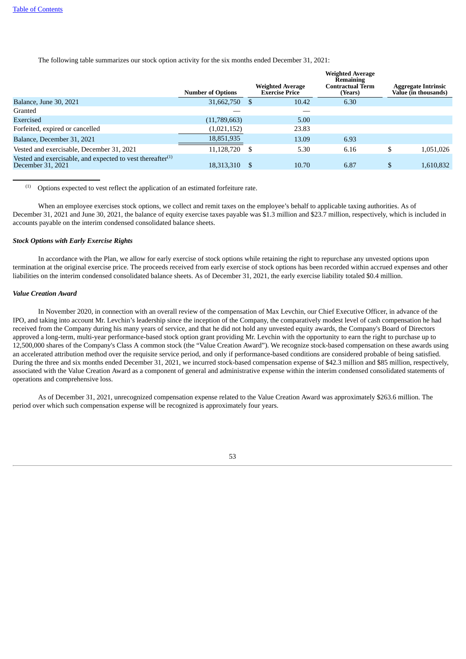The following table summarizes our stock option activity for the six months ended December 31, 2021:

|                                                                                    | <b>Number of Options</b> |     | <b>Weighted Average</b><br><b>Exercise Price</b> | <b>Weighted Average</b><br>Remaining<br><b>Contractual Term</b><br>(Years) |    | <b>Aggregate Intrinsic</b><br><b>Value (in thousands)</b> |
|------------------------------------------------------------------------------------|--------------------------|-----|--------------------------------------------------|----------------------------------------------------------------------------|----|-----------------------------------------------------------|
| Balance, June 30, 2021                                                             | 31,662,750               |     | 10.42                                            | 6.30                                                                       |    |                                                           |
| Granted                                                                            |                          |     |                                                  |                                                                            |    |                                                           |
| Exercised                                                                          | (11,789,663)             |     | 5.00                                             |                                                                            |    |                                                           |
| Forfeited, expired or cancelled                                                    | (1,021,152)              |     | 23.83                                            |                                                                            |    |                                                           |
| Balance, December 31, 2021                                                         | 18,851,935               |     | 13.09                                            | 6.93                                                                       |    |                                                           |
| Vested and exercisable, December 31, 2021                                          | 11,128,720               | -S  | 5.30                                             | 6.16                                                                       | S  | 1,051,026                                                 |
| Vested and exercisable, and expected to vest thereafter $(1)$<br>December 31, 2021 | 18,313,310               | \$. | 10.70                                            | 6.87                                                                       | \$ | 1,610,832                                                 |
|                                                                                    |                          |     |                                                  |                                                                            |    |                                                           |

 $(1)$  Options expected to vest reflect the application of an estimated forfeiture rate.

When an employee exercises stock options, we collect and remit taxes on the employee's behalf to applicable taxing authorities. As of December 31, 2021 and June 30, 2021, the balance of equity exercise taxes payable was \$1.3 million and \$23.7 million, respectively, which is included in accounts payable on the interim condensed consolidated balance sheets.

#### *Stock Options with Early Exercise Rights*

In accordance with the Plan, we allow for early exercise of stock options while retaining the right to repurchase any unvested options upon termination at the original exercise price. The proceeds received from early exercise of stock options has been recorded within accrued expenses and other liabilities on the interim condensed consolidated balance sheets. As of December 31, 2021, the early exercise liability totaled \$0.4 million.

### *Value Creation Award*

In November 2020, in connection with an overall review of the compensation of Max Levchin, our Chief Executive Officer, in advance of the IPO, and taking into account Mr. Levchin's leadership since the inception of the Company, the comparatively modest level of cash compensation he had received from the Company during his many years of service, and that he did not hold any unvested equity awards, the Company's Board of Directors approved a long-term, multi-year performance-based stock option grant providing Mr. Levchin with the opportunity to earn the right to purchase up to 12,500,000 shares of the Company's Class A common stock (the "Value Creation Award"). We recognize stock-based compensation on these awards using an accelerated attribution method over the requisite service period, and only if performance-based conditions are considered probable of being satisfied. During the three and six months ended December 31, 2021, we incurred stock-based compensation expense of \$42.3 million and \$85 million, respectively, associated with the Value Creation Award as a component of general and administrative expense within the interim condensed consolidated statements of operations and comprehensive loss.

As of December 31, 2021, unrecognized compensation expense related to the Value Creation Award was approximately \$263.6 million. The period over which such compensation expense will be recognized is approximately four years.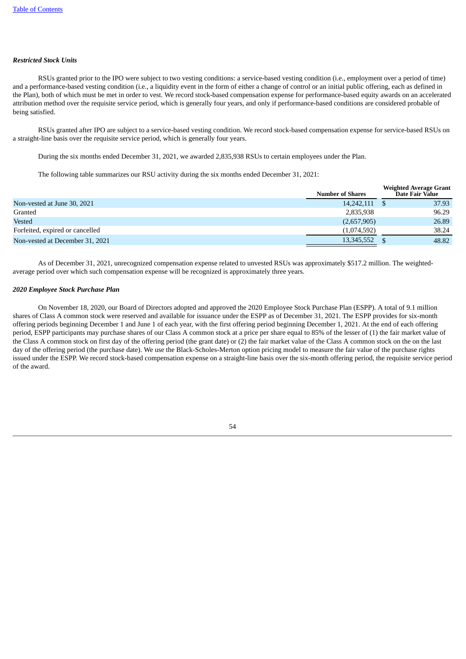### *Restricted Stock Units*

RSUs granted prior to the IPO were subject to two vesting conditions: a service-based vesting condition (i.e., employment over a period of time) and a performance-based vesting condition (i.e., a liquidity event in the form of either a change of control or an initial public offering, each as defined in the Plan), both of which must be met in order to vest. We record stock-based compensation expense for performance-based equity awards on an accelerated attribution method over the requisite service period, which is generally four years, and only if performance-based conditions are considered probable of being satisfied.

RSUs granted after IPO are subject to a service-based vesting condition. We record stock-based compensation expense for service-based RSUs on a straight-line basis over the requisite service period, which is generally four years.

During the six months ended December 31, 2021, we awarded 2,835,938 RSUs to certain employees under the Plan.

The following table summarizes our RSU activity during the six months ended December 31, 2021:

|                                 | Number of Shares | <b>Weighted Average Grant</b><br>Date Fair Value |
|---------------------------------|------------------|--------------------------------------------------|
| Non-vested at June 30, 2021     | 14,242,111       | 37.93                                            |
| Granted                         | 2,835,938        | 96.29                                            |
| <b>Vested</b>                   | (2,657,905)      | 26.89                                            |
| Forfeited, expired or cancelled | (1,074,592)      | 38.24                                            |
| Non-vested at December 31, 2021 | 13,345,552       | 48.82                                            |

As of December 31, 2021, unrecognized compensation expense related to unvested RSUs was approximately \$517.2 million. The weightedaverage period over which such compensation expense will be recognized is approximately three years.

### *2020 Employee Stock Purchase Plan*

On November 18, 2020, our Board of Directors adopted and approved the 2020 Employee Stock Purchase Plan (ESPP). A total of 9.1 million shares of Class A common stock were reserved and available for issuance under the ESPP as of December 31, 2021. The ESPP provides for six-month offering periods beginning December 1 and June 1 of each year, with the first offering period beginning December 1, 2021. At the end of each offering period, ESPP participants may purchase shares of our Class A common stock at a price per share equal to 85% of the lesser of (1) the fair market value of the Class A common stock on first day of the offering period (the grant date) or (2) the fair market value of the Class A common stock on the on the last day of the offering period (the purchase date). We use the Black-Scholes-Merton option pricing model to measure the fair value of the purchase rights issued under the ESPP. We record stock-based compensation expense on a straight-line basis over the six-month offering period, the requisite service period of the award.

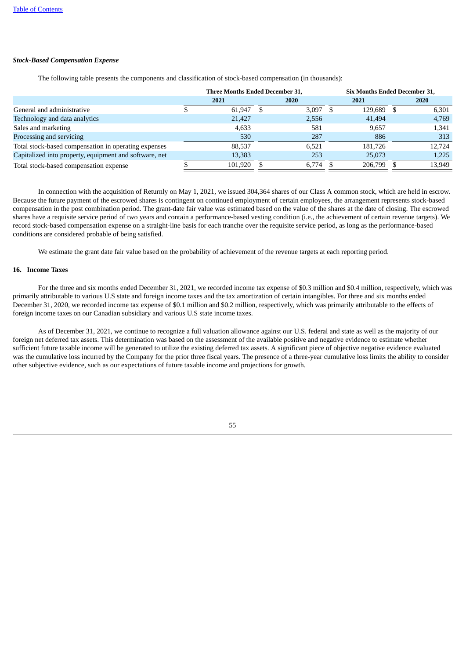## *Stock-Based Compensation Expense*

The following table presents the components and classification of stock-based compensation (in thousands):

|                                                        |         | <b>Three Months Ended December 31,</b> | <b>Six Months Ended December 31,</b> |        |  |  |
|--------------------------------------------------------|---------|----------------------------------------|--------------------------------------|--------|--|--|
|                                                        | 2021    | 2020                                   | 2021                                 | 2020   |  |  |
| General and administrative                             | 61,947  | 3.097                                  | 129,689                              | 6,301  |  |  |
| Technology and data analytics                          | 21,427  | 2,556                                  | 41,494                               | 4,769  |  |  |
| Sales and marketing                                    | 4,633   | 581                                    | 9.657                                | 1,341  |  |  |
| Processing and servicing                               | 530     | 287                                    | 886                                  | 313    |  |  |
| Total stock-based compensation in operating expenses   | 88,537  | 6,521                                  | 181,726                              | 12.724 |  |  |
| Capitalized into property, equipment and software, net | 13,383  | 253                                    | 25,073                               | 1,225  |  |  |
| Total stock-based compensation expense                 | 101.920 | 6.774                                  | 206,799                              | 13,949 |  |  |

In connection with the acquisition of Returnly on May 1, 2021, we issued 304,364 shares of our Class A common stock, which are held in escrow. Because the future payment of the escrowed shares is contingent on continued employment of certain employees, the arrangement represents stock-based compensation in the post combination period. The grant-date fair value was estimated based on the value of the shares at the date of closing. The escrowed shares have a requisite service period of two years and contain a performance-based vesting condition (i.e., the achievement of certain revenue targets). We record stock-based compensation expense on a straight-line basis for each tranche over the requisite service period, as long as the performance-based conditions are considered probable of being satisfied.

We estimate the grant date fair value based on the probability of achievement of the revenue targets at each reporting period.

## **16. Income Taxes**

For the three and six months ended December 31, 2021, we recorded income tax expense of \$0.3 million and \$0.4 million, respectively, which was primarily attributable to various U.S state and foreign income taxes and the tax amortization of certain intangibles. For three and six months ended December 31, 2020, we recorded income tax expense of \$0.1 million and \$0.2 million, respectively, which was primarily attributable to the effects of foreign income taxes on our Canadian subsidiary and various U.S state income taxes.

As of December 31, 2021, we continue to recognize a full valuation allowance against our U.S. federal and state as well as the majority of our foreign net deferred tax assets. This determination was based on the assessment of the available positive and negative evidence to estimate whether sufficient future taxable income will be generated to utilize the existing deferred tax assets. A significant piece of objective negative evidence evaluated was the cumulative loss incurred by the Company for the prior three fiscal years. The presence of a three-year cumulative loss limits the ability to consider other subjective evidence, such as our expectations of future taxable income and projections for growth.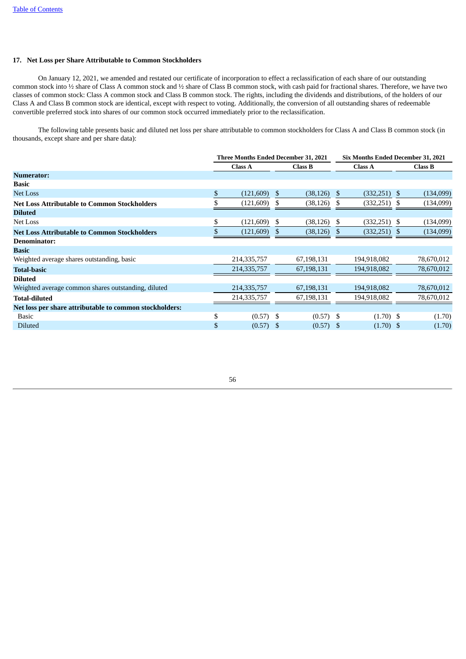# **17. Net Loss per Share Attributable to Common Stockholders**

On January 12, 2021, we amended and restated our certificate of incorporation to effect a reclassification of each share of our outstanding common stock into ½ share of Class A common stock and ½ share of Class B common stock, with cash paid for fractional shares. Therefore, we have two classes of common stock: Class A common stock and Class B common stock. The rights, including the dividends and distributions, of the holders of our Class A and Class B common stock are identical, except with respect to voting. Additionally, the conversion of all outstanding shares of redeemable convertible preferred stock into shares of our common stock occurred immediately prior to the reclassification.

The following table presents basic and diluted net loss per share attributable to common stockholders for Class A and Class B common stock (in thousands, except share and per share data):

| <b>Three Months Ended December 31, 2021</b> |                |                | Six Months Ended December 31, 2021 |                |             |               |                            |
|---------------------------------------------|----------------|----------------|------------------------------------|----------------|-------------|---------------|----------------------------|
|                                             | <b>Class A</b> | <b>Class B</b> |                                    | <b>Class A</b> |             |               | Class B                    |
|                                             |                |                |                                    |                |             |               |                            |
|                                             |                |                |                                    |                |             |               |                            |
| \$                                          | (121, 609)     | S              | (38, 126)                          | S.             | (332, 251)  | -S            | (134,099)                  |
|                                             | (121, 609)     | S.             | (38, 126)                          | S              | (332,251)   | S             | (134,099)                  |
|                                             |                |                |                                    |                |             |               |                            |
| \$                                          | (121, 609)     | S              | (38, 126)                          | S              | (332, 251)  | -S            | (134,099)                  |
|                                             | (121, 609)     | S              | (38, 126)                          | S              | (332, 251)  | <sup>\$</sup> | (134,099)                  |
|                                             |                |                |                                    |                |             |               |                            |
|                                             |                |                |                                    |                |             |               |                            |
|                                             | 214, 335, 757  |                | 67,198,131                         |                | 194,918,082 |               | 78,670,012                 |
|                                             | 214, 335, 757  |                | 67,198,131                         |                | 194,918,082 |               | 78,670,012                 |
|                                             |                |                |                                    |                |             |               |                            |
|                                             | 214, 335, 757  |                | 67,198,131                         |                | 194,918,082 |               | 78,670,012                 |
|                                             | 214,335,757    |                | 67,198,131                         |                | 194,918,082 |               | 78,670,012                 |
|                                             |                |                |                                    |                |             |               |                            |
| \$                                          |                |                |                                    |                |             |               | (1.70)                     |
| \$                                          |                |                | (0.57)                             | - \$           |             |               | (1.70)                     |
|                                             |                |                | $(0.57)$ \$<br>$(0.57)$ \$         |                | $(0.57)$ \$ |               | $(1.70)$ \$<br>$(1.70)$ \$ |

56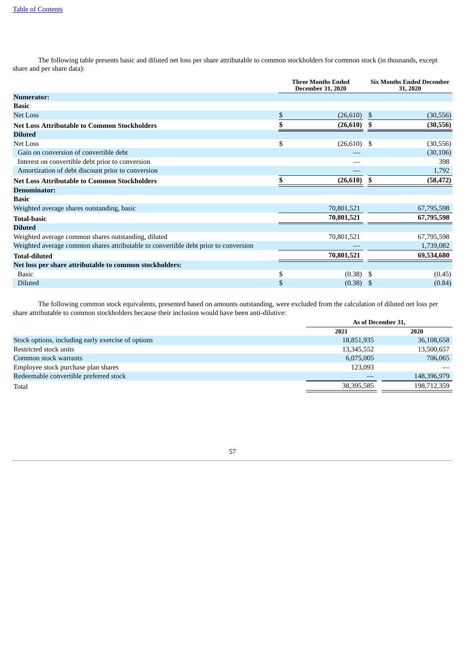The following table presents basic and diluted net loss per share attributable to common stockholders for common stock (in thousands, except share and per share data):

|                                                                                     | <b>Three Months Ended</b><br><b>December 31, 2020</b> |               |    | <b>Six Months Ended December</b><br>31, 2020 |  |  |
|-------------------------------------------------------------------------------------|-------------------------------------------------------|---------------|----|----------------------------------------------|--|--|
| <b>Numerator:</b>                                                                   |                                                       |               |    |                                              |  |  |
| <b>Basic</b>                                                                        |                                                       |               |    |                                              |  |  |
| Net Loss                                                                            | \$                                                    | $(26,610)$ \$ |    | (30, 556)                                    |  |  |
| <b>Net Loss Attributable to Common Stockholders</b>                                 |                                                       | (26, 610)     |    | (30, 556)                                    |  |  |
| <b>Diluted</b>                                                                      |                                                       |               |    |                                              |  |  |
| <b>Net Loss</b>                                                                     | \$                                                    | $(26,610)$ \$ |    | (30, 556)                                    |  |  |
| Gain on conversion of convertible debt                                              |                                                       |               |    | (30, 106)                                    |  |  |
| Interest on convertible debt prior to conversion                                    |                                                       |               |    | 398                                          |  |  |
| Amortization of debt discount prior to conversion                                   |                                                       |               |    | 1,792                                        |  |  |
| <b>Net Loss Attributable to Common Stockholders</b>                                 | S                                                     | (26, 610)     | -S | (58, 472)                                    |  |  |
| <b>Denominator:</b>                                                                 |                                                       |               |    |                                              |  |  |
| <b>Basic</b>                                                                        |                                                       |               |    |                                              |  |  |
| Weighted average shares outstanding, basic                                          |                                                       | 70,801,521    |    | 67,795,598                                   |  |  |
| <b>Total-basic</b>                                                                  |                                                       | 70,801,521    |    | 67,795,598                                   |  |  |
| <b>Diluted</b>                                                                      |                                                       |               |    |                                              |  |  |
| Weighted average common shares outstanding, diluted                                 |                                                       | 70,801,521    |    | 67,795,598                                   |  |  |
| Weighted average common shares attributable to convertible debt prior to conversion |                                                       |               |    | 1,739,082                                    |  |  |
| <b>Total-diluted</b>                                                                |                                                       | 70,801,521    |    | 69,534,680                                   |  |  |
| Net loss per share attributable to common stockholders:                             |                                                       |               |    |                                              |  |  |
| Basic                                                                               | \$                                                    | $(0.38)$ \$   |    | (0.45)                                       |  |  |
| Diluted                                                                             | $\mathfrak{S}$                                        | $(0.38)$ \$   |    | (0.84)                                       |  |  |

The following common stock equivalents, presented based on amounts outstanding, were excluded from the calculation of diluted net loss per share attributable to common stockholders because their inclusion would have been anti-dilutive:

|                                                    |            | As of December 31, |
|----------------------------------------------------|------------|--------------------|
|                                                    | 2021       | 2020               |
| Stock options, including early exercise of options | 18,851,935 | 36,108,658         |
| Restricted stock units                             | 13,345,552 | 13,500,657         |
| Common stock warrants                              | 6,075,005  | 706,065            |
| Employee stock purchase plan shares                | 123,093    |                    |
| Redeemable convertible preferred stock             |            | 148,396,979        |
| Total                                              | 38,395,585 | 198,712,359        |
|                                                    |            |                    |

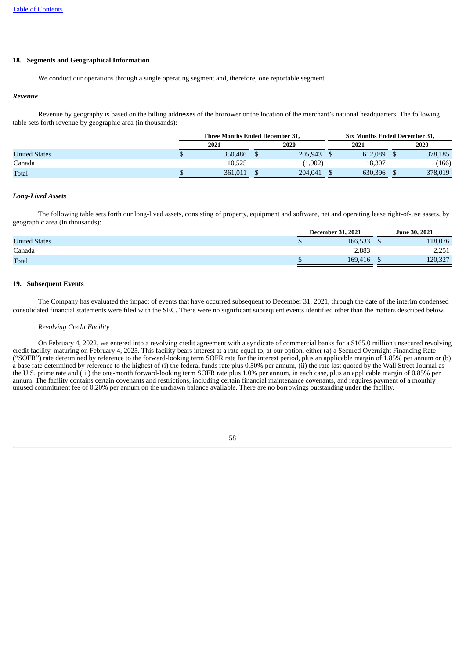## **18. Segments and Geographical Information**

We conduct our operations through a single operating segment and, therefore, one reportable segment.

## *Revenue*

Revenue by geography is based on the billing addresses of the borrower or the location of the merchant's national headquarters. The following table sets forth revenue by geographic area (in thousands):

|                      | Three Months Ended December 31, |         | <b>Six Months Ended December 31.</b> |         |  |         |  |
|----------------------|---------------------------------|---------|--------------------------------------|---------|--|---------|--|
|                      | 2021                            | 2020    |                                      | 2021    |  | 2020    |  |
| <b>United States</b> | 350,486                         | 205,943 |                                      | 612.089 |  | 378,185 |  |
| Canada               | 10,525                          | (1,902) |                                      | 18.307  |  | (166)   |  |
| <b>Total</b>         | 361.011                         | 204.041 |                                      | 630.396 |  | 378,019 |  |

## *Long-Lived Assets*

The following table sets forth our long-lived assets, consisting of property, equipment and software, net and operating lease right-of-use assets, by geographic area (in thousands):

|                      | <b>December 31, 2021</b> | June 30, 2021 |  |  |
|----------------------|--------------------------|---------------|--|--|
| <b>United States</b> | 166,533                  | 118,076       |  |  |
| Canada               | 2,883                    | 2,251         |  |  |
| <b>Total</b>         | 169.416                  | 120,327       |  |  |
|                      |                          |               |  |  |

## **19. Subsequent Events**

The Company has evaluated the impact of events that have occurred subsequent to December 31, 2021, through the date of the interim condensed consolidated financial statements were filed with the SEC. There were no significant subsequent events identified other than the matters described below.

## *Revolving Credit Facility*

On February 4, 2022, we entered into a revolving credit agreement with a syndicate of commercial banks for a \$165.0 million unsecured revolving credit facility, maturing on February 4, 2025. This facility bears interest at a rate equal to, at our option, either (a) a Secured Overnight Financing Rate ("SOFR") rate determined by reference to the forward-looking term SOFR rate for the interest period, plus an applicable margin of 1.85% per annum or (b) a base rate determined by reference to the highest of (i) the federal funds rate plus 0.50% per annum, (ii) the rate last quoted by the Wall Street Journal as the U.S. prime rate and (iii) the one-month forward-looking term SOFR rate plus 1.0% per annum, in each case, plus an applicable margin of 0.85% per annum. The facility contains certain covenants and restrictions, including certain financial maintenance covenants, and requires payment of a monthly unused commitment fee of 0.20% per annum on the undrawn balance available. There are no borrowings outstanding under the facility.

58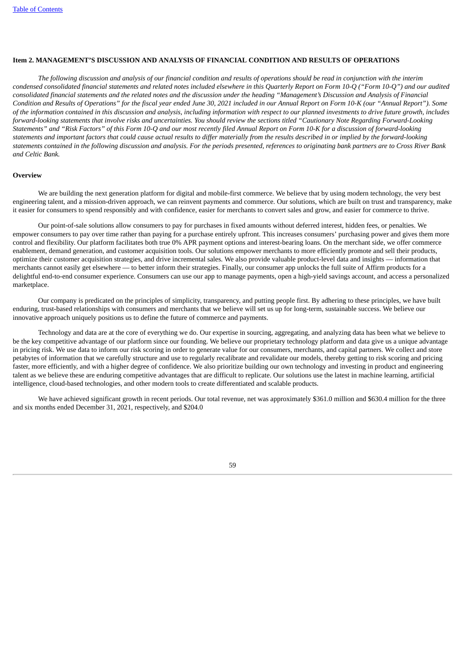## **Item 2. MANAGEMENT'S DISCUSSION AND ANALYSIS OF FINANCIAL CONDITION AND RESULTS OF OPERATIONS**

The following discussion and analysis of our financial condition and results of operations should be read in conjunction with the interim condensed consolidated financial statements and related notes included elsewhere in this Quarterly Report on Form 10-Q ("Form 10-Q") and our audited consolidated financial statements and the related notes and the discussion under the heading "Management's Discussion and Analysis of Financial Condition and Results of Operations" for the fiscal vear ended June 30, 2021 included in our Annual Report on Form 10-K (our "Annual Report"). Some of the information contained in this discussion and analysis, including information with respect to our planned investments to drive future growth, includes forward-looking statements that involve risks and uncertainties. You should review the sections titled "Cautionary Note Regarding Forward-Looking Statements" and "Risk Factors" of this Form 10-Q and our most recently filed Annual Report on Form 10-K for a discussion of forward-looking statements and important factors that could cause actual results to differ materially from the results described in or implied by the forward-looking statements contained in the following discussion and analysis. For the periods presented, references to originating bank partners are to Cross River Bank *and Celtic Bank.*

#### **Overview**

We are building the next generation platform for digital and mobile-first commerce. We believe that by using modern technology, the very best engineering talent, and a mission-driven approach, we can reinvent payments and commerce. Our solutions, which are built on trust and transparency, make it easier for consumers to spend responsibly and with confidence, easier for merchants to convert sales and grow, and easier for commerce to thrive.

Our point-of-sale solutions allow consumers to pay for purchases in fixed amounts without deferred interest, hidden fees, or penalties. We empower consumers to pay over time rather than paying for a purchase entirely upfront. This increases consumers' purchasing power and gives them more control and flexibility. Our platform facilitates both true 0% APR payment options and interest-bearing loans. On the merchant side, we offer commerce enablement, demand generation, and customer acquisition tools. Our solutions empower merchants to more efficiently promote and sell their products, optimize their customer acquisition strategies, and drive incremental sales. We also provide valuable product-level data and insights — information that merchants cannot easily get elsewhere — to better inform their strategies. Finally, our consumer app unlocks the full suite of Affirm products for a delightful end-to-end consumer experience. Consumers can use our app to manage payments, open a high-yield savings account, and access a personalized marketplace.

Our company is predicated on the principles of simplicity, transparency, and putting people first. By adhering to these principles, we have built enduring, trust-based relationships with consumers and merchants that we believe will set us up for long-term, sustainable success. We believe our innovative approach uniquely positions us to define the future of commerce and payments.

Technology and data are at the core of everything we do. Our expertise in sourcing, aggregating, and analyzing data has been what we believe to be the key competitive advantage of our platform since our founding. We believe our proprietary technology platform and data give us a unique advantage in pricing risk. We use data to inform our risk scoring in order to generate value for our consumers, merchants, and capital partners. We collect and store petabytes of information that we carefully structure and use to regularly recalibrate and revalidate our models, thereby getting to risk scoring and pricing faster, more efficiently, and with a higher degree of confidence. We also prioritize building our own technology and investing in product and engineering talent as we believe these are enduring competitive advantages that are difficult to replicate. Our solutions use the latest in machine learning, artificial intelligence, cloud-based technologies, and other modern tools to create differentiated and scalable products.

We have achieved significant growth in recent periods. Our total revenue, net was approximately \$361.0 million and \$630.4 million for the three and six months ended December 31, 2021, respectively, and \$204.0

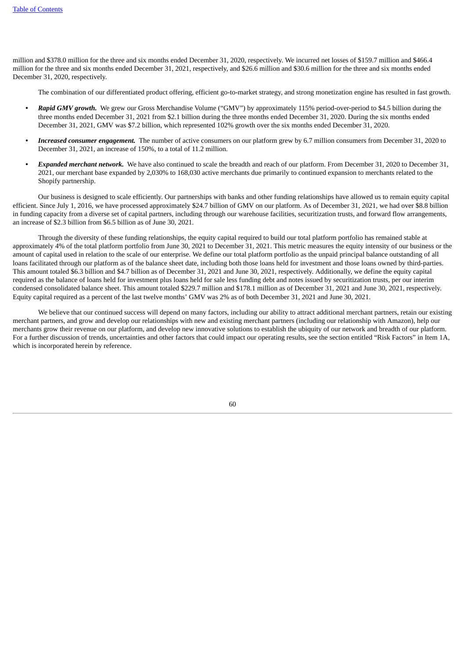million and \$378.0 million for the three and six months ended December 31, 2020, respectively. We incurred net losses of \$159.7 million and \$466.4 million for the three and six months ended December 31, 2021, respectively, and \$26.6 million and \$30.6 million for the three and six months ended December 31, 2020, respectively.

The combination of our differentiated product offering, efficient go-to-market strategy, and strong monetization engine has resulted in fast growth.

- *• Rapid GMV growth.* We grew our Gross Merchandise Volume ("GMV") by approximately 115% period-over-period to \$4.5 billion during the three months ended December 31, 2021 from \$2.1 billion during the three months ended December 31, 2020. During the six months ended December 31, 2021, GMV was \$7.2 billion, which represented 102% growth over the six months ended December 31, 2020.
- *• Increased consumer engagement.* The number of active consumers on our platform grew by 6.7 million consumers from December 31, 2020 to December 31, 2021, an increase of 150%, to a total of 11.2 million.
- *• Expanded merchant network.* We have also continued to scale the breadth and reach of our platform. From December 31, 2020 to December 31, 2021, our merchant base expanded by 2,030% to 168,030 active merchants due primarily to continued expansion to merchants related to the Shopify partnership.

Our business is designed to scale efficiently. Our partnerships with banks and other funding relationships have allowed us to remain equity capital efficient. Since July 1, 2016, we have processed approximately \$24.7 billion of GMV on our platform. As of December 31, 2021, we had over \$8.8 billion in funding capacity from a diverse set of capital partners, including through our warehouse facilities, securitization trusts, and forward flow arrangements, an increase of \$2.3 billion from \$6.5 billion as of June 30, 2021.

Through the diversity of these funding relationships, the equity capital required to build our total platform portfolio has remained stable at approximately 4% of the total platform portfolio from June 30, 2021 to December 31, 2021. This metric measures the equity intensity of our business or the amount of capital used in relation to the scale of our enterprise. We define our total platform portfolio as the unpaid principal balance outstanding of all loans facilitated through our platform as of the balance sheet date, including both those loans held for investment and those loans owned by third-parties. This amount totaled \$6.3 billion and \$4.7 billion as of December 31, 2021 and June 30, 2021, respectively. Additionally, we define the equity capital required as the balance of loans held for investment plus loans held for sale less funding debt and notes issued by securitization trusts, per our interim condensed consolidated balance sheet. This amount totaled \$229.7 million and \$178.1 million as of December 31, 2021 and June 30, 2021, respectively. Equity capital required as a percent of the last twelve months' GMV was 2% as of both December 31, 2021 and June 30, 2021.

We believe that our continued success will depend on many factors, including our ability to attract additional merchant partners, retain our existing merchant partners, and grow and develop our relationships with new and existing merchant partners (including our relationship with Amazon), help our merchants grow their revenue on our platform, and develop new innovative solutions to establish the ubiquity of our network and breadth of our platform. For a further discussion of trends, uncertainties and other factors that could impact our operating results, see the section entitled "Risk Factors" in Item 1A, which is incorporated herein by reference.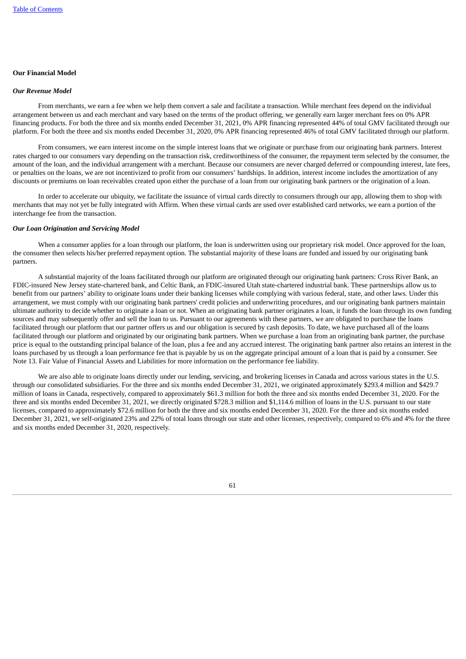## **Our Financial Model**

#### *Our Revenue Model*

From merchants, we earn a fee when we help them convert a sale and facilitate a transaction. While merchant fees depend on the individual arrangement between us and each merchant and vary based on the terms of the product offering, we generally earn larger merchant fees on 0% APR financing products. For both the three and six months ended December 31, 2021, 0% APR financing represented 44% of total GMV facilitated through our platform. For both the three and six months ended December 31, 2020, 0% APR financing represented 46% of total GMV facilitated through our platform.

From consumers, we earn interest income on the simple interest loans that we originate or purchase from our originating bank partners. Interest rates charged to our consumers vary depending on the transaction risk, creditworthiness of the consumer, the repayment term selected by the consumer, the amount of the loan, and the individual arrangement with a merchant. Because our consumers are never charged deferred or compounding interest, late fees, or penalties on the loans, we are not incentivized to profit from our consumers' hardships. In addition, interest income includes the amortization of any discounts or premiums on loan receivables created upon either the purchase of a loan from our originating bank partners or the origination of a loan.

In order to accelerate our ubiquity, we facilitate the issuance of virtual cards directly to consumers through our app, allowing them to shop with merchants that may not yet be fully integrated with Affirm. When these virtual cards are used over established card networks, we earn a portion of the interchange fee from the transaction.

#### *Our Loan Origination and Servicing Model*

When a consumer applies for a loan through our platform, the loan is underwritten using our proprietary risk model. Once approved for the loan, the consumer then selects his/her preferred repayment option. The substantial majority of these loans are funded and issued by our originating bank partners.

A substantial majority of the loans facilitated through our platform are originated through our originating bank partners: Cross River Bank, an FDIC-insured New Jersey state-chartered bank, and Celtic Bank, an FDIC-insured Utah state-chartered industrial bank. These partnerships allow us to benefit from our partners' ability to originate loans under their banking licenses while complying with various federal, state, and other laws. Under this arrangement, we must comply with our originating bank partners' credit policies and underwriting procedures, and our originating bank partners maintain ultimate authority to decide whether to originate a loan or not. When an originating bank partner originates a loan, it funds the loan through its own funding sources and may subsequently offer and sell the loan to us. Pursuant to our agreements with these partners, we are obligated to purchase the loans facilitated through our platform that our partner offers us and our obligation is secured by cash deposits. To date, we have purchased all of the loans facilitated through our platform and originated by our originating bank partners. When we purchase a loan from an originating bank partner, the purchase price is equal to the outstanding principal balance of the loan, plus a fee and any accrued interest. The originating bank partner also retains an interest in the loans purchased by us through a loan performance fee that is payable by us on the aggregate principal amount of a loan that is paid by a consumer. See Note 13. Fair Value of Financial Assets and Liabilities for more information on the performance fee liability.

We are also able to originate loans directly under our lending, servicing, and brokering licenses in Canada and across various states in the U.S. through our consolidated subsidiaries. For the three and six months ended December 31, 2021, we originated approximately \$293.4 million and \$429.7 million of loans in Canada, respectively, compared to approximately \$61.3 million for both the three and six months ended December 31, 2020. For the three and six months ended December 31, 2021, we directly originated \$728.3 million and \$1,114.6 million of loans in the U.S. pursuant to our state licenses, compared to approximately \$72.6 million for both the three and six months ended December 31, 2020. For the three and six months ended December 31, 2021, we self-originated 23% and 22% of total loans through our state and other licenses, respectively, compared to 6% and 4% for the three and six months ended December 31, 2020, respectively.

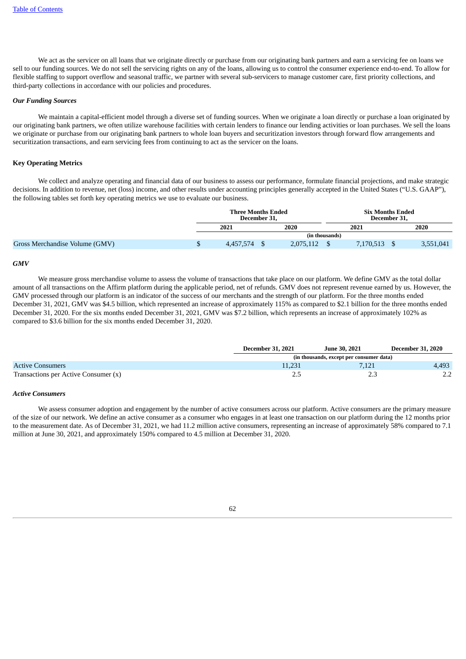We act as the servicer on all loans that we originate directly or purchase from our originating bank partners and earn a servicing fee on loans we sell to our funding sources. We do not sell the servicing rights on any of the loans, allowing us to control the consumer experience end-to-end. To allow for flexible staffing to support overflow and seasonal traffic, we partner with several sub-servicers to manage customer care, first priority collections, and third-party collections in accordance with our policies and procedures.

### *Our Funding Sources*

We maintain a capital-efficient model through a diverse set of funding sources. When we originate a loan directly or purchase a loan originated by our originating bank partners, we often utilize warehouse facilities with certain lenders to finance our lending activities or loan purchases. We sell the loans we originate or purchase from our originating bank partners to whole loan buyers and securitization investors through forward flow arrangements and securitization transactions, and earn servicing fees from continuing to act as the servicer on the loans.

## **Key Operating Metrics**

We collect and analyze operating and financial data of our business to assess our performance, formulate financial projections, and make strategic decisions. In addition to revenue, net (loss) income, and other results under accounting principles generally accepted in the United States ("U.S. GAAP"), the following tables set forth key operating metrics we use to evaluate our business.

|                                | <b>Three Months Ended</b><br>December 31, |                |  | Six Months Ended<br>December 31, |      |           |  |  |  |
|--------------------------------|-------------------------------------------|----------------|--|----------------------------------|------|-----------|--|--|--|
|                                | 2021<br>2020                              |                |  | 2021                             | 2020 |           |  |  |  |
|                                |                                           | (in thousands) |  |                                  |      |           |  |  |  |
| Gross Merchandise Volume (GMV) | 4,457,574                                 | 2,075,112      |  | 7,170,513                        |      | 3,551,041 |  |  |  |

#### *GMV*

We measure gross merchandise volume to assess the volume of transactions that take place on our platform. We define GMV as the total dollar amount of all transactions on the Affirm platform during the applicable period, net of refunds. GMV does not represent revenue earned by us. However, the GMV processed through our platform is an indicator of the success of our merchants and the strength of our platform. For the three months ended December 31, 2021, GMV was \$4.5 billion, which represented an increase of approximately 115% as compared to \$2.1 billion for the three months ended December 31, 2020. For the six months ended December 31, 2021, GMV was \$7.2 billion, which represents an increase of approximately 102% as compared to \$3.6 billion for the six months ended December 31, 2020.

|                                      | <b>December 31, 2021</b>                 | <b>June 30, 2021</b> | <b>December 31, 2020</b> |  |  |  |  |  |  |
|--------------------------------------|------------------------------------------|----------------------|--------------------------|--|--|--|--|--|--|
|                                      | (in thousands, except per consumer data) |                      |                          |  |  |  |  |  |  |
| <b>Active Consumers</b>              | 11.231                                   | 7.121                | 4.493                    |  |  |  |  |  |  |
| Transactions per Active Consumer (x) | 2.5                                      |                      | 2.2                      |  |  |  |  |  |  |

#### *Active Consumers*

We assess consumer adoption and engagement by the number of active consumers across our platform. Active consumers are the primary measure of the size of our network. We define an active consumer as a consumer who engages in at least one transaction on our platform during the 12 months prior to the measurement date. As of December 31, 2021, we had 11.2 million active consumers, representing an increase of approximately 58% compared to 7.1 million at June 30, 2021, and approximately 150% compared to 4.5 million at December 31, 2020.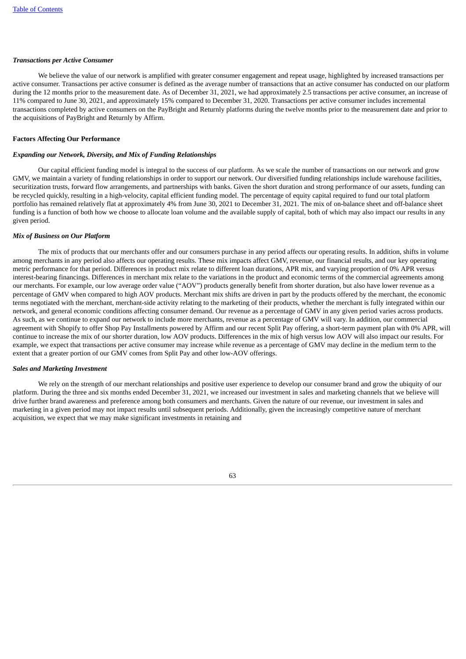#### *Transactions per Active Consumer*

We believe the value of our network is amplified with greater consumer engagement and repeat usage, highlighted by increased transactions per active consumer. Transactions per active consumer is defined as the average number of transactions that an active consumer has conducted on our platform during the 12 months prior to the measurement date. As of December 31, 2021, we had approximately 2.5 transactions per active consumer, an increase of 11% compared to June 30, 2021, and approximately 15% compared to December 31, 2020. Transactions per active consumer includes incremental transactions completed by active consumers on the PayBright and Returnly platforms during the twelve months prior to the measurement date and prior to the acquisitions of PayBright and Returnly by Affirm.

## **Factors Affecting Our Performance**

## *Expanding our Network, Diversity, and Mix of Funding Relationships*

Our capital efficient funding model is integral to the success of our platform. As we scale the number of transactions on our network and grow GMV, we maintain a variety of funding relationships in order to support our network. Our diversified funding relationships include warehouse facilities, securitization trusts, forward flow arrangements, and partnerships with banks. Given the short duration and strong performance of our assets, funding can be recycled quickly, resulting in a high-velocity, capital efficient funding model. The percentage of equity capital required to fund our total platform portfolio has remained relatively flat at approximately 4% from June 30, 2021 to December 31, 2021. The mix of on-balance sheet and off-balance sheet funding is a function of both how we choose to allocate loan volume and the available supply of capital, both of which may also impact our results in any given period.

#### *Mix of Business on Our Platform*

The mix of products that our merchants offer and our consumers purchase in any period affects our operating results. In addition, shifts in volume among merchants in any period also affects our operating results. These mix impacts affect GMV, revenue, our financial results, and our key operating metric performance for that period. Differences in product mix relate to different loan durations, APR mix, and varying proportion of 0% APR versus interest-bearing financings. Differences in merchant mix relate to the variations in the product and economic terms of the commercial agreements among our merchants. For example, our low average order value ("AOV") products generally benefit from shorter duration, but also have lower revenue as a percentage of GMV when compared to high AOV products. Merchant mix shifts are driven in part by the products offered by the merchant, the economic terms negotiated with the merchant, merchant-side activity relating to the marketing of their products, whether the merchant is fully integrated within our network, and general economic conditions affecting consumer demand. Our revenue as a percentage of GMV in any given period varies across products. As such, as we continue to expand our network to include more merchants, revenue as a percentage of GMV will vary. In addition, our commercial agreement with Shopify to offer Shop Pay Installments powered by Affirm and our recent Split Pay offering, a short-term payment plan with 0% APR, will continue to increase the mix of our shorter duration, low AOV products. Differences in the mix of high versus low AOV will also impact our results. For example, we expect that transactions per active consumer may increase while revenue as a percentage of GMV may decline in the medium term to the extent that a greater portion of our GMV comes from Split Pay and other low-AOV offerings.

#### *Sales and Marketing Investment*

We rely on the strength of our merchant relationships and positive user experience to develop our consumer brand and grow the ubiquity of our platform. During the three and six months ended December 31, 2021, we increased our investment in sales and marketing channels that we believe will drive further brand awareness and preference among both consumers and merchants. Given the nature of our revenue, our investment in sales and marketing in a given period may not impact results until subsequent periods. Additionally, given the increasingly competitive nature of merchant acquisition, we expect that we may make significant investments in retaining and

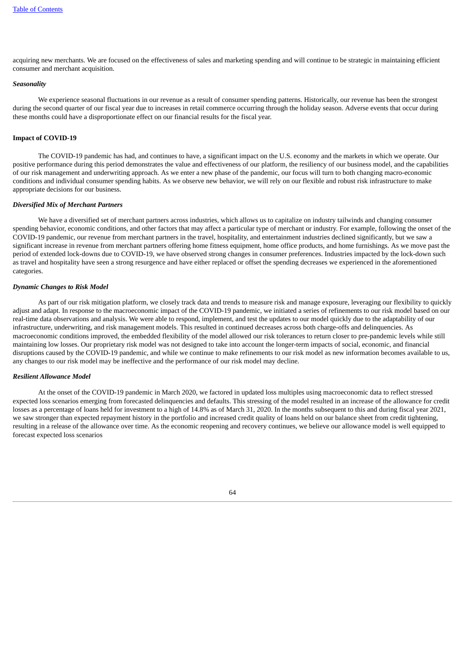acquiring new merchants. We are focused on the effectiveness of sales and marketing spending and will continue to be strategic in maintaining efficient consumer and merchant acquisition.

### *Seasonality*

We experience seasonal fluctuations in our revenue as a result of consumer spending patterns. Historically, our revenue has been the strongest during the second quarter of our fiscal year due to increases in retail commerce occurring through the holiday season. Adverse events that occur during these months could have a disproportionate effect on our financial results for the fiscal year.

#### **Impact of COVID-19**

The COVID-19 pandemic has had, and continues to have, a significant impact on the U.S. economy and the markets in which we operate. Our positive performance during this period demonstrates the value and effectiveness of our platform, the resiliency of our business model, and the capabilities of our risk management and underwriting approach. As we enter a new phase of the pandemic, our focus will turn to both changing macro-economic conditions and individual consumer spending habits. As we observe new behavior, we will rely on our flexible and robust risk infrastructure to make appropriate decisions for our business.

#### *Diversified Mix of Merchant Partners*

We have a diversified set of merchant partners across industries, which allows us to capitalize on industry tailwinds and changing consumer spending behavior, economic conditions, and other factors that may affect a particular type of merchant or industry. For example, following the onset of the COVID-19 pandemic, our revenue from merchant partners in the travel, hospitality, and entertainment industries declined significantly, but we saw a significant increase in revenue from merchant partners offering home fitness equipment, home office products, and home furnishings. As we move past the period of extended lock-downs due to COVID-19, we have observed strong changes in consumer preferences. Industries impacted by the lock-down such as travel and hospitality have seen a strong resurgence and have either replaced or offset the spending decreases we experienced in the aforementioned categories.

#### *Dynamic Changes to Risk Model*

As part of our risk mitigation platform, we closely track data and trends to measure risk and manage exposure, leveraging our flexibility to quickly adjust and adapt. In response to the macroeconomic impact of the COVID-19 pandemic, we initiated a series of refinements to our risk model based on our real-time data observations and analysis. We were able to respond, implement, and test the updates to our model quickly due to the adaptability of our infrastructure, underwriting, and risk management models. This resulted in continued decreases across both charge-offs and delinquencies. As macroeconomic conditions improved, the embedded flexibility of the model allowed our risk tolerances to return closer to pre-pandemic levels while still maintaining low losses. Our proprietary risk model was not designed to take into account the longer-term impacts of social, economic, and financial disruptions caused by the COVID-19 pandemic, and while we continue to make refinements to our risk model as new information becomes available to us, any changes to our risk model may be ineffective and the performance of our risk model may decline.

## *Resilient Allowance Model*

At the onset of the COVID-19 pandemic in March 2020, we factored in updated loss multiples using macroeconomic data to reflect stressed expected loss scenarios emerging from forecasted delinquencies and defaults. This stressing of the model resulted in an increase of the allowance for credit losses as a percentage of loans held for investment to a high of 14.8% as of March 31, 2020. In the months subsequent to this and during fiscal year 2021, we saw stronger than expected repayment history in the portfolio and increased credit quality of loans held on our balance sheet from credit tightening, resulting in a release of the allowance over time. As the economic reopening and recovery continues, we believe our allowance model is well equipped to forecast expected loss scenarios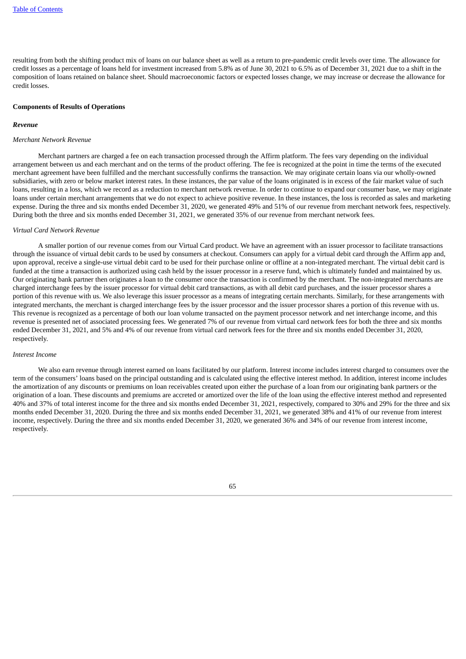resulting from both the shifting product mix of loans on our balance sheet as well as a return to pre-pandemic credit levels over time. The allowance for credit losses as a percentage of loans held for investment increased from 5.8% as of June 30, 2021 to 6.5% as of December 31, 2021 due to a shift in the composition of loans retained on balance sheet. Should macroeconomic factors or expected losses change, we may increase or decrease the allowance for credit losses.

#### **Components of Results of Operations**

#### *Revenue*

#### *Merchant Network Revenue*

Merchant partners are charged a fee on each transaction processed through the Affirm platform. The fees vary depending on the individual arrangement between us and each merchant and on the terms of the product offering. The fee is recognized at the point in time the terms of the executed merchant agreement have been fulfilled and the merchant successfully confirms the transaction. We may originate certain loans via our wholly-owned subsidiaries, with zero or below market interest rates. In these instances, the par value of the loans originated is in excess of the fair market value of such loans, resulting in a loss, which we record as a reduction to merchant network revenue. In order to continue to expand our consumer base, we may originate loans under certain merchant arrangements that we do not expect to achieve positive revenue. In these instances, the loss is recorded as sales and marketing expense. During the three and six months ended December 31, 2020, we generated 49% and 51% of our revenue from merchant network fees, respectively. During both the three and six months ended December 31, 2021, we generated 35% of our revenue from merchant network fees.

#### *Virtual Card Network Revenue*

A smaller portion of our revenue comes from our Virtual Card product. We have an agreement with an issuer processor to facilitate transactions through the issuance of virtual debit cards to be used by consumers at checkout. Consumers can apply for a virtual debit card through the Affirm app and, upon approval, receive a single-use virtual debit card to be used for their purchase online or offline at a non-integrated merchant. The virtual debit card is funded at the time a transaction is authorized using cash held by the issuer processor in a reserve fund, which is ultimately funded and maintained by us. Our originating bank partner then originates a loan to the consumer once the transaction is confirmed by the merchant. The non-integrated merchants are charged interchange fees by the issuer processor for virtual debit card transactions, as with all debit card purchases, and the issuer processor shares a portion of this revenue with us. We also leverage this issuer processor as a means of integrating certain merchants. Similarly, for these arrangements with integrated merchants, the merchant is charged interchange fees by the issuer processor and the issuer processor shares a portion of this revenue with us. This revenue is recognized as a percentage of both our loan volume transacted on the payment processor network and net interchange income, and this revenue is presented net of associated processing fees. We generated 7% of our revenue from virtual card network fees for both the three and six months ended December 31, 2021, and 5% and 4% of our revenue from virtual card network fees for the three and six months ended December 31, 2020, respectively.

#### *Interest Income*

We also earn revenue through interest earned on loans facilitated by our platform. Interest income includes interest charged to consumers over the term of the consumers' loans based on the principal outstanding and is calculated using the effective interest method. In addition, interest income includes the amortization of any discounts or premiums on loan receivables created upon either the purchase of a loan from our originating bank partners or the origination of a loan. These discounts and premiums are accreted or amortized over the life of the loan using the effective interest method and represented 40% and 37% of total interest income for the three and six months ended December 31, 2021, respectively, compared to 30% and 29% for the three and six months ended December 31, 2020. During the three and six months ended December 31, 2021, we generated 38% and 41% of our revenue from interest income, respectively. During the three and six months ended December 31, 2020, we generated 36% and 34% of our revenue from interest income, respectively.

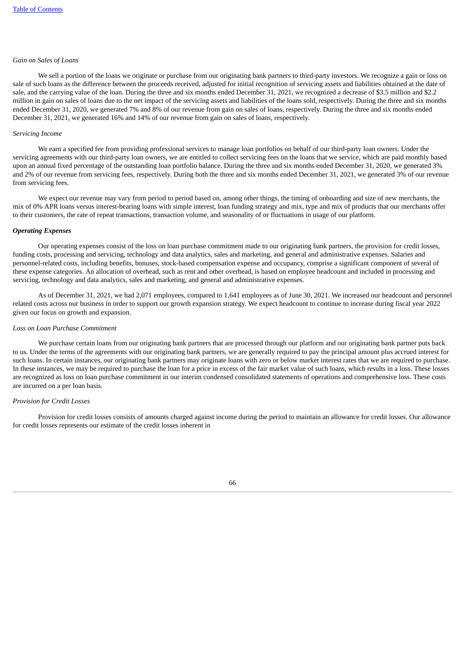#### *Gain on Sales of Loans*

We sell a portion of the loans we originate or purchase from our originating bank partners to third-party investors. We recognize a gain or loss on sale of such loans as the difference between the proceeds received, adjusted for initial recognition of servicing assets and liabilities obtained at the date of sale, and the carrying value of the loan. During the three and six months ended December 31, 2021, we recognized a decrease of \$3.5 million and \$2.2 million in gain on sales of loans due to the net impact of the servicing assets and liabilities of the loans sold, respectively. During the three and six months ended December 31, 2020, we generated 7% and 8% of our revenue from gain on sales of loans, respectively. During the three and six months ended December 31, 2021, we generated 16% and 14% of our revenue from gain on sales of loans, respectively.

## *Servicing Income*

We earn a specified fee from providing professional services to manage loan portfolios on behalf of our third-party loan owners. Under the servicing agreements with our third-party loan owners, we are entitled to collect servicing fees on the loans that we service, which are paid monthly based upon an annual fixed percentage of the outstanding loan portfolio balance. During the three and six months ended December 31, 2020, we generated 3% and 2% of our revenue from servicing fees, respectively. During both the three and six months ended December 31, 2021, we generated 3% of our revenue from servicing fees.

We expect our revenue may vary from period to period based on, among other things, the timing of onboarding and size of new merchants, the mix of 0% APR loans versus interest-bearing loans with simple interest, loan funding strategy and mix, type and mix of products that our merchants offer to their customers, the rate of repeat transactions, transaction volume, and seasonality of or fluctuations in usage of our platform.

## *Operating Expenses*

Our operating expenses consist of the loss on loan purchase commitment made to our originating bank partners, the provision for credit losses, funding costs, processing and servicing, technology and data analytics, sales and marketing, and general and administrative expenses. Salaries and personnel-related costs, including benefits, bonuses, stock-based compensation expense and occupancy, comprise a significant component of several of these expense categories. An allocation of overhead, such as rent and other overhead, is based on employee headcount and included in processing and servicing, technology and data analytics, sales and marketing, and general and administrative expenses.

As of December 31, 2021, we had 2,071 employees, compared to 1,641 employees as of June 30, 2021. We increased our headcount and personnel related costs across our business in order to support our growth expansion strategy. We expect headcount to continue to increase during fiscal year 2022 given our focus on growth and expansion.

#### *Loss on Loan Purchase Commitment*

We purchase certain loans from our originating bank partners that are processed through our platform and our originating bank partner puts back to us. Under the terms of the agreements with our originating bank partners, we are generally required to pay the principal amount plus accrued interest for such loans. In certain instances, our originating bank partners may originate loans with zero or below market interest rates that we are required to purchase. In these instances, we may be required to purchase the loan for a price in excess of the fair market value of such loans, which results in a loss. These losses are recognized as loss on loan purchase commitment in our interim condensed consolidated statements of operations and comprehensive loss. These costs are incurred on a per loan basis.

### *Provision for Credit Losses*

Provision for credit losses consists of amounts charged against income during the period to maintain an allowance for credit losses. Our allowance for credit losses represents our estimate of the credit losses inherent in

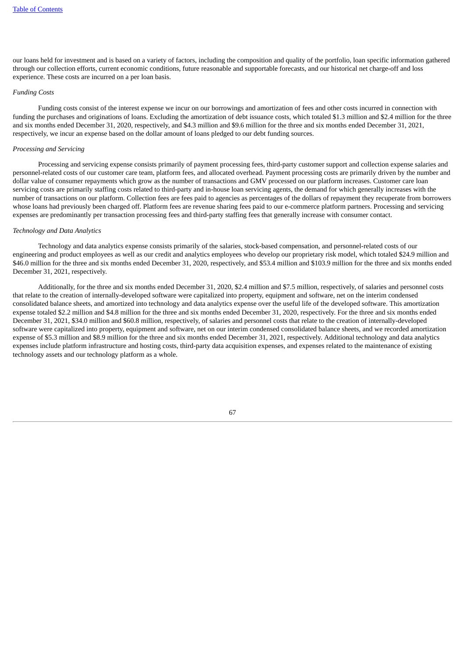our loans held for investment and is based on a variety of factors, including the composition and quality of the portfolio, loan specific information gathered through our collection efforts, current economic conditions, future reasonable and supportable forecasts, and our historical net charge-off and loss experience. These costs are incurred on a per loan basis.

#### *Funding Costs*

Funding costs consist of the interest expense we incur on our borrowings and amortization of fees and other costs incurred in connection with funding the purchases and originations of loans. Excluding the amortization of debt issuance costs, which totaled \$1.3 million and \$2.4 million for the three and six months ended December 31, 2020, respectively, and \$4.3 million and \$9.6 million for the three and six months ended December 31, 2021, respectively, we incur an expense based on the dollar amount of loans pledged to our debt funding sources.

### *Processing and Servicing*

Processing and servicing expense consists primarily of payment processing fees, third-party customer support and collection expense salaries and personnel-related costs of our customer care team, platform fees, and allocated overhead. Payment processing costs are primarily driven by the number and dollar value of consumer repayments which grow as the number of transactions and GMV processed on our platform increases. Customer care loan servicing costs are primarily staffing costs related to third-party and in-house loan servicing agents, the demand for which generally increases with the number of transactions on our platform. Collection fees are fees paid to agencies as percentages of the dollars of repayment they recuperate from borrowers whose loans had previously been charged off. Platform fees are revenue sharing fees paid to our e-commerce platform partners. Processing and servicing expenses are predominantly per transaction processing fees and third-party staffing fees that generally increase with consumer contact.

#### *Technology and Data Analytics*

Technology and data analytics expense consists primarily of the salaries, stock-based compensation, and personnel-related costs of our engineering and product employees as well as our credit and analytics employees who develop our proprietary risk model, which totaled \$24.9 million and \$46.0 million for the three and six months ended December 31, 2020, respectively, and \$53.4 million and \$103.9 million for the three and six months ended December 31, 2021, respectively.

Additionally, for the three and six months ended December 31, 2020, \$2.4 million and \$7.5 million, respectively, of salaries and personnel costs that relate to the creation of internally-developed software were capitalized into property, equipment and software, net on the interim condensed consolidated balance sheets, and amortized into technology and data analytics expense over the useful life of the developed software. This amortization expense totaled \$2.2 million and \$4.8 million for the three and six months ended December 31, 2020, respectively. For the three and six months ended December 31, 2021, \$34.0 million and \$60.8 million, respectively, of salaries and personnel costs that relate to the creation of internally-developed software were capitalized into property, equipment and software, net on our interim condensed consolidated balance sheets, and we recorded amortization expense of \$5.3 million and \$8.9 million for the three and six months ended December 31, 2021, respectively. Additional technology and data analytics expenses include platform infrastructure and hosting costs, third-party data acquisition expenses, and expenses related to the maintenance of existing technology assets and our technology platform as a whole.

#### 67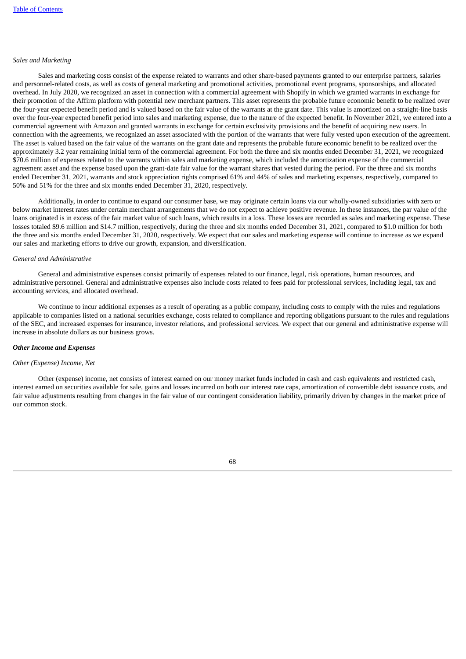#### *Sales and Marketing*

Sales and marketing costs consist of the expense related to warrants and other share-based payments granted to our enterprise partners, salaries and personnel-related costs, as well as costs of general marketing and promotional activities, promotional event programs, sponsorships, and allocated overhead. In July 2020, we recognized an asset in connection with a commercial agreement with Shopify in which we granted warrants in exchange for their promotion of the Affirm platform with potential new merchant partners. This asset represents the probable future economic benefit to be realized over the four-year expected benefit period and is valued based on the fair value of the warrants at the grant date. This value is amortized on a straight-line basis over the four-year expected benefit period into sales and marketing expense, due to the nature of the expected benefit. In November 2021, we entered into a commercial agreement with Amazon and granted warrants in exchange for certain exclusivity provisions and the benefit of acquiring new users. In connection with the agreements, we recognized an asset associated with the portion of the warrants that were fully vested upon execution of the agreement. The asset is valued based on the fair value of the warrants on the grant date and represents the probable future economic benefit to be realized over the approximately 3.2 year remaining initial term of the commercial agreement. For both the three and six months ended December 31, 2021, we recognized \$70.6 million of expenses related to the warrants within sales and marketing expense, which included the amortization expense of the commercial agreement asset and the expense based upon the grant-date fair value for the warrant shares that vested during the period. For the three and six months ended December 31, 2021, warrants and stock appreciation rights comprised 61% and 44% of sales and marketing expenses, respectively, compared to 50% and 51% for the three and six months ended December 31, 2020, respectively.

Additionally, in order to continue to expand our consumer base, we may originate certain loans via our wholly-owned subsidiaries with zero or below market interest rates under certain merchant arrangements that we do not expect to achieve positive revenue. In these instances, the par value of the loans originated is in excess of the fair market value of such loans, which results in a loss. These losses are recorded as sales and marketing expense. These losses totaled \$9.6 million and \$14.7 million, respectively, during the three and six months ended December 31, 2021, compared to \$1.0 million for both the three and six months ended December 31, 2020, respectively. We expect that our sales and marketing expense will continue to increase as we expand our sales and marketing efforts to drive our growth, expansion, and diversification.

#### *General and Administrative*

General and administrative expenses consist primarily of expenses related to our finance, legal, risk operations, human resources, and administrative personnel. General and administrative expenses also include costs related to fees paid for professional services, including legal, tax and accounting services, and allocated overhead.

We continue to incur additional expenses as a result of operating as a public company, including costs to comply with the rules and regulations applicable to companies listed on a national securities exchange, costs related to compliance and reporting obligations pursuant to the rules and regulations of the SEC, and increased expenses for insurance, investor relations, and professional services. We expect that our general and administrative expense will increase in absolute dollars as our business grows.

### *Other Income and Expenses*

#### *Other (Expense) Income, Net*

Other (expense) income, net consists of interest earned on our money market funds included in cash and cash equivalents and restricted cash, interest earned on securities available for sale, gains and losses incurred on both our interest rate caps, amortization of convertible debt issuance costs, and fair value adjustments resulting from changes in the fair value of our contingent consideration liability, primarily driven by changes in the market price of our common stock.

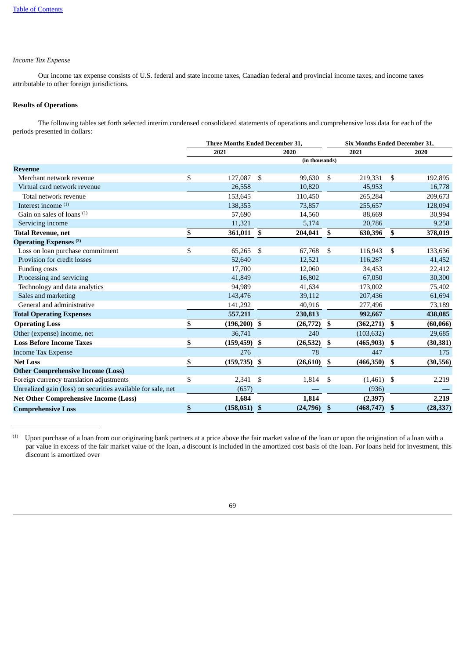## *Income Tax Expense*

Our income tax expense consists of U.S. federal and state income taxes, Canadian federal and provincial income taxes, and income taxes attributable to other foreign jurisdictions.

#### **Results of Operations**

The following tables set forth selected interim condensed consolidated statements of operations and comprehensive loss data for each of the periods presented in dollars:

|                                                              | <b>Three Months Ended December 31,</b> |               |                | <b>Six Months Ended December 31.</b> |            |     |           |  |  |
|--------------------------------------------------------------|----------------------------------------|---------------|----------------|--------------------------------------|------------|-----|-----------|--|--|
|                                                              | 2021                                   |               | 2020           |                                      | 2021       |     | 2020      |  |  |
|                                                              |                                        |               | (in thousands) |                                      |            |     |           |  |  |
| <b>Revenue</b>                                               |                                        |               |                |                                      |            |     |           |  |  |
| Merchant network revenue                                     | \$<br>127,087                          | \$            | 99,630         | -\$                                  | 219,331    | \$  | 192,895   |  |  |
| Virtual card network revenue                                 | 26,558                                 |               | 10,820         |                                      | 45,953     |     | 16,778    |  |  |
| Total network revenue                                        | 153,645                                |               | 110,450        |                                      | 265,284    |     | 209,673   |  |  |
| Interest income $(1)$                                        | 138,355                                |               | 73,857         |                                      | 255,657    |     | 128,094   |  |  |
| Gain on sales of loans (1)                                   | 57,690                                 |               | 14,560         |                                      | 88,669     |     | 30,994    |  |  |
| Servicing income                                             | 11,321                                 |               | 5,174          |                                      | 20,786     |     | 9,258     |  |  |
| <b>Total Revenue, net</b>                                    | \$<br>361,011                          | \$            | 204,041        | S.                                   | 630,396    | \$  | 378,019   |  |  |
| <b>Operating Expenses</b> <sup>(2)</sup>                     |                                        |               |                |                                      |            |     |           |  |  |
| Loss on loan purchase commitment                             | \$<br>65,265                           | -\$           | 67,768         | -\$                                  | 116,943    | \$  | 133,636   |  |  |
| Provision for credit losses                                  | 52,640                                 |               | 12,521         |                                      | 116,287    |     | 41,452    |  |  |
| Funding costs                                                | 17,700                                 |               | 12,060         |                                      | 34,453     |     | 22,412    |  |  |
| Processing and servicing                                     | 41,849                                 |               | 16,802         |                                      | 67,050     |     | 30,300    |  |  |
| Technology and data analytics                                | 94,989                                 |               | 41,634         |                                      | 173,002    |     | 75,402    |  |  |
| Sales and marketing                                          | 143,476                                |               | 39,112         |                                      | 207,436    |     | 61,694    |  |  |
| General and administrative                                   | 141,292                                |               | 40,916         |                                      | 277,496    |     | 73,189    |  |  |
| <b>Total Operating Expenses</b>                              | 557,211                                |               | 230,813        |                                      | 992,667    |     | 438,085   |  |  |
| <b>Operating Loss</b>                                        | \$<br>(196, 200)                       | \$            | (26, 772)      | \$                                   | (362, 271) | \$  | (60,066)  |  |  |
| Other (expense) income, net                                  | 36,741                                 |               | 240            |                                      | (103, 632) |     | 29,685    |  |  |
| <b>Loss Before Income Taxes</b>                              | \$<br>(159, 459)                       | \$            | (26, 532)      | $\boldsymbol{\mathsf{s}}$            | (465, 903) | \$  | (30, 381) |  |  |
| <b>Income Tax Expense</b>                                    | 276                                    |               | 78             |                                      | 447        |     | 175       |  |  |
| <b>Net Loss</b>                                              | \$<br>(159, 735)                       | \$            | (26, 610)      | \$                                   | (466, 350) | \$  | (30, 556) |  |  |
| <b>Other Comprehensive Income (Loss)</b>                     |                                        |               |                |                                      |            |     |           |  |  |
| Foreign currency translation adjustments                     | \$<br>2,341                            | <sup>\$</sup> | 1,814          | -\$                                  | (1,461)    | -\$ | 2,219     |  |  |
| Unrealized gain (loss) on securities available for sale, net | (657)                                  |               |                |                                      | (936)      |     |           |  |  |
| <b>Net Other Comprehensive Income (Loss)</b>                 | 1,684                                  |               | 1,814          |                                      | (2, 397)   |     | 2,219     |  |  |
| <b>Comprehensive Loss</b>                                    | \$<br>(158, 051)                       | \$            | (24,796)       | \$                                   | (468, 747) | \$  | (28, 337) |  |  |

 $^{(1)}$  Upon purchase of a loan from our originating bank partners at a price above the fair market value of the loan or upon the origination of a loan with a par value in excess of the fair market value of the loan, a discount is included in the amortized cost basis of the loan. For loans held for investment, this discount is amortized over

<sup>69</sup>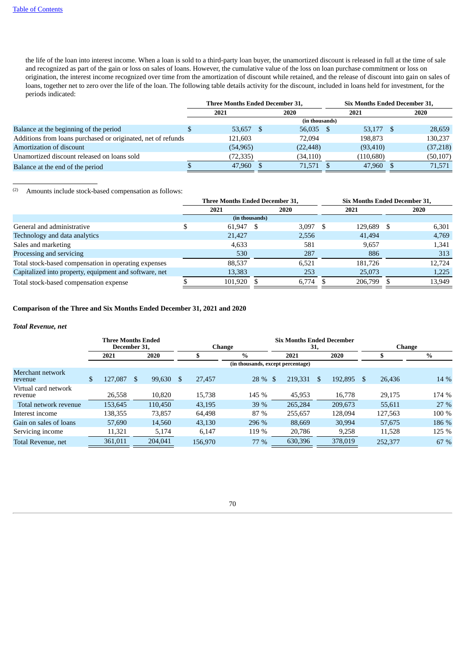the life of the loan into interest income. When a loan is sold to a third-party loan buyer, the unamortized discount is released in full at the time of sale and recognized as part of the gain or loss on sales of loans. However, the cumulative value of the loss on loan purchase commitment or loss on origination, the interest income recognized over time from the amortization of discount while retained, and the release of discount into gain on sales of loans, together net to zero over the life of the loan. The following table details activity for the discount, included in loans held for investment, for the periods indicated:

|                                                              |      | <b>Three Months Ended December 31,</b> |  |                | <b>Six Months Ended December 31,</b> |            |  |           |  |  |
|--------------------------------------------------------------|------|----------------------------------------|--|----------------|--------------------------------------|------------|--|-----------|--|--|
|                                                              | 2021 |                                        |  | 2020           | 2021                                 |            |  | 2020      |  |  |
|                                                              |      |                                        |  | (in thousands) |                                      |            |  |           |  |  |
| Balance at the beginning of the period                       |      | 53,657 \$                              |  | 56,035 \$      |                                      | 53,177     |  | 28,659    |  |  |
| Additions from loans purchased or originated, net of refunds |      | 121,603                                |  | 72,094         |                                      | 198,873    |  | 130,237   |  |  |
| Amortization of discount                                     |      | (54, 965)                              |  | (22, 448)      |                                      | (93, 410)  |  | (37,218)  |  |  |
| Unamortized discount released on loans sold                  |      | (72, 335)                              |  | (34, 110)      |                                      | (110, 680) |  | (50, 107) |  |  |
| Balance at the end of the period                             |      | 47.960                                 |  | 71.571         |                                      | 47,960     |  | 71,571    |  |  |

Amounts include stock-based compensation as follows: (2)

| 2021 |         |     | 2020  | 2021                                                     |                          |  | 2020                                               |  |
|------|---------|-----|-------|----------------------------------------------------------|--------------------------|--|----------------------------------------------------|--|
|      |         |     |       |                                                          |                          |  |                                                    |  |
|      | 61,947  | -86 |       |                                                          |                          |  | 6,301                                              |  |
|      | 21,427  |     | 2,556 |                                                          | 41,494                   |  | 4,769                                              |  |
|      | 4,633   |     | 581   |                                                          | 9,657                    |  | 1,341                                              |  |
|      | 530     |     | 287   |                                                          | 886                      |  | 313                                                |  |
|      | 88,537  |     | 6,521 |                                                          | 181,726                  |  | 12,724                                             |  |
|      | 13,383  |     | 253   |                                                          | 25,073                   |  | 1,225                                              |  |
|      | 101,920 |     |       |                                                          | 206,799                  |  | 13,949                                             |  |
|      |         |     |       | <b>Three Months Ended December 31,</b><br>(in thousands) | $3,097$ \$<br>$6,774$ \$ |  | <b>Six Months Ended December 31,</b><br>129,689 \$ |  |

## **Comparison of the Three and Six Months Ended December 31, 2021 and 2020**

### *Total Revenue, net*

|                                 | <b>Three Months Ended</b><br>December 31,<br>Change |         |    |         |    |         |                                   |       |      | <b>Six Months Ended December</b><br>31, |    | Change  |     |         |  |       |  |
|---------------------------------|-----------------------------------------------------|---------|----|---------|----|---------|-----------------------------------|-------|------|-----------------------------------------|----|---------|-----|---------|--|-------|--|
|                                 | 2020<br>2021                                        |         |    |         |    |         | $\%$                              |       | 2021 |                                         |    | 2020    |     |         |  | $\%$  |  |
|                                 |                                                     |         |    |         |    |         | (in thousands, except percentage) |       |      |                                         |    |         |     |         |  |       |  |
| Merchant network<br>revenue     |                                                     | 127,087 | -S | 99,630  | \$ | 27,457  |                                   | 28 %  | \$   | 219,331                                 | \$ | 192,895 | \$. | 26,436  |  | 14 %  |  |
| Virtual card network<br>revenue |                                                     | 26,558  |    | 10,820  |    | 15,738  |                                   | 145 % |      | 45,953                                  |    | 16,778  |     | 29,175  |  | 174 % |  |
| Total network revenue           |                                                     | 153,645 |    | 110,450 |    | 43,195  |                                   | 39 %  |      | 265,284                                 |    | 209,673 |     | 55,611  |  | 27 %  |  |
| Interest income                 |                                                     | 138,355 |    | 73,857  |    | 64,498  |                                   | 87 %  |      | 255,657                                 |    | 128,094 |     | 127,563 |  | 100 % |  |
| Gain on sales of loans          |                                                     | 57,690  |    | 14,560  |    | 43,130  |                                   | 296 % |      | 88,669                                  |    | 30,994  |     | 57,675  |  | 186 % |  |
| Servicing income                |                                                     | 11,321  |    | 5,174   |    | 6,147   |                                   | 119 % |      | 20,786                                  |    | 9,258   |     | 11,528  |  | 125 % |  |
| Total Revenue, net              |                                                     | 361,011 |    | 204,041 |    | 156,970 |                                   | 77 %  |      | 630,396                                 |    | 378,019 |     | 252,377 |  | 67 %  |  |

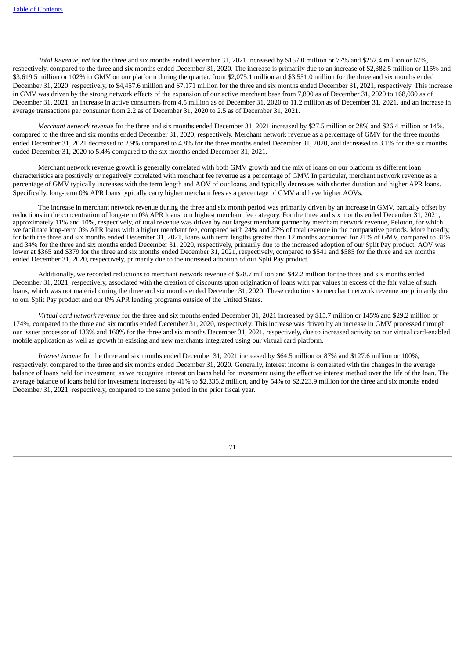*Total Revenue, net* for the three and six months ended December 31, 2021 increased by \$157.0 million or 77% and \$252.4 million or 67%, respectively, compared to the three and six months ended December 31, 2020. The increase is primarily due to an increase of \$2,382.5 million or 115% and \$3,619.5 million or 102% in GMV on our platform during the quarter, from \$2,075.1 million and \$3,551.0 million for the three and six months ended December 31, 2020, respectively, to \$4,457.6 million and \$7,171 million for the three and six months ended December 31, 2021, respectively. This increase in GMV was driven by the strong network effects of the expansion of our active merchant base from 7,890 as of December 31, 2020 to 168,030 as of December 31, 2021, an increase in active consumers from 4.5 million as of December 31, 2020 to 11.2 million as of December 31, 2021, and an increase in average transactions per consumer from 2.2 as of December 31, 2020 to 2.5 as of December 31, 2021.

*Merchant network revenue* for the three and six months ended December 31, 2021 increased by \$27.5 million or 28% and \$26.4 million or 14%, compared to the three and six months ended December 31, 2020, respectively. Merchant network revenue as a percentage of GMV for the three months ended December 31, 2021 decreased to 2.9% compared to 4.8% for the three months ended December 31, 2020, and decreased to 3.1% for the six months ended December 31, 2020 to 5.4% compared to the six months ended December 31, 2021.

Merchant network revenue growth is generally correlated with both GMV growth and the mix of loans on our platform as different loan characteristics are positively or negatively correlated with merchant fee revenue as a percentage of GMV. In particular, merchant network revenue as a percentage of GMV typically increases with the term length and AOV of our loans, and typically decreases with shorter duration and higher APR loans. Specifically, long-term 0% APR loans typically carry higher merchant fees as a percentage of GMV and have higher AOVs.

The increase in merchant network revenue during the three and six month period was primarily driven by an increase in GMV, partially offset by reductions in the concentration of long-term 0% APR loans, our highest merchant fee category. For the three and six months ended December 31, 2021, approximately 11% and 10%, respectively, of total revenue was driven by our largest merchant partner by merchant network revenue, Peloton, for which we facilitate long-term 0% APR loans with a higher merchant fee, compared with 24% and 27% of total revenue in the comparative periods. More broadly, for both the three and six months ended December 31, 2021, loans with term lengths greater than 12 months accounted for 21% of GMV, compared to 31% and 34% for the three and six months ended December 31, 2020, respectively, primarily due to the increased adoption of our Split Pay product. AOV was lower at \$365 and \$379 for the three and six months ended December 31, 2021, respectively, compared to \$541 and \$585 for the three and six months ended December 31, 2020, respectively, primarily due to the increased adoption of our Split Pay product.

Additionally, we recorded reductions to merchant network revenue of \$28.7 million and \$42.2 million for the three and six months ended December 31, 2021, respectively, associated with the creation of discounts upon origination of loans with par values in excess of the fair value of such loans, which was not material during the three and six months ended December 31, 2020. These reductions to merchant network revenue are primarily due to our Split Pay product and our 0% APR lending programs outside of the United States.

*Virtual card network revenue* for the three and six months ended December 31, 2021 increased by \$15.7 million or 145% and \$29.2 million or 174%, compared to the three and six months ended December 31, 2020, respectively. This increase was driven by an increase in GMV processed through our issuer processor of 133% and 160% for the three and six months December 31, 2021, respectively, due to increased activity on our virtual card-enabled mobile application as well as growth in existing and new merchants integrated using our virtual card platform.

*Interest income* for the three and six months ended December 31, 2021 increased by \$64.5 million or 87% and \$127.6 million or 100%, respectively, compared to the three and six months ended December 31, 2020. Generally, interest income is correlated with the changes in the average balance of loans held for investment, as we recognize interest on loans held for investment using the effective interest method over the life of the loan. The average balance of loans held for investment increased by 41% to \$2,335.2 million, and by 54% to \$2,223.9 million for the three and six months ended December 31, 2021, respectively, compared to the same period in the prior fiscal year.

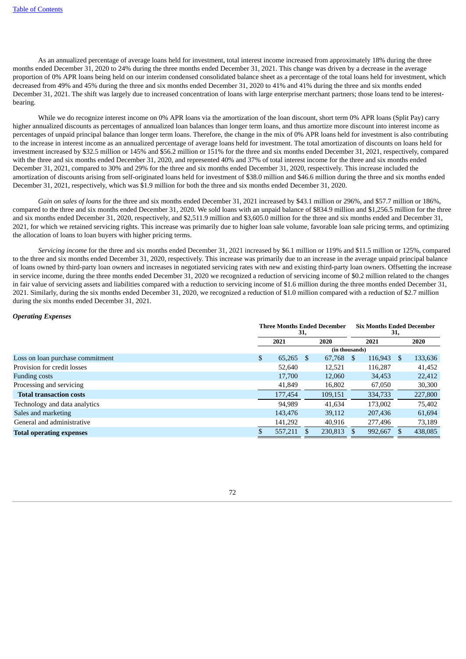As an annualized percentage of average loans held for investment, total interest income increased from approximately 18% during the three months ended December 31, 2020 to 24% during the three months ended December 31, 2021. This change was driven by a decrease in the average proportion of 0% APR loans being held on our interim condensed consolidated balance sheet as a percentage of the total loans held for investment, which decreased from 49% and 45% during the three and six months ended December 31, 2020 to 41% and 41% during the three and six months ended December 31, 2021. The shift was largely due to increased concentration of loans with large enterprise merchant partners; those loans tend to be interestbearing.

While we do recognize interest income on 0% APR loans via the amortization of the loan discount, short term 0% APR loans (Split Pay) carry higher annualized discounts as percentages of annualized loan balances than longer term loans, and thus amortize more discount into interest income as percentages of unpaid principal balance than longer term loans. Therefore, the change in the mix of 0% APR loans held for investment is also contributing to the increase in interest income as an annualized percentage of average loans held for investment. The total amortization of discounts on loans held for investment increased by \$32.5 million or 145% and \$56.2 million or 151% for the three and six months ended December 31, 2021, respectively, compared with the three and six months ended December 31, 2020, and represented 40% and 37% of total interest income for the three and six months ended December 31, 2021, compared to 30% and 29% for the three and six months ended December 31, 2020, respectively. This increase included the amortization of discounts arising from self-originated loans held for investment of \$38.0 million and \$46.6 million during the three and six months ended December 31, 2021, respectively, which was \$1.9 million for both the three and six months ended December 31, 2020.

*Gain on sales of loans* for the three and six months ended December 31, 2021 increased by \$43.1 million or 296%, and \$57.7 million or 186%, compared to the three and six months ended December 31, 2020. We sold loans with an unpaid balance of \$834.9 million and \$1,256.5 million for the three and six months ended December 31, 2020, respectively, and \$2,511.9 million and \$3,605.0 million for the three and six months ended and December 31, 2021, for which we retained servicing rights. This increase was primarily due to higher loan sale volume, favorable loan sale pricing terms, and optimizing the allocation of loans to loan buyers with higher pricing terms.

*Servicing income* for the three and six months ended December 31, 2021 increased by \$6.1 million or 119% and \$11.5 million or 125%, compared to the three and six months ended December 31, 2020, respectively. This increase was primarily due to an increase in the average unpaid principal balance of loans owned by third-party loan owners and increases in negotiated servicing rates with new and existing third-party loan owners. Offsetting the increase in service income, during the three months ended December 31, 2020 we recognized a reduction of servicing income of \$0.2 million related to the changes in fair value of servicing assets and liabilities compared with a reduction to servicing income of \$1.6 million during the three months ended December 31, 2021. Similarly, during the six months ended December 31, 2020, we recognized a reduction of \$1.0 million compared with a reduction of \$2.7 million during the six months ended December 31, 2021.

| Operating Expenses |  |
|--------------------|--|
|--------------------|--|

|                                  |                   |         | 31, | <b>Three Months Ended December</b> |               | <b>Six Months Ended December</b> | 31, |         |
|----------------------------------|-------------------|---------|-----|------------------------------------|---------------|----------------------------------|-----|---------|
|                                  |                   | 2021    |     | 2020                               |               | 2021                             |     | 2020    |
|                                  |                   |         |     | (in thousands)                     |               |                                  |     |         |
| Loss on loan purchase commitment | \$                | 65,265  | S   | 67,768                             | <sup>\$</sup> | 116,943                          | - S | 133,636 |
| Provision for credit losses      |                   | 52,640  |     | 12,521                             |               | 116,287                          |     | 41,452  |
| <b>Funding costs</b>             |                   | 17,700  |     | 12,060                             |               | 34,453                           |     | 22,412  |
| Processing and servicing         |                   | 41,849  |     | 16,802                             |               | 67,050                           |     | 30,300  |
| <b>Total transaction costs</b>   |                   | 177,454 |     | 109,151                            |               | 334,733                          |     | 227,800 |
| Technology and data analytics    |                   | 94.989  |     | 41.634                             |               | 173,002                          |     | 75,402  |
| Sales and marketing              |                   | 143,476 |     | 39,112                             |               | 207,436                          |     | 61,694  |
| General and administrative       | 141.292<br>40.916 |         |     |                                    |               | 277,496                          |     | 73,189  |
| <b>Total operating expenses</b>  |                   | 557,211 |     | 230.813                            |               | 992.667                          |     | 438,085 |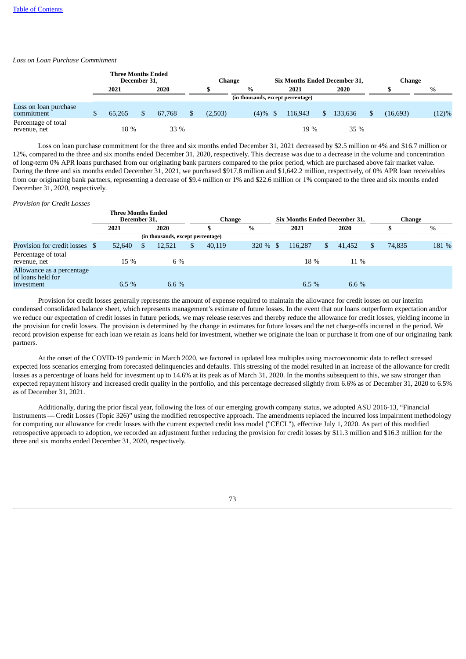#### *Loss on Loan Purchase Commitment*

|                                     | <b>Three Months Ended</b><br>December 31, |        | Change  |                                   | <b>Six Months Ended December 31,</b> |         |  |         |  | Change    |          |  |
|-------------------------------------|-------------------------------------------|--------|---------|-----------------------------------|--------------------------------------|---------|--|---------|--|-----------|----------|--|
|                                     | 2021                                      | 2020   |         | $\%$                              |                                      | 2021    |  | 2020    |  |           | $\%$     |  |
|                                     |                                           |        |         | (in thousands, except percentage) |                                      |         |  |         |  |           |          |  |
| Loss on loan purchase<br>commitment | 65,265                                    | 67.768 | (2,503) | $(4) \%$ \$                       |                                      | 116.943 |  | 133.636 |  | (16, 693) | $(12)\%$ |  |
| Percentage of total<br>revenue, net | 18 %                                      | 33 %   |         |                                   |                                      | 19 %    |  | 35 %    |  |           |          |  |

Loss on loan purchase commitment for the three and six months ended December 31, 2021 decreased by \$2.5 million or 4% and \$16.7 million or 12%, compared to the three and six months ended December 31, 2020, respectively. This decrease was due to a decrease in the volume and concentration of long-term 0% APR loans purchased from our originating bank partners compared to the prior period, which are purchased above fair market value. During the three and six months ended December 31, 2021, we purchased \$917.8 million and \$1,642.2 million, respectively, of 0% APR loan receivables from our originating bank partners, representing a decrease of \$9.4 million or 1% and \$22.6 million or 1% compared to the three and six months ended December 31, 2020, respectively.

#### *Provision for Credit Losses*

|                                                | Three Months Ended<br>December 31, |                                   | Change |        |             |  | <b>Six Months Ended December 31,</b> |      |         |  | Change |       |  |
|------------------------------------------------|------------------------------------|-----------------------------------|--------|--------|-------------|--|--------------------------------------|------|---------|--|--------|-------|--|
|                                                | 2021                               | 2020                              |        |        | $\%$        |  | 2021                                 | 2020 |         |  |        | $\%$  |  |
|                                                |                                    | (in thousands, except percentage) |        |        |             |  |                                      |      |         |  |        |       |  |
| Provision for credit losses \$                 | 52,640                             | 12.521                            | \$     | 40,119 | $320 \%$ \$ |  | 116,287                              |      | 41,452  |  | 74.835 | 181 % |  |
| Percentage of total<br>revenue, net            | 15 %                               | 6 %                               |        |        |             |  | 18 %                                 |      | 11 %    |  |        |       |  |
| Allowance as a percentage<br>of loans held for |                                    |                                   |        |        |             |  |                                      |      |         |  |        |       |  |
| investment                                     | 6.5 $%$                            | 6.6 $%$                           |        |        |             |  | 6.5 $%$                              |      | 6.6 $%$ |  |        |       |  |

Provision for credit losses generally represents the amount of expense required to maintain the allowance for credit losses on our interim condensed consolidated balance sheet, which represents management's estimate of future losses. In the event that our loans outperform expectation and/or we reduce our expectation of credit losses in future periods, we may release reserves and thereby reduce the allowance for credit losses, yielding income in the provision for credit losses. The provision is determined by the change in estimates for future losses and the net charge-offs incurred in the period. We record provision expense for each loan we retain as loans held for investment, whether we originate the loan or purchase it from one of our originating bank partners.

At the onset of the COVID-19 pandemic in March 2020, we factored in updated loss multiples using macroeconomic data to reflect stressed expected loss scenarios emerging from forecasted delinquencies and defaults. This stressing of the model resulted in an increase of the allowance for credit losses as a percentage of loans held for investment up to 14.6% at its peak as of March 31, 2020. In the months subsequent to this, we saw stronger than expected repayment history and increased credit quality in the portfolio, and this percentage decreased slightly from 6.6% as of December 31, 2020 to 6.5% as of December 31, 2021.

Additionally, during the prior fiscal year, following the loss of our emerging growth company status, we adopted ASU 2016-13, "Financial Instruments — Credit Losses (Topic 326)" using the modified retrospective approach. The amendments replaced the incurred loss impairment methodology for computing our allowance for credit losses with the current expected credit loss model ("CECL"), effective July 1, 2020. As part of this modified retrospective approach to adoption, we recorded an adjustment further reducing the provision for credit losses by \$11.3 million and \$16.3 million for the three and six months ended December 31, 2020, respectively.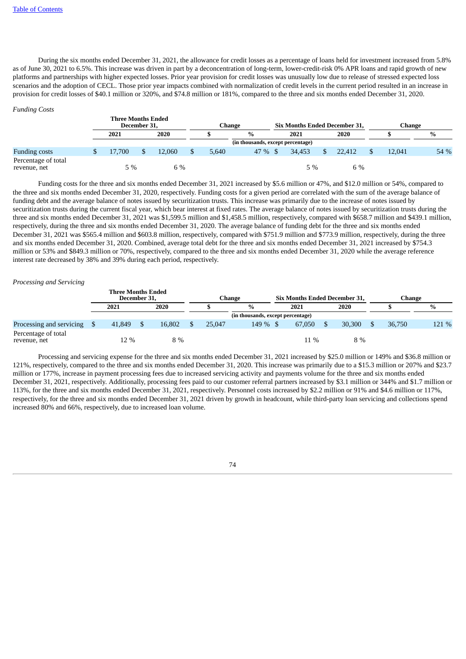During the six months ended December 31, 2021, the allowance for credit losses as a percentage of loans held for investment increased from 5.8% as of June 30, 2021 to 6.5%. This increase was driven in part by a deconcentration of long-term, lower-credit-risk 0% APR loans and rapid growth of new platforms and partnerships with higher expected losses. Prior year provision for credit losses was unusually low due to release of stressed expected loss scenarios and the adoption of CECL. Those prior year impacts combined with normalization of credit levels in the current period resulted in an increase in provision for credit losses of \$40.1 million or 320%, and \$74.8 million or 181%, compared to the three and six months ended December 31, 2020.

### *Funding Costs*

|                                     | <b>Three Months Ended</b><br>December 31, |        |       | Change                            | <b>Six Months Ended December 31,</b> |        |  |        |  | Change |      |  |
|-------------------------------------|-------------------------------------------|--------|-------|-----------------------------------|--------------------------------------|--------|--|--------|--|--------|------|--|
|                                     | 2021                                      | 2020   |       | $\frac{0}{0}$                     |                                      | 2021   |  | 2020   |  |        | %    |  |
|                                     |                                           |        |       | (in thousands, except percentage) |                                      |        |  |        |  |        |      |  |
| <b>Funding costs</b>                | 17.700                                    | 12.060 | 5,640 | 47 % \$                           |                                      | 34,453 |  | 22,412 |  | 12.041 | 54 % |  |
| Percentage of total<br>revenue, net | 5 %                                       | 6 %    |       |                                   |                                      | 5 %    |  | 6 %    |  |        |      |  |

Funding costs for the three and six months ended December 31, 2021 increased by \$5.6 million or 47%, and \$12.0 million or 54%, compared to the three and six months ended December 31, 2020, respectively. Funding costs for a given period are correlated with the sum of the average balance of funding debt and the average balance of notes issued by securitization trusts. This increase was primarily due to the increase of notes issued by securitization trusts during the current fiscal year, which bear interest at fixed rates. The average balance of notes issued by securitization trusts during the three and six months ended December 31, 2021 was \$1,599.5 million and \$1,458.5 million, respectively, compared with \$658.7 million and \$439.1 million, respectively, during the three and six months ended December 31, 2020. The average balance of funding debt for the three and six months ended December 31, 2021 was \$565.4 million and \$603.8 million, respectively, compared with \$751.9 million and \$773.9 million, respectively, during the three and six months ended December 31, 2020. Combined, average total debt for the three and six months ended December 31, 2021 increased by \$754.3 million or 53% and \$849.3 million or 70%, respectively, compared to the three and six months ended December 31, 2020 while the average reference interest rate decreased by 38% and 39% during each period, respectively.

#### *Processing and Servicing*

|                                     | <b>Three Months Ended</b><br>December 31, |        |        | Change                            | <b>Six Months Ended December 31,</b> |        | Change |       |  |
|-------------------------------------|-------------------------------------------|--------|--------|-----------------------------------|--------------------------------------|--------|--------|-------|--|
|                                     | 2021                                      | 2020   |        | $\%$                              | 2021                                 | 2020   |        | $\%$  |  |
|                                     |                                           |        |        | (in thousands, except percentage) |                                      |        |        |       |  |
| Processing and servicing            | 41,849                                    | 16.802 | 25,047 | $149\%$ \$                        | 67,050                               | 30,300 | 36,750 | 121 % |  |
| Percentage of total<br>revenue, net | 12 %                                      | 8 %    |        |                                   | 11 %                                 | 8 %    |        |       |  |

Processing and servicing expense for the three and six months ended December 31, 2021 increased by \$25.0 million or 149% and \$36.8 million or 121%, respectively, compared to the three and six months ended December 31, 2020. This increase was primarily due to a \$15.3 million or 207% and \$23.7 million or 177%, increase in payment processing fees due to increased servicing activity and payments volume for the three and six months ended December 31, 2021, respectively. Additionally, processing fees paid to our customer referral partners increased by \$3.1 million or 344% and \$1.7 million or 113%, for the three and six months ended December 31, 2021, respectively. Personnel costs increased by \$2.2 million or 91% and \$4.6 million or 117%, respectively, for the three and six months ended December 31, 2021 driven by growth in headcount, while third-party loan servicing and collections spend increased 80% and 66%, respectively, due to increased loan volume.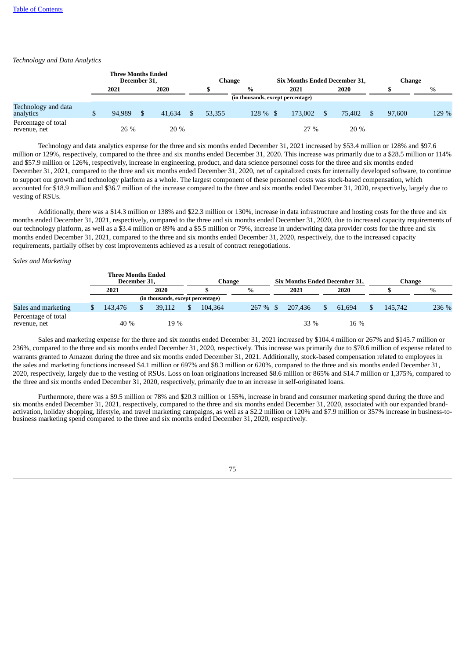#### *Technology and Data Analytics*

|                                     | <b>Three Months Ended</b><br>December 31, |        |        | Change                            | <b>Six Months Ended December 31,</b> |         |  |        |  | Change |               |  |
|-------------------------------------|-------------------------------------------|--------|--------|-----------------------------------|--------------------------------------|---------|--|--------|--|--------|---------------|--|
|                                     | 2021                                      | 2020   |        | $\%$                              |                                      | 2021    |  | 2020   |  |        | $\frac{6}{9}$ |  |
|                                     |                                           |        |        | (in thousands, except percentage) |                                      |         |  |        |  |        |               |  |
| Technology and data<br>analytics    | 94.989                                    | 41.634 | 53,355 | $128\%$ \$                        |                                      | 173,002 |  | 75,402 |  | 97,600 | 129 %         |  |
| Percentage of total<br>revenue, net | 26 %                                      | 20 %   |        |                                   |                                      | $27\%$  |  | 20 %   |  |        |               |  |

Technology and data analytics expense for the three and six months ended December 31, 2021 increased by \$53.4 million or 128% and \$97.6 million or 129%, respectively, compared to the three and six months ended December 31, 2020. This increase was primarily due to a \$28.5 million or 114% and \$57.9 million or 126%, respectively, increase in engineering, product, and data science personnel costs for the three and six months ended December 31, 2021, compared to the three and six months ended December 31, 2020, net of capitalized costs for internally developed software, to continue to support our growth and technology platform as a whole. The largest component of these personnel costs was stock-based compensation, which accounted for \$18.9 million and \$36.7 million of the increase compared to the three and six months ended December 31, 2020, respectively, largely due to vesting of RSUs.

Additionally, there was a \$14.3 million or 138% and \$22.3 million or 130%, increase in data infrastructure and hosting costs for the three and six months ended December 31, 2021, respectively, compared to the three and six months ended December 31, 2020, due to increased capacity requirements of our technology platform, as well as a \$3.4 million or 89% and a \$5.5 million or 79%, increase in underwriting data provider costs for the three and six months ended December 31, 2021, compared to the three and six months ended December 31, 2020, respectively, due to the increased capacity requirements, partially offset by cost improvements achieved as a result of contract renegotiations.

### *Sales and Marketing*

|                                     | <b>Three Months Ended</b><br>December 31, |                                   |         | Change     | <b>Six Months Ended December 31,</b> |        | Change  |       |
|-------------------------------------|-------------------------------------------|-----------------------------------|---------|------------|--------------------------------------|--------|---------|-------|
|                                     | 2021                                      | 2020                              |         | $\%$       | 2021                                 | 2020   |         | %     |
|                                     |                                           | (in thousands, except percentage) |         |            |                                      |        |         |       |
| Sales and marketing                 | 143.476                                   | 39.112                            | 104.364 | $267\%$ \$ | 207,436                              | 61.694 | 145,742 | 236 % |
| Percentage of total<br>revenue, net | 40 %                                      | 19 %                              |         |            | 33 %                                 | 16 %   |         |       |

Sales and marketing expense for the three and six months ended December 31, 2021 increased by \$104.4 million or 267% and \$145.7 million or 236%, compared to the three and six months ended December 31, 2020, respectively. This increase was primarily due to \$70.6 million of expense related to warrants granted to Amazon during the three and six months ended December 31, 2021. Additionally, stock-based compensation related to employees in the sales and marketing functions increased \$4.1 million or 697% and \$8.3 million or 620%, compared to the three and six months ended December 31, 2020, respectively, largely due to the vesting of RSUs. Loss on loan originations increased \$8.6 million or 865% and \$14.7 million or 1,375%, compared to the three and six months ended December 31, 2020, respectively, primarily due to an increase in self-originated loans.

Furthermore, there was a \$9.5 million or 78% and \$20.3 million or 155%, increase in brand and consumer marketing spend during the three and six months ended December 31, 2021, respectively, compared to the three and six months ended December 31, 2020, associated with our expanded brandactivation, holiday shopping, lifestyle, and travel marketing campaigns, as well as a \$2.2 million or 120% and \$7.9 million or 357% increase in business-tobusiness marketing spend compared to the three and six months ended December 31, 2020, respectively.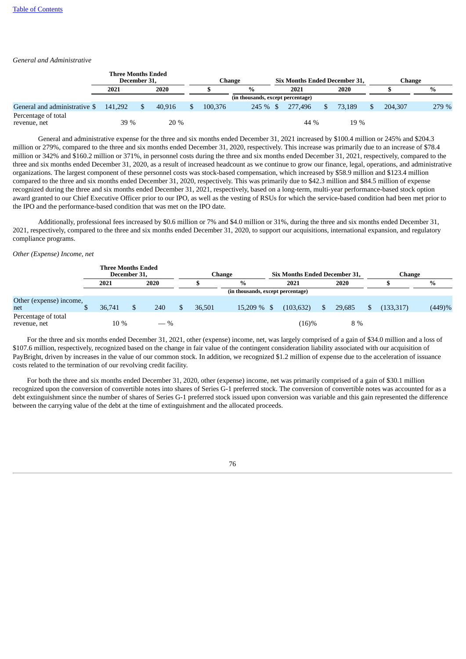# *General and Administrative*

|                                     | <b>Three Months Ended</b><br>December 31, |                                   |  |         | Change     |  | <b>Six Months Ended December 31.</b> |  |        |  | Change  |       |  |
|-------------------------------------|-------------------------------------------|-----------------------------------|--|---------|------------|--|--------------------------------------|--|--------|--|---------|-------|--|
|                                     | 2021                                      | 2020                              |  |         | $\%$       |  | 2021                                 |  | 2020   |  |         | %     |  |
|                                     |                                           | (in thousands, except percentage) |  |         |            |  |                                      |  |        |  |         |       |  |
| General and administrative \$       | 141.292                                   | 40.916                            |  | 100.376 | $245\%$ \$ |  | 277.496                              |  | 73.189 |  | 204.307 | 279 % |  |
| Percentage of total<br>revenue, net | 39 %                                      | 20 %                              |  |         |            |  | 44 %                                 |  | 19 %   |  |         |       |  |

General and administrative expense for the three and six months ended December 31, 2021 increased by \$100.4 million or 245% and \$204.3 million or 279%, compared to the three and six months ended December 31, 2020, respectively. This increase was primarily due to an increase of \$78.4 million or 342% and \$160.2 million or 371%, in personnel costs during the three and six months ended December 31, 2021, respectively, compared to the three and six months ended December 31, 2020, as a result of increased headcount as we continue to grow our finance, legal, operations, and administrative organizations. The largest component of these personnel costs was stock-based compensation, which increased by \$58.9 million and \$123.4 million compared to the three and six months ended December 31, 2020, respectively. This was primarily due to \$42.3 million and \$84.5 million of expense recognized during the three and six months ended December 31, 2021, respectively, based on a long-term, multi-year performance-based stock option award granted to our Chief Executive Officer prior to our IPO, as well as the vesting of RSUs for which the service-based condition had been met prior to the IPO and the performance-based condition that was met on the IPO date.

Additionally, professional fees increased by \$0.6 million or 7% and \$4.0 million or 31%, during the three and six months ended December 31, 2021, respectively, compared to the three and six months ended December 31, 2020, to support our acquisitions, international expansion, and regulatory compliance programs.

## *Other (Expense) Income, net*

|                                     | <b>Three Months Ended</b><br>December 31, |       |        | Change                            | <b>Six Months Ended December 31,</b> |        | Change     |               |  |
|-------------------------------------|-------------------------------------------|-------|--------|-----------------------------------|--------------------------------------|--------|------------|---------------|--|
|                                     | 2021                                      | 2020  |        | %                                 | 2021                                 | 2020   |            | $\frac{9}{6}$ |  |
|                                     |                                           |       |        | (in thousands, except percentage) |                                      |        |            |               |  |
| Other (expense) income,<br>net      | 36.741                                    | 240   | 36.501 | $15,209\%$ \$                     | (103, 632)                           | 29.685 | (133, 317) | (449)%        |  |
| Percentage of total<br>revenue, net | 10 %                                      | $-$ % |        |                                   | (16)%                                | 8 %    |            |               |  |

For the three and six months ended December 31, 2021, other (expense) income, net, was largely comprised of a gain of \$34.0 million and a loss of \$107.6 million, respectively, recognized based on the change in fair value of the contingent consideration liability associated with our acquisition of PayBright, driven by increases in the value of our common stock. In addition, we recognized \$1.2 million of expense due to the acceleration of issuance costs related to the termination of our revolving credit facility.

For both the three and six months ended December 31, 2020, other (expense) income, net was primarily comprised of a gain of \$30.1 million recognized upon the conversion of convertible notes into shares of Series G-1 preferred stock. The conversion of convertible notes was accounted for as a debt extinguishment since the number of shares of Series G-1 preferred stock issued upon conversion was variable and this gain represented the difference between the carrying value of the debt at the time of extinguishment and the allocated proceeds.

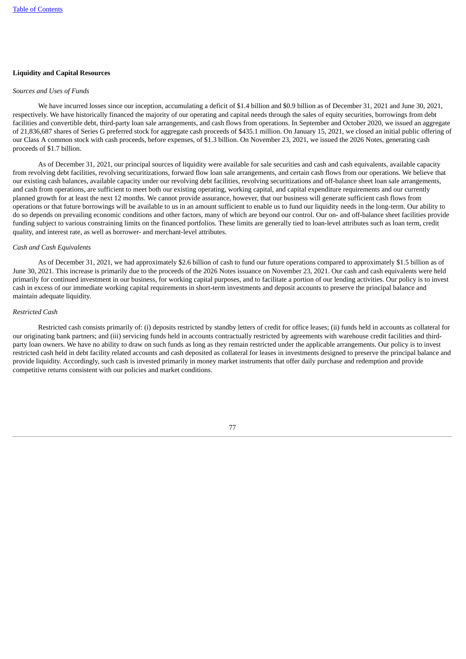# **Liquidity and Capital Resources**

### *Sources and Uses of Funds*

We have incurred losses since our inception, accumulating a deficit of \$1.4 billion and \$0.9 billion as of December 31, 2021 and June 30, 2021, respectively. We have historically financed the majority of our operating and capital needs through the sales of equity securities, borrowings from debt facilities and convertible debt, third-party loan sale arrangements, and cash flows from operations. In September and October 2020, we issued an aggregate of 21,836,687 shares of Series G preferred stock for aggregate cash proceeds of \$435.1 million. On January 15, 2021, we closed an initial public offering of our Class A common stock with cash proceeds, before expenses, of \$1.3 billion. On November 23, 2021, we issued the 2026 Notes, generating cash proceeds of \$1.7 billion.

As of December 31, 2021, our principal sources of liquidity were available for sale securities and cash and cash equivalents, available capacity from revolving debt facilities, revolving securitizations, forward flow loan sale arrangements, and certain cash flows from our operations. We believe that our existing cash balances, available capacity under our revolving debt facilities, revolving securitizations and off-balance sheet loan sale arrangements, and cash from operations, are sufficient to meet both our existing operating, working capital, and capital expenditure requirements and our currently planned growth for at least the next 12 months. We cannot provide assurance, however, that our business will generate sufficient cash flows from operations or that future borrowings will be available to us in an amount sufficient to enable us to fund our liquidity needs in the long-term. Our ability to do so depends on prevailing economic conditions and other factors, many of which are beyond our control. Our on- and off-balance sheet facilities provide funding subject to various constraining limits on the financed portfolios. These limits are generally tied to loan-level attributes such as loan term, credit quality, and interest rate, as well as borrower- and merchant-level attributes.

### *Cash and Cash Equivalents*

As of December 31, 2021, we had approximately \$2.6 billion of cash to fund our future operations compared to approximately \$1.5 billion as of June 30, 2021. This increase is primarily due to the proceeds of the 2026 Notes issuance on November 23, 2021. Our cash and cash equivalents were held primarily for continued investment in our business, for working capital purposes, and to facilitate a portion of our lending activities. Our policy is to invest cash in excess of our immediate working capital requirements in short-term investments and deposit accounts to preserve the principal balance and maintain adequate liquidity.

# *Restricted Cash*

Restricted cash consists primarily of: (i) deposits restricted by standby letters of credit for office leases; (ii) funds held in accounts as collateral for our originating bank partners; and (iii) servicing funds held in accounts contractually restricted by agreements with warehouse credit facilities and thirdparty loan owners. We have no ability to draw on such funds as long as they remain restricted under the applicable arrangements. Our policy is to invest restricted cash held in debt facility related accounts and cash deposited as collateral for leases in investments designed to preserve the principal balance and provide liquidity. Accordingly, such cash is invested primarily in money market instruments that offer daily purchase and redemption and provide competitive returns consistent with our policies and market conditions.

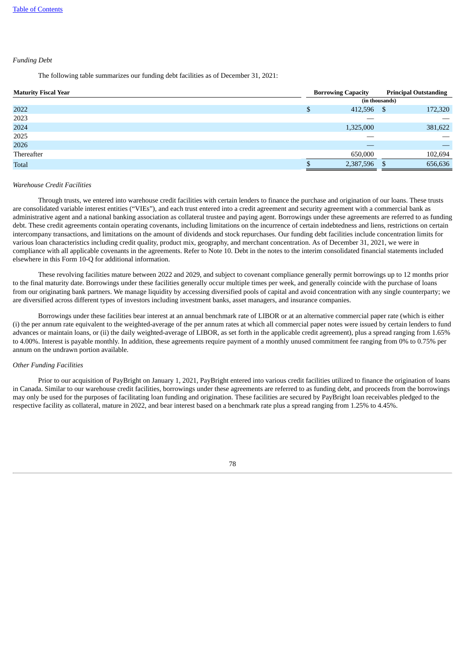### *Funding Debt*

The following table summarizes our funding debt facilities as of December 31, 2021:

| <b>Maturity Fiscal Year</b> | <b>Borrowing Capacity</b> | <b>Principal Outstanding</b> |  |  |
|-----------------------------|---------------------------|------------------------------|--|--|
|                             |                           | (in thousands)               |  |  |
| 2022                        | \$<br>412,596             | 172,320<br>S                 |  |  |
| 2023                        |                           |                              |  |  |
| 2024                        | 1,325,000                 | 381,622                      |  |  |
| 2025                        |                           |                              |  |  |
| 2026                        | _                         |                              |  |  |
| Thereafter                  | 650,000                   | 102,694                      |  |  |
| <b>Total</b>                | 2,387,596                 | 656,636                      |  |  |

#### *Warehouse Credit Facilities*

Through trusts, we entered into warehouse credit facilities with certain lenders to finance the purchase and origination of our loans. These trusts are consolidated variable interest entities ("VIEs"), and each trust entered into a credit agreement and security agreement with a commercial bank as administrative agent and a national banking association as collateral trustee and paying agent. Borrowings under these agreements are referred to as funding debt. These credit agreements contain operating covenants, including limitations on the incurrence of certain indebtedness and liens, restrictions on certain intercompany transactions, and limitations on the amount of dividends and stock repurchases. Our funding debt facilities include concentration limits for various loan characteristics including credit quality, product mix, geography, and merchant concentration. As of December 31, 2021, we were in compliance with all applicable covenants in the agreements. Refer to Note 10. Debt in the notes to the interim consolidated financial statements included elsewhere in this Form 10-Q for additional information.

These revolving facilities mature between 2022 and 2029, and subject to covenant compliance generally permit borrowings up to 12 months prior to the final maturity date. Borrowings under these facilities generally occur multiple times per week, and generally coincide with the purchase of loans from our originating bank partners. We manage liquidity by accessing diversified pools of capital and avoid concentration with any single counterparty; we are diversified across different types of investors including investment banks, asset managers, and insurance companies.

Borrowings under these facilities bear interest at an annual benchmark rate of LIBOR or at an alternative commercial paper rate (which is either (i) the per annum rate equivalent to the weighted-average of the per annum rates at which all commercial paper notes were issued by certain lenders to fund advances or maintain loans, or (ii) the daily weighted-average of LIBOR, as set forth in the applicable credit agreement), plus a spread ranging from 1.65% to 4.00%. Interest is payable monthly. In addition, these agreements require payment of a monthly unused commitment fee ranging from 0% to 0.75% per annum on the undrawn portion available.

### *Other Funding Facilities*

Prior to our acquisition of PayBright on January 1, 2021, PayBright entered into various credit facilities utilized to finance the origination of loans in Canada. Similar to our warehouse credit facilities, borrowings under these agreements are referred to as funding debt, and proceeds from the borrowings may only be used for the purposes of facilitating loan funding and origination. These facilities are secured by PayBright loan receivables pledged to the respective facility as collateral, mature in 2022, and bear interest based on a benchmark rate plus a spread ranging from 1.25% to 4.45%.

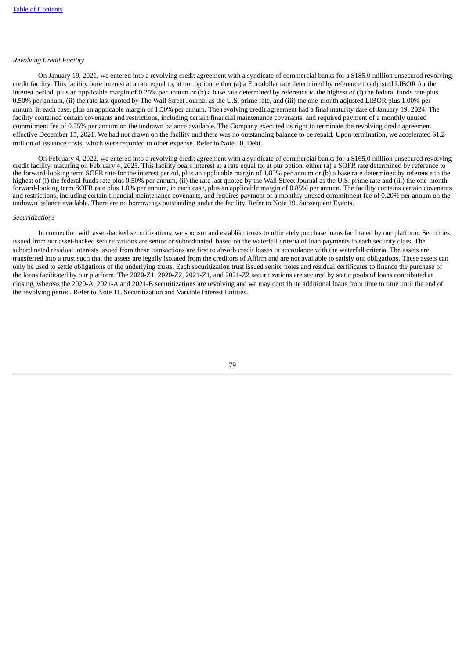### *Revolving Credit Facility*

On January 19, 2021, we entered into a revolving credit agreement with a syndicate of commercial banks for a \$185.0 million unsecured revolving credit facility. This facility bore interest at a rate equal to, at our option, either (a) a Eurodollar rate determined by reference to adjusted LIBOR for the interest period, plus an applicable margin of 0.25% per annum or (b) a base rate determined by reference to the highest of (i) the federal funds rate plus 0.50% per annum, (ii) the rate last quoted by The Wall Street Journal as the U.S. prime rate, and (iii) the one-month adjusted LIBOR plus 1.00% per annum, in each case, plus an applicable margin of 1.50% per annum. The revolving credit agreement had a final maturity date of January 19, 2024. The facility contained certain covenants and restrictions, including certain financial maintenance covenants, and required payment of a monthly unused commitment fee of 0.35% per annum on the undrawn balance available. The Company executed its right to terminate the revolving credit agreement effective December 15, 2021. We had not drawn on the facility and there was no outstanding balance to be repaid. Upon termination, we accelerated \$1.2 million of issuance costs, which were recorded in other expense. Refer to Note 10. Debt.

On February 4, 2022, we entered into a revolving credit agreement with a syndicate of commercial banks for a \$165.0 million unsecured revolving credit facility, maturing on February 4, 2025. This facility bears interest at a rate equal to, at our option, either (a) a SOFR rate determined by reference to the forward-looking term SOFR rate for the interest period, plus an applicable margin of 1.85% per annum or (b) a base rate determined by reference to the highest of (i) the federal funds rate plus 0.50% per annum, (ii) the rate last quoted by the Wall Street Journal as the U.S. prime rate and (iii) the one-month forward-looking term SOFR rate plus 1.0% per annum, in each case, plus an applicable margin of 0.85% per annum. The facility contains certain covenants and restrictions, including certain financial maintenance covenants, and requires payment of a monthly unused commitment fee of 0.20% per annum on the undrawn balance available. There are no borrowings outstanding under the facility. Refer to Note 19. Subsequent Events.

### *Securitizations*

In connection with asset-backed securitizations, we sponsor and establish trusts to ultimately purchase loans facilitated by our platform. Securities issued from our asset-backed securitizations are senior or subordinated, based on the waterfall criteria of loan payments to each security class. The subordinated residual interests issued from these transactions are first to absorb credit losses in accordance with the waterfall criteria. The assets are transferred into a trust such that the assets are legally isolated from the creditors of Affirm and are not available to satisfy our obligations. These assets can only be used to settle obligations of the underlying trusts. Each securitization trust issued senior notes and residual certificates to finance the purchase of the loans facilitated by our platform. The 2020-Z1, 2020-Z2, 2021-Z1, and 2021-Z2 securitizations are secured by static pools of loans contributed at closing, whereas the 2020-A, 2021-A and 2021-B securitizations are revolving and we may contribute additional loans from time to time until the end of the revolving period. Refer to Note 11. Securitization and Variable Interest Entities.

79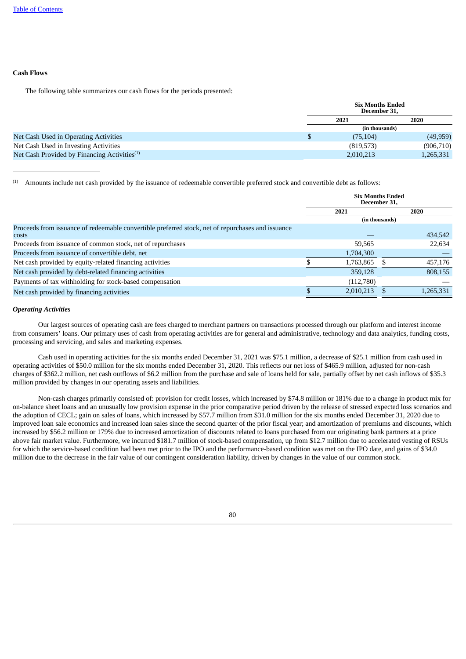# **Cash Flows**

The following table summarizes our cash flows for the periods presented:

|                                                          |   | <b>Six Months Ended</b><br>December 31, |            |
|----------------------------------------------------------|---|-----------------------------------------|------------|
|                                                          |   | 2021                                    | 2020       |
|                                                          |   | (in thousands)                          |            |
| Net Cash Used in Operating Activities                    | S | (75, 104)                               | (49, 959)  |
| Net Cash Used in Investing Activities                    |   | (819,573)                               | (906, 710) |
| Net Cash Provided by Financing Activities <sup>(1)</sup> |   | 2,010,213                               | 1,265,331  |

 $<sup>(1)</sup>$  Amounts include net cash provided by the issuance of redeemable convertible preferred stock and convertible debt as follows:</sup>

|                                                                                                                   |                | <b>Six Months Ended</b><br>December 31. |      |           |  |
|-------------------------------------------------------------------------------------------------------------------|----------------|-----------------------------------------|------|-----------|--|
|                                                                                                                   | 2021           |                                         | 2020 |           |  |
|                                                                                                                   | (in thousands) |                                         |      |           |  |
| Proceeds from issuance of redeemable convertible preferred stock, net of repurchases and issuance<br><b>COStS</b> |                |                                         |      | 434,542   |  |
| Proceeds from issuance of common stock, net of repurchases                                                        |                | 59,565                                  |      | 22,634    |  |
| Proceeds from issuance of convertible debt, net                                                                   |                | 1,704,300                               |      |           |  |
| Net cash provided by equity-related financing activities                                                          |                | 1,763,865                               |      | 457,176   |  |
| Net cash provided by debt-related financing activities                                                            |                | 359,128                                 |      | 808,155   |  |
| Payments of tax withholding for stock-based compensation                                                          |                | (112,780)                               |      |           |  |
| Net cash provided by financing activities                                                                         |                | 2,010,213                               |      | 1,265,331 |  |

# *Operating Activities*

Our largest sources of operating cash are fees charged to merchant partners on transactions processed through our platform and interest income from consumers' loans. Our primary uses of cash from operating activities are for general and administrative, technology and data analytics, funding costs, processing and servicing, and sales and marketing expenses.

Cash used in operating activities for the six months ended December 31, 2021 was \$75.1 million, a decrease of \$25.1 million from cash used in operating activities of \$50.0 million for the six months ended December 31, 2020. This reflects our net loss of \$465.9 million, adjusted for non-cash charges of \$362.2 million, net cash outflows of \$6.2 million from the purchase and sale of loans held for sale, partially offset by net cash inflows of \$35.3 million provided by changes in our operating assets and liabilities.

Non-cash charges primarily consisted of: provision for credit losses, which increased by \$74.8 million or 181% due to a change in product mix for on-balance sheet loans and an unusually low provision expense in the prior comparative period driven by the release of stressed expected loss scenarios and the adoption of CECL; gain on sales of loans, which increased by \$57.7 million from \$31.0 million for the six months ended December 31, 2020 due to improved loan sale economics and increased loan sales since the second quarter of the prior fiscal year; and amortization of premiums and discounts, which increased by \$56.2 million or 179% due to increased amortization of discounts related to loans purchased from our originating bank partners at a price above fair market value. Furthermore, we incurred \$181.7 million of stock-based compensation, up from \$12.7 million due to accelerated vesting of RSUs for which the service-based condition had been met prior to the IPO and the performance-based condition was met on the IPO date, and gains of \$34.0 million due to the decrease in the fair value of our contingent consideration liability, driven by changes in the value of our common stock.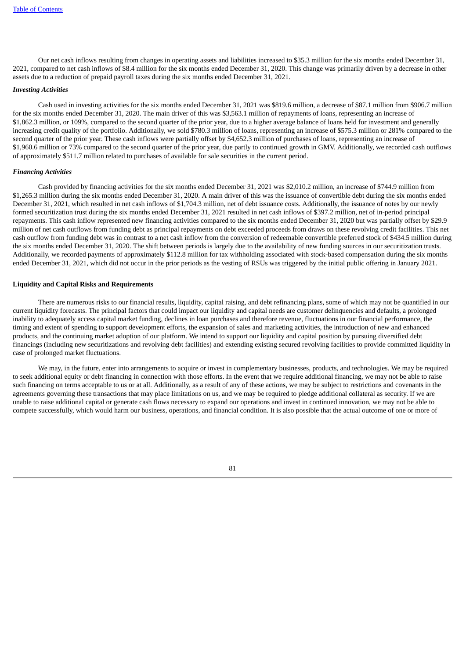Our net cash inflows resulting from changes in operating assets and liabilities increased to \$35.3 million for the six months ended December 31, 2021, compared to net cash inflows of \$8.4 million for the six months ended December 31, 2020. This change was primarily driven by a decrease in other assets due to a reduction of prepaid payroll taxes during the six months ended December 31, 2021.

### *Investing Activities*

Cash used in investing activities for the six months ended December 31, 2021 was \$819.6 million, a decrease of \$87.1 million from \$906.7 million for the six months ended December 31, 2020. The main driver of this was \$3,563.1 million of repayments of loans, representing an increase of \$1,862.3 million, or 109%, compared to the second quarter of the prior year, due to a higher average balance of loans held for investment and generally increasing credit quality of the portfolio. Additionally, we sold \$780.3 million of loans, representing an increase of \$575.3 million or 281% compared to the second quarter of the prior year. These cash inflows were partially offset by \$4,652.3 million of purchases of loans, representing an increase of \$1,960.6 million or 73% compared to the second quarter of the prior year, due partly to continued growth in GMV. Additionally, we recorded cash outflows of approximately \$511.7 million related to purchases of available for sale securities in the current period.

### *Financing Activities*

Cash provided by financing activities for the six months ended December 31, 2021 was \$2,010.2 million, an increase of \$744.9 million from \$1,265.3 million during the six months ended December 31, 2020. A main driver of this was the issuance of convertible debt during the six months ended December 31, 2021, which resulted in net cash inflows of \$1,704.3 million, net of debt issuance costs. Additionally, the issuance of notes by our newly formed securitization trust during the six months ended December 31, 2021 resulted in net cash inflows of \$397.2 million, net of in-period principal repayments. This cash inflow represented new financing activities compared to the six months ended December 31, 2020 but was partially offset by \$29.9 million of net cash outflows from funding debt as principal repayments on debt exceeded proceeds from draws on these revolving credit facilities. This net cash outflow from funding debt was in contrast to a net cash inflow from the conversion of redeemable convertible preferred stock of \$434.5 million during the six months ended December 31, 2020. The shift between periods is largely due to the availability of new funding sources in our securitization trusts. Additionally, we recorded payments of approximately \$112.8 million for tax withholding associated with stock-based compensation during the six months ended December 31, 2021, which did not occur in the prior periods as the vesting of RSUs was triggered by the initial public offering in January 2021.

### **Liquidity and Capital Risks and Requirements**

There are numerous risks to our financial results, liquidity, capital raising, and debt refinancing plans, some of which may not be quantified in our current liquidity forecasts. The principal factors that could impact our liquidity and capital needs are customer delinquencies and defaults, a prolonged inability to adequately access capital market funding, declines in loan purchases and therefore revenue, fluctuations in our financial performance, the timing and extent of spending to support development efforts, the expansion of sales and marketing activities, the introduction of new and enhanced products, and the continuing market adoption of our platform. We intend to support our liquidity and capital position by pursuing diversified debt financings (including new securitizations and revolving debt facilities) and extending existing secured revolving facilities to provide committed liquidity in case of prolonged market fluctuations.

We may, in the future, enter into arrangements to acquire or invest in complementary businesses, products, and technologies. We may be required to seek additional equity or debt financing in connection with those efforts. In the event that we require additional financing, we may not be able to raise such financing on terms acceptable to us or at all. Additionally, as a result of any of these actions, we may be subject to restrictions and covenants in the agreements governing these transactions that may place limitations on us, and we may be required to pledge additional collateral as security. If we are unable to raise additional capital or generate cash flows necessary to expand our operations and invest in continued innovation, we may not be able to compete successfully, which would harm our business, operations, and financial condition. It is also possible that the actual outcome of one or more of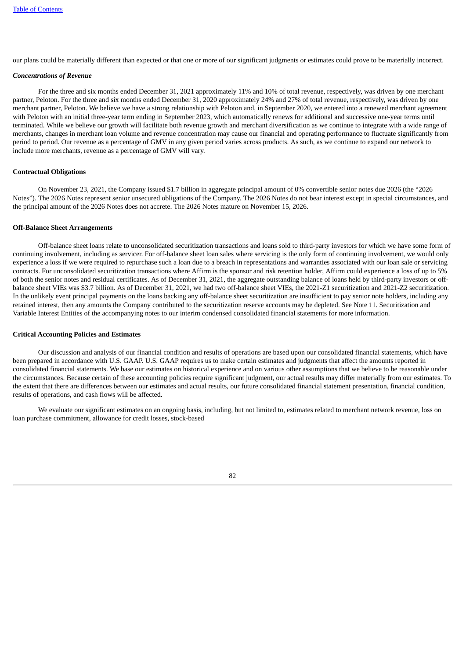our plans could be materially different than expected or that one or more of our significant judgments or estimates could prove to be materially incorrect.

# *Concentrations of Revenue*

For the three and six months ended December 31, 2021 approximately 11% and 10% of total revenue, respectively, was driven by one merchant partner, Peloton. For the three and six months ended December 31, 2020 approximately 24% and 27% of total revenue, respectively, was driven by one merchant partner, Peloton. We believe we have a strong relationship with Peloton and, in September 2020, we entered into a renewed merchant agreement with Peloton with an initial three-year term ending in September 2023, which automatically renews for additional and successive one-year terms until terminated. While we believe our growth will facilitate both revenue growth and merchant diversification as we continue to integrate with a wide range of merchants, changes in merchant loan volume and revenue concentration may cause our financial and operating performance to fluctuate significantly from period to period. Our revenue as a percentage of GMV in any given period varies across products. As such, as we continue to expand our network to include more merchants, revenue as a percentage of GMV will vary.

### **Contractual Obligations**

On November 23, 2021, the Company issued \$1.7 billion in aggregate principal amount of 0% convertible senior notes due 2026 (the "2026 Notes"). The 2026 Notes represent senior unsecured obligations of the Company. The 2026 Notes do not bear interest except in special circumstances, and the principal amount of the 2026 Notes does not accrete. The 2026 Notes mature on November 15, 2026.

### **Off-Balance Sheet Arrangements**

Off-balance sheet loans relate to unconsolidated securitization transactions and loans sold to third-party investors for which we have some form of continuing involvement, including as servicer. For off-balance sheet loan sales where servicing is the only form of continuing involvement, we would only experience a loss if we were required to repurchase such a loan due to a breach in representations and warranties associated with our loan sale or servicing contracts. For unconsolidated securitization transactions where Affirm is the sponsor and risk retention holder, Affirm could experience a loss of up to 5% of both the senior notes and residual certificates. As of December 31, 2021, the aggregate outstanding balance of loans held by third-party investors or offbalance sheet VIEs was \$3.7 billion. As of December 31, 2021, we had two off-balance sheet VIEs, the 2021-Z1 securitization and 2021-Z2 securitization. In the unlikely event principal payments on the loans backing any off-balance sheet securitization are insufficient to pay senior note holders, including any retained interest, then any amounts the Company contributed to the securitization reserve accounts may be depleted. See Note 11. Securitization and Variable Interest Entities of the accompanying notes to our interim condensed consolidated financial statements for more information.

### **Critical Accounting Policies and Estimates**

Our discussion and analysis of our financial condition and results of operations are based upon our consolidated financial statements, which have been prepared in accordance with U.S. GAAP. U.S. GAAP requires us to make certain estimates and judgments that affect the amounts reported in consolidated financial statements. We base our estimates on historical experience and on various other assumptions that we believe to be reasonable under the circumstances. Because certain of these accounting policies require significant judgment, our actual results may differ materially from our estimates. To the extent that there are differences between our estimates and actual results, our future consolidated financial statement presentation, financial condition, results of operations, and cash flows will be affected.

We evaluate our significant estimates on an ongoing basis, including, but not limited to, estimates related to merchant network revenue, loss on loan purchase commitment, allowance for credit losses, stock-based

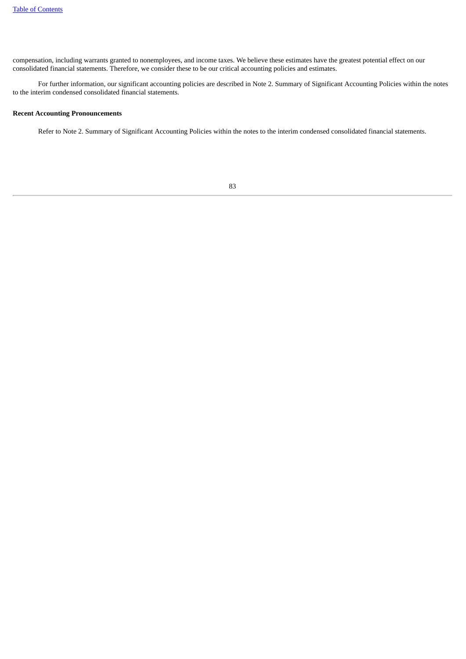compensation, including warrants granted to nonemployees, and income taxes. We believe these estimates have the greatest potential effect on our consolidated financial statements. Therefore, we consider these to be our critical accounting policies and estimates.

For further information, our significant accounting policies are described in Note 2. Summary of Significant Accounting Policies within the notes to the interim condensed consolidated financial statements.

# **Recent Accounting Pronouncements**

Refer to Note 2. Summary of Significant Accounting Policies within the notes to the interim condensed consolidated financial statements.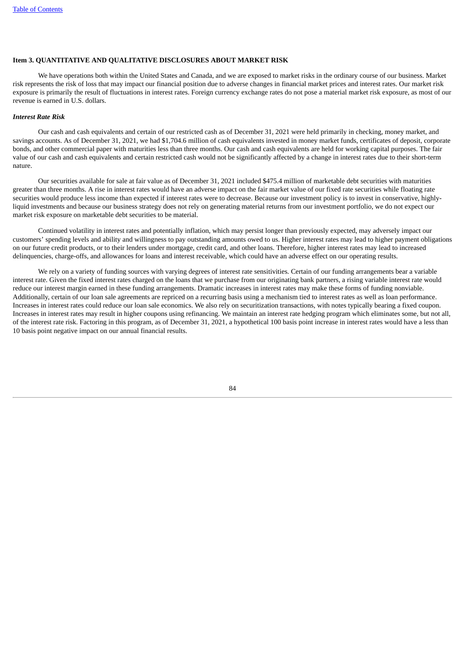# **Item 3. QUANTITATIVE AND QUALITATIVE DISCLOSURES ABOUT MARKET RISK**

We have operations both within the United States and Canada, and we are exposed to market risks in the ordinary course of our business. Market risk represents the risk of loss that may impact our financial position due to adverse changes in financial market prices and interest rates. Our market risk exposure is primarily the result of fluctuations in interest rates. Foreign currency exchange rates do not pose a material market risk exposure, as most of our revenue is earned in U.S. dollars.

### *Interest Rate Risk*

Our cash and cash equivalents and certain of our restricted cash as of December 31, 2021 were held primarily in checking, money market, and savings accounts. As of December 31, 2021, we had \$1,704.6 million of cash equivalents invested in money market funds, certificates of deposit, corporate bonds, and other commercial paper with maturities less than three months. Our cash and cash equivalents are held for working capital purposes. The fair value of our cash and cash equivalents and certain restricted cash would not be significantly affected by a change in interest rates due to their short-term nature.

Our securities available for sale at fair value as of December 31, 2021 included \$475.4 million of marketable debt securities with maturities greater than three months. A rise in interest rates would have an adverse impact on the fair market value of our fixed rate securities while floating rate securities would produce less income than expected if interest rates were to decrease. Because our investment policy is to invest in conservative, highlyliquid investments and because our business strategy does not rely on generating material returns from our investment portfolio, we do not expect our market risk exposure on marketable debt securities to be material.

Continued volatility in interest rates and potentially inflation, which may persist longer than previously expected, may adversely impact our customers' spending levels and ability and willingness to pay outstanding amounts owed to us. Higher interest rates may lead to higher payment obligations on our future credit products, or to their lenders under mortgage, credit card, and other loans. Therefore, higher interest rates may lead to increased delinquencies, charge-offs, and allowances for loans and interest receivable, which could have an adverse effect on our operating results.

We rely on a variety of funding sources with varying degrees of interest rate sensitivities. Certain of our funding arrangements bear a variable interest rate. Given the fixed interest rates charged on the loans that we purchase from our originating bank partners, a rising variable interest rate would reduce our interest margin earned in these funding arrangements. Dramatic increases in interest rates may make these forms of funding nonviable. Additionally, certain of our loan sale agreements are repriced on a recurring basis using a mechanism tied to interest rates as well as loan performance. Increases in interest rates could reduce our loan sale economics. We also rely on securitization transactions, with notes typically bearing a fixed coupon. Increases in interest rates may result in higher coupons using refinancing. We maintain an interest rate hedging program which eliminates some, but not all, of the interest rate risk. Factoring in this program, as of December 31, 2021, a hypothetical 100 basis point increase in interest rates would have a less than 10 basis point negative impact on our annual financial results.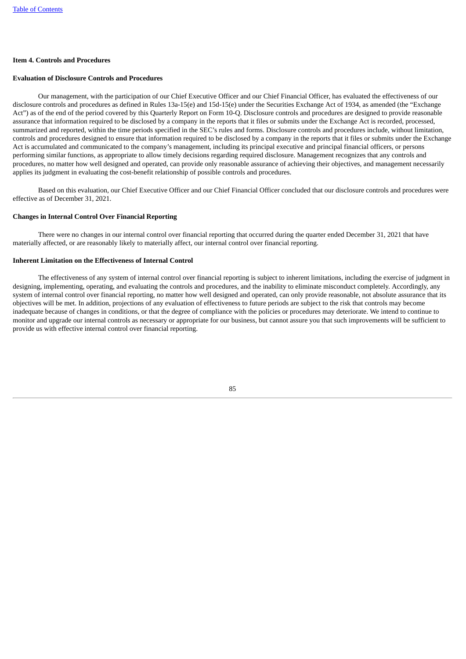## **Item 4. Controls and Procedures**

# **Evaluation of Disclosure Controls and Procedures**

Our management, with the participation of our Chief Executive Officer and our Chief Financial Officer, has evaluated the effectiveness of our disclosure controls and procedures as defined in Rules 13a-15(e) and 15d-15(e) under the Securities Exchange Act of 1934, as amended (the "Exchange Act") as of the end of the period covered by this Quarterly Report on Form 10-Q. Disclosure controls and procedures are designed to provide reasonable assurance that information required to be disclosed by a company in the reports that it files or submits under the Exchange Act is recorded, processed, summarized and reported, within the time periods specified in the SEC's rules and forms. Disclosure controls and procedures include, without limitation, controls and procedures designed to ensure that information required to be disclosed by a company in the reports that it files or submits under the Exchange Act is accumulated and communicated to the company's management, including its principal executive and principal financial officers, or persons performing similar functions, as appropriate to allow timely decisions regarding required disclosure. Management recognizes that any controls and procedures, no matter how well designed and operated, can provide only reasonable assurance of achieving their objectives, and management necessarily applies its judgment in evaluating the cost-benefit relationship of possible controls and procedures.

Based on this evaluation, our Chief Executive Officer and our Chief Financial Officer concluded that our disclosure controls and procedures were effective as of December 31, 2021.

#### **Changes in Internal Control Over Financial Reporting**

There were no changes in our internal control over financial reporting that occurred during the quarter ended December 31, 2021 that have materially affected, or are reasonably likely to materially affect, our internal control over financial reporting.

# **Inherent Limitation on the Effectiveness of Internal Control**

The effectiveness of any system of internal control over financial reporting is subject to inherent limitations, including the exercise of judgment in designing, implementing, operating, and evaluating the controls and procedures, and the inability to eliminate misconduct completely. Accordingly, any system of internal control over financial reporting, no matter how well designed and operated, can only provide reasonable, not absolute assurance that its objectives will be met. In addition, projections of any evaluation of effectiveness to future periods are subject to the risk that controls may become inadequate because of changes in conditions, or that the degree of compliance with the policies or procedures may deteriorate. We intend to continue to monitor and upgrade our internal controls as necessary or appropriate for our business, but cannot assure you that such improvements will be sufficient to provide us with effective internal control over financial reporting.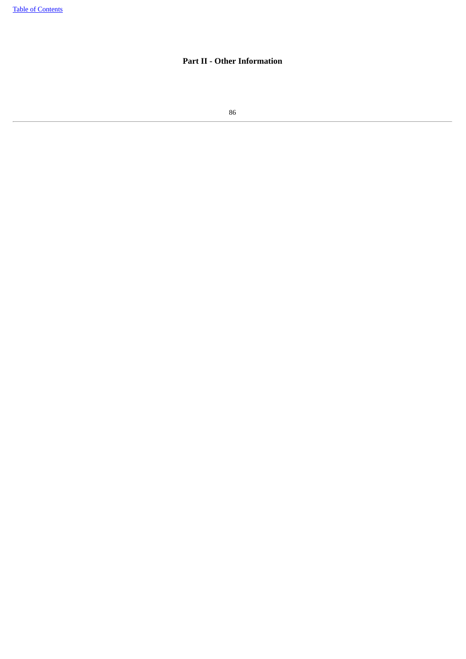# **Part II - Other Information**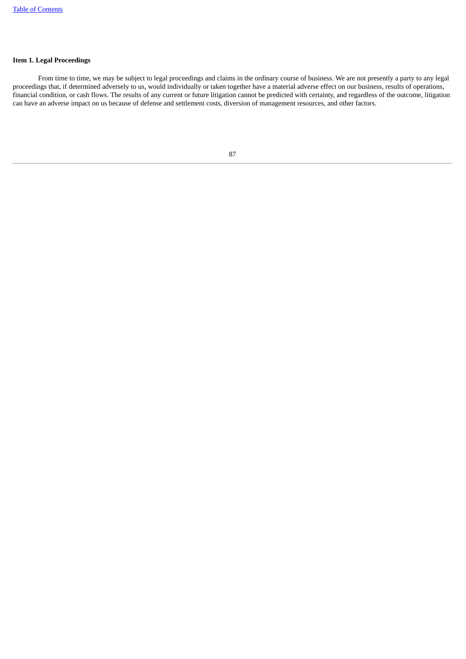# **Item 1. Legal Proceedings**

From time to time, we may be subject to legal proceedings and claims in the ordinary course of business. We are not presently a party to any legal proceedings that, if determined adversely to us, would individually or taken together have a material adverse effect on our business, results of operations, financial condition, or cash flows. The results of any current or future litigation cannot be predicted with certainty, and regardless of the outcome, litigation can have an adverse impact on us because of defense and settlement costs, diversion of management resources, and other factors.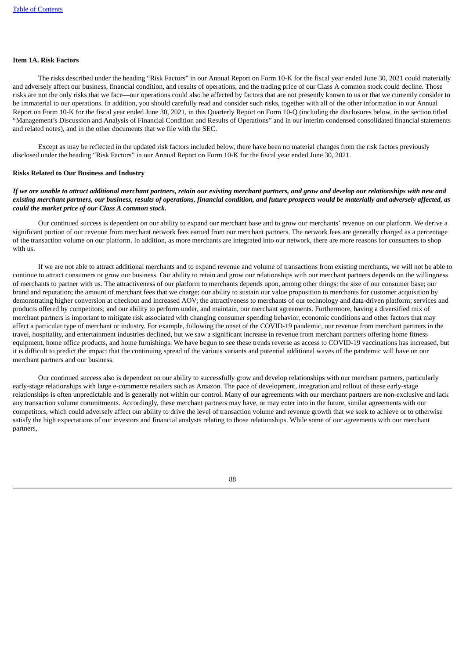# **Item 1A. Risk Factors**

The risks described under the heading "Risk Factors" in our Annual Report on Form 10-K for the fiscal year ended June 30, 2021 could materially and adversely affect our business, financial condition, and results of operations, and the trading price of our Class A common stock could decline. Those risks are not the only risks that we face—our operations could also be affected by factors that are not presently known to us or that we currently consider to be immaterial to our operations. In addition, you should carefully read and consider such risks, together with all of the other information in our Annual Report on Form 10-K for the fiscal year ended June 30, 2021, in this Quarterly Report on Form 10-Q (including the disclosures below, in the section titled "Management's Discussion and Analysis of Financial Condition and Results of Operations" and in our interim condensed consolidated financial statements and related notes), and in the other documents that we file with the SEC.

Except as may be reflected in the updated risk factors included below, there have been no material changes from the risk factors previously disclosed under the heading "Risk Factors" in our Annual Report on Form 10-K for the fiscal year ended June 30, 2021.

#### **Risks Related to Our Business and Industry**

# If we are unable to attract additional merchant partners, retain our existing merchant partners, and grow and develop our relationships with new and existing merchant partners, our business, results of operations, financial condition, and future prospects would be materially and adversely affected, as *could the market price of our Class A common stock.*

Our continued success is dependent on our ability to expand our merchant base and to grow our merchants' revenue on our platform. We derive a significant portion of our revenue from merchant network fees earned from our merchant partners. The network fees are generally charged as a percentage of the transaction volume on our platform. In addition, as more merchants are integrated into our network, there are more reasons for consumers to shop with us.

If we are not able to attract additional merchants and to expand revenue and volume of transactions from existing merchants, we will not be able to continue to attract consumers or grow our business. Our ability to retain and grow our relationships with our merchant partners depends on the willingness of merchants to partner with us. The attractiveness of our platform to merchants depends upon, among other things: the size of our consumer base; our brand and reputation; the amount of merchant fees that we charge; our ability to sustain our value proposition to merchants for customer acquisition by demonstrating higher conversion at checkout and increased AOV; the attractiveness to merchants of our technology and data-driven platform; services and products offered by competitors; and our ability to perform under, and maintain, our merchant agreements. Furthermore, having a diversified mix of merchant partners is important to mitigate risk associated with changing consumer spending behavior, economic conditions and other factors that may affect a particular type of merchant or industry. For example, following the onset of the COVID-19 pandemic, our revenue from merchant partners in the travel, hospitality, and entertainment industries declined, but we saw a significant increase in revenue from merchant partners offering home fitness equipment, home office products, and home furnishings. We have begun to see these trends reverse as access to COVID-19 vaccinations has increased, but it is difficult to predict the impact that the continuing spread of the various variants and potential additional waves of the pandemic will have on our merchant partners and our business.

Our continued success also is dependent on our ability to successfully grow and develop relationships with our merchant partners, particularly early-stage relationships with large e-commerce retailers such as Amazon. The pace of development, integration and rollout of these early-stage relationships is often unpredictable and is generally not within our control. Many of our agreements with our merchant partners are non-exclusive and lack any transaction volume commitments. Accordingly, these merchant partners may have, or may enter into in the future, similar agreements with our competitors, which could adversely affect our ability to drive the level of transaction volume and revenue growth that we seek to achieve or to otherwise satisfy the high expectations of our investors and financial analysts relating to those relationships. While some of our agreements with our merchant partners,

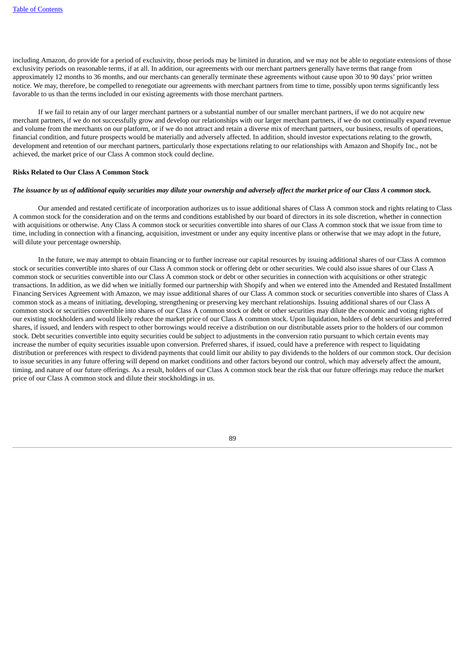including Amazon, do provide for a period of exclusivity, those periods may be limited in duration, and we may not be able to negotiate extensions of those exclusivity periods on reasonable terms, if at all. In addition, our agreements with our merchant partners generally have terms that range from approximately 12 months to 36 months, and our merchants can generally terminate these agreements without cause upon 30 to 90 days' prior written notice. We may, therefore, be compelled to renegotiate our agreements with merchant partners from time to time, possibly upon terms significantly less favorable to us than the terms included in our existing agreements with those merchant partners.

If we fail to retain any of our larger merchant partners or a substantial number of our smaller merchant partners, if we do not acquire new merchant partners, if we do not successfully grow and develop our relationships with our larger merchant partners, if we do not continually expand revenue and volume from the merchants on our platform, or if we do not attract and retain a diverse mix of merchant partners, our business, results of operations, financial condition, and future prospects would be materially and adversely affected. In addition, should investor expectations relating to the growth, development and retention of our merchant partners, particularly those expectations relating to our relationships with Amazon and Shopify Inc., not be achieved, the market price of our Class A common stock could decline.

### **Risks Related to Our Class A Common Stock**

### The issuance by us of additional equity securities may dilute your ownership and adversely affect the market price of our Class A common stock.

Our amended and restated certificate of incorporation authorizes us to issue additional shares of Class A common stock and rights relating to Class A common stock for the consideration and on the terms and conditions established by our board of directors in its sole discretion, whether in connection with acquisitions or otherwise. Any Class A common stock or securities convertible into shares of our Class A common stock that we issue from time to time, including in connection with a financing, acquisition, investment or under any equity incentive plans or otherwise that we may adopt in the future, will dilute your percentage ownership.

In the future, we may attempt to obtain financing or to further increase our capital resources by issuing additional shares of our Class A common stock or securities convertible into shares of our Class A common stock or offering debt or other securities. We could also issue shares of our Class A common stock or securities convertible into our Class A common stock or debt or other securities in connection with acquisitions or other strategic transactions. In addition, as we did when we initially formed our partnership with Shopify and when we entered into the Amended and Restated Installment Financing Services Agreement with Amazon, we may issue additional shares of our Class A common stock or securities convertible into shares of Class A common stock as a means of initiating, developing, strengthening or preserving key merchant relationships. Issuing additional shares of our Class A common stock or securities convertible into shares of our Class A common stock or debt or other securities may dilute the economic and voting rights of our existing stockholders and would likely reduce the market price of our Class A common stock. Upon liquidation, holders of debt securities and preferred shares, if issued, and lenders with respect to other borrowings would receive a distribution on our distributable assets prior to the holders of our common stock. Debt securities convertible into equity securities could be subject to adjustments in the conversion ratio pursuant to which certain events may increase the number of equity securities issuable upon conversion. Preferred shares, if issued, could have a preference with respect to liquidating distribution or preferences with respect to dividend payments that could limit our ability to pay dividends to the holders of our common stock. Our decision to issue securities in any future offering will depend on market conditions and other factors beyond our control, which may adversely affect the amount, timing, and nature of our future offerings. As a result, holders of our Class A common stock bear the risk that our future offerings may reduce the market price of our Class A common stock and dilute their stockholdings in us.

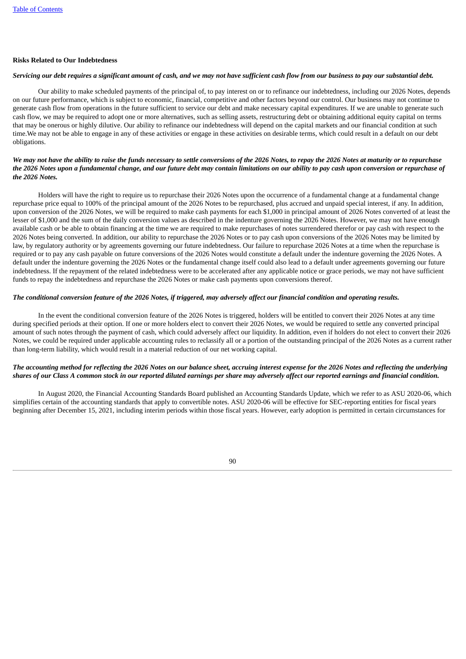### **Risks Related to Our Indebtedness**

# Servicing our debt requires a significant amount of cash, and we may not have sufficient cash flow from our business to pay our substantial debt.

Our ability to make scheduled payments of the principal of, to pay interest on or to refinance our indebtedness, including our 2026 Notes, depends on our future performance, which is subject to economic, financial, competitive and other factors beyond our control. Our business may not continue to generate cash flow from operations in the future sufficient to service our debt and make necessary capital expenditures. If we are unable to generate such cash flow, we may be required to adopt one or more alternatives, such as selling assets, restructuring debt or obtaining additional equity capital on terms that may be onerous or highly dilutive. Our ability to refinance our indebtedness will depend on the capital markets and our financial condition at such time. We may not be able to engage in any of these activities or engage in these activities on desirable terms, which could result in a default on our debt obligations.

# We may not have the ability to raise the funds necessary to settle conversions of the 2026 Notes, to repay the 2026 Notes at maturity or to repurchase the 2026 Notes upon a fundamental change, and our future debt may contain limitations on our ability to pay cash upon conversion or repurchase of *the 2026 Notes.*

Holders will have the right to require us to repurchase their 2026 Notes upon the occurrence of a fundamental change at a fundamental change repurchase price equal to 100% of the principal amount of the 2026 Notes to be repurchased, plus accrued and unpaid special interest, if any. In addition, upon conversion of the 2026 Notes, we will be required to make cash payments for each \$1,000 in principal amount of 2026 Notes converted of at least the lesser of \$1,000 and the sum of the daily conversion values as described in the indenture governing the 2026 Notes. However, we may not have enough available cash or be able to obtain financing at the time we are required to make repurchases of notes surrendered therefor or pay cash with respect to the 2026 Notes being converted. In addition, our ability to repurchase the 2026 Notes or to pay cash upon conversions of the 2026 Notes may be limited by law, by regulatory authority or by agreements governing our future indebtedness. Our failure to repurchase 2026 Notes at a time when the repurchase is required or to pay any cash payable on future conversions of the 2026 Notes would constitute a default under the indenture governing the 2026 Notes. A default under the indenture governing the 2026 Notes or the fundamental change itself could also lead to a default under agreements governing our future indebtedness. If the repayment of the related indebtedness were to be accelerated after any applicable notice or grace periods, we may not have sufficient funds to repay the indebtedness and repurchase the 2026 Notes or make cash payments upon conversions thereof.

# The conditional conversion feature of the 2026 Notes, if triggered, may adversely affect our financial condition and operating results.

In the event the conditional conversion feature of the 2026 Notes is triggered, holders will be entitled to convert their 2026 Notes at any time during specified periods at their option. If one or more holders elect to convert their 2026 Notes, we would be required to settle any converted principal amount of such notes through the payment of cash, which could adversely affect our liquidity. In addition, even if holders do not elect to convert their 2026 Notes, we could be required under applicable accounting rules to reclassify all or a portion of the outstanding principal of the 2026 Notes as a current rather than long-term liability, which would result in a material reduction of our net working capital.

# The accounting method for reflecting the 2026 Notes on our balance sheet, accruing interest expense for the 2026 Notes and reflecting the underlying shares of our Class A common stock in our reported diluted earnings per share may adversely affect our reported earnings and financial condition.

In August 2020, the Financial Accounting Standards Board published an Accounting Standards Update, which we refer to as ASU 2020-06, which simplifies certain of the accounting standards that apply to convertible notes. ASU 2020-06 will be effective for SEC-reporting entities for fiscal years beginning after December 15, 2021, including interim periods within those fiscal years. However, early adoption is permitted in certain circumstances for

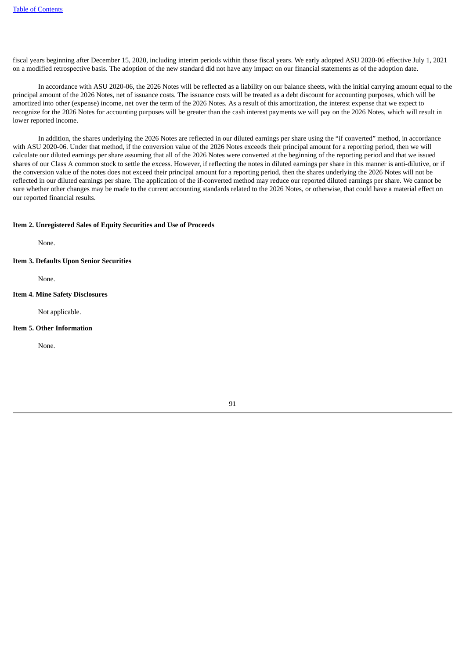fiscal years beginning after December 15, 2020, including interim periods within those fiscal years. We early adopted ASU 2020-06 effective July 1, 2021 on a modified retrospective basis. The adoption of the new standard did not have any impact on our financial statements as of the adoption date.

In accordance with ASU 2020-06, the 2026 Notes will be reflected as a liability on our balance sheets, with the initial carrying amount equal to the principal amount of the 2026 Notes, net of issuance costs. The issuance costs will be treated as a debt discount for accounting purposes, which will be amortized into other (expense) income, net over the term of the 2026 Notes. As a result of this amortization, the interest expense that we expect to recognize for the 2026 Notes for accounting purposes will be greater than the cash interest payments we will pay on the 2026 Notes, which will result in lower reported income.

In addition, the shares underlying the 2026 Notes are reflected in our diluted earnings per share using the "if converted" method, in accordance with ASU 2020-06. Under that method, if the conversion value of the 2026 Notes exceeds their principal amount for a reporting period, then we will calculate our diluted earnings per share assuming that all of the 2026 Notes were converted at the beginning of the reporting period and that we issued shares of our Class A common stock to settle the excess. However, if reflecting the notes in diluted earnings per share in this manner is anti-dilutive, or if the conversion value of the notes does not exceed their principal amount for a reporting period, then the shares underlying the 2026 Notes will not be reflected in our diluted earnings per share. The application of the if-converted method may reduce our reported diluted earnings per share. We cannot be sure whether other changes may be made to the current accounting standards related to the 2026 Notes, or otherwise, that could have a material effect on our reported financial results.

## **Item 2. Unregistered Sales of Equity Securities and Use of Proceeds**

None.

# **Item 3. Defaults Upon Senior Securities**

None.

# **Item 4. Mine Safety Disclosures**

Not applicable.

# **Item 5. Other Information**

None.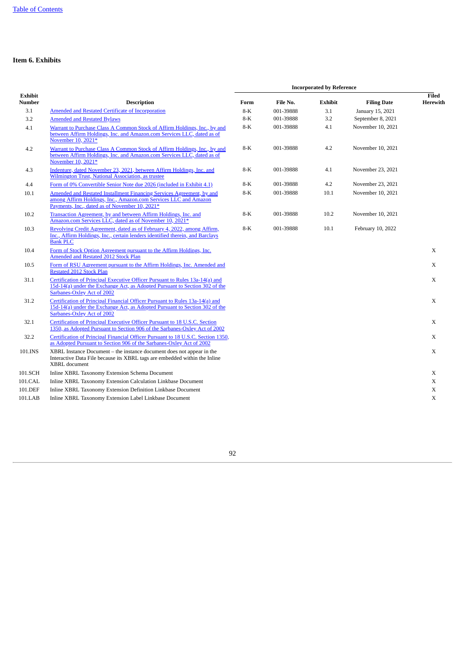# **Item 6. Exhibits**

| <b>Exhibit</b><br>Number | <b>Description</b>                                                                                                                                                                         | <b>Incorporated by Reference</b> |           |                |                    |                          |  |
|--------------------------|--------------------------------------------------------------------------------------------------------------------------------------------------------------------------------------------|----------------------------------|-----------|----------------|--------------------|--------------------------|--|
|                          |                                                                                                                                                                                            | Form                             | File No.  | <b>Exhibit</b> | <b>Filing Date</b> | <b>Filed</b><br>Herewith |  |
| 3.1                      | Amended and Restated Certificate of Incorporation                                                                                                                                          | $8-K$                            | 001-39888 | 3.1            | January 15, 2021   |                          |  |
| 3.2                      | <b>Amended and Restated Bylaws</b>                                                                                                                                                         | $8-K$                            | 001-39888 | 3.2            | September 8, 2021  |                          |  |
| 4.1                      | Warrant to Purchase Class A Common Stock of Affirm Holdings, Inc., by and<br>between Affirm Holdings, Inc. and Amazon.com Services LLC, dated as of<br>November 10, 2021*                  | $8-K$                            | 001-39888 | 4.1            | November 10, 2021  |                          |  |
| 4.2                      | Warrant to Purchase Class A Common Stock of Affirm Holdings, Inc., by and<br>between Affirm Holdings, Inc. and Amazon.com Services LLC, dated as of<br>November 10, 2021*                  | 8-K                              | 001-39888 | 4.2            | November 10, 2021  |                          |  |
| 4.3                      | Indenture, dated November 23, 2021, between Affirm Holdings, Inc. and<br>Wilmington Trust, National Association, as trustee                                                                | 8-K                              | 001-39888 | 4.1            | November 23, 2021  |                          |  |
| 4.4                      | Form of 0% Convertible Senior Note due 2026 (included in Exhibit 4.1)                                                                                                                      | 8-K                              | 001-39888 | 4.2            | November 23, 2021  |                          |  |
| 10.1                     | Amended and Restated Installment Financing Services Agreement, by and<br>among Affirm Holdings, Inc., Amazon.com Services LLC and Amazon<br>Payments, Inc., dated as of November 10, 2021* | $8-K$                            | 001-39888 | 10.1           | November 10, 2021  |                          |  |
| 10.2                     | Transaction Agreement, by and between Affirm Holdings, Inc. and<br>Amazon.com Services LLC, dated as of November 10, 2021*                                                                 | 8-K                              | 001-39888 | 10.2           | November 10, 2021  |                          |  |
| 10.3                     | Revolving Credit Agreement, dated as of February 4, 2022, among Affirm,<br>Inc., Affirm Holdings, Inc., certain lenders identified therein, and Barclays<br><b>Bank PLC</b>                | $8-K$                            | 001-39888 | 10.1           | February 10, 2022  |                          |  |
| 10.4                     | Form of Stock Option Agreement pursuant to the Affirm Holdings, Inc.<br>Amended and Restated 2012 Stock Plan                                                                               |                                  |           |                |                    | $\mathbf X$              |  |
| 10.5                     | Form of RSU Agreement pursuant to the Affirm Holdings, Inc. Amended and<br><b>Restated 2012 Stock Plan</b>                                                                                 |                                  |           |                |                    | X                        |  |
| 31.1                     | Certification of Principal Executive Officer Pursuant to Rules 13a-14(a) and<br>15d-14(a) under the Exchange Act, as Adopted Pursuant to Section 302 of the<br>Sarbanes-Oxley Act of 2002  |                                  |           |                |                    | X                        |  |
| 31.2                     | Certification of Principal Financial Officer Pursuant to Rules 13a-14(a) and<br>15d-14(a) under the Exchange Act, as Adopted Pursuant to Section 302 of the<br>Sarbanes-Oxley Act of 2002  |                                  |           |                |                    | X                        |  |
| 32.1                     | Certification of Principal Executive Officer Pursuant to 18 U.S.C. Section<br>1350, as Adopted Pursuant to Section 906 of the Sarbanes-Oxley Act of 2002                                   |                                  |           |                |                    | X                        |  |
| 32.2                     | Certification of Principal Financial Officer Pursuant to 18 U.S.C. Section 1350,<br>as Adopted Pursuant to Section 906 of the Sarbanes-Oxley Act of 2002                                   |                                  |           |                |                    | X                        |  |
| 101.INS                  | XBRL Instance Document - the instance document does not appear in the<br>Interactive Data File because its XBRL tags are embedded within the Inline<br>XBRL document                       |                                  |           |                |                    | X                        |  |
| 101.SCH                  | Inline XBRL Taxonomy Extension Schema Document                                                                                                                                             |                                  |           |                |                    | X                        |  |
| 101.CAL                  | Inline XBRL Taxonomy Extension Calculation Linkbase Document                                                                                                                               |                                  |           |                |                    | X                        |  |
| 101.DEF                  | Inline XBRL Taxonomy Extension Definition Linkbase Document                                                                                                                                |                                  |           |                |                    | X                        |  |
| 101.LAB                  | Inline XBRL Taxonomy Extension Label Linkbase Document                                                                                                                                     |                                  |           |                |                    | $\mathbf X$              |  |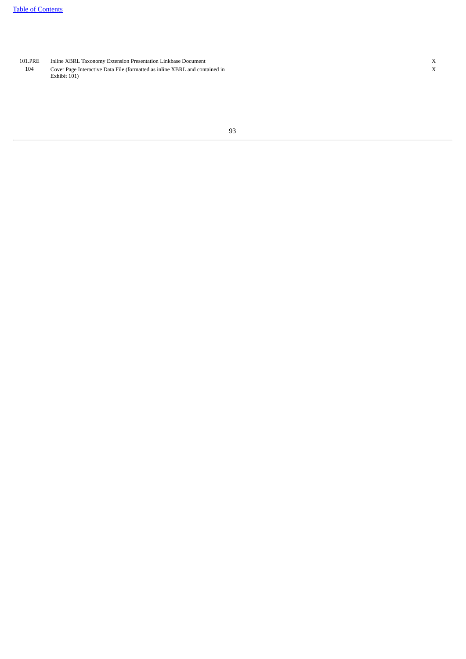101.PRE Inline XBRL Taxonomy Extension Presentation Linkbase Document<br>104 Cover Page Interactive Data File (formatted as inline XBRL and contained in 104 Cover Page Interactive Data File (formatted as inline XBRL and contained in Exhibit 101)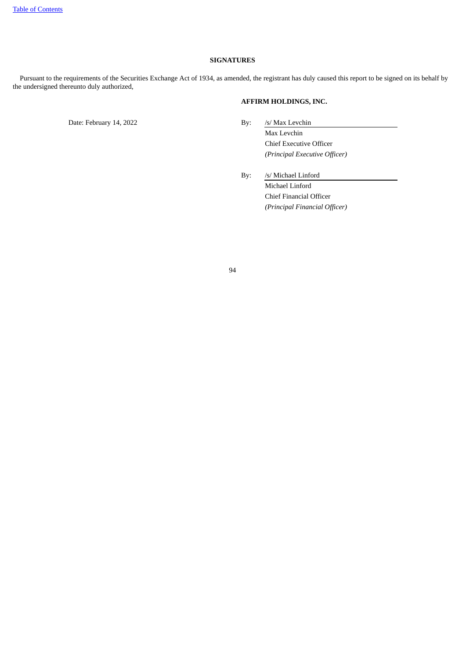# **SIGNATURES**

Pursuant to the requirements of the Securities Exchange Act of 1934, as amended, the registrant has duly caused this report to be signed on its behalf by the undersigned thereunto duly authorized,

# **AFFIRM HOLDINGS, INC.**

Date: February 14, 2022 By: /s/ Max Levchin Max Levchin Chief Executive Officer *(Principal Executive Officer)*

> By: /s/ Michael Linford Michael Linford Chief Financial Officer *(Principal Financial Officer)*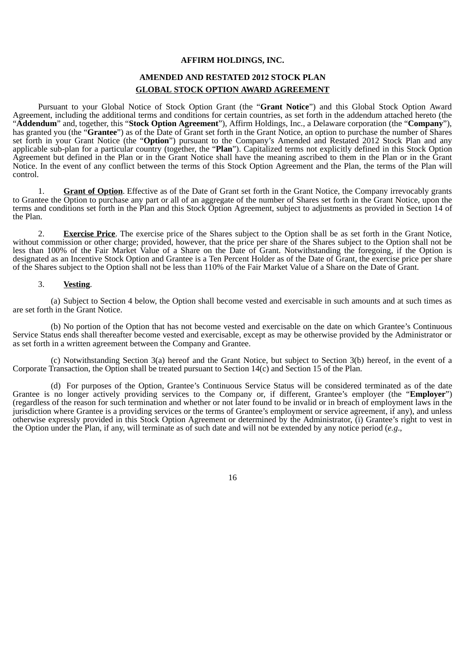# **AFFIRM HOLDINGS, INC.**

# **AMENDED AND RESTATED 2012 STOCK PLAN GLOBAL STOCK OPTION AWARD AGREEMENT**

<span id="page-95-0"></span>Pursuant to your Global Notice of Stock Option Grant (the "**Grant Notice**") and this Global Stock Option Award Agreement, including the additional terms and conditions for certain countries, as set forth in the addendum attached hereto (the "**Addendum**" and, together, this "**Stock Option Agreement**"), Affirm Holdings, Inc., a Delaware corporation (the "**Company**"), has granted you (the "**Grantee**") as of the Date of Grant set forth in the Grant Notice, an option to purchase the number of Shares set forth in your Grant Notice (the "**Option**") pursuant to the Company's Amended and Restated 2012 Stock Plan and any applicable sub-plan for a particular country (together, the "**Plan**"). Capitalized terms not explicitly defined in this Stock Option Agreement but defined in the Plan or in the Grant Notice shall have the meaning ascribed to them in the Plan or in the Grant Notice. In the event of any conflict between the terms of this Stock Option Agreement and the Plan, the terms of the Plan will control.

1. **Grant of Option**. Effective as of the Date of Grant set forth in the Grant Notice, the Company irrevocably grants to Grantee the Option to purchase any part or all of an aggregate of the number of Shares set forth in the Grant Notice, upon the terms and conditions set forth in the Plan and this Stock Option Agreement, subject to adjustments as provided in Section 14 of the Plan.

2. **Exercise Price**. The exercise price of the Shares subject to the Option shall be as set forth in the Grant Notice, without commission or other charge; provided, however, that the price per share of the Shares subject to the Option shall not be less than 100% of the Fair Market Value of a Share on the Date of Grant. Notwithstanding the foregoing, if the Option is designated as an Incentive Stock Option and Grantee is a Ten Percent Holder as of the Date of Grant, the exercise price per share of the Shares subject to the Option shall not be less than 110% of the Fair Market Value of a Share on the Date of Grant.

# 3. **Vesting**.

(a) Subject to Section 4 below, the Option shall become vested and exercisable in such amounts and at such times as are set forth in the Grant Notice.

(b) No portion of the Option that has not become vested and exercisable on the date on which Grantee's Continuous Service Status ends shall thereafter become vested and exercisable, except as may be otherwise provided by the Administrator or as set forth in a written agreement between the Company and Grantee.

(c) Notwithstanding Section 3(a) hereof and the Grant Notice, but subject to Section 3(b) hereof, in the event of a Corporate Transaction, the Option shall be treated pursuant to Section 14(c) and Section 15 of the Plan.

(d) For purposes of the Option, Grantee's Continuous Service Status will be considered terminated as of the date Grantee is no longer actively providing services to the Company or, if different, Grantee's employer (the "**Employer**") (regardless of the reason for such termination and whether or not later found to be invalid or in breach of employment laws in the jurisdiction where Grantee is a providing services or the terms of Grantee's employment or service agreement, if any), and unless otherwise expressly provided in this Stock Option Agreement or determined by the Administrator, (i) Grantee's right to vest in the Option under the Plan, if any, will terminate as of such date and will not be extended by any notice period (*e.g*.,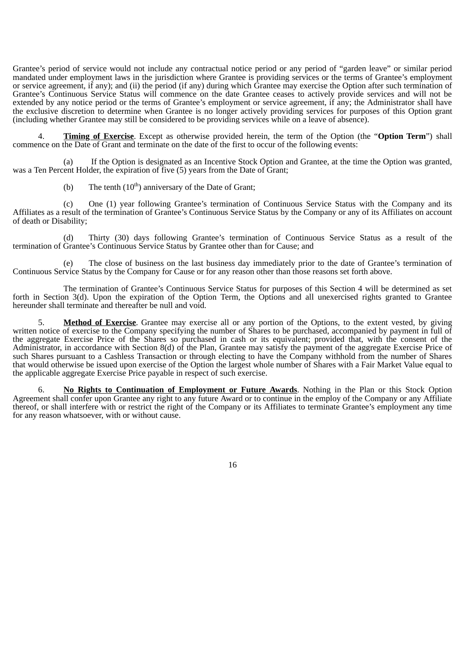Grantee's period of service would not include any contractual notice period or any period of "garden leave" or similar period mandated under employment laws in the jurisdiction where Grantee is providing services or the terms of Grantee's employment or service agreement, if any); and (ii) the period (if any) during which Grantee may exercise the Option after such termination of Grantee's Continuous Service Status will commence on the date Grantee ceases to actively provide services and will not be extended by any notice period or the terms of Grantee's employment or service agreement, if any; the Administrator shall have the exclusive discretion to determine when Grantee is no longer actively providing services for purposes of this Option grant (including whether Grantee may still be considered to be providing services while on a leave of absence).

4. **Timing of Exercise**. Except as otherwise provided herein, the term of the Option (the "**Option Term**") shall commence on the Date of Grant and terminate on the date of the first to occur of the following events:

(a) If the Option is designated as an Incentive Stock Option and Grantee, at the time the Option was granted, was a Ten Percent Holder, the expiration of five (5) years from the Date of Grant;

(b) The tenth  $(10<sup>th</sup>)$  anniversary of the Date of Grant;

(c) One (1) year following Grantee's termination of Continuous Service Status with the Company and its Affiliates as a result of the termination of Grantee's Continuous Service Status by the Company or any of its Affiliates on account of death or Disability;

(d) Thirty (30) days following Grantee's termination of Continuous Service Status as a result of the termination of Grantee's Continuous Service Status by Grantee other than for Cause; and

(e) The close of business on the last business day immediately prior to the date of Grantee's termination of Continuous Service Status by the Company for Cause or for any reason other than those reasons set forth above.

The termination of Grantee's Continuous Service Status for purposes of this Section 4 will be determined as set forth in Section 3(d). Upon the expiration of the Option Term, the Options and all unexercised rights granted to Grantee hereunder shall terminate and thereafter be null and void.

5. **Method of Exercise**. Grantee may exercise all or any portion of the Options, to the extent vested, by giving written notice of exercise to the Company specifying the number of Shares to be purchased, accompanied by payment in full of the aggregate Exercise Price of the Shares so purchased in cash or its equivalent; provided that, with the consent of the Administrator, in accordance with Section 8(d) of the Plan, Grantee may satisfy the payment of the aggregate Exercise Price of such Shares pursuant to a Cashless Transaction or through electing to have the Company withhold from the number of Shares that would otherwise be issued upon exercise of the Option the largest whole number of Shares with a Fair Market Value equal to the applicable aggregate Exercise Price payable in respect of such exercise.

6. **No Rights to Continuation of Employment or Future Awards**. Nothing in the Plan or this Stock Option Agreement shall confer upon Grantee any right to any future Award or to continue in the employ of the Company or any Affiliate thereof, or shall interfere with or restrict the right of the Company or its Affiliates to terminate Grantee's employment any time for any reason whatsoever, with or without cause.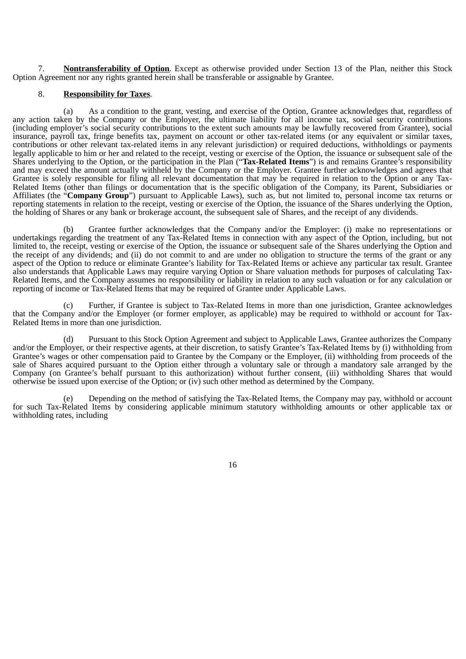7. **Nontransferability of Option**. Except as otherwise provided under Section 13 of the Plan, neither this Stock Option Agreement nor any rights granted herein shall be transferable or assignable by Grantee.

# 8. **Responsibility for Taxes**.

(a) As a condition to the grant, vesting, and exercise of the Option, Grantee acknowledges that, regardless of any action taken by the Company or the Employer, the ultimate liability for all income tax, social security contributions (including employer's social security contributions to the extent such amounts may be lawfully recovered from Grantee), social insurance, payroll tax, fringe benefits tax, payment on account or other tax-related items (or any equivalent or similar taxes, contributions or other relevant tax-related items in any relevant jurisdiction) or required deductions, withholdings or payments legally applicable to him or her and related to the receipt, vesting or exercise of the Option, the issuance or subsequent sale of the Shares underlying to the Option, or the participation in the Plan ("**Tax-Related Items**") is and remains Grantee's responsibility and may exceed the amount actually withheld by the Company or the Employer. Grantee further acknowledges and agrees that Grantee is solely responsible for filing all relevant documentation that may be required in relation to the Option or any Tax-Related Items (other than filings or documentation that is the specific obligation of the Company, its Parent, Subsidiaries or Affiliates (the "**Company Group**") pursuant to Applicable Laws), such as, but not limited to, personal income tax returns or reporting statements in relation to the receipt, vesting or exercise of the Option, the issuance of the Shares underlying the Option, the holding of Shares or any bank or brokerage account, the subsequent sale of Shares, and the receipt of any dividends.

(b) Grantee further acknowledges that the Company and/or the Employer: (i) make no representations or undertakings regarding the treatment of any Tax-Related Items in connection with any aspect of the Option, including, but not limited to, the receipt, vesting or exercise of the Option, the issuance or subsequent sale of the Shares underlying the Option and the receipt of any dividends; and (ii) do not commit to and are under no obligation to structure the terms of the grant or any aspect of the Option to reduce or eliminate Grantee's liability for Tax-Related Items or achieve any particular tax result. Grantee also understands that Applicable Laws may require varying Option or Share valuation methods for purposes of calculating Tax-Related Items, and the Company assumes no responsibility or liability in relation to any such valuation or for any calculation or reporting of income or Tax-Related Items that may be required of Grantee under Applicable Laws.

(c) Further, if Grantee is subject to Tax-Related Items in more than one jurisdiction, Grantee acknowledges that the Company and/or the Employer (or former employer, as applicable) may be required to withhold or account for Tax-Related Items in more than one jurisdiction.

(d) Pursuant to this Stock Option Agreement and subject to Applicable Laws, Grantee authorizes the Company and/or the Employer, or their respective agents, at their discretion, to satisfy Grantee's Tax-Related Items by (i) withholding from Grantee's wages or other compensation paid to Grantee by the Company or the Employer, (ii) withholding from proceeds of the sale of Shares acquired pursuant to the Option either through a voluntary sale or through a mandatory sale arranged by the Company (on Grantee's behalf pursuant to this authorization) without further consent, (iii) withholding Shares that would otherwise be issued upon exercise of the Option; or (iv) such other method as determined by the Company.

Depending on the method of satisfying the Tax-Related Items, the Company may pay, withhold or account for such Tax-Related Items by considering applicable minimum statutory withholding amounts or other applicable tax or withholding rates, including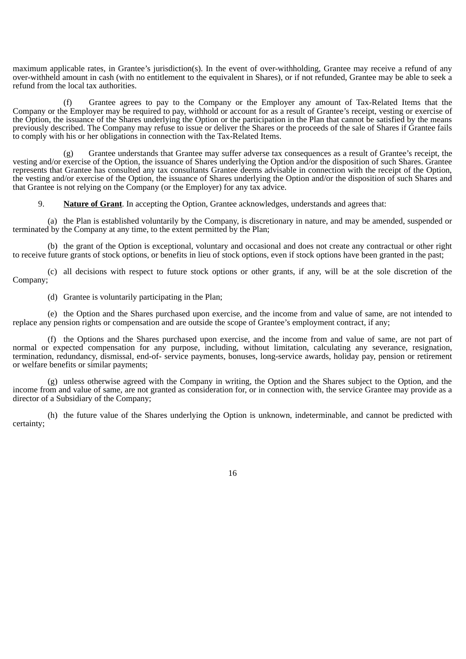maximum applicable rates, in Grantee's jurisdiction(s). In the event of over-withholding, Grantee may receive a refund of any over-withheld amount in cash (with no entitlement to the equivalent in Shares), or if not refunded, Grantee may be able to seek a refund from the local tax authorities.

(f) Grantee agrees to pay to the Company or the Employer any amount of Tax-Related Items that the Company or the Employer may be required to pay, withhold or account for as a result of Grantee's receipt, vesting or exercise of the Option, the issuance of the Shares underlying the Option or the participation in the Plan that cannot be satisfied by the means previously described. The Company may refuse to issue or deliver the Shares or the proceeds of the sale of Shares if Grantee fails to comply with his or her obligations in connection with the Tax-Related Items.

(g) Grantee understands that Grantee may suffer adverse tax consequences as a result of Grantee's receipt, the vesting and/or exercise of the Option, the issuance of Shares underlying the Option and/or the disposition of such Shares. Grantee represents that Grantee has consulted any tax consultants Grantee deems advisable in connection with the receipt of the Option, the vesting and/or exercise of the Option, the issuance of Shares underlying the Option and/or the disposition of such Shares and that Grantee is not relying on the Company (or the Employer) for any tax advice.

9. **Nature of Grant**. In accepting the Option, Grantee acknowledges, understands and agrees that:

(a) the Plan is established voluntarily by the Company, is discretionary in nature, and may be amended, suspended or terminated by the Company at any time, to the extent permitted by the Plan;

(b) the grant of the Option is exceptional, voluntary and occasional and does not create any contractual or other right to receive future grants of stock options, or benefits in lieu of stock options, even if stock options have been granted in the past;

(c) all decisions with respect to future stock options or other grants, if any, will be at the sole discretion of the Company;

(d) Grantee is voluntarily participating in the Plan;

(e) the Option and the Shares purchased upon exercise, and the income from and value of same, are not intended to replace any pension rights or compensation and are outside the scope of Grantee's employment contract, if any;

(f) the Options and the Shares purchased upon exercise, and the income from and value of same, are not part of normal or expected compensation for any purpose, including, without limitation, calculating any severance, resignation, termination, redundancy, dismissal, end-of- service payments, bonuses, long-service awards, holiday pay, pension or retirement or welfare benefits or similar payments;

(g) unless otherwise agreed with the Company in writing, the Option and the Shares subject to the Option, and the income from and value of same, are not granted as consideration for, or in connection with, the service Grantee may provide as a director of a Subsidiary of the Company;

(h) the future value of the Shares underlying the Option is unknown, indeterminable, and cannot be predicted with certainty;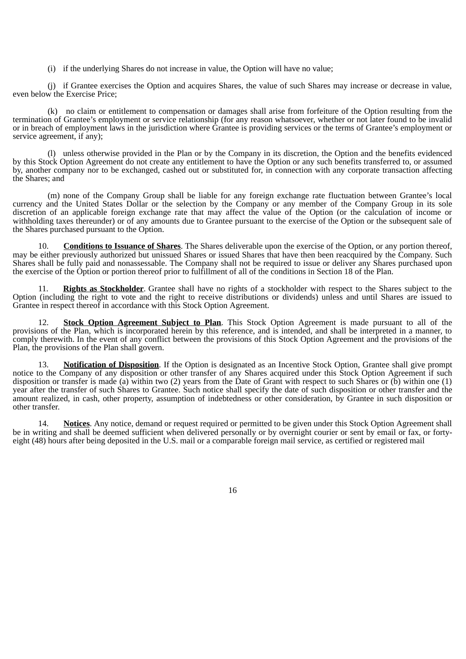(i) if the underlying Shares do not increase in value, the Option will have no value;

(j) if Grantee exercises the Option and acquires Shares, the value of such Shares may increase or decrease in value, even below the Exercise Price;

(k) no claim or entitlement to compensation or damages shall arise from forfeiture of the Option resulting from the termination of Grantee's employment or service relationship (for any reason whatsoever, whether or not later found to be invalid or in breach of employment laws in the jurisdiction where Grantee is providing services or the terms of Grantee's employment or service agreement, if any);

(l) unless otherwise provided in the Plan or by the Company in its discretion, the Option and the benefits evidenced by this Stock Option Agreement do not create any entitlement to have the Option or any such benefits transferred to, or assumed by, another company nor to be exchanged, cashed out or substituted for, in connection with any corporate transaction affecting the Shares; and

(m) none of the Company Group shall be liable for any foreign exchange rate fluctuation between Grantee's local currency and the United States Dollar or the selection by the Company or any member of the Company Group in its sole discretion of an applicable foreign exchange rate that may affect the value of the Option (or the calculation of income or withholding taxes thereunder) or of any amounts due to Grantee pursuant to the exercise of the Option or the subsequent sale of the Shares purchased pursuant to the Option.

10. **Conditions to Issuance of Shares**. The Shares deliverable upon the exercise of the Option, or any portion thereof, may be either previously authorized but unissued Shares or issued Shares that have then been reacquired by the Company. Such Shares shall be fully paid and nonassessable. The Company shall not be required to issue or deliver any Shares purchased upon the exercise of the Option or portion thereof prior to fulfillment of all of the conditions in Section 18 of the Plan.

11. **Rights as Stockholder**. Grantee shall have no rights of a stockholder with respect to the Shares subject to the Option (including the right to vote and the right to receive distributions or dividends) unless and until Shares are issued to Grantee in respect thereof in accordance with this Stock Option Agreement.

12. **Stock Option Agreement Subject to Plan**. This Stock Option Agreement is made pursuant to all of the provisions of the Plan, which is incorporated herein by this reference, and is intended, and shall be interpreted in a manner, to comply therewith. In the event of any conflict between the provisions of this Stock Option Agreement and the provisions of the Plan, the provisions of the Plan shall govern.

13. **Notification of Disposition**. If the Option is designated as an Incentive Stock Option, Grantee shall give prompt notice to the Company of any disposition or other transfer of any Shares acquired under this Stock Option Agreement if such disposition or transfer is made (a) within two (2) years from the Date of Grant with respect to such Shares or (b) within one (1) year after the transfer of such Shares to Grantee. Such notice shall specify the date of such disposition or other transfer and the amount realized, in cash, other property, assumption of indebtedness or other consideration, by Grantee in such disposition or other transfer.

14. **Notices**. Any notice, demand or request required or permitted to be given under this Stock Option Agreement shall be in writing and shall be deemed sufficient when delivered personally or by overnight courier or sent by email or fax, or fortyeight (48) hours after being deposited in the U.S. mail or a comparable foreign mail service, as certified or registered mail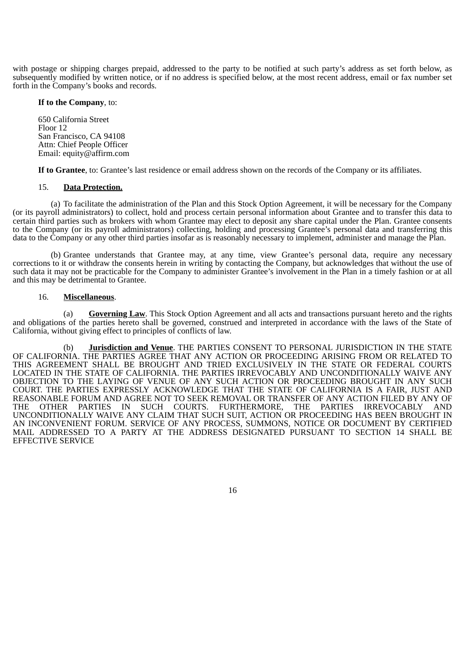with postage or shipping charges prepaid, addressed to the party to be notified at such party's address as set forth below, as subsequently modified by written notice, or if no address is specified below, at the most recent address, email or fax number set forth in the Company's books and records.

# **If to the Company**, to:

650 California Street Floor 12 San Francisco, CA 94108 Attn: Chief People Officer Email: equity@affirm.com

**If to Grantee**, to: Grantee's last residence or email address shown on the records of the Company or its affiliates.

# 15. **Data Protection.**

(a) To facilitate the administration of the Plan and this Stock Option Agreement, it will be necessary for the Company (or its payroll administrators) to collect, hold and process certain personal information about Grantee and to transfer this data to certain third parties such as brokers with whom Grantee may elect to deposit any share capital under the Plan. Grantee consents to the Company (or its payroll administrators) collecting, holding and processing Grantee's personal data and transferring this data to the Company or any other third parties insofar as is reasonably necessary to implement, administer and manage the Plan.

(b) Grantee understands that Grantee may, at any time, view Grantee's personal data, require any necessary corrections to it or withdraw the consents herein in writing by contacting the Company, but acknowledges that without the use of such data it may not be practicable for the Company to administer Grantee's involvement in the Plan in a timely fashion or at all and this may be detrimental to Grantee.

# 16. **Miscellaneous**.

(a) **Governing Law**. This Stock Option Agreement and all acts and transactions pursuant hereto and the rights and obligations of the parties hereto shall be governed, construed and interpreted in accordance with the laws of the State of California, without giving effect to principles of conflicts of law.

(b) **Jurisdiction and Venue**. THE PARTIES CONSENT TO PERSONAL JURISDICTION IN THE STATE OF CALIFORNIA. THE PARTIES AGREE THAT ANY ACTION OR PROCEEDING ARISING FROM OR RELATED TO THIS AGREEMENT SHALL BE BROUGHT AND TRIED EXCLUSIVELY IN THE STATE OR FEDERAL COURTS LOCATED IN THE STATE OF CALIFORNIA. THE PARTIES IRREVOCABLY AND UNCONDITIONALLY WAIVE ANY OBJECTION TO THE LAYING OF VENUE OF ANY SUCH ACTION OR PROCEEDING BROUGHT IN ANY SUCH COURT. THE PARTIES EXPRESSLY ACKNOWLEDGE THAT THE STATE OF CALIFORNIA IS A FAIR, JUST AND REASONABLE FORUM AND AGREE NOT TO SEEK REMOVAL OR TRANSFER OF ANY ACTION FILED BY ANY OF THE OTHER PARTIES IN SUCH COURTS. FURTHERMORE, THE PARTIES IRREVOCABLY AND OTHER PARTIES IN SUCH COURTS. FURTHERMORE, THE PARTIES IRREVOCABLY AND UNCONDITIONALLY WAIVE ANY CLAIM THAT SUCH SUIT, ACTION OR PROCEEDING HAS BEEN BROUGHT IN AN INCONVENIENT FORUM. SERVICE OF ANY PROCESS, SUMMONS, NOTICE OR DOCUMENT BY CERTIFIED MAIL ADDRESSED TO A PARTY AT THE ADDRESS DESIGNATED PURSUANT TO SECTION 14 SHALL BE EFFECTIVE SERVICE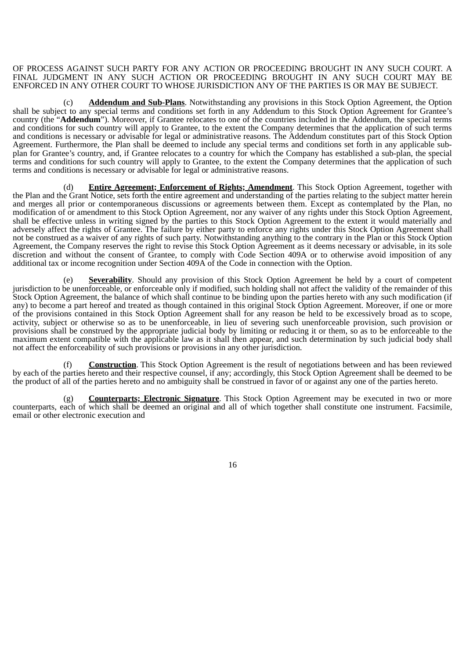OF PROCESS AGAINST SUCH PARTY FOR ANY ACTION OR PROCEEDING BROUGHT IN ANY SUCH COURT. A FINAL JUDGMENT IN ANY SUCH ACTION OR PROCEEDING BROUGHT IN ANY SUCH COURT MAY BE ENFORCED IN ANY OTHER COURT TO WHOSE JURISDICTION ANY OF THE PARTIES IS OR MAY BE SUBJECT.

(c) **Addendum and Sub-Plans**. Notwithstanding any provisions in this Stock Option Agreement, the Option shall be subject to any special terms and conditions set forth in any Addendum to this Stock Option Agreement for Grantee's country (the "**Addendum**"). Moreover, if Grantee relocates to one of the countries included in the Addendum, the special terms and conditions for such country will apply to Grantee, to the extent the Company determines that the application of such terms and conditions is necessary or advisable for legal or administrative reasons. The Addendum constitutes part of this Stock Option Agreement. Furthermore, the Plan shall be deemed to include any special terms and conditions set forth in any applicable subplan for Grantee's country, and, if Grantee relocates to a country for which the Company has established a sub-plan, the special terms and conditions for such country will apply to Grantee, to the extent the Company determines that the application of such terms and conditions is necessary or advisable for legal or administrative reasons.

(d) **Entire Agreement; Enforcement of Rights; Amendment**. This Stock Option Agreement, together with the Plan and the Grant Notice, sets forth the entire agreement and understanding of the parties relating to the subject matter herein and merges all prior or contemporaneous discussions or agreements between them. Except as contemplated by the Plan, no modification of or amendment to this Stock Option Agreement, nor any waiver of any rights under this Stock Option Agreement, shall be effective unless in writing signed by the parties to this Stock Option Agreement to the extent it would materially and adversely affect the rights of Grantee. The failure by either party to enforce any rights under this Stock Option Agreement shall not be construed as a waiver of any rights of such party. Notwithstanding anything to the contrary in the Plan or this Stock Option Agreement, the Company reserves the right to revise this Stock Option Agreement as it deems necessary or advisable, in its sole discretion and without the consent of Grantee, to comply with Code Section 409A or to otherwise avoid imposition of any additional tax or income recognition under Section 409A of the Code in connection with the Option.

(e) **Severability**. Should any provision of this Stock Option Agreement be held by a court of competent jurisdiction to be unenforceable, or enforceable only if modified, such holding shall not affect the validity of the remainder of this Stock Option Agreement, the balance of which shall continue to be binding upon the parties hereto with any such modification (if any) to become a part hereof and treated as though contained in this original Stock Option Agreement. Moreover, if one or more of the provisions contained in this Stock Option Agreement shall for any reason be held to be excessively broad as to scope, activity, subject or otherwise so as to be unenforceable, in lieu of severing such unenforceable provision, such provision or provisions shall be construed by the appropriate judicial body by limiting or reducing it or them, so as to be enforceable to the maximum extent compatible with the applicable law as it shall then appear, and such determination by such judicial body shall not affect the enforceability of such provisions or provisions in any other jurisdiction.

**Construction**. This Stock Option Agreement is the result of negotiations between and has been reviewed by each of the parties hereto and their respective counsel, if any; accordingly, this Stock Option Agreement shall be deemed to be the product of all of the parties hereto and no ambiguity shall be construed in favor of or against any one of the parties hereto.

**Counterparts; Electronic Signature**. This Stock Option Agreement may be executed in two or more counterparts, each of which shall be deemed an original and all of which together shall constitute one instrument. Facsimile, email or other electronic execution and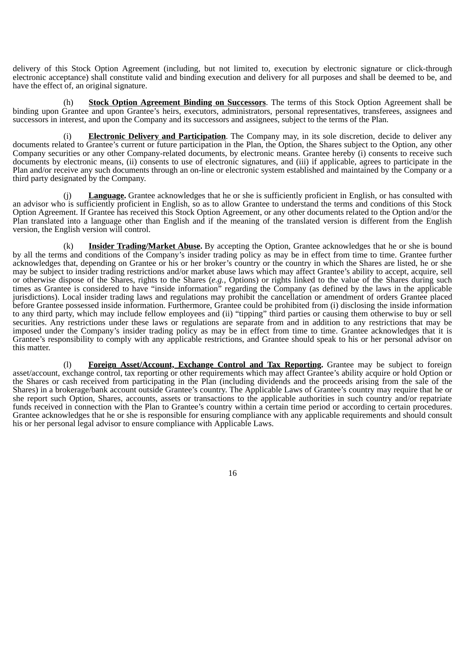delivery of this Stock Option Agreement (including, but not limited to, execution by electronic signature or click-through electronic acceptance) shall constitute valid and binding execution and delivery for all purposes and shall be deemed to be, and have the effect of, an original signature.

(h) **Stock Option Agreement Binding on Successors**. The terms of this Stock Option Agreement shall be binding upon Grantee and upon Grantee's heirs, executors, administrators, personal representatives, transferees, assignees and successors in interest, and upon the Company and its successors and assignees, subject to the terms of the Plan.

**Electronic Delivery and Participation**. The Company may, in its sole discretion, decide to deliver any documents related to Grantee's current or future participation in the Plan, the Option, the Shares subject to the Option, any other Company securities or any other Company-related documents, by electronic means. Grantee hereby (i) consents to receive such documents by electronic means, (ii) consents to use of electronic signatures, and (iii) if applicable, agrees to participate in the Plan and/or receive any such documents through an on-line or electronic system established and maintained by the Company or a third party designated by the Company.

**Language.** Grantee acknowledges that he or she is sufficiently proficient in English, or has consulted with an advisor who is sufficiently proficient in English, so as to allow Grantee to understand the terms and conditions of this Stock Option Agreement. If Grantee has received this Stock Option Agreement, or any other documents related to the Option and/or the Plan translated into a language other than English and if the meaning of the translated version is different from the English version, the English version will control.

(k) **Insider Trading/Market Abuse.** By accepting the Option, Grantee acknowledges that he or she is bound by all the terms and conditions of the Company's insider trading policy as may be in effect from time to time. Grantee further acknowledges that, depending on Grantee or his or her broker's country or the country in which the Shares are listed, he or she may be subject to insider trading restrictions and/or market abuse laws which may affect Grantee's ability to accept, acquire, sell or otherwise dispose of the Shares, rights to the Shares (*e.g.*, Options) or rights linked to the value of the Shares during such times as Grantee is considered to have "inside information" regarding the Company (as defined by the laws in the applicable jurisdictions). Local insider trading laws and regulations may prohibit the cancellation or amendment of orders Grantee placed before Grantee possessed inside information. Furthermore, Grantee could be prohibited from (i) disclosing the inside information to any third party, which may include fellow employees and (ii) "tipping" third parties or causing them otherwise to buy or sell securities. Any restrictions under these laws or regulations are separate from and in addition to any restrictions that may be imposed under the Company's insider trading policy as may be in effect from time to time. Grantee acknowledges that it is Grantee's responsibility to comply with any applicable restrictions, and Grantee should speak to his or her personal advisor on this matter.

(l) **Foreign Asset/Account, Exchange Control and Tax Reporting.** Grantee may be subject to foreign asset/account, exchange control, tax reporting or other requirements which may affect Grantee's ability acquire or hold Option or the Shares or cash received from participating in the Plan (including dividends and the proceeds arising from the sale of the Shares) in a brokerage/bank account outside Grantee's country. The Applicable Laws of Grantee's country may require that he or she report such Option, Shares, accounts, assets or transactions to the applicable authorities in such country and/or repatriate funds received in connection with the Plan to Grantee's country within a certain time period or according to certain procedures. Grantee acknowledges that he or she is responsible for ensuring compliance with any applicable requirements and should consult his or her personal legal advisor to ensure compliance with Applicable Laws.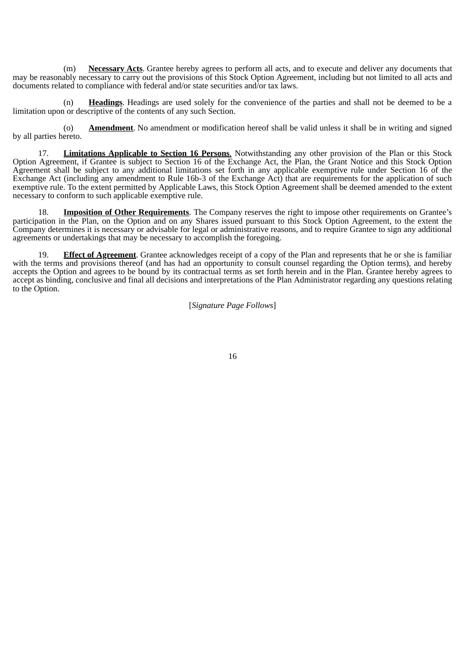(m) **Necessary Acts**. Grantee hereby agrees to perform all acts, and to execute and deliver any documents that may be reasonably necessary to carry out the provisions of this Stock Option Agreement, including but not limited to all acts and documents related to compliance with federal and/or state securities and/or tax laws.

(n) **Headings**. Headings are used solely for the convenience of the parties and shall not be deemed to be a limitation upon or descriptive of the contents of any such Section.

(o) **Amendment**. No amendment or modification hereof shall be valid unless it shall be in writing and signed by all parties hereto.

17. **Limitations Applicable to Section 16 Persons**. Notwithstanding any other provision of the Plan or this Stock Option Agreement, if Grantee is subject to Section 16 of the Exchange Act, the Plan, the Grant Notice and this Stock Option Agreement shall be subject to any additional limitations set forth in any applicable exemptive rule under Section 16 of the Exchange Act (including any amendment to Rule 16b-3 of the Exchange Act) that are requirements for the application of such exemptive rule. To the extent permitted by Applicable Laws, this Stock Option Agreement shall be deemed amended to the extent necessary to conform to such applicable exemptive rule.

18. **Imposition of Other Requirements**. The Company reserves the right to impose other requirements on Grantee's participation in the Plan, on the Option and on any Shares issued pursuant to this Stock Option Agreement, to the extent the Company determines it is necessary or advisable for legal or administrative reasons, and to require Grantee to sign any additional agreements or undertakings that may be necessary to accomplish the foregoing.

19. **Effect of Agreement**. Grantee acknowledges receipt of a copy of the Plan and represents that he or she is familiar with the terms and provisions thereof (and has had an opportunity to consult counsel regarding the Option terms), and hereby accepts the Option and agrees to be bound by its contractual terms as set forth herein and in the Plan. Grantee hereby agrees to accept as binding, conclusive and final all decisions and interpretations of the Plan Administrator regarding any questions relating to the Option.

[*Signature Page Follows*]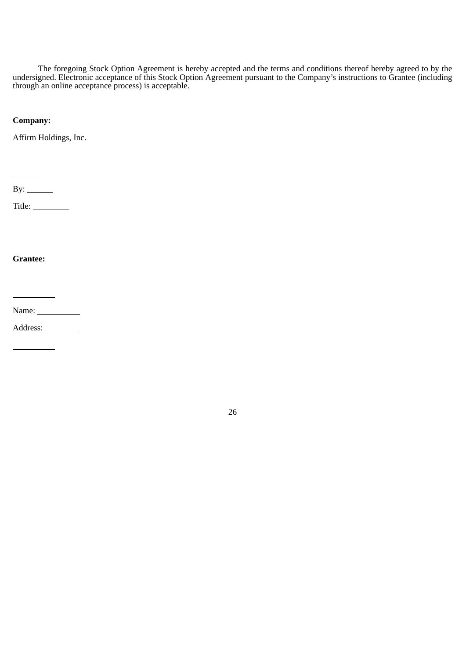The foregoing Stock Option Agreement is hereby accepted and the terms and conditions thereof hereby agreed to by the undersigned. Electronic acceptance of this Stock Option Agreement pursuant to the Company's instructions to Grantee (including through an online acceptance process) is acceptable.

# **Company:**

 $\overline{\phantom{a}}$ 

Affirm Holdings, Inc.

 $By:$ 

Title:

# **Grantee:**

 $\overline{a}$ 

 $\overline{a}$ 

Name:

 $\mathcal{L}(\mathcal{L})$ 

Address:\_\_\_\_\_\_\_\_\_\_\_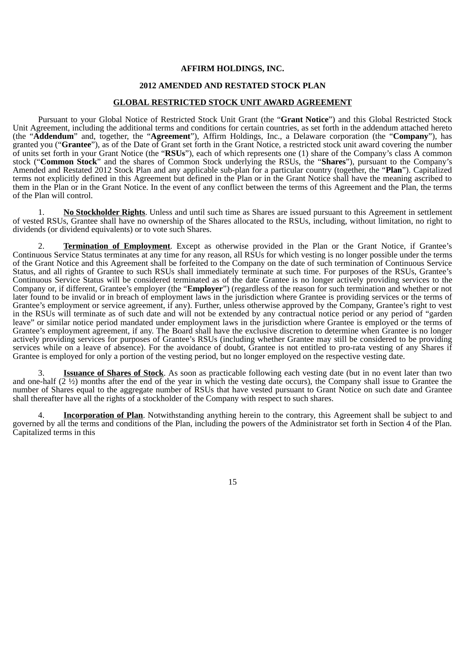## **AFFIRM HOLDINGS, INC.**

# **2012 AMENDED AND RESTATED STOCK PLAN**

## **GLOBAL RESTRICTED STOCK UNIT AWARD AGREEMENT**

<span id="page-105-0"></span>Pursuant to your Global Notice of Restricted Stock Unit Grant (the "**Grant Notice**") and this Global Restricted Stock Unit Agreement, including the additional terms and conditions for certain countries, as set forth in the addendum attached hereto (the "**Addendum**" and, together, the "**Agreement**"), Affirm Holdings, Inc., a Delaware corporation (the "**Company**"), has granted you ("**Grantee**"), as of the Date of Grant set forth in the Grant Notice, a restricted stock unit award covering the number of units set forth in your Grant Notice (the "**RSUs**"), each of which represents one (1) share of the Company's class A common stock ("**Common Stock**" and the shares of Common Stock underlying the RSUs, the "**Shares**"), pursuant to the Company's Amended and Restated 2012 Stock Plan and any applicable sub-plan for a particular country (together, the "**Plan**"). Capitalized terms not explicitly defined in this Agreement but defined in the Plan or in the Grant Notice shall have the meaning ascribed to them in the Plan or in the Grant Notice. In the event of any conflict between the terms of this Agreement and the Plan, the terms of the Plan will control.

1. **No Stockholder Rights**. Unless and until such time as Shares are issued pursuant to this Agreement in settlement of vested RSUs, Grantee shall have no ownership of the Shares allocated to the RSUs, including, without limitation, no right to dividends (or dividend equivalents) or to vote such Shares.

2. **Termination of Employment**. Except as otherwise provided in the Plan or the Grant Notice, if Grantee's Continuous Service Status terminates at any time for any reason, all RSUs for which vesting is no longer possible under the terms of the Grant Notice and this Agreement shall be forfeited to the Company on the date of such termination of Continuous Service Status, and all rights of Grantee to such RSUs shall immediately terminate at such time. For purposes of the RSUs, Grantee's Continuous Service Status will be considered terminated as of the date Grantee is no longer actively providing services to the Company or, if different, Grantee's employer (the "**Employer**") (regardless of the reason for such termination and whether or not later found to be invalid or in breach of employment laws in the jurisdiction where Grantee is providing services or the terms of Grantee's employment or service agreement, if any). Further, unless otherwise approved by the Company, Grantee's right to vest in the RSUs will terminate as of such date and will not be extended by any contractual notice period or any period of "garden leave" or similar notice period mandated under employment laws in the jurisdiction where Grantee is employed or the terms of Grantee's employment agreement, if any. The Board shall have the exclusive discretion to determine when Grantee is no longer actively providing services for purposes of Grantee's RSUs (including whether Grantee may still be considered to be providing services while on a leave of absence). For the avoidance of doubt, Grantee is not entitled to pro-rata vesting of any Shares if Grantee is employed for only a portion of the vesting period, but no longer employed on the respective vesting date.

3. **Issuance of Shares of Stock**. As soon as practicable following each vesting date (but in no event later than two and one-half  $(2 \frac{1}{2})$  months after the end of the year in which the vesting date occurs), the Company shall issue to Grantee the number of Shares equal to the aggregate number of RSUs that have vested pursuant to Grant Notice on such date and Grantee shall thereafter have all the rights of a stockholder of the Company with respect to such shares.

4. **Incorporation of Plan**. Notwithstanding anything herein to the contrary, this Agreement shall be subject to and governed by all the terms and conditions of the Plan, including the powers of the Administrator set forth in Section 4 of the Plan. Capitalized terms in this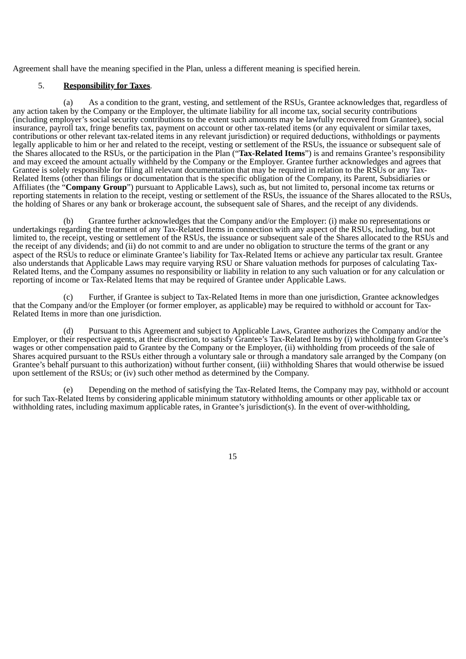Agreement shall have the meaning specified in the Plan, unless a different meaning is specified herein.

# 5. **Responsibility for Taxes**.

(a) As a condition to the grant, vesting, and settlement of the RSUs, Grantee acknowledges that, regardless of any action taken by the Company or the Employer, the ultimate liability for all income tax, social security contributions (including employer's social security contributions to the extent such amounts may be lawfully recovered from Grantee), social insurance, payroll tax, fringe benefits tax, payment on account or other tax-related items (or any equivalent or similar taxes, contributions or other relevant tax-related items in any relevant jurisdiction) or required deductions, withholdings or payments legally applicable to him or her and related to the receipt, vesting or settlement of the RSUs, the issuance or subsequent sale of the Shares allocated to the RSUs, or the participation in the Plan ("**Tax-Related Items**") is and remains Grantee's responsibility and may exceed the amount actually withheld by the Company or the Employer. Grantee further acknowledges and agrees that Grantee is solely responsible for filing all relevant documentation that may be required in relation to the RSUs or any Tax-Related Items (other than filings or documentation that is the specific obligation of the Company, its Parent, Subsidiaries or Affiliates (the "**Company Group**") pursuant to Applicable Laws), such as, but not limited to, personal income tax returns or reporting statements in relation to the receipt, vesting or settlement of the RSUs, the issuance of the Shares allocated to the RSUs, the holding of Shares or any bank or brokerage account, the subsequent sale of Shares, and the receipt of any dividends.

(b) Grantee further acknowledges that the Company and/or the Employer: (i) make no representations or undertakings regarding the treatment of any Tax-Related Items in connection with any aspect of the RSUs, including, but not limited to, the receipt, vesting or settlement of the RSUs, the issuance or subsequent sale of the Shares allocated to the RSUs and the receipt of any dividends; and (ii) do not commit to and are under no obligation to structure the terms of the grant or any aspect of the RSUs to reduce or eliminate Grantee's liability for Tax-Related Items or achieve any particular tax result. Grantee also understands that Applicable Laws may require varying RSU or Share valuation methods for purposes of calculating Tax-Related Items, and the Company assumes no responsibility or liability in relation to any such valuation or for any calculation or reporting of income or Tax-Related Items that may be required of Grantee under Applicable Laws.

(c) Further, if Grantee is subject to Tax-Related Items in more than one jurisdiction, Grantee acknowledges that the Company and/or the Employer (or former employer, as applicable) may be required to withhold or account for Tax-Related Items in more than one jurisdiction.

(d) Pursuant to this Agreement and subject to Applicable Laws, Grantee authorizes the Company and/or the Employer, or their respective agents, at their discretion, to satisfy Grantee's Tax-Related Items by (i) withholding from Grantee's wages or other compensation paid to Grantee by the Company or the Employer, (ii) withholding from proceeds of the sale of Shares acquired pursuant to the RSUs either through a voluntary sale or through a mandatory sale arranged by the Company (on Grantee's behalf pursuant to this authorization) without further consent, (iii) withholding Shares that would otherwise be issued upon settlement of the RSUs; or (iv) such other method as determined by the Company.

(e) Depending on the method of satisfying the Tax-Related Items, the Company may pay, withhold or account for such Tax-Related Items by considering applicable minimum statutory withholding amounts or other applicable tax or withholding rates, including maximum applicable rates, in Grantee's jurisdiction(s). In the event of over-withholding,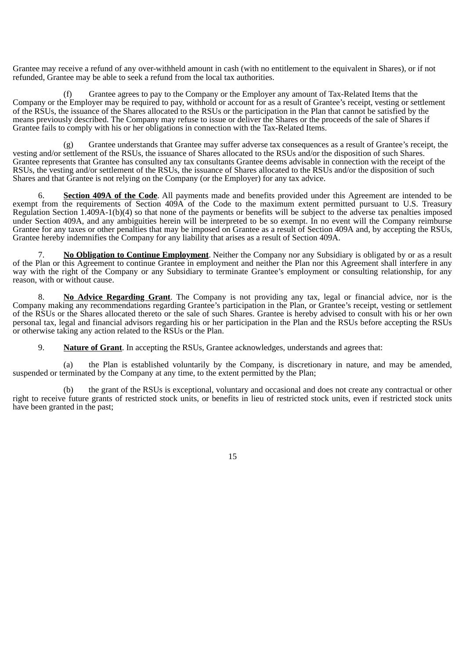Grantee may receive a refund of any over-withheld amount in cash (with no entitlement to the equivalent in Shares), or if not refunded, Grantee may be able to seek a refund from the local tax authorities.

(f) Grantee agrees to pay to the Company or the Employer any amount of Tax-Related Items that the Company or the Employer may be required to pay, withhold or account for as a result of Grantee's receipt, vesting or settlement of the RSUs, the issuance of the Shares allocated to the RSUs or the participation in the Plan that cannot be satisfied by the means previously described. The Company may refuse to issue or deliver the Shares or the proceeds of the sale of Shares if Grantee fails to comply with his or her obligations in connection with the Tax-Related Items.

(g) Grantee understands that Grantee may suffer adverse tax consequences as a result of Grantee's receipt, the vesting and/or settlement of the RSUs, the issuance of Shares allocated to the RSUs and/or the disposition of such Shares. Grantee represents that Grantee has consulted any tax consultants Grantee deems advisable in connection with the receipt of the RSUs, the vesting and/or settlement of the RSUs, the issuance of Shares allocated to the RSUs and/or the disposition of such Shares and that Grantee is not relying on the Company (or the Employer) for any tax advice.

6. **Section 409A of the Code**. All payments made and benefits provided under this Agreement are intended to be exempt from the requirements of Section 409A of the Code to the maximum extent permitted pursuant to U.S. Treasury Regulation Section 1.409A-1(b)(4) so that none of the payments or benefits will be subject to the adverse tax penalties imposed under Section 409A, and any ambiguities herein will be interpreted to be so exempt. In no event will the Company reimburse Grantee for any taxes or other penalties that may be imposed on Grantee as a result of Section 409A and, by accepting the RSUs, Grantee hereby indemnifies the Company for any liability that arises as a result of Section 409A.

7. **No Obligation to Continue Employment**. Neither the Company nor any Subsidiary is obligated by or as a result of the Plan or this Agreement to continue Grantee in employment and neither the Plan nor this Agreement shall interfere in any way with the right of the Company or any Subsidiary to terminate Grantee's employment or consulting relationship, for any reason, with or without cause.

8. **No Advice Regarding Grant**. The Company is not providing any tax, legal or financial advice, nor is the Company making any recommendations regarding Grantee's participation in the Plan, or Grantee's receipt, vesting or settlement of the RSUs or the Shares allocated thereto or the sale of such Shares. Grantee is hereby advised to consult with his or her own personal tax, legal and financial advisors regarding his or her participation in the Plan and the RSUs before accepting the RSUs or otherwise taking any action related to the RSUs or the Plan.

9. **Nature of Grant**. In accepting the RSUs, Grantee acknowledges, understands and agrees that:

(a) the Plan is established voluntarily by the Company, is discretionary in nature, and may be amended, suspended or terminated by the Company at any time, to the extent permitted by the Plan;

(b) the grant of the RSUs is exceptional, voluntary and occasional and does not create any contractual or other right to receive future grants of restricted stock units, or benefits in lieu of restricted stock units, even if restricted stock units have been granted in the past;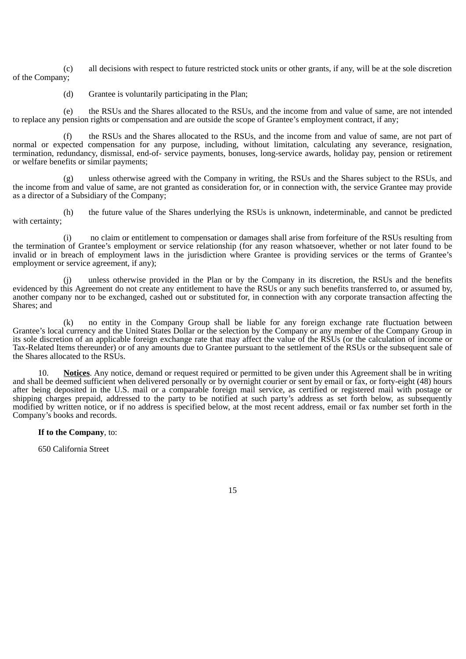(c) all decisions with respect to future restricted stock units or other grants, if any, will be at the sole discretion of the Company;

(d) Grantee is voluntarily participating in the Plan;

(e) the RSUs and the Shares allocated to the RSUs, and the income from and value of same, are not intended to replace any pension rights or compensation and are outside the scope of Grantee's employment contract, if any;

(f) the RSUs and the Shares allocated to the RSUs, and the income from and value of same, are not part of normal or expected compensation for any purpose, including, without limitation, calculating any severance, resignation, termination, redundancy, dismissal, end-of- service payments, bonuses, long-service awards, holiday pay, pension or retirement or welfare benefits or similar payments;

(g) unless otherwise agreed with the Company in writing, the RSUs and the Shares subject to the RSUs, and the income from and value of same, are not granted as consideration for, or in connection with, the service Grantee may provide as a director of a Subsidiary of the Company;

(h) the future value of the Shares underlying the RSUs is unknown, indeterminable, and cannot be predicted with certainty;

(i) no claim or entitlement to compensation or damages shall arise from forfeiture of the RSUs resulting from the termination of Grantee's employment or service relationship (for any reason whatsoever, whether or not later found to be invalid or in breach of employment laws in the jurisdiction where Grantee is providing services or the terms of Grantee's employment or service agreement, if any);

unless otherwise provided in the Plan or by the Company in its discretion, the RSUs and the benefits evidenced by this Agreement do not create any entitlement to have the RSUs or any such benefits transferred to, or assumed by, another company nor to be exchanged, cashed out or substituted for, in connection with any corporate transaction affecting the Shares; and

(k) no entity in the Company Group shall be liable for any foreign exchange rate fluctuation between Grantee's local currency and the United States Dollar or the selection by the Company or any member of the Company Group in its sole discretion of an applicable foreign exchange rate that may affect the value of the RSUs (or the calculation of income or Tax-Related Items thereunder) or of any amounts due to Grantee pursuant to the settlement of the RSUs or the subsequent sale of the Shares allocated to the RSUs.

10. **Notices**. Any notice, demand or request required or permitted to be given under this Agreement shall be in writing and shall be deemed sufficient when delivered personally or by overnight courier or sent by email or fax, or forty-eight (48) hours after being deposited in the U.S. mail or a comparable foreign mail service, as certified or registered mail with postage or shipping charges prepaid, addressed to the party to be notified at such party's address as set forth below, as subsequently modified by written notice, or if no address is specified below, at the most recent address, email or fax number set forth in the Company's books and records.

### **If to the Company**, to:

650 California Street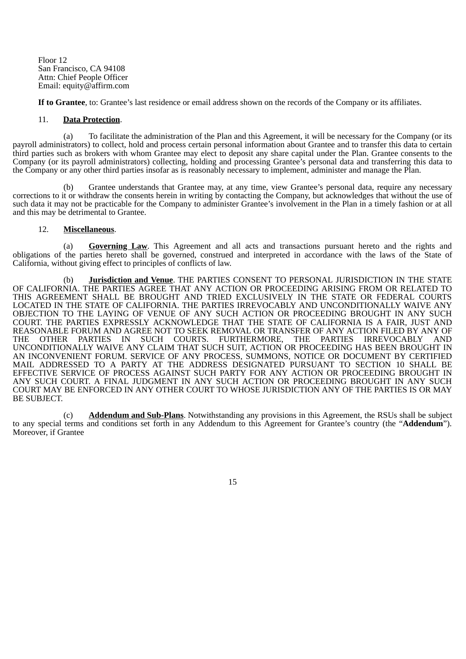Floor 12 San Francisco, CA 94108 Attn: Chief People Officer Email: equity@affirm.com

**If to Grantee**, to: Grantee's last residence or email address shown on the records of the Company or its affiliates.

### 11. **Data Protection**.

(a) To facilitate the administration of the Plan and this Agreement, it will be necessary for the Company (or its payroll administrators) to collect, hold and process certain personal information about Grantee and to transfer this data to certain third parties such as brokers with whom Grantee may elect to deposit any share capital under the Plan. Grantee consents to the Company (or its payroll administrators) collecting, holding and processing Grantee's personal data and transferring this data to the Company or any other third parties insofar as is reasonably necessary to implement, administer and manage the Plan.

(b) Grantee understands that Grantee may, at any time, view Grantee's personal data, require any necessary corrections to it or withdraw the consents herein in writing by contacting the Company, but acknowledges that without the use of such data it may not be practicable for the Company to administer Grantee's involvement in the Plan in a timely fashion or at all and this may be detrimental to Grantee.

### 12. **Miscellaneous**.

(a) **Governing Law**. This Agreement and all acts and transactions pursuant hereto and the rights and obligations of the parties hereto shall be governed, construed and interpreted in accordance with the laws of the State of California, without giving effect to principles of conflicts of law.

(b) **Jurisdiction and Venue**. THE PARTIES CONSENT TO PERSONAL JURISDICTION IN THE STATE OF CALIFORNIA. THE PARTIES AGREE THAT ANY ACTION OR PROCEEDING ARISING FROM OR RELATED TO THIS AGREEMENT SHALL BE BROUGHT AND TRIED EXCLUSIVELY IN THE STATE OR FEDERAL COURTS LOCATED IN THE STATE OF CALIFORNIA. THE PARTIES IRREVOCABLY AND UNCONDITIONALLY WAIVE ANY OBJECTION TO THE LAYING OF VENUE OF ANY SUCH ACTION OR PROCEEDING BROUGHT IN ANY SUCH COURT. THE PARTIES EXPRESSLY ACKNOWLEDGE THAT THE STATE OF CALIFORNIA IS A FAIR, JUST AND REASONABLE FORUM AND AGREE NOT TO SEEK REMOVAL OR TRANSFER OF ANY ACTION FILED BY ANY OF THE OTHER PARTIES IN SUCH COURTS. FURTHERMORE, THE PARTIES IRREVOCABLY AND PARTIES IRREVOCABLY UNCONDITIONALLY WAIVE ANY CLAIM THAT SUCH SUIT, ACTION OR PROCEEDING HAS BEEN BROUGHT IN AN INCONVENIENT FORUM. SERVICE OF ANY PROCESS, SUMMONS, NOTICE OR DOCUMENT BY CERTIFIED MAIL ADDRESSED TO A PARTY AT THE ADDRESS DESIGNATED PURSUANT TO SECTION 10 SHALL BE EFFECTIVE SERVICE OF PROCESS AGAINST SUCH PARTY FOR ANY ACTION OR PROCEEDING BROUGHT IN ANY SUCH COURT. A FINAL JUDGMENT IN ANY SUCH ACTION OR PROCEEDING BROUGHT IN ANY SUCH COURT MAY BE ENFORCED IN ANY OTHER COURT TO WHOSE JURISDICTION ANY OF THE PARTIES IS OR MAY BE SUBJECT.

(c) **Addendum and Sub-Plans**. Notwithstanding any provisions in this Agreement, the RSUs shall be subject to any special terms and conditions set forth in any Addendum to this Agreement for Grantee's country (the "**Addendum**"). Moreover, if Grantee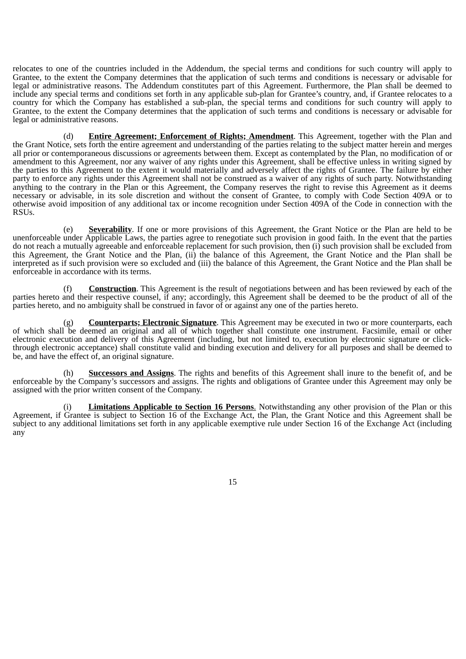relocates to one of the countries included in the Addendum, the special terms and conditions for such country will apply to Grantee, to the extent the Company determines that the application of such terms and conditions is necessary or advisable for legal or administrative reasons. The Addendum constitutes part of this Agreement. Furthermore, the Plan shall be deemed to include any special terms and conditions set forth in any applicable sub-plan for Grantee's country, and, if Grantee relocates to a country for which the Company has established a sub-plan, the special terms and conditions for such country will apply to Grantee, to the extent the Company determines that the application of such terms and conditions is necessary or advisable for legal or administrative reasons.

(d) **Entire Agreement; Enforcement of Rights; Amendment**. This Agreement, together with the Plan and the Grant Notice, sets forth the entire agreement and understanding of the parties relating to the subject matter herein and merges all prior or contemporaneous discussions or agreements between them. Except as contemplated by the Plan, no modification of or amendment to this Agreement, nor any waiver of any rights under this Agreement, shall be effective unless in writing signed by the parties to this Agreement to the extent it would materially and adversely affect the rights of Grantee. The failure by either party to enforce any rights under this Agreement shall not be construed as a waiver of any rights of such party. Notwithstanding anything to the contrary in the Plan or this Agreement, the Company reserves the right to revise this Agreement as it deems necessary or advisable, in its sole discretion and without the consent of Grantee, to comply with Code Section 409A or to otherwise avoid imposition of any additional tax or income recognition under Section 409A of the Code in connection with the RSUs.

(e) **Severability**. If one or more provisions of this Agreement, the Grant Notice or the Plan are held to be unenforceable under Applicable Laws, the parties agree to renegotiate such provision in good faith. In the event that the parties do not reach a mutually agreeable and enforceable replacement for such provision, then (i) such provision shall be excluded from this Agreement, the Grant Notice and the Plan, (ii) the balance of this Agreement, the Grant Notice and the Plan shall be interpreted as if such provision were so excluded and (iii) the balance of this Agreement, the Grant Notice and the Plan shall be enforceable in accordance with its terms.

(f) **Construction**. This Agreement is the result of negotiations between and has been reviewed by each of the parties hereto and their respective counsel, if any; accordingly, this Agreement shall be deemed to be the product of all of the parties hereto, and no ambiguity shall be construed in favor of or against any one of the parties hereto.

(g) **Counterparts; Electronic Signature**. This Agreement may be executed in two or more counterparts, each of which shall be deemed an original and all of which together shall constitute one instrument. Facsimile, email or other electronic execution and delivery of this Agreement (including, but not limited to, execution by electronic signature or clickthrough electronic acceptance) shall constitute valid and binding execution and delivery for all purposes and shall be deemed to be, and have the effect of, an original signature.

(h) **Successors and Assigns**. The rights and benefits of this Agreement shall inure to the benefit of, and be enforceable by the Company's successors and assigns. The rights and obligations of Grantee under this Agreement may only be assigned with the prior written consent of the Company.

(i) **Limitations Applicable to Section 16 Persons**. Notwithstanding any other provision of the Plan or this Agreement, if Grantee is subject to Section 16 of the Exchange Act, the Plan, the Grant Notice and this Agreement shall be subject to any additional limitations set forth in any applicable exemptive rule under Section 16 of the Exchange Act (including any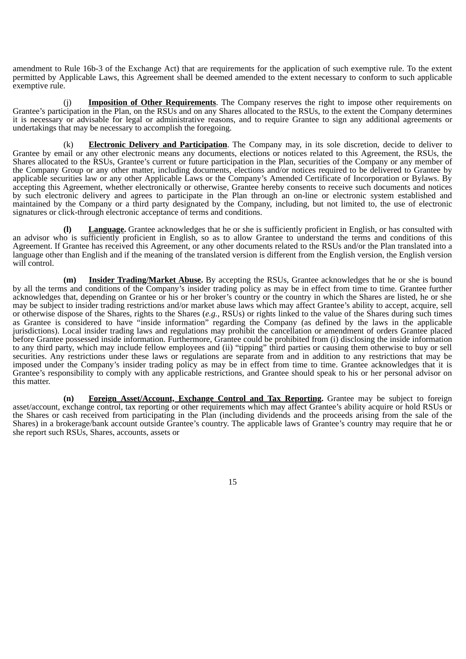amendment to Rule 16b-3 of the Exchange Act) that are requirements for the application of such exemptive rule. To the extent permitted by Applicable Laws, this Agreement shall be deemed amended to the extent necessary to conform to such applicable exemptive rule.

(j) **Imposition of Other Requirements**. The Company reserves the right to impose other requirements on Grantee's participation in the Plan, on the RSUs and on any Shares allocated to the RSUs, to the extent the Company determines it is necessary or advisable for legal or administrative reasons, and to require Grantee to sign any additional agreements or undertakings that may be necessary to accomplish the foregoing.

(k) **Electronic Delivery and Participation**. The Company may, in its sole discretion, decide to deliver to Grantee by email or any other electronic means any documents, elections or notices related to this Agreement, the RSUs, the Shares allocated to the RSUs, Grantee's current or future participation in the Plan, securities of the Company or any member of the Company Group or any other matter, including documents, elections and/or notices required to be delivered to Grantee by applicable securities law or any other Applicable Laws or the Company's Amended Certificate of Incorporation or Bylaws. By accepting this Agreement, whether electronically or otherwise, Grantee hereby consents to receive such documents and notices by such electronic delivery and agrees to participate in the Plan through an on-line or electronic system established and maintained by the Company or a third party designated by the Company, including, but not limited to, the use of electronic signatures or click-through electronic acceptance of terms and conditions.

**(l) Language.** Grantee acknowledges that he or she is sufficiently proficient in English, or has consulted with an advisor who is sufficiently proficient in English, so as to allow Grantee to understand the terms and conditions of this Agreement. If Grantee has received this Agreement, or any other documents related to the RSUs and/or the Plan translated into a language other than English and if the meaning of the translated version is different from the English version, the English version will control.

**(m) Insider Trading/Market Abuse.** By accepting the RSUs, Grantee acknowledges that he or she is bound by all the terms and conditions of the Company's insider trading policy as may be in effect from time to time. Grantee further acknowledges that, depending on Grantee or his or her broker's country or the country in which the Shares are listed, he or she may be subject to insider trading restrictions and/or market abuse laws which may affect Grantee's ability to accept, acquire, sell or otherwise dispose of the Shares, rights to the Shares (*e.g.*, RSUs) or rights linked to the value of the Shares during such times as Grantee is considered to have "inside information" regarding the Company (as defined by the laws in the applicable jurisdictions). Local insider trading laws and regulations may prohibit the cancellation or amendment of orders Grantee placed before Grantee possessed inside information. Furthermore, Grantee could be prohibited from (i) disclosing the inside information to any third party, which may include fellow employees and (ii) "tipping" third parties or causing them otherwise to buy or sell securities. Any restrictions under these laws or regulations are separate from and in addition to any restrictions that may be imposed under the Company's insider trading policy as may be in effect from time to time. Grantee acknowledges that it is Grantee's responsibility to comply with any applicable restrictions, and Grantee should speak to his or her personal advisor on this matter.

**(n) Foreign Asset/Account, Exchange Control and Tax Reporting.** Grantee may be subject to foreign asset/account, exchange control, tax reporting or other requirements which may affect Grantee's ability acquire or hold RSUs or the Shares or cash received from participating in the Plan (including dividends and the proceeds arising from the sale of the Shares) in a brokerage/bank account outside Grantee's country. The applicable laws of Grantee's country may require that he or she report such RSUs, Shares, accounts, assets or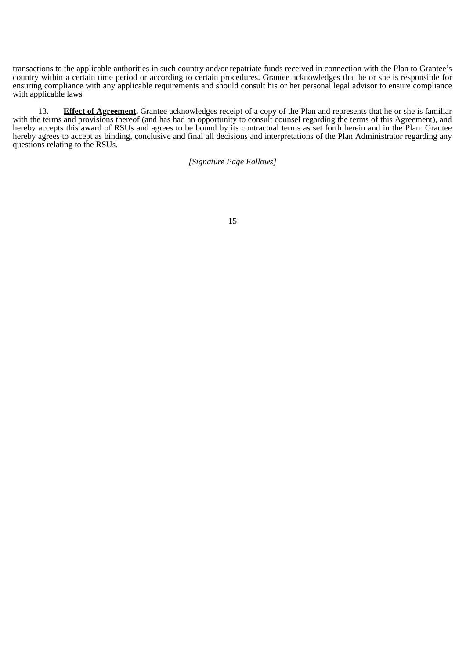transactions to the applicable authorities in such country and/or repatriate funds received in connection with the Plan to Grantee's country within a certain time period or according to certain procedures. Grantee acknowledges that he or she is responsible for ensuring compliance with any applicable requirements and should consult his or her personal legal advisor to ensure compliance with applicable laws

13. **Effect of Agreement.** Grantee acknowledges receipt of a copy of the Plan and represents that he or she is familiar with the terms and provisions thereof (and has had an opportunity to consult counsel regarding the terms of this Agreement), and hereby accepts this award of RSUs and agrees to be bound by its contractual terms as set forth herein and in the Plan. Grantee hereby agrees to accept as binding, conclusive and final all decisions and interpretations of the Plan Administrator regarding any questions relating to the RSUs.

## *[Signature Page Follows]*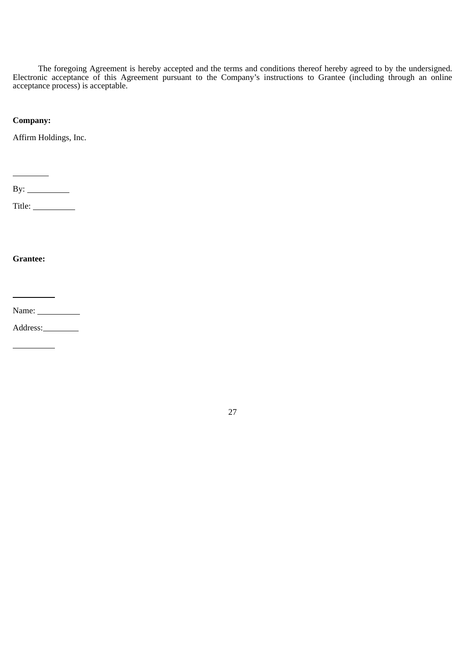The foregoing Agreement is hereby accepted and the terms and conditions thereof hereby agreed to by the undersigned. Electronic acceptance of this Agreement pursuant to the Company's instructions to Grantee (including through an online acceptance process) is acceptable.

# **Company:**

 $\overline{\phantom{a}}$ 

Affirm Holdings, Inc.

By:

Title:

## **Grantee:**

 $\overline{a}$ 

l,

Name:

Address:\_\_\_\_\_\_\_\_\_\_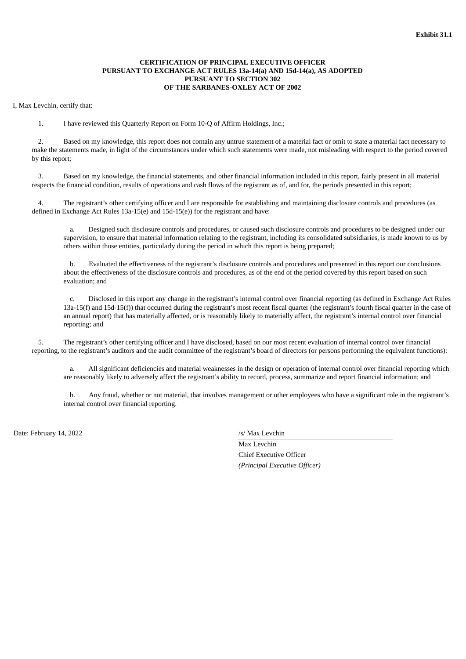### **CERTIFICATION OF PRINCIPAL EXECUTIVE OFFICER PURSUANT TO EXCHANGE ACT RULES 13a-14(a) AND 15d-14(a), AS ADOPTED PURSUANT TO SECTION 302 OF THE SARBANES-OXLEY ACT OF 2002**

I, Max Levchin, certify that:

1. I have reviewed this Quarterly Report on Form 10-Q of Affirm Holdings, Inc.;

2. Based on my knowledge, this report does not contain any untrue statement of a material fact or omit to state a material fact necessary to make the statements made, in light of the circumstances under which such statements were made, not misleading with respect to the period covered by this report;

3. Based on my knowledge, the financial statements, and other financial information included in this report, fairly present in all material respects the financial condition, results of operations and cash flows of the registrant as of, and for, the periods presented in this report;

4. The registrant's other certifying officer and I are responsible for establishing and maintaining disclosure controls and procedures (as defined in Exchange Act Rules 13a-15(e) and 15d-15(e)) for the registrant and have:

a. Designed such disclosure controls and procedures, or caused such disclosure controls and procedures to be designed under our supervision, to ensure that material information relating to the registrant, including its consolidated subsidiaries, is made known to us by others within those entities, particularly during the period in which this report is being prepared;

b. Evaluated the effectiveness of the registrant's disclosure controls and procedures and presented in this report our conclusions about the effectiveness of the disclosure controls and procedures, as of the end of the period covered by this report based on such evaluation; and

c. Disclosed in this report any change in the registrant's internal control over financial reporting (as defined in Exchange Act Rules 13a-15(f) and 15d-15(f)) that occurred during the registrant's most recent fiscal quarter (the registrant's fourth fiscal quarter in the case of an annual report) that has materially affected, or is reasonably likely to materially affect, the registrant's internal control over financial reporting; and

5. The registrant's other certifying officer and I have disclosed, based on our most recent evaluation of internal control over financial reporting, to the registrant's auditors and the audit committee of the registrant's board of directors (or persons performing the equivalent functions):

All significant deficiencies and material weaknesses in the design or operation of internal control over financial reporting which are reasonably likely to adversely affect the registrant's ability to record, process, summarize and report financial information; and

b. Any fraud, whether or not material, that involves management or other employees who have a significant role in the registrant's internal control over financial reporting.

Date: February 14, 2022 /s/ Max Levchin

Max Levchin Chief Executive Officer *(Principal Executive Officer)*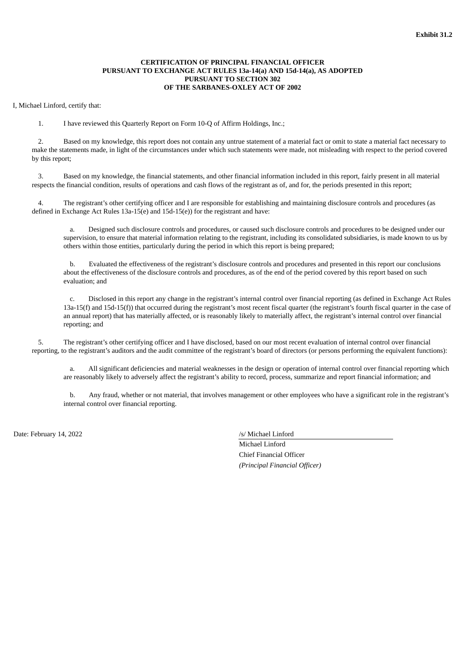### **CERTIFICATION OF PRINCIPAL FINANCIAL OFFICER PURSUANT TO EXCHANGE ACT RULES 13a-14(a) AND 15d-14(a), AS ADOPTED PURSUANT TO SECTION 302 OF THE SARBANES-OXLEY ACT OF 2002**

I, Michael Linford, certify that:

1. I have reviewed this Quarterly Report on Form 10-Q of Affirm Holdings, Inc.;

2. Based on my knowledge, this report does not contain any untrue statement of a material fact or omit to state a material fact necessary to make the statements made, in light of the circumstances under which such statements were made, not misleading with respect to the period covered by this report;

3. Based on my knowledge, the financial statements, and other financial information included in this report, fairly present in all material respects the financial condition, results of operations and cash flows of the registrant as of, and for, the periods presented in this report;

4. The registrant's other certifying officer and I are responsible for establishing and maintaining disclosure controls and procedures (as defined in Exchange Act Rules 13a-15(e) and 15d-15(e)) for the registrant and have:

a. Designed such disclosure controls and procedures, or caused such disclosure controls and procedures to be designed under our supervision, to ensure that material information relating to the registrant, including its consolidated subsidiaries, is made known to us by others within those entities, particularly during the period in which this report is being prepared;

b. Evaluated the effectiveness of the registrant's disclosure controls and procedures and presented in this report our conclusions about the effectiveness of the disclosure controls and procedures, as of the end of the period covered by this report based on such evaluation; and

c. Disclosed in this report any change in the registrant's internal control over financial reporting (as defined in Exchange Act Rules 13a-15(f) and 15d-15(f)) that occurred during the registrant's most recent fiscal quarter (the registrant's fourth fiscal quarter in the case of an annual report) that has materially affected, or is reasonably likely to materially affect, the registrant's internal control over financial reporting; and

5. The registrant's other certifying officer and I have disclosed, based on our most recent evaluation of internal control over financial reporting, to the registrant's auditors and the audit committee of the registrant's board of directors (or persons performing the equivalent functions):

All significant deficiencies and material weaknesses in the design or operation of internal control over financial reporting which are reasonably likely to adversely affect the registrant's ability to record, process, summarize and report financial information; and

b. Any fraud, whether or not material, that involves management or other employees who have a significant role in the registrant's internal control over financial reporting.

Date: February 14, 2022 */s/ Michael Linford* 

Michael Linford Chief Financial Officer *(Principal Financial Officer)*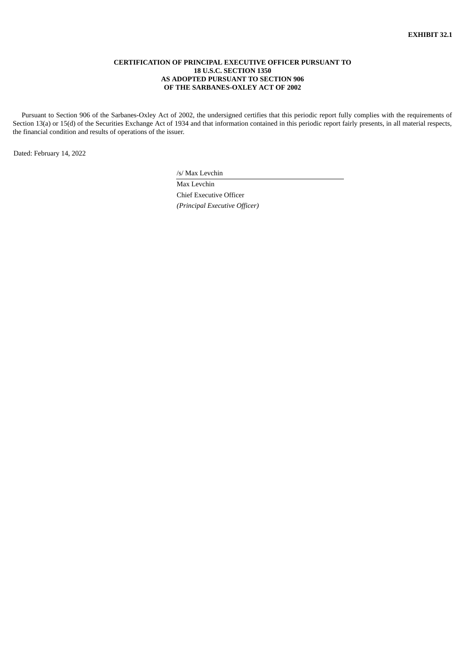### **CERTIFICATION OF PRINCIPAL EXECUTIVE OFFICER PURSUANT TO 18 U.S.C. SECTION 1350 AS ADOPTED PURSUANT TO SECTION 906 OF THE SARBANES-OXLEY ACT OF 2002**

Pursuant to Section 906 of the Sarbanes-Oxley Act of 2002, the undersigned certifies that this periodic report fully complies with the requirements of Section 13(a) or 15(d) of the Securities Exchange Act of 1934 and that information contained in this periodic report fairly presents, in all material respects, the financial condition and results of operations of the issuer.

Dated: February 14, 2022

/s/ Max Levchin

Max Levchin Chief Executive Officer *(Principal Executive Officer)*